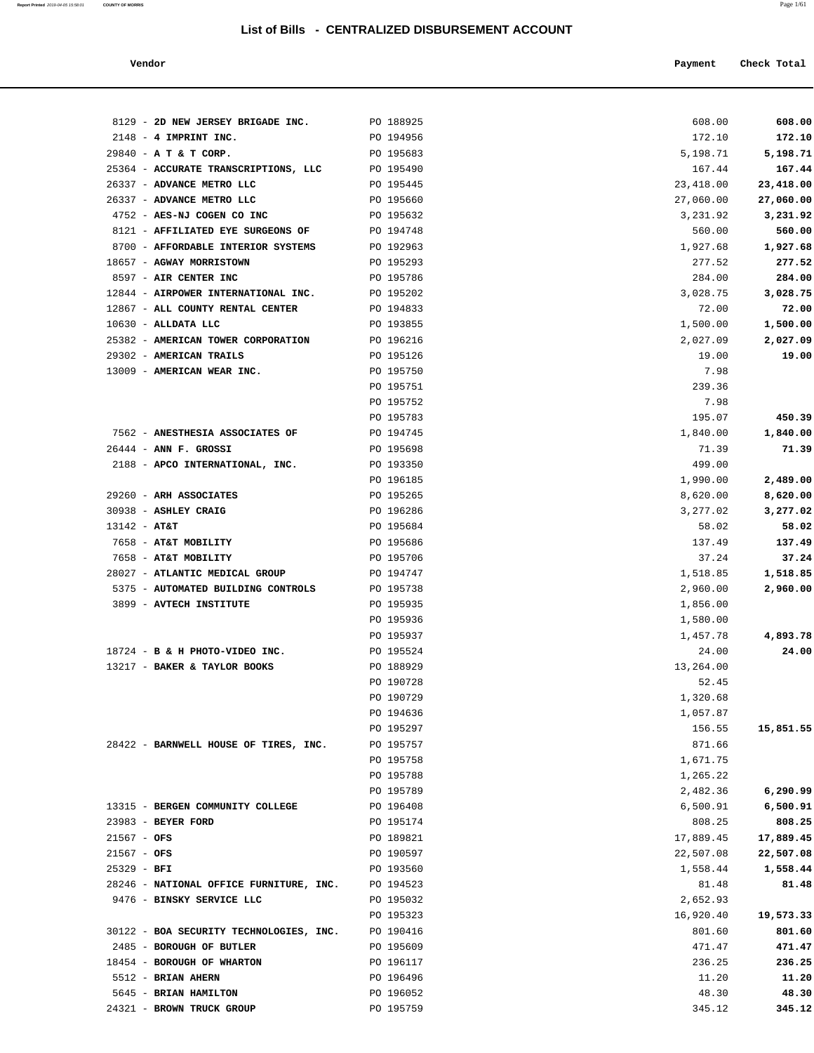| Payment Check Total | Vendor |  |  |  |
|---------------------|--------|--|--|--|
|---------------------|--------|--|--|--|

| 8129 - 2D NEW JERSEY BRIGADE INC.<br>$2148 - 4$ IMPRINT INC. | PO 188925<br>PO 194956 | 608.00<br>172.10  | 608.00<br>172.10 |
|--------------------------------------------------------------|------------------------|-------------------|------------------|
| 29840 - A T & T CORP.                                        | PO 195683              | 5,198.71          | 5,198.71         |
| 25364 - ACCURATE TRANSCRIPTIONS, LLC                         | PO 195490              | 167.44            | 167.44           |
| 26337 - ADVANCE METRO LLC                                    | PO 195445              | 23,418.00         | 23,418.00        |
| 26337 - ADVANCE METRO LLC                                    | PO 195660              | 27,060.00         | 27,060.00        |
| 4752 - AES-NJ COGEN CO INC                                   | PO 195632              | 3,231.92          | 3,231.92         |
| 8121 - AFFILIATED EYE SURGEONS OF                            | PO 194748              | 560.00            | 560.00           |
| 8700 - AFFORDABLE INTERIOR SYSTEMS                           | PO 192963              | 1,927.68          | 1,927.68         |
| 18657 - AGWAY MORRISTOWN                                     | PO 195293              | 277.52            | 277.52           |
| 8597 - AIR CENTER INC                                        | PO 195786              | 284.00            | 284.00           |
| 12844 - AIRPOWER INTERNATIONAL INC.                          | PO 195202              | 3,028.75          | 3,028.75         |
| 12867 - ALL COUNTY RENTAL CENTER                             | PO 194833              | 72.00             | 72.00            |
| $10630$ - ALLDATA LLC                                        | PO 193855              | 1,500.00          | 1,500.00         |
| 25382 - AMERICAN TOWER CORPORATION                           | PO 196216              | 2,027.09          | 2,027.09         |
| 29302 - AMERICAN TRAILS                                      | PO 195126              | 19.00             | 19.00            |
| 13009 - AMERICAN WEAR INC.                                   | PO 195750              | 7.98              |                  |
|                                                              | PO 195751              | 239.36            |                  |
|                                                              | PO 195752              | 7.98              |                  |
|                                                              | PO 195783              | 195.07            | 450.39           |
| 7562 - ANESTHESIA ASSOCIATES OF                              | PO 194745              | 1,840.00          | 1,840.00         |
| $26444$ - ANN F. GROSSI                                      | PO 195698              | 71.39             | 71.39            |
| 2188 - APCO INTERNATIONAL, INC.                              | PO 193350              | 499.00            |                  |
|                                                              | PO 196185              | 1,990.00          | 2,489.00         |
| 29260 - ARH ASSOCIATES                                       | PO 195265              | 8,620.00          | 8,620.00         |
| 30938 - ASHLEY CRAIG                                         | PO 196286              | 3,277.02          | 3,277.02         |
| $13142 - AT&T$                                               | PO 195684              | 58.02             | 58.02            |
| 7658 - AT&T MOBILITY                                         | PO 195686              | 137.49            | 137.49           |
| 7658 - AT&T MOBILITY                                         | PO 195706              | 37.24             | 37.24            |
| 28027 - ATLANTIC MEDICAL GROUP                               | PO 194747              | 1,518.85          | 1,518.85         |
| 5375 - AUTOMATED BUILDING CONTROLS                           | PO 195738              | 2,960.00          | 2,960.00         |
| 3899 - AVTECH INSTITUTE                                      | PO 195935              | 1,856.00          |                  |
|                                                              | PO 195936              | 1,580.00          | 4,893.78         |
| 18724 - B & H PHOTO-VIDEO INC.                               | PO 195937<br>PO 195524 | 1,457.78<br>24.00 | 24.00            |
| 13217 - BAKER & TAYLOR BOOKS                                 | PO 188929              | 13,264.00         |                  |
|                                                              | PO 190728              | 52.45             |                  |
|                                                              | PO 190729              | 1,320.68          |                  |
|                                                              | PO 194636              | 1,057.87          |                  |
|                                                              | PO 195297              | 156.55            | 15,851.55        |
| 28422 - BARNWELL HOUSE OF TIRES, INC.                        | PO 195757              | 871.66            |                  |
|                                                              | PO 195758              | 1,671.75          |                  |
|                                                              | PO 195788              | 1,265.22          |                  |
|                                                              | PO 195789              | 2,482.36          | 6,290.99         |
| 13315 - BERGEN COMMUNITY COLLEGE                             | PO 196408              | 6,500.91          | 6,500.91         |
| 23983 - BEYER FORD                                           | PO 195174              | 808.25            | 808.25           |
| $21567 - OFS$                                                | PO 189821              | 17,889.45         | 17,889.45        |
| $21567 - OFS$                                                | PO 190597              | 22,507.08         | 22,507.08        |
| $25329 - BFI$                                                | PO 193560              | 1,558.44          | 1,558.44         |
| 28246 - NATIONAL OFFICE FURNITURE, INC.                      | PO 194523              | 81.48             | 81.48            |
| 9476 - BINSKY SERVICE LLC                                    | PO 195032              | 2,652.93          |                  |
|                                                              | PO 195323              | 16,920.40         | 19,573.33        |
| 30122 - BOA SECURITY TECHNOLOGIES, INC.                      | PO 190416              | 801.60            | 801.60           |
| 2485 - BOROUGH OF BUTLER                                     | PO 195609              | 471.47            | 471.47           |
| 18454 - BOROUGH OF WHARTON                                   | PO 196117              | 236.25            | 236.25           |
| 5512 - BRIAN AHERN                                           | PO 196496              | 11.20             | 11.20            |
| 5645 - BRIAN HAMILTON                                        | PO 196052              | 48.30             | 48.30            |
| 24321 - BROWN TRUCK GROUP                                    | PO 195759              | 345.12            | 345.12           |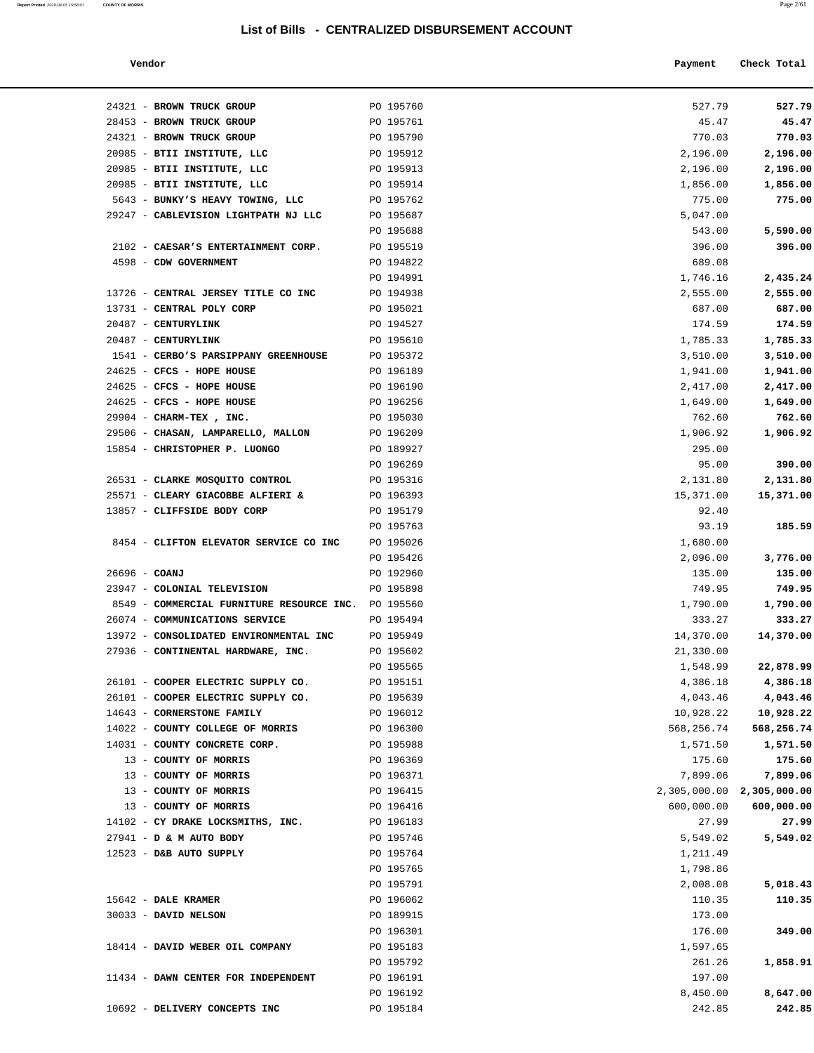24321 - **BROWN TRUCK GROUP** PO 195760 527.79 **527.79**

**Report Printed** 2019-04-05 15:58:01 **COUNTY OF MORRIS** Page 2/61

| Vendor |  | Payment | Check Total |
|--------|--|---------|-------------|
|        |  |         |             |

| 28453 - BROWN TRUCK GROUP                                                              | PO 195761              | 45.47                                 | 45.47                |
|----------------------------------------------------------------------------------------|------------------------|---------------------------------------|----------------------|
| 24321 - BROWN TRUCK GROUP                                                              | PO 195790              | 770.03                                | 770.03               |
| 20985 - BTII INSTITUTE, LLC                                                            | PO 195912              | 2,196.00                              | 2,196.00             |
| 20985 - BTII INSTITUTE, LLC                                                            | PO 195913              | 2,196.00                              | 2,196.00             |
| 20985 - BTII INSTITUTE, LLC                                                            | PO 195914              | 1,856.00                              | 1,856.00             |
| 5643 - BUNKY'S HEAVY TOWING, LLC                                                       | PO 195762              | 775.00                                | 775.00               |
| 29247 - CABLEVISION LIGHTPATH NJ LLC                                                   | PO 195687              | 5,047.00                              |                      |
|                                                                                        | PO 195688              | 543.00                                | 5,590.00             |
| 2102 - CAESAR'S ENTERTAINMENT CORP.                                                    | PO 195519              | 396.00                                | 396.00               |
| 4598 - CDW GOVERNMENT                                                                  | PO 194822              | 689.08                                |                      |
|                                                                                        | PO 194991              | 1,746.16                              | 2,435.24             |
| 13726 - CENTRAL JERSEY TITLE CO INC PO 194938                                          |                        | 2,555.00                              | 2,555.00             |
| 13731 - CENTRAL POLY CORP                                                              | PO 195021              | 687.00                                | 687.00               |
| 20487 - CENTURYLINK                                                                    | PO 194527              | 174.59                                | 174.59               |
| 20487 - CENTURYLINK                                                                    | PO 195610              | 1,785.33                              | 1,785.33             |
| 1541 - CERBO'S PARSIPPANY GREENHOUSE PO 195372                                         |                        | 3,510.00                              | 3,510.00             |
| 24625 - CFCS - HOPE HOUSE                                                              | PO 196189              | 1,941.00                              | 1,941.00             |
| 24625 - CFCS - HOPE HOUSE                                                              | PO 196190              | 2,417.00                              | 2,417.00             |
| 24625 - CFCS - HOPE HOUSE                                                              | PO 196256              | 1,649.00                              | 1,649.00             |
| $29904$ - CHARM-TEX, INC.                                                              | PO 195030              | 762.60                                | 762.60               |
| 29506 - CHASAN, LAMPARELLO, MALLON                                                     | PO 196209              | 1,906.92                              | 1,906.92             |
| 15854 - CHRISTOPHER P. LUONGO                                                          | PO 189927              | 295.00                                |                      |
|                                                                                        | PO 196269              | 95.00                                 | 390.00               |
| 26531 - CLARKE MOSQUITO CONTROL                                                        | PO 195316              | 2,131.80                              | 2,131.80             |
| 25571 - CLEARY GIACOBBE ALFIERI &                                                      | PO 196393              | 15,371.00                             | 15,371.00            |
| 13857 - CLIFFSIDE BODY CORP                                                            | PO 195179              | 92.40                                 |                      |
|                                                                                        | PO 195763              | 93.19                                 | 185.59               |
| 8454 - CLIFTON ELEVATOR SERVICE CO INC PO 195026                                       |                        | 1,680.00                              |                      |
|                                                                                        | PO 195426              | 2,096.00                              | 3,776.00             |
| $26696 - COANJ$                                                                        | PO 192960              | 135.00                                | 135.00               |
| 23947 - COLONIAL TELEVISION                                                            | PO 195898              | 749.95                                | 749.95               |
| 8549 - COMMERCIAL FURNITURE RESOURCE INC. PO 195560                                    |                        |                                       | 1,790.00             |
| 26074 - COMMUNICATIONS SERVICE                                                         |                        | 1,790.00<br>333.27                    | 333.27               |
|                                                                                        | PO 195494              | 14,370.00                             | 14,370.00            |
| 13972 - CONSOLIDATED ENVIRONMENTAL INC PO 195949<br>27936 - CONTINENTAL HARDWARE, INC. |                        |                                       |                      |
|                                                                                        | PO 195602<br>PO 195565 | 21,330.00                             |                      |
|                                                                                        |                        | 1,548.99                              | 22,878.99            |
| 26101 - COOPER ELECTRIC SUPPLY CO.                                                     | PO 195151              | 4,386.18                              | 4,386.18<br>4,043.46 |
| 26101 - COOPER ELECTRIC SUPPLY CO.                                                     | PO 195639<br>PO 196012 | 4,043.46                              |                      |
| 14643 - CORNERSTONE FAMILY                                                             |                        | 10,928.22                             | 10,928.22            |
| 14022 - COUNTY COLLEGE OF MORRIS                                                       | PO 196300              | 568,256.74                            | 568,256.74           |
| 14031 - COUNTY CONCRETE CORP.                                                          | PO 195988              | 1,571.50                              | 1,571.50             |
| 13 - COUNTY OF MORRIS                                                                  | PO 196369              | 175.60                                | 175.60               |
| 13 - COUNTY OF MORRIS                                                                  | PO 196371              | 7,899.06<br>2,305,000.00 2,305,000.00 | 7,899.06             |
| 13 - COUNTY OF MORRIS                                                                  | PO 196415              |                                       |                      |
| 13 - COUNTY OF MORRIS                                                                  | PO 196416              | 600,000.00                            | 600,000.00           |
| 14102 - CY DRAKE LOCKSMITHS, INC.                                                      | PO 196183              | 27.99                                 | 27.99                |
| 27941 - D & M AUTO BODY                                                                | PO 195746              | 5,549.02                              | 5,549.02             |
| 12523 - D&B AUTO SUPPLY                                                                | PO 195764              | 1,211.49                              |                      |
|                                                                                        | PO 195765              | 1,798.86                              |                      |
|                                                                                        | PO 195791              | 2,008.08                              | 5,018.43             |
| $15642$ - DALE KRAMER                                                                  | PO 196062              | 110.35                                | 110.35               |
| 30033 - DAVID NELSON                                                                   | PO 189915              | 173.00                                |                      |
|                                                                                        | PO 196301              | 176.00                                | 349.00               |
| 18414 - DAVID WEBER OIL COMPANY                                                        | PO 195183              | 1,597.65                              |                      |
|                                                                                        | PO 195792              | 261.26                                | 1,858.91             |
| 11434 - DAWN CENTER FOR INDEPENDENT                                                    | PO 196191              | 197.00                                |                      |
|                                                                                        | PO 196192              | 8,450.00                              | 8,647.00             |
| 10692 - DELIVERY CONCEPTS INC                                                          | PO 195184              | 242.85                                | 242.85               |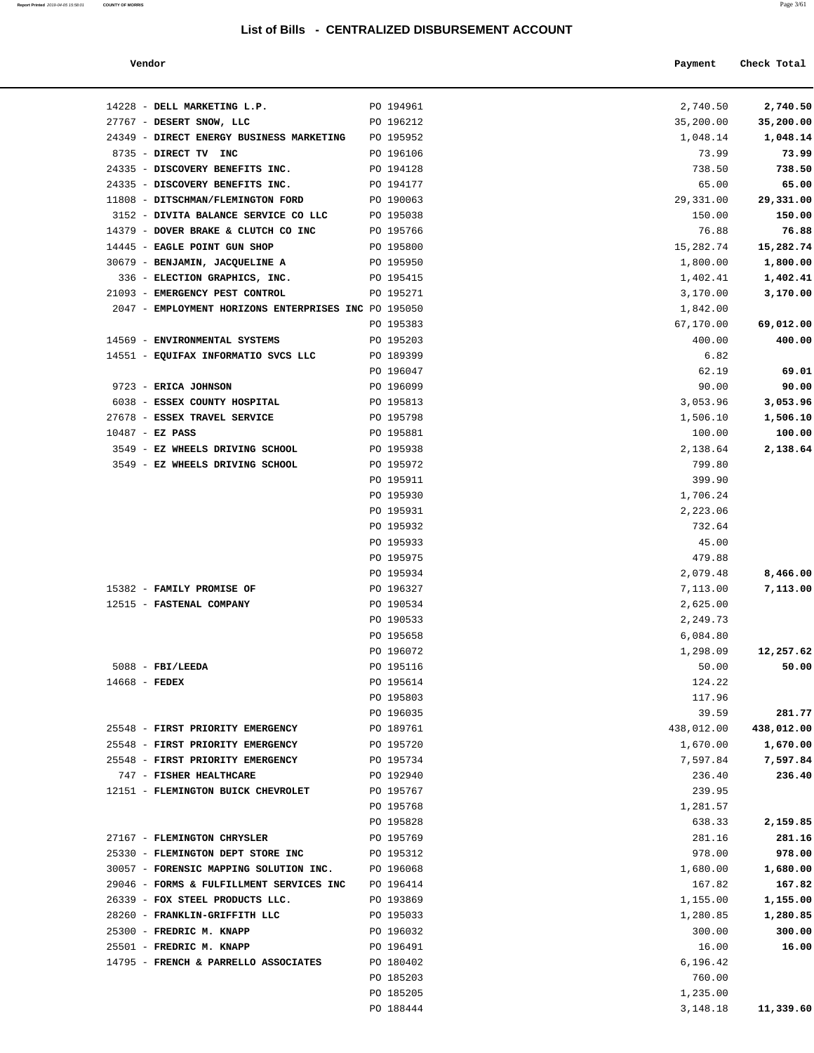PO 188444 3,148.18 **11,339.60**

| Report Printed 2019-04-05 15:58:01 | <b>COUNTY OF MORRIS</b> | Page 3/61 |
|------------------------------------|-------------------------|-----------|
|                                    |                         |           |

|                                                      | LIST OF BIIIS - CENTRALIZED DISBURSEMENT ACCOUNT |            |             |
|------------------------------------------------------|--------------------------------------------------|------------|-------------|
| Vendor                                               |                                                  | Payment    | Check Total |
| 14228 - DELL MARKETING L.P.                          | PO 194961                                        | 2,740.50   | 2,740.50    |
| 27767 - DESERT SNOW, LLC                             | PO 196212                                        | 35,200.00  | 35,200.00   |
| 24349 - DIRECT ENERGY BUSINESS MARKETING             | PO 195952                                        | 1,048.14   | 1,048.14    |
| 8735 - DIRECT TV INC                                 | PO 196106                                        | 73.99      | 73.99       |
| 24335 - DISCOVERY BENEFITS INC.                      | PO 194128                                        | 738.50     | 738.50      |
| 24335 - DISCOVERY BENEFITS INC.                      | PO 194177                                        | 65.00      | 65.00       |
| 11808 - DITSCHMAN/FLEMINGTON FORD                    | PO 190063                                        | 29,331.00  | 29,331.00   |
| 3152 - DIVITA BALANCE SERVICE CO LLC                 | PO 195038                                        | 150.00     | 150.00      |
| 14379 - DOVER BRAKE & CLUTCH CO INC                  | PO 195766                                        | 76.88      | 76.88       |
| 14445 - EAGLE POINT GUN SHOP                         | PO 195800                                        | 15,282.74  | 15,282.74   |
| 30679 - BENJAMIN, JACQUELINE A                       | PO 195950                                        | 1,800.00   | 1,800.00    |
| 336 - ELECTION GRAPHICS, INC.                        | PO 195415                                        | 1,402.41   | 1,402.41    |
| 21093 - EMERGENCY PEST CONTROL                       | PO 195271                                        | 3,170.00   | 3,170.00    |
| 2047 - EMPLOYMENT HORIZONS ENTERPRISES INC PO 195050 |                                                  | 1,842.00   |             |
|                                                      | PO 195383                                        | 67,170.00  | 69,012.00   |
| 14569 - ENVIRONMENTAL SYSTEMS                        | PO 195203                                        | 400.00     | 400.00      |
| 14551 - EQUIFAX INFORMATIO SVCS LLC                  | PO 189399                                        | 6.82       |             |
|                                                      | PO 196047                                        | 62.19      | 69.01       |
| 9723 - ERICA JOHNSON                                 | PO 196099                                        | 90.00      | 90.00       |
| 6038 - ESSEX COUNTY HOSPITAL                         | PO 195813                                        | 3,053.96   | 3,053.96    |
| 27678 - ESSEX TRAVEL SERVICE                         | PO 195798                                        | 1,506.10   | 1,506.10    |
| $10487 - EZ$ PASS                                    | PO 195881                                        | 100.00     | 100.00      |
| 3549 - EZ WHEELS DRIVING SCHOOL                      | PO 195938                                        | 2,138.64   | 2,138.64    |
| 3549 - EZ WHEELS DRIVING SCHOOL                      | PO 195972                                        | 799.80     |             |
|                                                      | PO 195911                                        | 399.90     |             |
|                                                      | PO 195930                                        | 1,706.24   |             |
|                                                      | PO 195931                                        | 2,223.06   |             |
|                                                      | PO 195932                                        | 732.64     |             |
|                                                      | PO 195933                                        | 45.00      |             |
|                                                      | PO 195975                                        | 479.88     |             |
|                                                      | PO 195934                                        | 2,079.48   | 8,466.00    |
| 15382 - FAMILY PROMISE OF                            | PO 196327                                        | 7,113.00   | 7,113.00    |
| 12515 - FASTENAL COMPANY                             | PO 190534                                        | 2,625.00   |             |
|                                                      | PO 190533                                        | 2,249.73   |             |
|                                                      | PO 195658                                        | 6,084.80   |             |
|                                                      | PO 196072                                        | 1,298.09   | 12,257.62   |
| $5088$ - FBI/LEEDA                                   | PO 195116                                        | 50.00      | 50.00       |
| 14668 - FEDEX                                        | PO 195614                                        | 124.22     |             |
|                                                      | PO 195803                                        | 117.96     |             |
|                                                      | PO 196035                                        | 39.59      | 281.77      |
| 25548 - FIRST PRIORITY EMERGENCY                     | PO 189761                                        | 438,012.00 | 438,012.00  |
| 25548 - FIRST PRIORITY EMERGENCY                     | PO 195720                                        | 1,670.00   | 1,670.00    |
| 25548 - FIRST PRIORITY EMERGENCY                     | PO 195734                                        | 7,597.84   | 7,597.84    |
| 747 - FISHER HEALTHCARE                              | PO 192940                                        | 236.40     | 236.40      |
| 12151 - FLEMINGTON BUICK CHEVROLET                   | PO 195767                                        | 239.95     |             |
|                                                      | PO 195768                                        | 1,281.57   |             |
|                                                      | PO 195828                                        | 638.33     | 2,159.85    |

|                                          | - - - - - - - - |          |          |
|------------------------------------------|-----------------|----------|----------|
|                                          | PO 195828       | 638.33   | 2,159.85 |
| 27167 - FLEMINGTON CHRYSLER              | PO 195769       | 281.16   | 281.16   |
| 25330 - FLEMINGTON DEPT STORE INC        | PO 195312       | 978.00   | 978.00   |
| 30057 - FORENSIC MAPPING SOLUTION INC.   | PO 196068       | 1,680.00 | 1,680.00 |
| 29046 - FORMS & FULFILLMENT SERVICES INC | PO 196414       | 167.82   | 167.82   |
| 26339 - FOX STEEL PRODUCTS LLC.          | PO 193869       | 1,155.00 | 1,155.00 |
| 28260 - FRANKLIN-GRIFFITH LLC            | PO 195033       | 1,280.85 | 1,280.85 |
| 25300 - FREDRIC M. KNAPP                 | PO 196032       | 300.00   | 300.00   |
| 25501 - FREDRIC M. KNAPP                 | PO 196491       | 16.00    | 16.00    |
| 14795 - FRENCH & PARRELLO ASSOCIATES     | PO 180402       | 6,196.42 |          |
|                                          | PO 185203       | 760.00   |          |
|                                          | PO 185205       | 1,235.00 |          |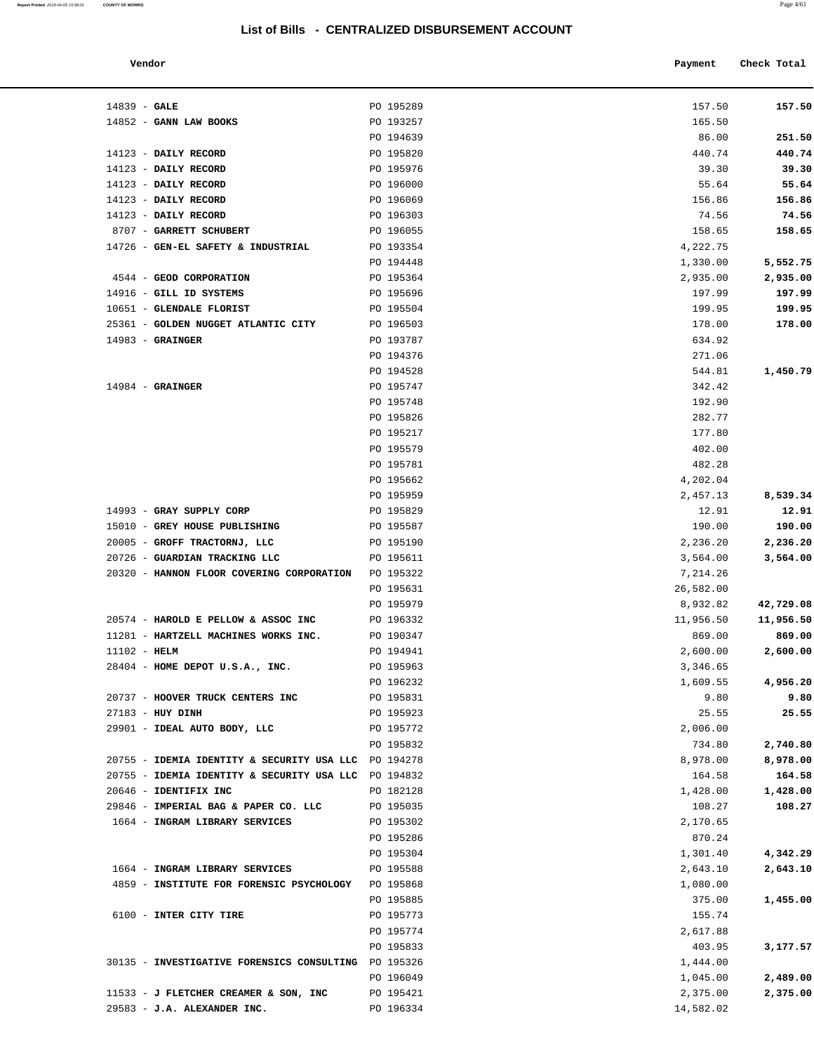| Report Printed 2019-04-05 15:58:01 COUNTY OF MORRIS | Page 4/61 |
|-----------------------------------------------------|-----------|
|                                                     |           |

| Vendor                              |           | Payment  | Check Total |
|-------------------------------------|-----------|----------|-------------|
|                                     |           |          |             |
| $14839 - GALE$                      | PO 195289 | 157.50   | 157.50      |
| $14852$ - GANN LAW BOOKS            | PO 193257 | 165.50   |             |
|                                     | PO 194639 | 86.00    | 251.50      |
| 14123 - DAILY RECORD                | PO 195820 | 440.74   | 440.74      |
| 14123 - DAILY RECORD                | PO 195976 | 39.30    | 39.30       |
| 14123 - DAILY RECORD                | PO 196000 | 55.64    | 55.64       |
| $14123$ - DAILY RECORD              | PO 196069 | 156.86   | 156.86      |
| 14123 - DAILY RECORD                | PO 196303 | 74.56    | 74.56       |
| 8707 - GARRETT SCHUBERT             | PO 196055 | 158.65   | 158.65      |
| 14726 - GEN-EL SAFETY & INDUSTRIAL  | PO 193354 | 4,222.75 |             |
|                                     | PO 194448 | 1,330.00 | 5,552.75    |
| 4544 - GEOD CORPORATION             | PO 195364 | 2,935.00 | 2,935.00    |
| 14916 - GILL ID SYSTEMS             | PO 195696 | 197.99   | 197.99      |
| 10651 - GLENDALE FLORIST            | PO 195504 | 199.95   | 199.95      |
| 25361 - GOLDEN NUGGET ATLANTIC CITY | PO 196503 | 178.00   | 178.00      |
| $14983$ - GRAINGER                  | PO 193787 | 634.92   |             |
|                                     | PO 194376 | 271.06   |             |
|                                     | PO 194528 | 544.81   | 1,450.79    |
| $14984$ - GRAINGER                  | PO 195747 | 342.42   |             |
|                                     | PO 195748 | 192.90   |             |
|                                     | PO 195826 | 282.77   |             |
|                                     | PO 195217 | 177.80   |             |
|                                     | PO 195579 | 402.00   |             |
|                                     | PO 195781 | 482.28   |             |

| $14839 - GALE$                                       | PO 195289 | 157.50    | 157.50    |
|------------------------------------------------------|-----------|-----------|-----------|
| 14852 - GANN LAW BOOKS                               | PO 193257 | 165.50    |           |
|                                                      | PO 194639 | 86.00     | 251.50    |
| 14123 - DAILY RECORD                                 | PO 195820 | 440.74    | 440.74    |
| 14123 - DAILY RECORD                                 | PO 195976 | 39.30     | 39.30     |
| 14123 - DAILY RECORD                                 | PO 196000 | 55.64     | 55.64     |
| 14123 - DAILY RECORD                                 | PO 196069 | 156.86    | 156.86    |
| 14123 - DAILY RECORD                                 | PO 196303 | 74.56     | 74.56     |
| 8707 - GARRETT SCHUBERT                              | PO 196055 | 158.65    | 158.65    |
| 14726 - GEN-EL SAFETY & INDUSTRIAL                   | PO 193354 | 4,222.75  |           |
|                                                      | PO 194448 | 1,330.00  | 5,552.75  |
| 4544 - GEOD CORPORATION                              | PO 195364 | 2,935.00  | 2,935.00  |
| 14916 - GILL ID SYSTEMS                              | PO 195696 | 197.99    | 197.99    |
| 10651 - GLENDALE FLORIST                             | PO 195504 | 199.95    | 199.95    |
| 25361 - GOLDEN NUGGET ATLANTIC CITY                  | PO 196503 | 178.00    | 178.00    |
| $14983$ - GRAINGER                                   | PO 193787 | 634.92    |           |
|                                                      | PO 194376 | 271.06    |           |
|                                                      | PO 194528 | 544.81    | 1,450.79  |
| $14984$ - GRAINGER                                   | PO 195747 | 342.42    |           |
|                                                      | PO 195748 | 192.90    |           |
|                                                      | PO 195826 | 282.77    |           |
|                                                      | PO 195217 | 177.80    |           |
|                                                      | PO 195579 | 402.00    |           |
|                                                      | PO 195781 | 482.28    |           |
|                                                      | PO 195662 | 4,202.04  |           |
|                                                      | PO 195959 | 2,457.13  | 8,539.34  |
| 14993 - GRAY SUPPLY CORP                             | PO 195829 | 12.91     | 12.91     |
| 15010 - GREY HOUSE PUBLISHING                        | PO 195587 | 190.00    | 190.00    |
| 20005 - GROFF TRACTORNJ, LLC                         | PO 195190 | 2,236.20  | 2,236.20  |
| 20726 - GUARDIAN TRACKING LLC                        | PO 195611 | 3,564.00  | 3,564.00  |
| 20320 - HANNON FLOOR COVERING CORPORATION PO 195322  |           | 7,214.26  |           |
|                                                      | PO 195631 | 26,582.00 |           |
|                                                      | PO 195979 | 8,932.82  | 42,729.08 |
| 20574 - HAROLD E PELLOW & ASSOC INC                  | PO 196332 | 11,956.50 | 11,956.50 |
| 11281 - HARTZELL MACHINES WORKS INC.                 | PO 190347 | 869.00    | 869.00    |
| $11102 - HELM$                                       | PO 194941 | 2,600.00  | 2,600.00  |
| 28404 - HOME DEPOT U.S.A., INC.                      | PO 195963 | 3,346.65  |           |
|                                                      | PO 196232 | 1,609.55  | 4,956.20  |
| 20737 - HOOVER TRUCK CENTERS INC                     | PO 195831 | 9.80      | 9.80      |
| 27183 - HUY DINH                                     | PO 195923 | 25.55     | 25.55     |
| 29901 - IDEAL AUTO BODY, LLC                         | PO 195772 | 2,006.00  |           |
|                                                      | PO 195832 | 734.80    | 2,740.80  |
| 20755 - IDEMIA IDENTITY & SECURITY USA LLC PO 194278 |           | 8,978.00  | 8,978.00  |
| 20755 - IDEMIA IDENTITY & SECURITY USA LLC PO 194832 |           | 164.58    | 164.58    |
| 20646 - IDENTIFIX INC                                | PO 182128 | 1,428.00  | 1,428.00  |
| 29846 - IMPERIAL BAG & PAPER CO. LLC                 | PO 195035 | 108.27    | 108.27    |
| 1664 - INGRAM LIBRARY SERVICES                       | PO 195302 | 2,170.65  |           |
|                                                      | PO 195286 | 870.24    |           |
|                                                      | PO 195304 | 1,301.40  | 4,342.29  |
| 1664 - INGRAM LIBRARY SERVICES                       | PO 195588 | 2,643.10  | 2,643.10  |
| 4859 - INSTITUTE FOR FORENSIC PSYCHOLOGY PO 195868   |           | 1,080.00  |           |
|                                                      | PO 195885 | 375.00    | 1,455.00  |
| 6100 - INTER CITY TIRE                               | PO 195773 | 155.74    |           |
|                                                      | PO 195774 | 2,617.88  |           |
|                                                      | PO 195833 | 403.95    | 3,177.57  |
| 30135 - INVESTIGATIVE FORENSICS CONSULTING PO 195326 |           | 1,444.00  |           |
|                                                      | PO 196049 | 1,045.00  | 2,489.00  |
| 11533 - J FLETCHER CREAMER & SON, INC                | PO 195421 | 2,375.00  | 2,375.00  |
|                                                      |           |           |           |

29583 - **J.A. ALEXANDER INC.** PO 196334 PO 196334 14,582.02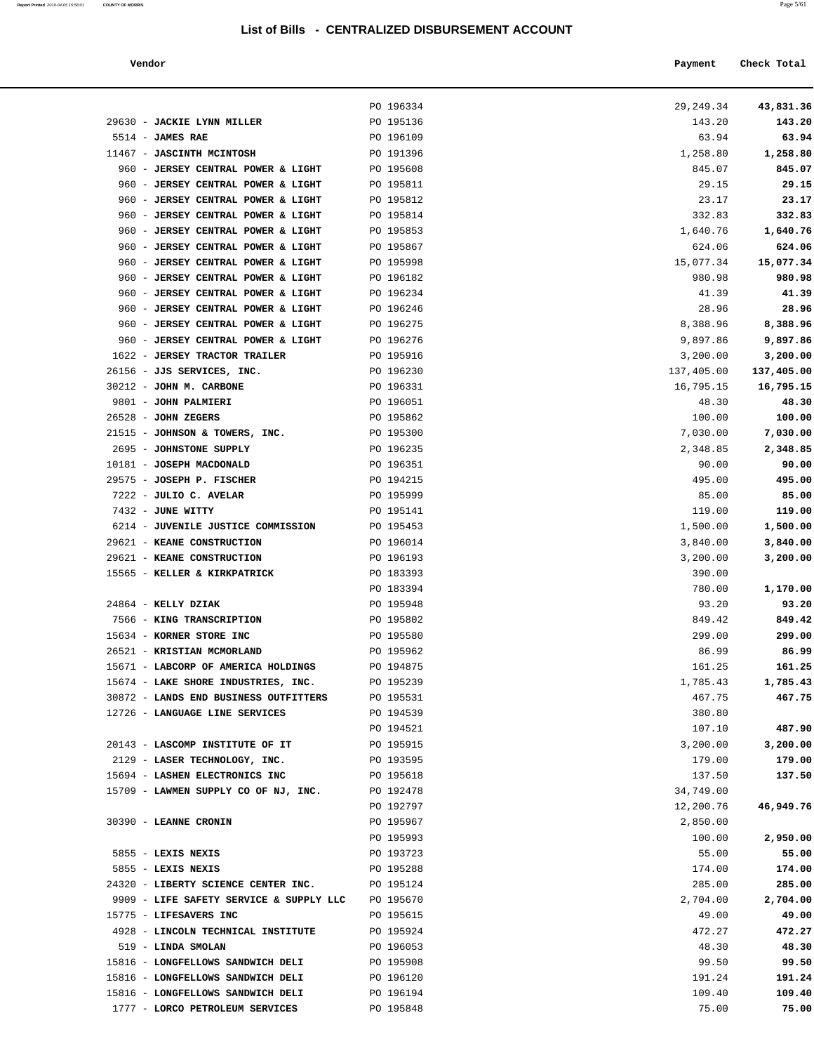**Vendor Payment Check Total**

|           |                                                                                                                                                                                                                                                                                                                                                                                                              | 43,831.36<br>143.20                                                                                                                                                                                                                                                                                    |
|-----------|--------------------------------------------------------------------------------------------------------------------------------------------------------------------------------------------------------------------------------------------------------------------------------------------------------------------------------------------------------------------------------------------------------------|--------------------------------------------------------------------------------------------------------------------------------------------------------------------------------------------------------------------------------------------------------------------------------------------------------|
|           |                                                                                                                                                                                                                                                                                                                                                                                                              | 63.94                                                                                                                                                                                                                                                                                                  |
|           |                                                                                                                                                                                                                                                                                                                                                                                                              | 1,258.80                                                                                                                                                                                                                                                                                               |
|           |                                                                                                                                                                                                                                                                                                                                                                                                              | 845.07                                                                                                                                                                                                                                                                                                 |
|           |                                                                                                                                                                                                                                                                                                                                                                                                              | 29.15                                                                                                                                                                                                                                                                                                  |
|           |                                                                                                                                                                                                                                                                                                                                                                                                              | 23.17                                                                                                                                                                                                                                                                                                  |
|           |                                                                                                                                                                                                                                                                                                                                                                                                              | 332.83                                                                                                                                                                                                                                                                                                 |
|           |                                                                                                                                                                                                                                                                                                                                                                                                              | 1,640.76                                                                                                                                                                                                                                                                                               |
| PO 195867 | 624.06                                                                                                                                                                                                                                                                                                                                                                                                       | 624.06                                                                                                                                                                                                                                                                                                 |
|           |                                                                                                                                                                                                                                                                                                                                                                                                              | 15,077.34                                                                                                                                                                                                                                                                                              |
| PO 196182 | 980.98                                                                                                                                                                                                                                                                                                                                                                                                       | 980.98                                                                                                                                                                                                                                                                                                 |
| PO 196234 | 41.39                                                                                                                                                                                                                                                                                                                                                                                                        | 41.39                                                                                                                                                                                                                                                                                                  |
| PO 196246 | 28.96                                                                                                                                                                                                                                                                                                                                                                                                        | 28.96                                                                                                                                                                                                                                                                                                  |
| PO 196275 | 8,388.96                                                                                                                                                                                                                                                                                                                                                                                                     | 8,388.96                                                                                                                                                                                                                                                                                               |
| PO 196276 | 9,897.86                                                                                                                                                                                                                                                                                                                                                                                                     | 9,897.86                                                                                                                                                                                                                                                                                               |
| PO 195916 | 3,200.00                                                                                                                                                                                                                                                                                                                                                                                                     | 3,200.00                                                                                                                                                                                                                                                                                               |
| PO 196230 | 137,405.00                                                                                                                                                                                                                                                                                                                                                                                                   | 137,405.00                                                                                                                                                                                                                                                                                             |
| PO 196331 | 16,795.15                                                                                                                                                                                                                                                                                                                                                                                                    | 16,795.15                                                                                                                                                                                                                                                                                              |
| PO 196051 | 48.30                                                                                                                                                                                                                                                                                                                                                                                                        | 48.30                                                                                                                                                                                                                                                                                                  |
| PO 195862 | 100.00                                                                                                                                                                                                                                                                                                                                                                                                       | 100.00                                                                                                                                                                                                                                                                                                 |
| PO 195300 | 7,030.00                                                                                                                                                                                                                                                                                                                                                                                                     | 7,030.00                                                                                                                                                                                                                                                                                               |
| PO 196235 | 2,348.85                                                                                                                                                                                                                                                                                                                                                                                                     | 2,348.85                                                                                                                                                                                                                                                                                               |
| PO 196351 | 90.00                                                                                                                                                                                                                                                                                                                                                                                                        | 90.00                                                                                                                                                                                                                                                                                                  |
| PO 194215 | 495.00                                                                                                                                                                                                                                                                                                                                                                                                       | 495.00                                                                                                                                                                                                                                                                                                 |
| PO 195999 | 85.00                                                                                                                                                                                                                                                                                                                                                                                                        | 85.00                                                                                                                                                                                                                                                                                                  |
| PO 195141 | 119.00                                                                                                                                                                                                                                                                                                                                                                                                       | 119.00                                                                                                                                                                                                                                                                                                 |
| PO 195453 | 1,500.00                                                                                                                                                                                                                                                                                                                                                                                                     | 1,500.00                                                                                                                                                                                                                                                                                               |
| PO 196014 | 3,840.00                                                                                                                                                                                                                                                                                                                                                                                                     | 3,840.00                                                                                                                                                                                                                                                                                               |
| PO 196193 | 3,200.00                                                                                                                                                                                                                                                                                                                                                                                                     | 3,200.00                                                                                                                                                                                                                                                                                               |
| PO 183393 | 390.00                                                                                                                                                                                                                                                                                                                                                                                                       |                                                                                                                                                                                                                                                                                                        |
| PO 183394 | 780.00                                                                                                                                                                                                                                                                                                                                                                                                       | 1,170.00                                                                                                                                                                                                                                                                                               |
| PO 195948 | 93.20                                                                                                                                                                                                                                                                                                                                                                                                        | 93.20                                                                                                                                                                                                                                                                                                  |
| PO 195802 | 849.42                                                                                                                                                                                                                                                                                                                                                                                                       | 849.42                                                                                                                                                                                                                                                                                                 |
| PO 195580 | 299.00                                                                                                                                                                                                                                                                                                                                                                                                       | 299.00                                                                                                                                                                                                                                                                                                 |
| PO 195962 | 86.99                                                                                                                                                                                                                                                                                                                                                                                                        | 86.99                                                                                                                                                                                                                                                                                                  |
| PO 194875 | 161.25                                                                                                                                                                                                                                                                                                                                                                                                       | 161.25                                                                                                                                                                                                                                                                                                 |
|           |                                                                                                                                                                                                                                                                                                                                                                                                              | 1,785.43                                                                                                                                                                                                                                                                                               |
|           |                                                                                                                                                                                                                                                                                                                                                                                                              | 467.75                                                                                                                                                                                                                                                                                                 |
|           |                                                                                                                                                                                                                                                                                                                                                                                                              |                                                                                                                                                                                                                                                                                                        |
|           |                                                                                                                                                                                                                                                                                                                                                                                                              | 487.90                                                                                                                                                                                                                                                                                                 |
|           |                                                                                                                                                                                                                                                                                                                                                                                                              | 3,200.00                                                                                                                                                                                                                                                                                               |
|           |                                                                                                                                                                                                                                                                                                                                                                                                              | 179.00                                                                                                                                                                                                                                                                                                 |
|           |                                                                                                                                                                                                                                                                                                                                                                                                              | 137.50                                                                                                                                                                                                                                                                                                 |
|           |                                                                                                                                                                                                                                                                                                                                                                                                              |                                                                                                                                                                                                                                                                                                        |
|           |                                                                                                                                                                                                                                                                                                                                                                                                              | 46,949.76                                                                                                                                                                                                                                                                                              |
|           |                                                                                                                                                                                                                                                                                                                                                                                                              | 2,950.00                                                                                                                                                                                                                                                                                               |
|           |                                                                                                                                                                                                                                                                                                                                                                                                              | 55.00                                                                                                                                                                                                                                                                                                  |
|           |                                                                                                                                                                                                                                                                                                                                                                                                              | 174.00                                                                                                                                                                                                                                                                                                 |
|           |                                                                                                                                                                                                                                                                                                                                                                                                              | 285.00                                                                                                                                                                                                                                                                                                 |
|           |                                                                                                                                                                                                                                                                                                                                                                                                              | 2,704.00                                                                                                                                                                                                                                                                                               |
|           |                                                                                                                                                                                                                                                                                                                                                                                                              | 49.00                                                                                                                                                                                                                                                                                                  |
|           |                                                                                                                                                                                                                                                                                                                                                                                                              | 472.27                                                                                                                                                                                                                                                                                                 |
| PO 196053 | 48.30                                                                                                                                                                                                                                                                                                                                                                                                        | 48.30                                                                                                                                                                                                                                                                                                  |
|           |                                                                                                                                                                                                                                                                                                                                                                                                              | 99.50                                                                                                                                                                                                                                                                                                  |
| PO 196120 | 191.24                                                                                                                                                                                                                                                                                                                                                                                                       | 191.24                                                                                                                                                                                                                                                                                                 |
| PO 196194 | 109.40                                                                                                                                                                                                                                                                                                                                                                                                       | 109.40                                                                                                                                                                                                                                                                                                 |
| PO 195848 | 75.00                                                                                                                                                                                                                                                                                                                                                                                                        | 75.00                                                                                                                                                                                                                                                                                                  |
|           | PO 196334<br>PO 195136<br>PO 196109<br>PO 191396<br>PO 195608<br>PO 195811<br>PO 195812<br>PO 195814<br>PO 195853<br>PO 195998<br>PO 195239<br>PO 195531<br>PO 194539<br>PO 194521<br>PO 195915<br>PO 193595<br>PO 195618<br>PO 192478<br>PO 192797<br>PO 195967<br>PO 195993<br>PO 193723<br>PO 195288<br>24320 - LIBERTY SCIENCE CENTER INC. PO 195124<br>PO 195670<br>PO 195615<br>PO 195924<br>PO 195908 | 29,249.34<br>143.20<br>63.94<br>1,258.80<br>845.07<br>29.15<br>23.17<br>332.83<br>1,640.76<br>15,077.34<br>1,785.43<br>467.75<br>380.80<br>107.10<br>3,200.00<br>179.00<br>137.50<br>34,749.00<br>12,200.76<br>2,850.00<br>100.00<br>55.00<br>174.00<br>285.00<br>2,704.00<br>49.00<br>472.27<br>99.50 |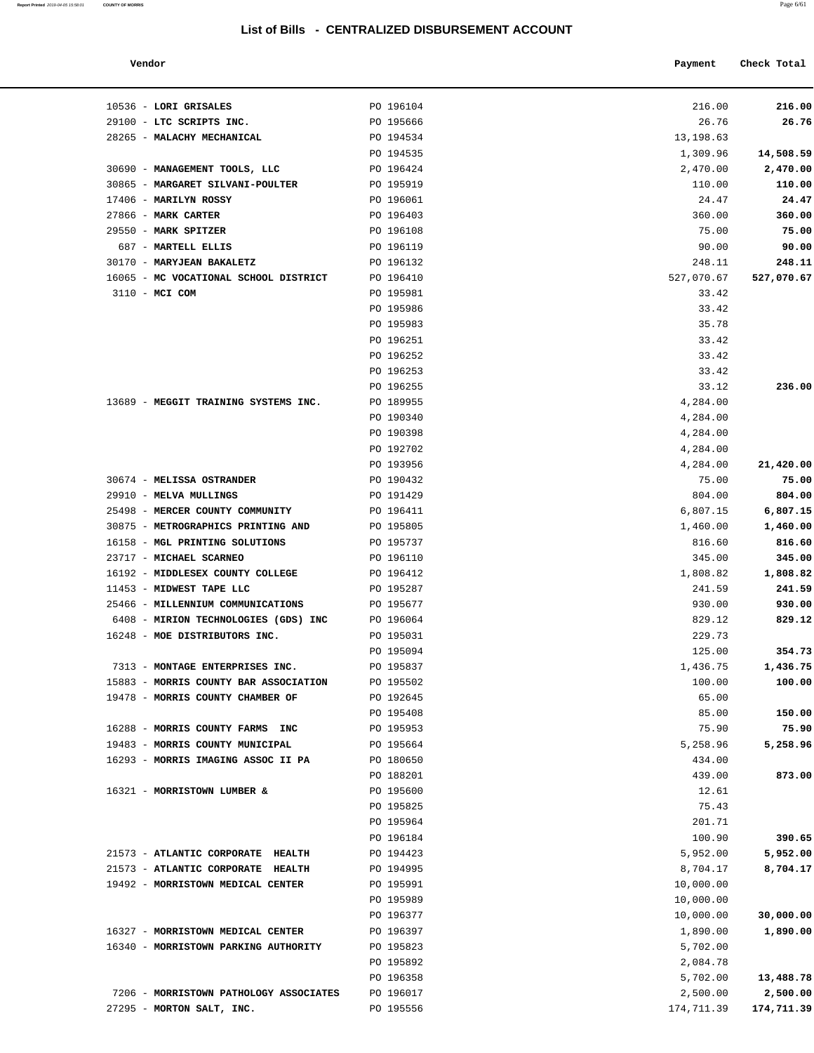#### **Report Printed** 2019-04-05 15:58:01 **COUNTY OF MORRIS** Page 6/61

#### **List of Bills - CENTRALIZED DISBURSEMENT ACCOUNT**

| Vendor |  | Payment Check Total |
|--------|--|---------------------|
|--------|--|---------------------|

| 10536 - LORI GRISALES                  | PO 196104 | 216.00     | 216.00     |
|----------------------------------------|-----------|------------|------------|
| 29100 - LTC SCRIPTS INC.               | PO 195666 | 26.76      | 26.76      |
| 28265 - MALACHY MECHANICAL             | PO 194534 | 13,198.63  |            |
|                                        | PO 194535 | 1,309.96   | 14,508.59  |
| 30690 - MANAGEMENT TOOLS, LLC          | PO 196424 | 2,470.00   | 2,470.00   |
| 30865 - MARGARET SILVANI-POULTER       | PO 195919 | 110.00     | 110.00     |
| $17406$ - MARILYN ROSSY                | PO 196061 | 24.47      | 24.47      |
| 27866 - MARK CARTER                    | PO 196403 | 360.00     | 360.00     |
| 29550 - MARK SPITZER                   | PO 196108 | 75.00      | 75.00      |
| 687 - MARTELL ELLIS                    | PO 196119 | 90.00      | 90.00      |
| 30170 - MARYJEAN BAKALETZ              | PO 196132 | 248.11     | 248.11     |
| 16065 - MC VOCATIONAL SCHOOL DISTRICT  | PO 196410 | 527,070.67 | 527,070.67 |
| 3110 - MCI COM                         | PO 195981 | 33.42      |            |
|                                        | PO 195986 | 33.42      |            |
|                                        | PO 195983 | 35.78      |            |
|                                        | PO 196251 | 33.42      |            |
|                                        | PO 196252 | 33.42      |            |
|                                        | PO 196253 | 33.42      |            |
|                                        | PO 196255 | 33.12      | 236.00     |
| 13689 - MEGGIT TRAINING SYSTEMS INC.   | PO 189955 | 4,284.00   |            |
|                                        | PO 190340 | 4,284.00   |            |
|                                        | PO 190398 | 4,284.00   |            |
|                                        | PO 192702 | 4,284.00   |            |
|                                        | PO 193956 | 4,284.00   | 21,420.00  |
| 30674 - MELISSA OSTRANDER              | PO 190432 | 75.00      | 75.00      |
| 29910 - MELVA MULLINGS                 | PO 191429 | 804.00     | 804.00     |
| 25498 - MERCER COUNTY COMMUNITY        | PO 196411 | 6,807.15   | 6,807.15   |
| 30875 - METROGRAPHICS PRINTING AND     | PO 195805 | 1,460.00   | 1,460.00   |
| 16158 - MGL PRINTING SOLUTIONS         | PO 195737 | 816.60     | 816.60     |
| 23717 - MICHAEL SCARNEO                | PO 196110 | 345.00     | 345.00     |
| 16192 - MIDDLESEX COUNTY COLLEGE       | PO 196412 | 1,808.82   | 1,808.82   |
| 11453 - MIDWEST TAPE LLC               | PO 195287 | 241.59     | 241.59     |
| 25466 - MILLENNIUM COMMUNICATIONS      | PO 195677 | 930.00     | 930.00     |
| 6408 - MIRION TECHNOLOGIES (GDS) INC   | PO 196064 | 829.12     | 829.12     |
| 16248 - MOE DISTRIBUTORS INC.          | PO 195031 | 229.73     |            |
|                                        | PO 195094 | 125.00     | 354.73     |
| 7313 - MONTAGE ENTERPRISES INC.        | PO 195837 | 1,436.75   | 1,436.75   |
| 15883 - MORRIS COUNTY BAR ASSOCIATION  | PO 195502 | 100.00     | 100.00     |
| 19478 - MORRIS COUNTY CHAMBER OF       | PO 192645 | 65.00      |            |
|                                        | PO 195408 | 85.00      | 150.00     |
| 16288 - MORRIS COUNTY FARMS INC        | PO 195953 | 75.90      | 75.90      |
| 19483 - MORRIS COUNTY MUNICIPAL        | PO 195664 | 5,258.96   | 5,258.96   |
| 16293 - MORRIS IMAGING ASSOC II PA     | PO 180650 | 434.00     |            |
|                                        | PO 188201 | 439.00     | 873.00     |
| 16321 - MORRISTOWN LUMBER &            | PO 195600 | 12.61      |            |
|                                        | PO 195825 | 75.43      |            |
|                                        | PO 195964 | 201.71     |            |
|                                        | PO 196184 | 100.90     | 390.65     |
| 21573 - ATLANTIC CORPORATE HEALTH      | PO 194423 | 5,952.00   | 5,952.00   |
| 21573 - ATLANTIC CORPORATE HEALTH      | PO 194995 | 8,704.17   | 8,704.17   |
| 19492 - MORRISTOWN MEDICAL CENTER      | PO 195991 | 10,000.00  |            |
|                                        | PO 195989 |            |            |
|                                        |           | 10,000.00  |            |
|                                        | PO 196377 | 10,000.00  | 30,000.00  |
| 16327 - MORRISTOWN MEDICAL CENTER      | PO 196397 | 1,890.00   | 1,890.00   |
| 16340 - MORRISTOWN PARKING AUTHORITY   | PO 195823 | 5,702.00   |            |
|                                        | PO 195892 | 2,084.78   |            |
|                                        | PO 196358 | 5,702.00   | 13,488.78  |
| 7206 - MORRISTOWN PATHOLOGY ASSOCIATES | PO 196017 | 2,500.00   | 2,500.00   |
| 27295 - MORTON SALT, INC.              | PO 195556 | 174,711.39 | 174,711.39 |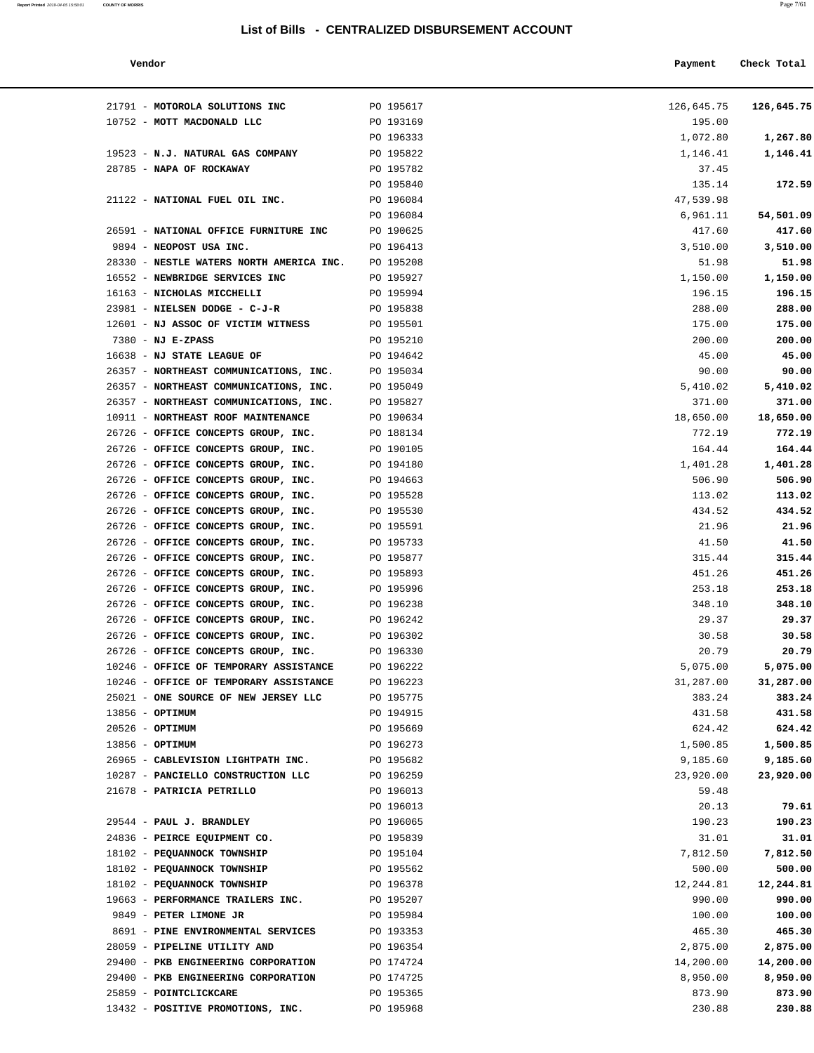**Report Printed** 2019-04-05 15:58:01 **COUNTY OF MORRIS** Page 7/61

| Vendor | Payment | Check Total |
|--------|---------|-------------|
|        |         |             |

| 21791 - MOTOROLA SOLUTIONS INC PO 195617                                   |                        |                    | 126,645.75   126,645.75 |
|----------------------------------------------------------------------------|------------------------|--------------------|-------------------------|
| 10752 - MOTT MACDONALD LLC                                                 | PO 193169              | 195.00             |                         |
|                                                                            | PO 196333              | 1,072.80           | 1,267.80                |
| 19523 - N.J. NATURAL GAS COMPANY PO 195822                                 |                        | 1,146.41           | 1,146.41                |
| 28785 - NAPA OF ROCKAWAY                                                   | PO 195782              | 37.45              |                         |
|                                                                            | PO 195840              | 135.14             | 172.59                  |
| 21122 - NATIONAL FUEL OIL INC. PO 196084                                   |                        | 47,539.98          | 54,501.09               |
| 26591 - NATIONAL OFFICE FURNITURE INC PO 190625                            | PO 196084              | 6,961.11<br>417.60 | 417.60                  |
| 9894 - NEOPOST USA INC.                                                    | PO 196413              | 3,510.00           | 3,510.00                |
| 28330 - NESTLE WATERS NORTH AMERICA INC. PO 195208                         |                        | 51.98              | 51.98                   |
| 16552 - NEWBRIDGE SERVICES INC                                             | PO 195927              | 1,150.00           | 1,150.00                |
| 16163 - NICHOLAS MICCHELLI                                                 | PO 195994              | 196.15             | 196.15                  |
| 23981 - NIELSEN DODGE - C-J-R                                              | PO 195838              | 288.00             | 288.00                  |
| 12601 - NJ ASSOC OF VICTIM WITNESS                                         | PO 195501              | 175.00             | 175.00                  |
| $7380 - NJ E-ZPASS$                                                        | PO 195210              | 200.00             | 200.00                  |
| 16638 - NJ STATE LEAGUE OF                                                 | PO 194642              | 45.00              | 45.00                   |
| 26357 - NORTHEAST COMMUNICATIONS, INC.                                     | PO 195034              | 90.00              | 90.00                   |
| 26357 - NORTHEAST COMMUNICATIONS, INC.                                     | PO 195049              | 5,410.02           | 5,410.02                |
| 26357 - NORTHEAST COMMUNICATIONS, INC.                                     | PO 195827              | 371.00             | 371.00                  |
| 10911 - NORTHEAST ROOF MAINTENANCE                                         | PO 190634              | 18,650.00          | 18,650.00               |
| 26726 - OFFICE CONCEPTS GROUP, INC.                                        | PO 188134              | 772.19             | 772.19                  |
| 26726 - OFFICE CONCEPTS GROUP, INC.                                        | PO 190105              | 164.44             | 164.44                  |
| 26726 - OFFICE CONCEPTS GROUP, INC.                                        | PO 194180              | 1,401.28           | 1,401.28                |
| 26726 - OFFICE CONCEPTS GROUP, INC. PO 194663                              |                        | 506.90             | 506.90                  |
| 26726 - OFFICE CONCEPTS GROUP, INC. PO 195528                              |                        | 113.02             | 113.02                  |
| 26726 - OFFICE CONCEPTS GROUP, INC.                                        | PO 195530              | 434.52             | 434.52                  |
| 26726 - OFFICE CONCEPTS GROUP, INC.<br>26726 - OFFICE CONCEPTS GROUP, INC. | PO 195591<br>PO 195733 | 21.96<br>41.50     | 21.96<br>41.50          |
| 26726 - OFFICE CONCEPTS GROUP, INC. PO 195877                              |                        | 315.44             | 315.44                  |
| 26726 - OFFICE CONCEPTS GROUP, INC.                                        | PO 195893              | 451.26             | 451.26                  |
| 26726 - OFFICE CONCEPTS GROUP, INC.                                        | PO 195996              | 253.18             | 253.18                  |
| 26726 - OFFICE CONCEPTS GROUP, INC.                                        | PO 196238              | 348.10             | 348.10                  |
| 26726 - OFFICE CONCEPTS GROUP, INC.                                        | PO 196242              | 29.37              | 29.37                   |
| 26726 - OFFICE CONCEPTS GROUP, INC.                                        | PO 196302              | 30.58              | 30.58                   |
| 26726 - OFFICE CONCEPTS GROUP, INC.                                        | PO 196330              | 20.79              | 20.79                   |
| 10246 - OFFICE OF TEMPORARY ASSISTANCE                                     | PO 196222              | 5,075.00           | 5,075.00                |
| 10246 - OFFICE OF TEMPORARY ASSISTANCE                                     | PO 196223              | 31,287.00          | 31,287.00               |
| 25021 - ONE SOURCE OF NEW JERSEY LLC                                       | PO 195775              | 383.24             | 383.24                  |
| 13856 - OPTIMUM                                                            | PO 194915              | 431.58             | 431.58                  |
| $20526$ - OPTIMUM                                                          | PO 195669              | 624.42             | 624.42                  |
| 13856 - <b>OPTIMUM</b>                                                     | PO 196273              | 1,500.85           | 1,500.85                |
| 26965 - CABLEVISION LIGHTPATH INC.                                         | PO 195682              | 9,185.60           | 9,185.60                |
| 10287 - PANCIELLO CONSTRUCTION LLC                                         | PO 196259              | 23,920.00          | 23,920.00               |
| 21678 - PATRICIA PETRILLO                                                  | PO 196013              | 59.48              |                         |
|                                                                            | PO 196013              | 20.13              | 79.61                   |
| 29544 - PAUL J. BRANDLEY                                                   | PO 196065              | 190.23             | 190.23                  |
| 24836 - PEIRCE EQUIPMENT CO.<br>18102 - PEQUANNOCK TOWNSHIP                | PO 195839<br>PO 195104 | 31.01<br>7,812.50  | 31.01<br>7,812.50       |
| 18102 - PEQUANNOCK TOWNSHIP                                                | PO 195562              | 500.00             | 500.00                  |
| 18102 - PEQUANNOCK TOWNSHIP                                                | PO 196378              | 12,244.81          | 12,244.81               |
| 19663 - PERFORMANCE TRAILERS INC.                                          | PO 195207              | 990.00             | 990.00                  |
| 9849 - PETER LIMONE JR                                                     | PO 195984              | 100.00             | 100.00                  |
| 8691 - PINE ENVIRONMENTAL SERVICES                                         | PO 193353              | 465.30             | 465.30                  |
| 28059 - PIPELINE UTILITY AND                                               | PO 196354              | 2,875.00           | 2,875.00                |
| 29400 - PKB ENGINEERING CORPORATION                                        | PO 174724              | 14,200.00          | 14,200.00               |
| 29400 - PKB ENGINEERING CORPORATION                                        | PO 174725              | 8,950.00           | 8,950.00                |
| 25859 - POINTCLICKCARE                                                     | PO 195365              | 873.90             | 873.90                  |
| 13432 - POSITIVE PROMOTIONS, INC.                                          | PO 195968              | 230.88             | 230.88                  |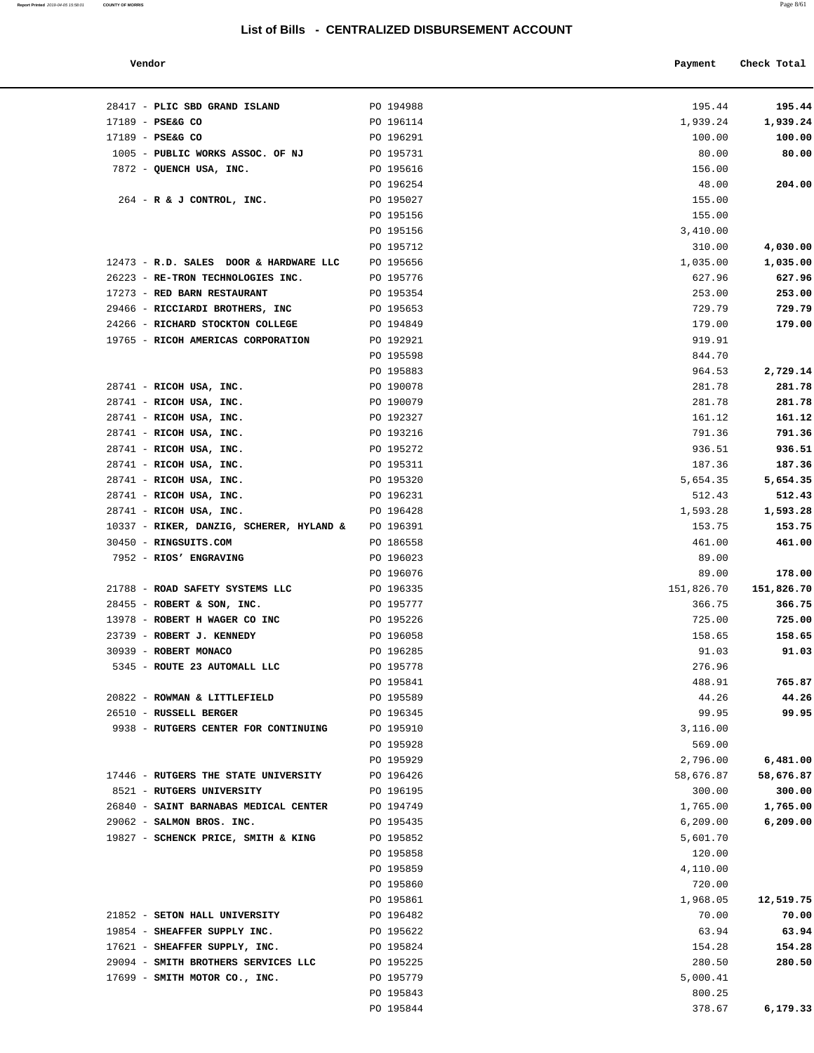# 

**Report Printed** 2019-04-05 15:58:01 **COUNTY OF MORRIS** Page 8/61

| Vendor                                                           |                        | Payment               | Check Total      |
|------------------------------------------------------------------|------------------------|-----------------------|------------------|
| 28417 - PLIC SBD GRAND ISLAND                                    | PO 194988              | 195.44                | 195.44           |
| 17189 - PSE&G CO                                                 | PO 196114              | 1,939.24              | 1,939.24         |
| 17189 - PSE&G CO                                                 | PO 196291              | 100.00                | 100.00           |
| 1005 - PUBLIC WORKS ASSOC. OF NJ                                 | PO 195731              | 80.00                 | 80.00            |
| 7872 - QUENCH USA, INC.                                          | PO 195616              | 156.00                |                  |
|                                                                  | PO 196254              | 48.00                 | 204.00           |
| $264$ - R & J CONTROL, INC.                                      | PO 195027              | 155.00                |                  |
|                                                                  | PO 195156              | 155.00                |                  |
|                                                                  | PO 195156              | 3,410.00              |                  |
|                                                                  | PO 195712              | 310.00                | 4,030.00         |
| 12473 - R.D. SALES DOOR & HARDWARE LLC                           | PO 195656              | 1,035.00              | 1,035.00         |
| 26223 - RE-TRON TECHNOLOGIES INC.                                | PO 195776              | 627.96                | 627.96           |
| 17273 - RED BARN RESTAURANT                                      | PO 195354              | 253.00                | 253.00           |
| 29466 - RICCIARDI BROTHERS, INC                                  | PO 195653              | 729.79                | 729.79           |
| 24266 - RICHARD STOCKTON COLLEGE                                 | PO 194849              | 179.00                | 179.00           |
| 19765 - RICOH AMERICAS CORPORATION                               | PO 192921              | 919.91                |                  |
|                                                                  | PO 195598              | 844.70                |                  |
|                                                                  | PO 195883              | 964.53                | 2,729.14         |
| 28741 - RICOH USA, INC.                                          | PO 190078              | 281.78                | 281.78           |
| 28741 - RICOH USA, INC.                                          | PO 190079              | 281.78                | 281.78           |
| 28741 - RICOH USA, INC.<br>28741 - RICOH USA, INC.               | PO 192327<br>PO 193216 | 161.12<br>791.36      | 161.12<br>791.36 |
| 28741 - RICOH USA, INC.                                          | PO 195272              | 936.51                | 936.51           |
| 28741 - RICOH USA, INC.                                          | PO 195311              | 187.36                | 187.36           |
| $28741$ - RICOH USA, INC.                                        | PO 195320              | 5,654.35              | 5,654.35         |
| 28741 - RICOH USA, INC.                                          | PO 196231              | 512.43                | 512.43           |
| 28741 - RICOH USA, INC.                                          | PO 196428              | 1,593.28              | 1,593.28         |
| 10337 - RIKER, DANZIG, SCHERER, HYLAND &                         | PO 196391              | 153.75                | 153.75           |
| 30450 - RINGSUITS.COM                                            | PO 186558              | 461.00                | 461.00           |
| 7952 - RIOS' ENGRAVING                                           | PO 196023              | 89.00                 |                  |
|                                                                  | PO 196076              | 89.00                 | 178.00           |
| 21788 - ROAD SAFETY SYSTEMS LLC                                  | PO 196335              | 151,826.70            | 151,826.70       |
| 28455 - ROBERT & SON, INC.                                       | PO 195777              | 366.75                | 366.75           |
| 13978 - ROBERT H WAGER CO INC                                    | PO 195226              | 725.00                | 725.00           |
| 23739 - ROBERT J. KENNEDY                                        | PO 196058              | 158.65                | 158.65           |
| 30939 - ROBERT MONACO                                            | PO 196285              | 91.03                 | 91.03            |
| 5345 - ROUTE 23 AUTOMALL LLC                                     | PO 195778              | 276.96                |                  |
|                                                                  | PO 195841              | 488.91                | 765.87           |
| 20822 - ROWMAN & LITTLEFIELD                                     | PO 195589              | 44.26                 | 44.26            |
| 26510 - RUSSELL BERGER                                           | PO 196345              | 99.95                 | 99.95            |
| 9938 - RUTGERS CENTER FOR CONTINUING                             | PO 195910              | 3,116.00              |                  |
|                                                                  | PO 195928              | 569.00                |                  |
|                                                                  | PO 195929              | 2,796.00              | 6,481.00         |
| 17446 - RUTGERS THE STATE UNIVERSITY                             | PO 196426              | 58,676.87             | 58,676.87        |
| 8521 - RUTGERS UNIVERSITY                                        | PO 196195              | 300.00                | 300.00           |
| 26840 - SAINT BARNABAS MEDICAL CENTER                            | PO 194749              | 1,765.00              | 1,765.00         |
| 29062 - SALMON BROS. INC.<br>19827 - SCHENCK PRICE, SMITH & KING | PO 195435<br>PO 195852 | 6, 209.00<br>5,601.70 | 6,209.00         |
|                                                                  | PO 195858              | 120.00                |                  |
|                                                                  | PO 195859              | 4,110.00              |                  |
|                                                                  | PO 195860              | 720.00                |                  |
|                                                                  | PO 195861              | 1,968.05              | 12,519.75        |
| 21852 - SETON HALL UNIVERSITY                                    | PO 196482              | 70.00                 | 70.00            |
| 19854 - SHEAFFER SUPPLY INC.                                     | PO 195622              | 63.94                 | 63.94            |
| 17621 - SHEAFFER SUPPLY, INC.                                    | PO 195824              | 154.28                | 154.28           |
| 29094 - SMITH BROTHERS SERVICES LLC                              | PO 195225              | 280.50                | 280.50           |
| 17699 - SMITH MOTOR CO., INC.                                    | PO 195779              | 5,000.41              |                  |
|                                                                  | PO 195843              | 800.25                |                  |
|                                                                  | PO 195844              | 378.67                | 6,179.33         |
|                                                                  |                        |                       |                  |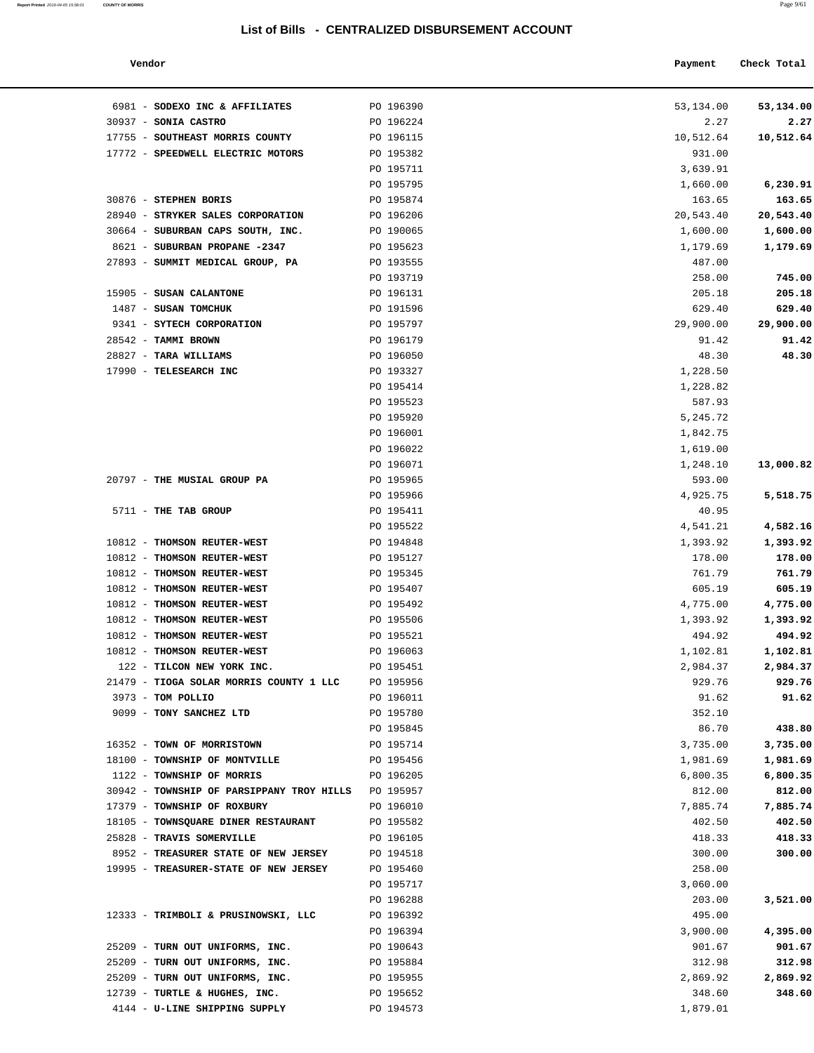#### **Vendor Payment Check Total**

| 6981 - SODEXO INC & AFFILIATES                      | PO 196390 | 53,134.00 | 53,134.00 |
|-----------------------------------------------------|-----------|-----------|-----------|
| 30937 - SONIA CASTRO                                | PO 196224 | 2.27      | 2.27      |
| 17755 - SOUTHEAST MORRIS COUNTY                     | PO 196115 | 10,512.64 | 10,512.64 |
| 17772 - SPEEDWELL ELECTRIC MOTORS                   | PO 195382 | 931.00    |           |
|                                                     | PO 195711 | 3,639.91  |           |
|                                                     | PO 195795 | 1,660.00  | 6,230.91  |
| 30876 - STEPHEN BORIS                               | PO 195874 | 163.65    | 163.65    |
| 28940 - STRYKER SALES CORPORATION                   | PO 196206 | 20,543.40 | 20,543.40 |
| 30664 - SUBURBAN CAPS SOUTH, INC.                   | PO 190065 | 1,600.00  | 1,600.00  |
| 8621 - SUBURBAN PROPANE -2347                       | PO 195623 | 1,179.69  | 1,179.69  |
| 27893 - SUMMIT MEDICAL GROUP, PA                    | PO 193555 | 487.00    |           |
|                                                     | PO 193719 | 258.00    | 745.00    |
| 15905 - SUSAN CALANTONE                             | PO 196131 | 205.18    | 205.18    |
| 1487 - SUSAN TOMCHUK                                | PO 191596 | 629.40    | 629.40    |
| 9341 - SYTECH CORPORATION                           | PO 195797 | 29,900.00 | 29,900.00 |
| $28542$ - TAMMI BROWN                               | PO 196179 | 91.42     | 91.42     |
| 28827 - TARA WILLIAMS                               | PO 196050 | 48.30     | 48.30     |
| 17990 - TELESEARCH INC                              | PO 193327 | 1,228.50  |           |
|                                                     | PO 195414 | 1,228.82  |           |
|                                                     | PO 195523 | 587.93    |           |
|                                                     | PO 195920 | 5,245.72  |           |
|                                                     | PO 196001 | 1,842.75  |           |
|                                                     | PO 196022 | 1,619.00  |           |
|                                                     | PO 196071 | 1,248.10  | 13,000.82 |
| 20797 - THE MUSIAL GROUP PA                         | PO 195965 | 593.00    |           |
|                                                     | PO 195966 | 4,925.75  | 5,518.75  |
| 5711 - THE TAB GROUP                                | PO 195411 | 40.95     |           |
|                                                     | PO 195522 | 4,541.21  | 4,582.16  |
| 10812 - THOMSON REUTER-WEST                         | PO 194848 | 1,393.92  | 1,393.92  |
| 10812 - THOMSON REUTER-WEST                         | PO 195127 | 178.00    | 178.00    |
| 10812 - THOMSON REUTER-WEST                         | PO 195345 | 761.79    | 761.79    |
| 10812 - THOMSON REUTER-WEST                         | PO 195407 | 605.19    | 605.19    |
| 10812 - THOMSON REUTER-WEST                         | PO 195492 | 4,775.00  | 4,775.00  |
| 10812 - THOMSON REUTER-WEST                         | PO 195506 | 1,393.92  | 1,393.92  |
| 10812 - THOMSON REUTER-WEST                         | PO 195521 | 494.92    | 494.92    |
| 10812 - THOMSON REUTER-WEST                         | PO 196063 | 1,102.81  | 1,102.81  |
| 122 - TILCON NEW YORK INC.                          | PO 195451 | 2,984.37  | 2,984.37  |
| 21479 - TIOGA SOLAR MORRIS COUNTY 1 LLC             | PO 195956 | 929.76    | 929.76    |
| 3973 - TOM POLLIO                                   | PO 196011 | 91.62     | 91.62     |
| 9099 - TONY SANCHEZ LTD                             | PO 195780 | 352.10    |           |
|                                                     | PO 195845 | 86.70     | 438.80    |
| 16352 - TOWN OF MORRISTOWN                          | PO 195714 | 3,735.00  | 3,735.00  |
| 18100 - TOWNSHIP OF MONTVILLE                       | PO 195456 | 1,981.69  | 1,981.69  |
| 1122 - TOWNSHIP OF MORRIS                           | PO 196205 | 6,800.35  | 6,800.35  |
| 30942 - TOWNSHIP OF PARSIPPANY TROY HILLS PO 195957 |           | 812.00    | 812.00    |
| 17379 - TOWNSHIP OF ROXBURY                         | PO 196010 | 7,885.74  | 7,885.74  |
| 18105 - TOWNSQUARE DINER RESTAURANT                 | PO 195582 | 402.50    | 402.50    |
| 25828 - TRAVIS SOMERVILLE                           | PO 196105 | 418.33    | 418.33    |
| 8952 - TREASURER STATE OF NEW JERSEY                | PO 194518 | 300.00    | 300.00    |
| 19995 - TREASURER-STATE OF NEW JERSEY               | PO 195460 | 258.00    |           |
|                                                     | PO 195717 | 3,060.00  |           |
|                                                     | PO 196288 | 203.00    | 3,521.00  |
| 12333 - TRIMBOLI & PRUSINOWSKI, LLC                 | PO 196392 | 495.00    |           |
|                                                     | PO 196394 | 3,900.00  | 4,395.00  |
| 25209 - TURN OUT UNIFORMS, INC.                     | PO 190643 | 901.67    | 901.67    |
| 25209 - TURN OUT UNIFORMS, INC.                     | PO 195884 | 312.98    | 312.98    |
| 25209 - TURN OUT UNIFORMS, INC.                     | PO 195955 | 2,869.92  | 2,869.92  |
| 12739 - TURTLE & HUGHES, INC.                       | PO 195652 | 348.60    | 348.60    |
| 4144 - U-LINE SHIPPING SUPPLY                       | PO 194573 | 1,879.01  |           |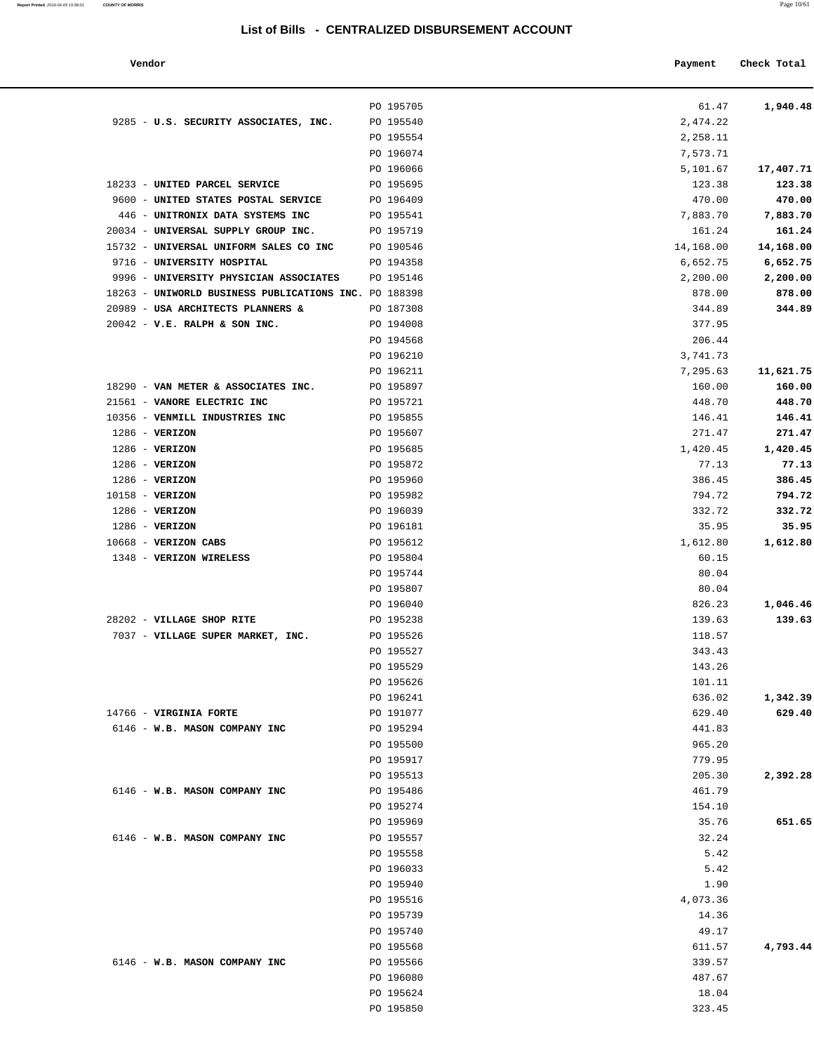| Vendor |  | Payment Check Total |
|--------|--|---------------------|

| PO 195705<br>61.47<br>9285 - U.S. SECURITY ASSOCIATES, INC.<br>2,474.22<br>PO 195540<br>PO 195554<br>2,258.11<br>PO 196074<br>7,573.71<br>PO 196066<br>5,101.67<br>18233 - UNITED PARCEL SERVICE<br>PO 195695<br>123.38<br>9600 - UNITED STATES POSTAL SERVICE<br>PO 196409<br>470.00<br>446 - UNITRONIX DATA SYSTEMS INC<br>PO 195541<br>7,883.70<br>20034 - UNIVERSAL SUPPLY GROUP INC.<br>PO 195719<br>161.24<br>15732 - UNIVERSAL UNIFORM SALES CO INC<br>PO 190546<br>14,168.00<br>9716 - UNIVERSITY HOSPITAL<br>PO 194358<br>6,652.75<br>9996 - UNIVERSITY PHYSICIAN ASSOCIATES<br>PO 195146<br>2,200.00<br>18263 - UNIWORLD BUSINESS PUBLICATIONS INC. PO 188398<br>878.00<br>20989 - USA ARCHITECTS PLANNERS &<br>PO 187308<br>344.89<br>$20042$ - V.E. RALPH & SON INC.<br>377.95<br>PO 194008<br>PO 194568<br>206.44<br>PO 196210<br>3,741.73<br>PO 196211<br>7,295.63<br>18290 - VAN METER & ASSOCIATES INC.<br>PO 195897<br>160.00<br>21561 - VANORE ELECTRIC INC<br>PO 195721<br>448.70<br>PO 195855<br>10356 - VENMILL INDUSTRIES INC<br>146.41<br>1286 - VERIZON<br>PO 195607<br>271.47<br>1286 - VERIZON<br>PO 195685<br>1,420.45<br>1286 - VERIZON<br>PO 195872<br>77.13<br>1286 - VERIZON<br>PO 195960<br>386.45<br>10158 - VERIZON<br>PO 195982<br>794.72<br>1286 - VERIZON<br>PO 196039<br>332.72<br>1286 - VERIZON<br>PO 196181<br>35.95<br>$10668$ - VERIZON CABS<br>PO 195612<br>1,612.80<br>1348 - VERIZON WIRELESS<br>PO 195804<br>60.15<br>PO 195744<br>80.04<br>PO 195807<br>80.04<br>PO 196040<br>826.23<br>28202 - VILLAGE SHOP RITE<br>PO 195238<br>139.63<br>7037 - VILLAGE SUPER MARKET, INC.<br>PO 195526<br>118.57<br>PO 195527<br>343.43<br>143.26<br>PO 195529<br>PO 195626<br>101.11<br>636.02<br>PO 196241<br>14766 - VIRGINIA FORTE<br>PO 191077<br>629.40<br>6146 - W.B. MASON COMPANY INC<br>PO 195294<br>441.83<br>PO 195500<br>965.20<br>779.95<br>PO 195917<br>PO 195513<br>205.30<br>6146 - W.B. MASON COMPANY INC<br>PO 195486<br>461.79<br>PO 195274<br>154.10<br>PO 195969<br>35.76<br>6146 - W.B. MASON COMPANY INC<br>32.24<br>PO 195557 |           |
|--------------------------------------------------------------------------------------------------------------------------------------------------------------------------------------------------------------------------------------------------------------------------------------------------------------------------------------------------------------------------------------------------------------------------------------------------------------------------------------------------------------------------------------------------------------------------------------------------------------------------------------------------------------------------------------------------------------------------------------------------------------------------------------------------------------------------------------------------------------------------------------------------------------------------------------------------------------------------------------------------------------------------------------------------------------------------------------------------------------------------------------------------------------------------------------------------------------------------------------------------------------------------------------------------------------------------------------------------------------------------------------------------------------------------------------------------------------------------------------------------------------------------------------------------------------------------------------------------------------------------------------------------------------------------------------------------------------------------------------------------------------------------------------------------------------------------------------------------------------------------------------------------------------------------------------------------------------------------------------------------------------------------------------------------------------------------------------------|-----------|
|                                                                                                                                                                                                                                                                                                                                                                                                                                                                                                                                                                                                                                                                                                                                                                                                                                                                                                                                                                                                                                                                                                                                                                                                                                                                                                                                                                                                                                                                                                                                                                                                                                                                                                                                                                                                                                                                                                                                                                                                                                                                                            | 1,940.48  |
|                                                                                                                                                                                                                                                                                                                                                                                                                                                                                                                                                                                                                                                                                                                                                                                                                                                                                                                                                                                                                                                                                                                                                                                                                                                                                                                                                                                                                                                                                                                                                                                                                                                                                                                                                                                                                                                                                                                                                                                                                                                                                            |           |
|                                                                                                                                                                                                                                                                                                                                                                                                                                                                                                                                                                                                                                                                                                                                                                                                                                                                                                                                                                                                                                                                                                                                                                                                                                                                                                                                                                                                                                                                                                                                                                                                                                                                                                                                                                                                                                                                                                                                                                                                                                                                                            |           |
|                                                                                                                                                                                                                                                                                                                                                                                                                                                                                                                                                                                                                                                                                                                                                                                                                                                                                                                                                                                                                                                                                                                                                                                                                                                                                                                                                                                                                                                                                                                                                                                                                                                                                                                                                                                                                                                                                                                                                                                                                                                                                            |           |
|                                                                                                                                                                                                                                                                                                                                                                                                                                                                                                                                                                                                                                                                                                                                                                                                                                                                                                                                                                                                                                                                                                                                                                                                                                                                                                                                                                                                                                                                                                                                                                                                                                                                                                                                                                                                                                                                                                                                                                                                                                                                                            | 17,407.71 |
|                                                                                                                                                                                                                                                                                                                                                                                                                                                                                                                                                                                                                                                                                                                                                                                                                                                                                                                                                                                                                                                                                                                                                                                                                                                                                                                                                                                                                                                                                                                                                                                                                                                                                                                                                                                                                                                                                                                                                                                                                                                                                            | 123.38    |
|                                                                                                                                                                                                                                                                                                                                                                                                                                                                                                                                                                                                                                                                                                                                                                                                                                                                                                                                                                                                                                                                                                                                                                                                                                                                                                                                                                                                                                                                                                                                                                                                                                                                                                                                                                                                                                                                                                                                                                                                                                                                                            | 470.00    |
|                                                                                                                                                                                                                                                                                                                                                                                                                                                                                                                                                                                                                                                                                                                                                                                                                                                                                                                                                                                                                                                                                                                                                                                                                                                                                                                                                                                                                                                                                                                                                                                                                                                                                                                                                                                                                                                                                                                                                                                                                                                                                            | 7,883.70  |
|                                                                                                                                                                                                                                                                                                                                                                                                                                                                                                                                                                                                                                                                                                                                                                                                                                                                                                                                                                                                                                                                                                                                                                                                                                                                                                                                                                                                                                                                                                                                                                                                                                                                                                                                                                                                                                                                                                                                                                                                                                                                                            | 161.24    |
|                                                                                                                                                                                                                                                                                                                                                                                                                                                                                                                                                                                                                                                                                                                                                                                                                                                                                                                                                                                                                                                                                                                                                                                                                                                                                                                                                                                                                                                                                                                                                                                                                                                                                                                                                                                                                                                                                                                                                                                                                                                                                            | 14,168.00 |
|                                                                                                                                                                                                                                                                                                                                                                                                                                                                                                                                                                                                                                                                                                                                                                                                                                                                                                                                                                                                                                                                                                                                                                                                                                                                                                                                                                                                                                                                                                                                                                                                                                                                                                                                                                                                                                                                                                                                                                                                                                                                                            | 6,652.75  |
|                                                                                                                                                                                                                                                                                                                                                                                                                                                                                                                                                                                                                                                                                                                                                                                                                                                                                                                                                                                                                                                                                                                                                                                                                                                                                                                                                                                                                                                                                                                                                                                                                                                                                                                                                                                                                                                                                                                                                                                                                                                                                            | 2,200.00  |
|                                                                                                                                                                                                                                                                                                                                                                                                                                                                                                                                                                                                                                                                                                                                                                                                                                                                                                                                                                                                                                                                                                                                                                                                                                                                                                                                                                                                                                                                                                                                                                                                                                                                                                                                                                                                                                                                                                                                                                                                                                                                                            | 878.00    |
|                                                                                                                                                                                                                                                                                                                                                                                                                                                                                                                                                                                                                                                                                                                                                                                                                                                                                                                                                                                                                                                                                                                                                                                                                                                                                                                                                                                                                                                                                                                                                                                                                                                                                                                                                                                                                                                                                                                                                                                                                                                                                            | 344.89    |
|                                                                                                                                                                                                                                                                                                                                                                                                                                                                                                                                                                                                                                                                                                                                                                                                                                                                                                                                                                                                                                                                                                                                                                                                                                                                                                                                                                                                                                                                                                                                                                                                                                                                                                                                                                                                                                                                                                                                                                                                                                                                                            |           |
|                                                                                                                                                                                                                                                                                                                                                                                                                                                                                                                                                                                                                                                                                                                                                                                                                                                                                                                                                                                                                                                                                                                                                                                                                                                                                                                                                                                                                                                                                                                                                                                                                                                                                                                                                                                                                                                                                                                                                                                                                                                                                            |           |
|                                                                                                                                                                                                                                                                                                                                                                                                                                                                                                                                                                                                                                                                                                                                                                                                                                                                                                                                                                                                                                                                                                                                                                                                                                                                                                                                                                                                                                                                                                                                                                                                                                                                                                                                                                                                                                                                                                                                                                                                                                                                                            |           |
|                                                                                                                                                                                                                                                                                                                                                                                                                                                                                                                                                                                                                                                                                                                                                                                                                                                                                                                                                                                                                                                                                                                                                                                                                                                                                                                                                                                                                                                                                                                                                                                                                                                                                                                                                                                                                                                                                                                                                                                                                                                                                            | 11,621.75 |
|                                                                                                                                                                                                                                                                                                                                                                                                                                                                                                                                                                                                                                                                                                                                                                                                                                                                                                                                                                                                                                                                                                                                                                                                                                                                                                                                                                                                                                                                                                                                                                                                                                                                                                                                                                                                                                                                                                                                                                                                                                                                                            | 160.00    |
|                                                                                                                                                                                                                                                                                                                                                                                                                                                                                                                                                                                                                                                                                                                                                                                                                                                                                                                                                                                                                                                                                                                                                                                                                                                                                                                                                                                                                                                                                                                                                                                                                                                                                                                                                                                                                                                                                                                                                                                                                                                                                            | 448.70    |
|                                                                                                                                                                                                                                                                                                                                                                                                                                                                                                                                                                                                                                                                                                                                                                                                                                                                                                                                                                                                                                                                                                                                                                                                                                                                                                                                                                                                                                                                                                                                                                                                                                                                                                                                                                                                                                                                                                                                                                                                                                                                                            | 146.41    |
|                                                                                                                                                                                                                                                                                                                                                                                                                                                                                                                                                                                                                                                                                                                                                                                                                                                                                                                                                                                                                                                                                                                                                                                                                                                                                                                                                                                                                                                                                                                                                                                                                                                                                                                                                                                                                                                                                                                                                                                                                                                                                            | 271.47    |
|                                                                                                                                                                                                                                                                                                                                                                                                                                                                                                                                                                                                                                                                                                                                                                                                                                                                                                                                                                                                                                                                                                                                                                                                                                                                                                                                                                                                                                                                                                                                                                                                                                                                                                                                                                                                                                                                                                                                                                                                                                                                                            | 1,420.45  |
|                                                                                                                                                                                                                                                                                                                                                                                                                                                                                                                                                                                                                                                                                                                                                                                                                                                                                                                                                                                                                                                                                                                                                                                                                                                                                                                                                                                                                                                                                                                                                                                                                                                                                                                                                                                                                                                                                                                                                                                                                                                                                            | 77.13     |
|                                                                                                                                                                                                                                                                                                                                                                                                                                                                                                                                                                                                                                                                                                                                                                                                                                                                                                                                                                                                                                                                                                                                                                                                                                                                                                                                                                                                                                                                                                                                                                                                                                                                                                                                                                                                                                                                                                                                                                                                                                                                                            | 386.45    |
|                                                                                                                                                                                                                                                                                                                                                                                                                                                                                                                                                                                                                                                                                                                                                                                                                                                                                                                                                                                                                                                                                                                                                                                                                                                                                                                                                                                                                                                                                                                                                                                                                                                                                                                                                                                                                                                                                                                                                                                                                                                                                            | 794.72    |
|                                                                                                                                                                                                                                                                                                                                                                                                                                                                                                                                                                                                                                                                                                                                                                                                                                                                                                                                                                                                                                                                                                                                                                                                                                                                                                                                                                                                                                                                                                                                                                                                                                                                                                                                                                                                                                                                                                                                                                                                                                                                                            | 332.72    |
|                                                                                                                                                                                                                                                                                                                                                                                                                                                                                                                                                                                                                                                                                                                                                                                                                                                                                                                                                                                                                                                                                                                                                                                                                                                                                                                                                                                                                                                                                                                                                                                                                                                                                                                                                                                                                                                                                                                                                                                                                                                                                            | 35.95     |
|                                                                                                                                                                                                                                                                                                                                                                                                                                                                                                                                                                                                                                                                                                                                                                                                                                                                                                                                                                                                                                                                                                                                                                                                                                                                                                                                                                                                                                                                                                                                                                                                                                                                                                                                                                                                                                                                                                                                                                                                                                                                                            | 1,612.80  |
|                                                                                                                                                                                                                                                                                                                                                                                                                                                                                                                                                                                                                                                                                                                                                                                                                                                                                                                                                                                                                                                                                                                                                                                                                                                                                                                                                                                                                                                                                                                                                                                                                                                                                                                                                                                                                                                                                                                                                                                                                                                                                            |           |
|                                                                                                                                                                                                                                                                                                                                                                                                                                                                                                                                                                                                                                                                                                                                                                                                                                                                                                                                                                                                                                                                                                                                                                                                                                                                                                                                                                                                                                                                                                                                                                                                                                                                                                                                                                                                                                                                                                                                                                                                                                                                                            |           |
|                                                                                                                                                                                                                                                                                                                                                                                                                                                                                                                                                                                                                                                                                                                                                                                                                                                                                                                                                                                                                                                                                                                                                                                                                                                                                                                                                                                                                                                                                                                                                                                                                                                                                                                                                                                                                                                                                                                                                                                                                                                                                            |           |
|                                                                                                                                                                                                                                                                                                                                                                                                                                                                                                                                                                                                                                                                                                                                                                                                                                                                                                                                                                                                                                                                                                                                                                                                                                                                                                                                                                                                                                                                                                                                                                                                                                                                                                                                                                                                                                                                                                                                                                                                                                                                                            | 1,046.46  |
|                                                                                                                                                                                                                                                                                                                                                                                                                                                                                                                                                                                                                                                                                                                                                                                                                                                                                                                                                                                                                                                                                                                                                                                                                                                                                                                                                                                                                                                                                                                                                                                                                                                                                                                                                                                                                                                                                                                                                                                                                                                                                            | 139.63    |
|                                                                                                                                                                                                                                                                                                                                                                                                                                                                                                                                                                                                                                                                                                                                                                                                                                                                                                                                                                                                                                                                                                                                                                                                                                                                                                                                                                                                                                                                                                                                                                                                                                                                                                                                                                                                                                                                                                                                                                                                                                                                                            |           |
|                                                                                                                                                                                                                                                                                                                                                                                                                                                                                                                                                                                                                                                                                                                                                                                                                                                                                                                                                                                                                                                                                                                                                                                                                                                                                                                                                                                                                                                                                                                                                                                                                                                                                                                                                                                                                                                                                                                                                                                                                                                                                            |           |
|                                                                                                                                                                                                                                                                                                                                                                                                                                                                                                                                                                                                                                                                                                                                                                                                                                                                                                                                                                                                                                                                                                                                                                                                                                                                                                                                                                                                                                                                                                                                                                                                                                                                                                                                                                                                                                                                                                                                                                                                                                                                                            |           |
|                                                                                                                                                                                                                                                                                                                                                                                                                                                                                                                                                                                                                                                                                                                                                                                                                                                                                                                                                                                                                                                                                                                                                                                                                                                                                                                                                                                                                                                                                                                                                                                                                                                                                                                                                                                                                                                                                                                                                                                                                                                                                            |           |
|                                                                                                                                                                                                                                                                                                                                                                                                                                                                                                                                                                                                                                                                                                                                                                                                                                                                                                                                                                                                                                                                                                                                                                                                                                                                                                                                                                                                                                                                                                                                                                                                                                                                                                                                                                                                                                                                                                                                                                                                                                                                                            | 1,342.39  |
|                                                                                                                                                                                                                                                                                                                                                                                                                                                                                                                                                                                                                                                                                                                                                                                                                                                                                                                                                                                                                                                                                                                                                                                                                                                                                                                                                                                                                                                                                                                                                                                                                                                                                                                                                                                                                                                                                                                                                                                                                                                                                            | 629.40    |
|                                                                                                                                                                                                                                                                                                                                                                                                                                                                                                                                                                                                                                                                                                                                                                                                                                                                                                                                                                                                                                                                                                                                                                                                                                                                                                                                                                                                                                                                                                                                                                                                                                                                                                                                                                                                                                                                                                                                                                                                                                                                                            |           |
|                                                                                                                                                                                                                                                                                                                                                                                                                                                                                                                                                                                                                                                                                                                                                                                                                                                                                                                                                                                                                                                                                                                                                                                                                                                                                                                                                                                                                                                                                                                                                                                                                                                                                                                                                                                                                                                                                                                                                                                                                                                                                            |           |
|                                                                                                                                                                                                                                                                                                                                                                                                                                                                                                                                                                                                                                                                                                                                                                                                                                                                                                                                                                                                                                                                                                                                                                                                                                                                                                                                                                                                                                                                                                                                                                                                                                                                                                                                                                                                                                                                                                                                                                                                                                                                                            |           |
|                                                                                                                                                                                                                                                                                                                                                                                                                                                                                                                                                                                                                                                                                                                                                                                                                                                                                                                                                                                                                                                                                                                                                                                                                                                                                                                                                                                                                                                                                                                                                                                                                                                                                                                                                                                                                                                                                                                                                                                                                                                                                            | 2,392.28  |
|                                                                                                                                                                                                                                                                                                                                                                                                                                                                                                                                                                                                                                                                                                                                                                                                                                                                                                                                                                                                                                                                                                                                                                                                                                                                                                                                                                                                                                                                                                                                                                                                                                                                                                                                                                                                                                                                                                                                                                                                                                                                                            |           |
|                                                                                                                                                                                                                                                                                                                                                                                                                                                                                                                                                                                                                                                                                                                                                                                                                                                                                                                                                                                                                                                                                                                                                                                                                                                                                                                                                                                                                                                                                                                                                                                                                                                                                                                                                                                                                                                                                                                                                                                                                                                                                            |           |
|                                                                                                                                                                                                                                                                                                                                                                                                                                                                                                                                                                                                                                                                                                                                                                                                                                                                                                                                                                                                                                                                                                                                                                                                                                                                                                                                                                                                                                                                                                                                                                                                                                                                                                                                                                                                                                                                                                                                                                                                                                                                                            | 651.65    |
|                                                                                                                                                                                                                                                                                                                                                                                                                                                                                                                                                                                                                                                                                                                                                                                                                                                                                                                                                                                                                                                                                                                                                                                                                                                                                                                                                                                                                                                                                                                                                                                                                                                                                                                                                                                                                                                                                                                                                                                                                                                                                            |           |
| PO 195558<br>5.42                                                                                                                                                                                                                                                                                                                                                                                                                                                                                                                                                                                                                                                                                                                                                                                                                                                                                                                                                                                                                                                                                                                                                                                                                                                                                                                                                                                                                                                                                                                                                                                                                                                                                                                                                                                                                                                                                                                                                                                                                                                                          |           |
| PO 196033<br>5.42                                                                                                                                                                                                                                                                                                                                                                                                                                                                                                                                                                                                                                                                                                                                                                                                                                                                                                                                                                                                                                                                                                                                                                                                                                                                                                                                                                                                                                                                                                                                                                                                                                                                                                                                                                                                                                                                                                                                                                                                                                                                          |           |
| 1.90<br>PO 195940                                                                                                                                                                                                                                                                                                                                                                                                                                                                                                                                                                                                                                                                                                                                                                                                                                                                                                                                                                                                                                                                                                                                                                                                                                                                                                                                                                                                                                                                                                                                                                                                                                                                                                                                                                                                                                                                                                                                                                                                                                                                          |           |
| 4,073.36<br>PO 195516                                                                                                                                                                                                                                                                                                                                                                                                                                                                                                                                                                                                                                                                                                                                                                                                                                                                                                                                                                                                                                                                                                                                                                                                                                                                                                                                                                                                                                                                                                                                                                                                                                                                                                                                                                                                                                                                                                                                                                                                                                                                      |           |
| PO 195739<br>14.36                                                                                                                                                                                                                                                                                                                                                                                                                                                                                                                                                                                                                                                                                                                                                                                                                                                                                                                                                                                                                                                                                                                                                                                                                                                                                                                                                                                                                                                                                                                                                                                                                                                                                                                                                                                                                                                                                                                                                                                                                                                                         |           |
| PO 195740<br>49.17                                                                                                                                                                                                                                                                                                                                                                                                                                                                                                                                                                                                                                                                                                                                                                                                                                                                                                                                                                                                                                                                                                                                                                                                                                                                                                                                                                                                                                                                                                                                                                                                                                                                                                                                                                                                                                                                                                                                                                                                                                                                         |           |
| PO 195568<br>611.57                                                                                                                                                                                                                                                                                                                                                                                                                                                                                                                                                                                                                                                                                                                                                                                                                                                                                                                                                                                                                                                                                                                                                                                                                                                                                                                                                                                                                                                                                                                                                                                                                                                                                                                                                                                                                                                                                                                                                                                                                                                                        | 4,793.44  |
| 6146 - W.B. MASON COMPANY INC<br>PO 195566<br>339.57                                                                                                                                                                                                                                                                                                                                                                                                                                                                                                                                                                                                                                                                                                                                                                                                                                                                                                                                                                                                                                                                                                                                                                                                                                                                                                                                                                                                                                                                                                                                                                                                                                                                                                                                                                                                                                                                                                                                                                                                                                       |           |
| PO 196080<br>487.67                                                                                                                                                                                                                                                                                                                                                                                                                                                                                                                                                                                                                                                                                                                                                                                                                                                                                                                                                                                                                                                                                                                                                                                                                                                                                                                                                                                                                                                                                                                                                                                                                                                                                                                                                                                                                                                                                                                                                                                                                                                                        |           |
| PO 195624<br>18.04                                                                                                                                                                                                                                                                                                                                                                                                                                                                                                                                                                                                                                                                                                                                                                                                                                                                                                                                                                                                                                                                                                                                                                                                                                                                                                                                                                                                                                                                                                                                                                                                                                                                                                                                                                                                                                                                                                                                                                                                                                                                         |           |
| 323.45<br>PO 195850                                                                                                                                                                                                                                                                                                                                                                                                                                                                                                                                                                                                                                                                                                                                                                                                                                                                                                                                                                                                                                                                                                                                                                                                                                                                                                                                                                                                                                                                                                                                                                                                                                                                                                                                                                                                                                                                                                                                                                                                                                                                        |           |
|                                                                                                                                                                                                                                                                                                                                                                                                                                                                                                                                                                                                                                                                                                                                                                                                                                                                                                                                                                                                                                                                                                                                                                                                                                                                                                                                                                                                                                                                                                                                                                                                                                                                                                                                                                                                                                                                                                                                                                                                                                                                                            |           |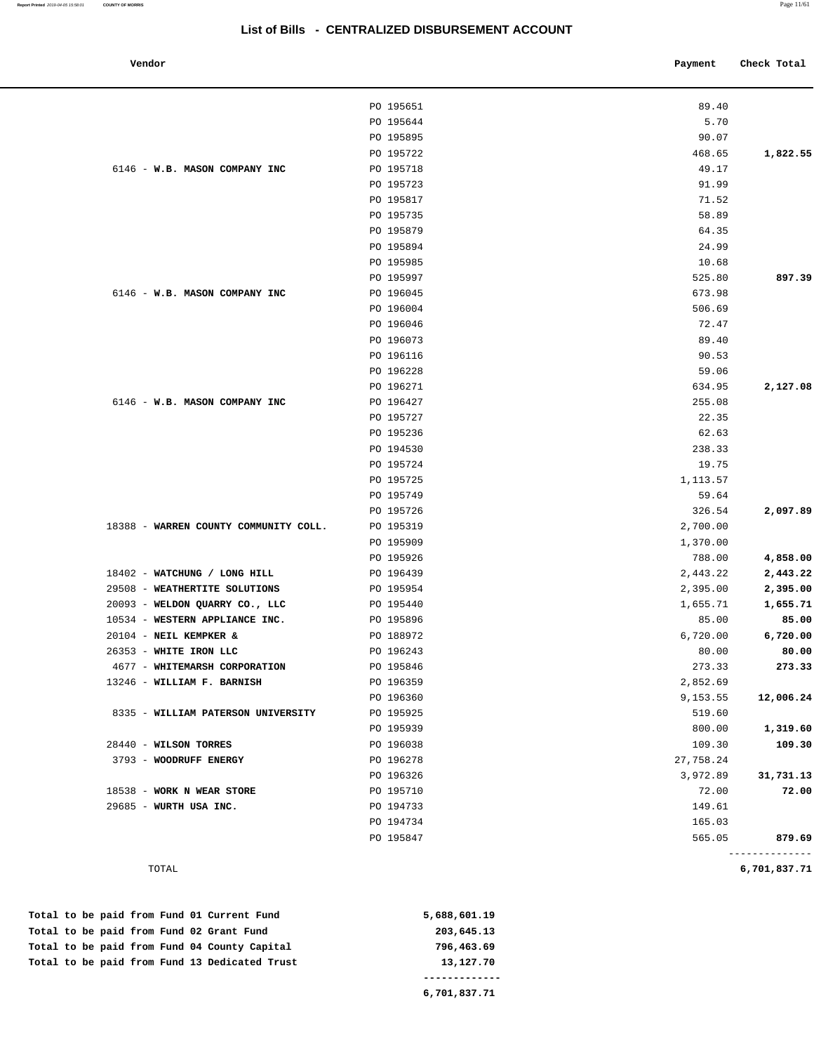| Vendor | Payment | Check Total<br>.<br>. |
|--------|---------|-----------------------|

|                                       | PO 195651 | 89.40                |                |
|---------------------------------------|-----------|----------------------|----------------|
|                                       | PO 195644 | 5.70                 |                |
|                                       | PO 195895 | 90.07                |                |
|                                       | PO 195722 | 468.65               | 1,822.55       |
| 6146 - W.B. MASON COMPANY INC         | PO 195718 | 49.17                |                |
|                                       | PO 195723 | 91.99                |                |
|                                       | PO 195817 | 71.52                |                |
|                                       | PO 195735 | 58.89                |                |
|                                       | PO 195879 | 64.35                |                |
|                                       | PO 195894 | 24.99                |                |
|                                       | PO 195985 | 10.68                |                |
|                                       | PO 195997 | 525.80               | 897.39         |
| 6146 - W.B. MASON COMPANY INC         | PO 196045 | 673.98               |                |
|                                       | PO 196004 | 506.69               |                |
|                                       | PO 196046 | 72.47                |                |
|                                       | PO 196073 | 89.40                |                |
|                                       | PO 196116 | 90.53                |                |
|                                       | PO 196228 | 59.06                |                |
|                                       | PO 196271 | 634.95               | 2,127.08       |
| 6146 - W.B. MASON COMPANY INC         | PO 196427 | 255.08               |                |
|                                       | PO 195727 | 22.35                |                |
|                                       | PO 195236 | 62.63                |                |
|                                       | PO 194530 | 238.33               |                |
|                                       | PO 195724 | 19.75                |                |
|                                       | PO 195725 | 1,113.57             |                |
|                                       | PO 195749 | 59.64                |                |
|                                       | PO 195726 | 326.54               | 2,097.89       |
| 18388 - WARREN COUNTY COMMUNITY COLL. | PO 195319 | 2,700.00             |                |
|                                       | PO 195909 | 1,370.00             |                |
|                                       | PO 195926 | 788.00               | 4,858.00       |
| 18402 - WATCHUNG / LONG HILL          | PO 196439 | 2,443.22             | 2,443.22       |
| 29508 - WEATHERTITE SOLUTIONS         | PO 195954 | 2,395.00             | 2,395.00       |
| 20093 - WELDON QUARRY CO., LLC        |           |                      |                |
|                                       | PO 195440 | 1,655.71             | 1,655.71       |
| 10534 - WESTERN APPLIANCE INC.        | PO 195896 | 85.00                | 85.00          |
| $20104$ - NEIL KEMPKER &              | PO 188972 | 6,720.00             | 6,720.00       |
| 26353 - WHITE IRON LLC                | PO 196243 | 80.00                | 80.00          |
| 4677 - WHITEMARSH CORPORATION         | PO 195846 | 273.33               | 273.33         |
| 13246 - WILLIAM F. BARNISH            | PO 196359 | 2,852.69<br>9,153.55 |                |
|                                       | PO 196360 |                      | 12,006.24      |
| 8335 - WILLIAM PATERSON UNIVERSITY    | PO 195925 | 519.60               |                |
|                                       | PO 195939 | 800.00               | 1,319.60       |
| 28440 - WILSON TORRES                 | PO 196038 | 109.30               | 109.30         |
| 3793 - WOODRUFF ENERGY                | PO 196278 | 27,758.24            |                |
|                                       | PO 196326 | 3,972.89             | 31,731.13      |
| 18538 - WORK N WEAR STORE             | PO 195710 | 72.00                | 72.00          |
| $29685$ - WURTH USA INC.              | PO 194733 | 149.61               |                |
|                                       | PO 194734 | 165.03               |                |
|                                       | PO 195847 | 565.05               | 879.69         |
|                                       |           |                      | -------------- |

TOTAL **6,701,837.71**

|  |  |  |  | Total to be paid from Fund 01 Current Fund    | 5,688,601.19 |
|--|--|--|--|-----------------------------------------------|--------------|
|  |  |  |  | Total to be paid from Fund 02 Grant Fund      | 203,645.13   |
|  |  |  |  | Total to be paid from Fund 04 County Capital  | 796,463.69   |
|  |  |  |  | Total to be paid from Fund 13 Dedicated Trust | 13,127.70    |
|  |  |  |  |                                               |              |

 **6,701,837.71**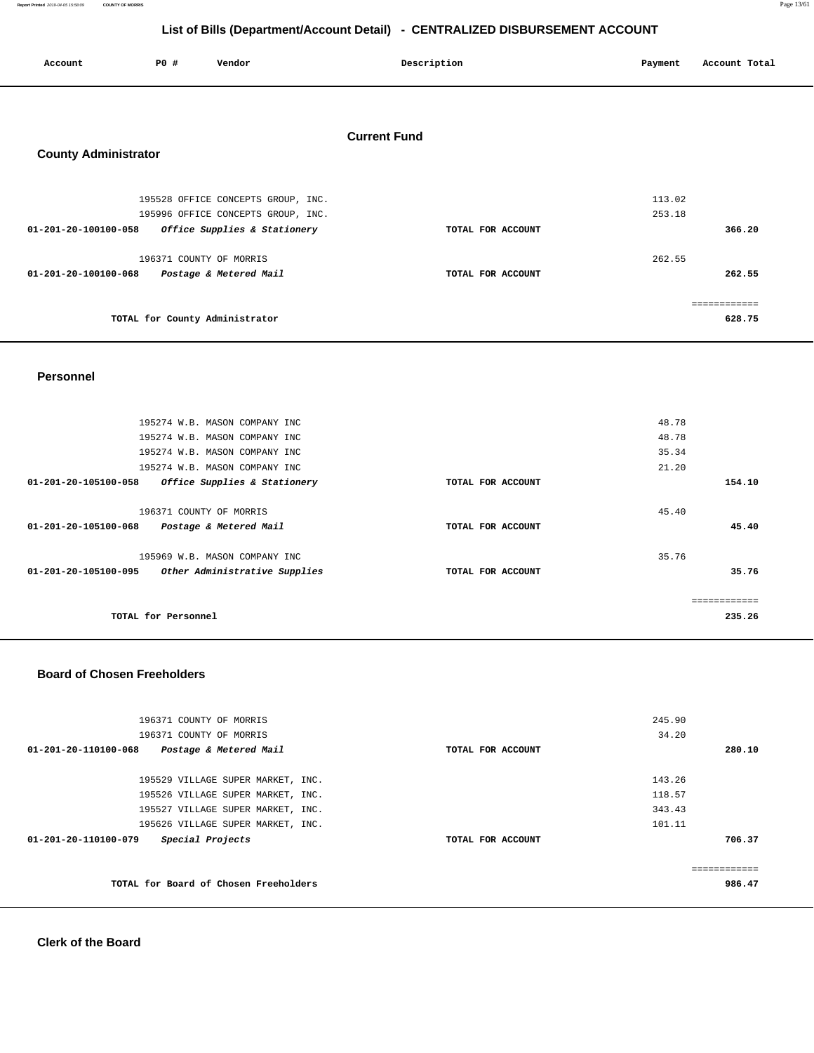**Report Printed** 2019-04-05 15:58:09 **COUNTY OF MORRIS** Page 13/61

### **List of Bills (Department/Account Detail) - CENTRALIZED DISBURSEMENT ACCOUNT**

| Account | P0 # | Vendor | Description | Payment | Account Total |
|---------|------|--------|-------------|---------|---------------|
|         |      |        |             |         |               |

#### **Current Fund**

### **County Administrator**

| 195528 OFFICE CONCEPTS GROUP, INC.                   |                   | 113.02 |        |
|------------------------------------------------------|-------------------|--------|--------|
| 195996 OFFICE CONCEPTS GROUP, INC.                   |                   | 253.18 |        |
| Office Supplies & Stationery<br>01-201-20-100100-058 | TOTAL FOR ACCOUNT |        | 366.20 |
|                                                      |                   |        |        |
| 196371 COUNTY OF MORRIS                              |                   | 262.55 |        |
| Postage & Metered Mail<br>01-201-20-100100-068       | TOTAL FOR ACCOUNT |        | 262.55 |
|                                                      |                   |        |        |
|                                                      |                   |        |        |
| TOTAL for County Administrator                       |                   |        | 628.75 |
|                                                      |                   |        |        |

#### **Personnel**

|                                | 195274 W.B. MASON COMPANY INC |                   | 48.78 |        |
|--------------------------------|-------------------------------|-------------------|-------|--------|
|                                | 195274 W.B. MASON COMPANY INC |                   | 48.78 |        |
|                                | 195274 W.B. MASON COMPANY INC |                   | 35.34 |        |
|                                | 195274 W.B. MASON COMPANY INC |                   | 21.20 |        |
| 01-201-20-105100-058           | Office Supplies & Stationery  | TOTAL FOR ACCOUNT |       | 154.10 |
|                                |                               |                   |       |        |
|                                | 196371 COUNTY OF MORRIS       |                   | 45.40 |        |
| $01 - 201 - 20 - 105100 - 068$ | Postage & Metered Mail        | TOTAL FOR ACCOUNT |       | 45.40  |
|                                | 195969 W.B. MASON COMPANY INC |                   | 35.76 |        |
| 01-201-20-105100-095           | Other Administrative Supplies | TOTAL FOR ACCOUNT |       | 35.76  |
|                                |                               |                   |       |        |
|                                |                               |                   |       |        |
|                                | TOTAL for Personnel           |                   |       | 235.26 |
|                                |                               |                   |       |        |

#### **Board of Chosen Freeholders**

| 196371 COUNTY OF MORRIS<br>196371 COUNTY OF MORRIS<br>01-201-20-110100-068<br>Postage & Metered Mail                                             | TOTAL FOR ACCOUNT | 245.90<br>34.20<br>280.10            |
|--------------------------------------------------------------------------------------------------------------------------------------------------|-------------------|--------------------------------------|
| 195529 VILLAGE SUPER MARKET, INC.<br>195526 VILLAGE SUPER MARKET, INC.<br>195527 VILLAGE SUPER MARKET, INC.<br>195626 VILLAGE SUPER MARKET, INC. |                   | 143.26<br>118.57<br>343.43<br>101.11 |
| Special Projects<br>01-201-20-110100-079                                                                                                         | TOTAL FOR ACCOUNT | 706.37                               |
| TOTAL for Board of Chosen Freeholders                                                                                                            |                   | ------------<br>986.47               |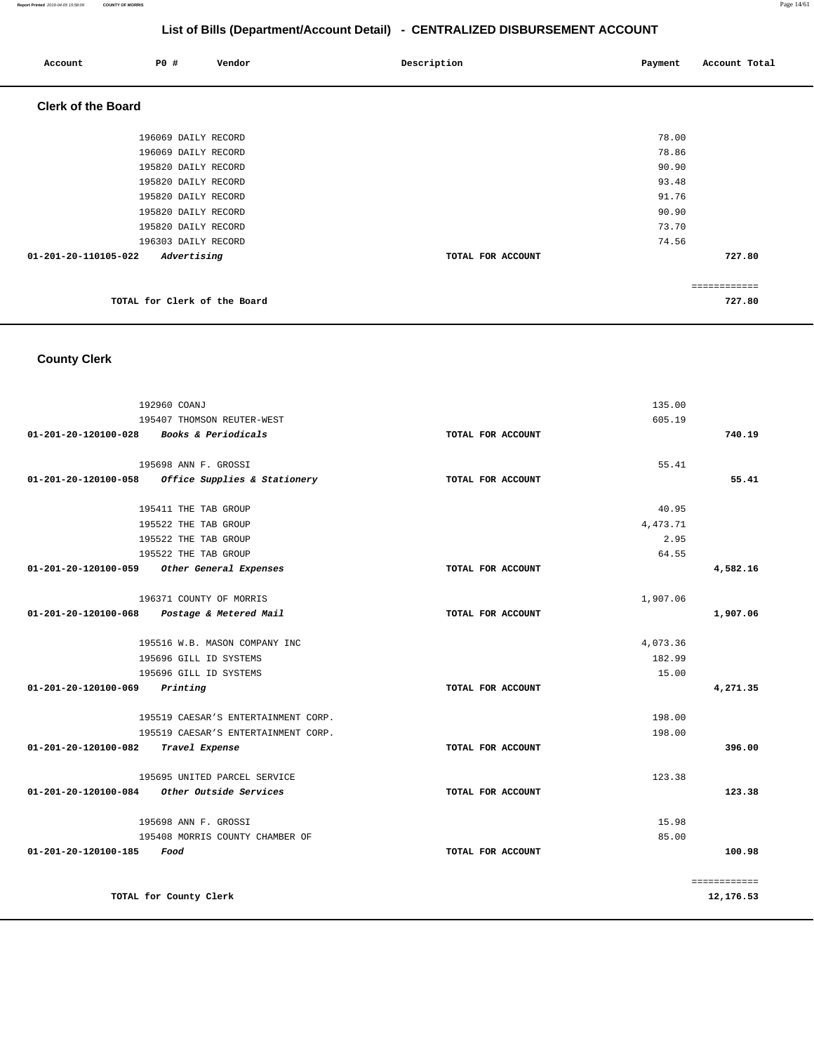#### **Report Printed** 2019-04-05 15:58:09 **COUNTY OF MORRIS** Page 14/61

## **List of Bills (Department/Account Detail) - CENTRALIZED DISBURSEMENT ACCOUNT**

| Account                   | P0 #                         | Vendor | Description       | Payment | Account Total |
|---------------------------|------------------------------|--------|-------------------|---------|---------------|
| <b>Clerk of the Board</b> |                              |        |                   |         |               |
|                           | 196069 DAILY RECORD          |        |                   | 78.00   |               |
|                           | 196069 DAILY RECORD          |        |                   | 78.86   |               |
|                           | 195820 DAILY RECORD          |        |                   | 90.90   |               |
|                           | 195820 DAILY RECORD          |        |                   | 93.48   |               |
|                           | 195820 DAILY RECORD          |        |                   | 91.76   |               |
|                           | 195820 DAILY RECORD          |        |                   | 90.90   |               |
|                           | 195820 DAILY RECORD          |        |                   | 73.70   |               |
|                           | 196303 DAILY RECORD          |        |                   | 74.56   |               |
| 01-201-20-110105-022      | Advertising                  |        | TOTAL FOR ACCOUNT |         | 727.80        |
|                           |                              |        |                   |         | ------------  |
|                           | TOTAL for Clerk of the Board |        |                   |         | 727.80        |

### **County Clerk**

|                                          | 192960 COANJ                                      | 135.00            |              |  |  |  |
|------------------------------------------|---------------------------------------------------|-------------------|--------------|--|--|--|
|                                          | 195407 THOMSON REUTER-WEST                        |                   | 605.19       |  |  |  |
| 01-201-20-120100-028 Books & Periodicals |                                                   | TOTAL FOR ACCOUNT | 740.19       |  |  |  |
|                                          |                                                   |                   |              |  |  |  |
|                                          | 195698 ANN F. GROSSI                              |                   | 55.41        |  |  |  |
|                                          | 01-201-20-120100-058 Office Supplies & Stationery | TOTAL FOR ACCOUNT | 55.41        |  |  |  |
|                                          | 195411 THE TAB GROUP                              |                   | 40.95        |  |  |  |
|                                          | 195522 THE TAB GROUP                              |                   | 4, 473. 71   |  |  |  |
|                                          | 195522 THE TAB GROUP                              |                   | 2.95         |  |  |  |
|                                          | 195522 THE TAB GROUP                              |                   | 64.55        |  |  |  |
|                                          | 01-201-20-120100-059 Other General Expenses       | TOTAL FOR ACCOUNT | 4,582.16     |  |  |  |
|                                          | 196371 COUNTY OF MORRIS                           |                   | 1,907.06     |  |  |  |
|                                          | 01-201-20-120100-068 Postage & Metered Mail       | TOTAL FOR ACCOUNT | 1,907.06     |  |  |  |
|                                          | 195516 W.B. MASON COMPANY INC                     |                   | 4,073.36     |  |  |  |
|                                          | 195696 GILL ID SYSTEMS                            |                   | 182.99       |  |  |  |
|                                          | 195696 GILL ID SYSTEMS                            |                   | 15.00        |  |  |  |
| $01 - 201 - 20 - 120100 - 069$ Printing  |                                                   | TOTAL FOR ACCOUNT | 4,271.35     |  |  |  |
|                                          |                                                   |                   |              |  |  |  |
|                                          | 195519 CAESAR'S ENTERTAINMENT CORP.               |                   | 198.00       |  |  |  |
|                                          | 195519 CAESAR'S ENTERTAINMENT CORP.               |                   | 198.00       |  |  |  |
| 01-201-20-120100-082                     | Travel Expense                                    | TOTAL FOR ACCOUNT | 396.00       |  |  |  |
|                                          | 195695 UNITED PARCEL SERVICE                      |                   | 123.38       |  |  |  |
|                                          | 01-201-20-120100-084 Other Outside Services       | TOTAL FOR ACCOUNT | 123.38       |  |  |  |
|                                          | 195698 ANN F. GROSSI                              |                   | 15.98        |  |  |  |
|                                          | 195408 MORRIS COUNTY CHAMBER OF                   |                   | 85.00        |  |  |  |
| 01-201-20-120100-185                     | Food                                              | TOTAL FOR ACCOUNT | 100.98       |  |  |  |
|                                          |                                                   |                   |              |  |  |  |
|                                          |                                                   |                   | ============ |  |  |  |
|                                          | TOTAL for County Clerk                            |                   | 12,176.53    |  |  |  |
|                                          |                                                   |                   |              |  |  |  |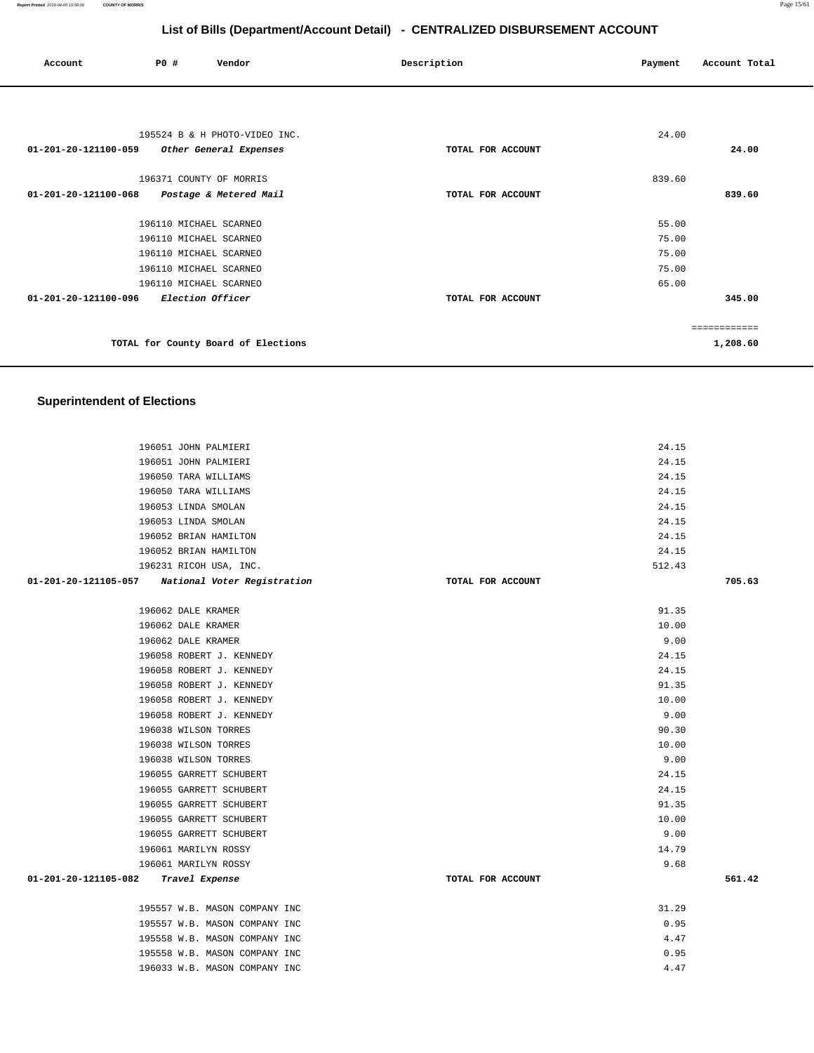| Account              | PO#                     | Vendor                              | Description       | Payment | Account Total |
|----------------------|-------------------------|-------------------------------------|-------------------|---------|---------------|
|                      |                         |                                     |                   |         |               |
|                      |                         | 195524 B & H PHOTO-VIDEO INC.       |                   | 24.00   |               |
| 01-201-20-121100-059 |                         | Other General Expenses              | TOTAL FOR ACCOUNT |         | 24.00         |
|                      | 196371 COUNTY OF MORRIS |                                     |                   | 839.60  |               |
| 01-201-20-121100-068 |                         | Postage & Metered Mail              | TOTAL FOR ACCOUNT |         | 839.60        |
|                      | 196110 MICHAEL SCARNEO  |                                     |                   | 55.00   |               |
|                      | 196110 MICHAEL SCARNEO  |                                     |                   | 75.00   |               |
|                      | 196110 MICHAEL SCARNEO  |                                     |                   | 75.00   |               |
|                      | 196110 MICHAEL SCARNEO  |                                     |                   | 75.00   |               |
|                      | 196110 MICHAEL SCARNEO  |                                     |                   | 65.00   |               |
| 01-201-20-121100-096 |                         | <i>Election Officer</i>             | TOTAL FOR ACCOUNT |         | 345.00        |
|                      |                         |                                     |                   |         | ============  |
|                      |                         | TOTAL for County Board of Elections |                   |         | 1,208.60      |

### **Superintendent of Elections**

| 196051 JOHN PALMIERI                                |                   | 24.15  |        |
|-----------------------------------------------------|-------------------|--------|--------|
| 196051 JOHN PALMIERI                                |                   | 24.15  |        |
| 196050 TARA WILLIAMS                                |                   | 24.15  |        |
| 196050 TARA WILLIAMS                                |                   | 24.15  |        |
| 196053 LINDA SMOLAN                                 |                   | 24.15  |        |
| 196053 LINDA SMOLAN                                 |                   | 24.15  |        |
| 196052 BRIAN HAMILTON                               |                   | 24.15  |        |
| 196052 BRIAN HAMILTON                               |                   | 24.15  |        |
| 196231 RICOH USA, INC.                              |                   | 512.43 |        |
| 01-201-20-121105-057<br>National Voter Registration | TOTAL FOR ACCOUNT |        | 705.63 |
| 196062 DALE KRAMER                                  |                   | 91.35  |        |
| 196062 DALE KRAMER                                  |                   | 10.00  |        |
| 196062 DALE KRAMER                                  |                   | 9.00   |        |
| 196058 ROBERT J. KENNEDY                            |                   | 24.15  |        |
| 196058 ROBERT J. KENNEDY                            |                   | 24.15  |        |
| 196058 ROBERT J. KENNEDY                            |                   | 91.35  |        |
| 196058 ROBERT J. KENNEDY                            |                   | 10.00  |        |
| 196058 ROBERT J. KENNEDY                            |                   | 9.00   |        |
| 196038 WILSON TORRES                                |                   | 90.30  |        |
| 196038 WILSON TORRES                                |                   | 10.00  |        |
| 196038 WILSON TORRES                                |                   | 9.00   |        |
| 196055 GARRETT SCHUBERT                             |                   | 24.15  |        |
| 196055 GARRETT SCHUBERT                             |                   | 24.15  |        |
| 196055 GARRETT SCHUBERT                             |                   | 91.35  |        |
| 196055 GARRETT SCHUBERT                             |                   | 10.00  |        |
| 196055 GARRETT SCHUBERT                             |                   | 9.00   |        |
| 196061 MARILYN ROSSY                                |                   | 14.79  |        |
| 196061 MARILYN ROSSY                                |                   | 9.68   |        |
| 01-201-20-121105-082<br>Travel Expense              | TOTAL FOR ACCOUNT |        | 561.42 |
| 195557 W.B. MASON COMPANY INC                       |                   | 31.29  |        |
| 195557 W.B. MASON COMPANY INC                       |                   | 0.95   |        |
| 195558 W.B. MASON COMPANY INC                       |                   | 4.47   |        |
| 195558 W.B. MASON COMPANY INC                       |                   | 0.95   |        |
| 196033 W.B. MASON COMPANY INC                       |                   | 4.47   |        |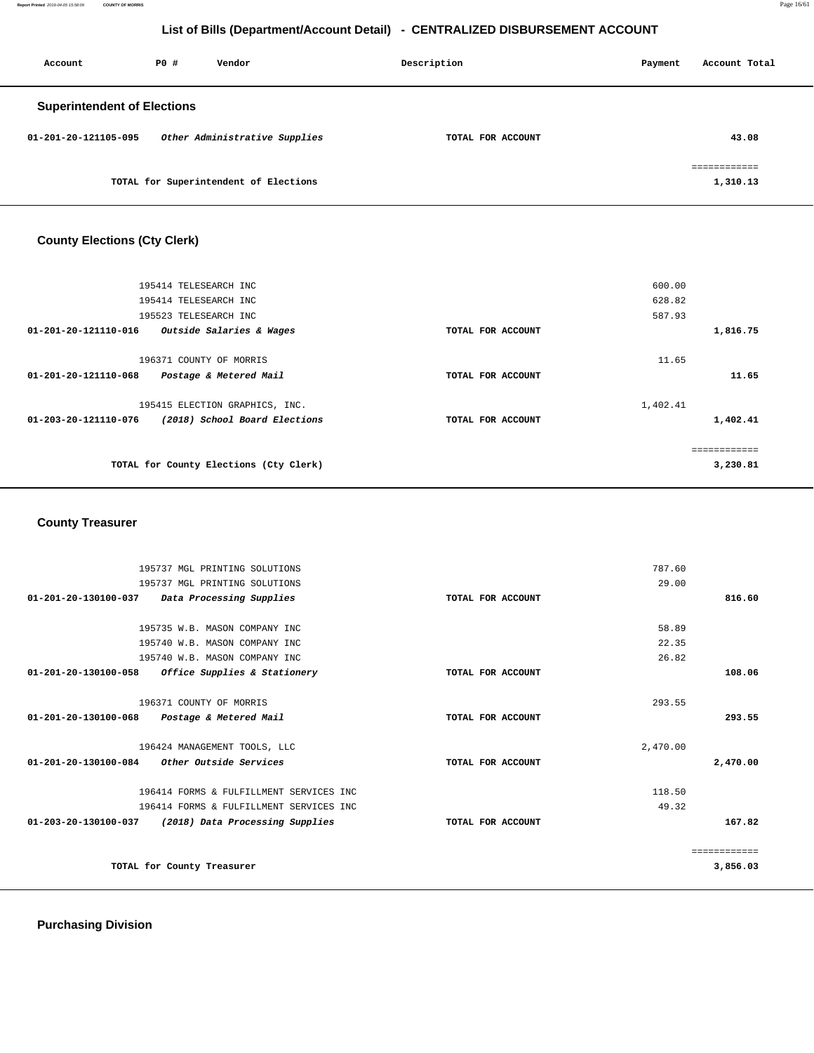**Report Printed** 2019-04-05 15:58:09 **COUNTY OF MORRIS** Page 16/61

### **List of Bills (Department/Account Detail) - CENTRALIZED DISBURSEMENT ACCOUNT**

| Account                            | PO# | Vendor                                | Description       | Payment | Account Total |
|------------------------------------|-----|---------------------------------------|-------------------|---------|---------------|
| <b>Superintendent of Elections</b> |     |                                       |                   |         |               |
| 01-201-20-121105-095               |     | Other Administrative Supplies         | TOTAL FOR ACCOUNT |         | 43.08         |
|                                    |     | TOTAL for Superintendent of Elections |                   |         | .<br>1,310.13 |

## **County Elections (Cty Clerk)**

|              | 600.00   |                   | 195414 TELESEARCH INC                  |                      |
|--------------|----------|-------------------|----------------------------------------|----------------------|
|              | 628.82   |                   | 195414 TELESEARCH INC                  |                      |
|              | 587.93   |                   | 195523 TELESEARCH INC                  |                      |
| 1,816.75     |          | TOTAL FOR ACCOUNT | Outside Salaries & Wages               | 01-201-20-121110-016 |
|              |          |                   |                                        |                      |
|              | 11.65    |                   | 196371 COUNTY OF MORRIS                |                      |
| 11.65        |          | TOTAL FOR ACCOUNT | Postage & Metered Mail                 | 01-201-20-121110-068 |
|              |          |                   |                                        |                      |
|              | 1,402.41 |                   | 195415 ELECTION GRAPHICS, INC.         |                      |
| 1,402.41     |          | TOTAL FOR ACCOUNT | (2018) School Board Elections          | 01-203-20-121110-076 |
|              |          |                   |                                        |                      |
| ============ |          |                   |                                        |                      |
| 3,230.81     |          |                   | TOTAL for County Elections (Cty Clerk) |                      |
|              |          |                   |                                        |                      |

## **County Treasurer**

| 195737 MGL PRINTING SOLUTIONS                                   |                   | 787.60       |
|-----------------------------------------------------------------|-------------------|--------------|
| 195737 MGL PRINTING SOLUTIONS                                   |                   | 29.00        |
| 01-201-20-130100-037<br>Data Processing Supplies                | TOTAL FOR ACCOUNT | 816.60       |
|                                                                 |                   |              |
| 195735 W.B. MASON COMPANY INC                                   |                   | 58.89        |
| 195740 W.B. MASON COMPANY INC                                   |                   | 22.35        |
| 195740 W.B. MASON COMPANY INC                                   |                   | 26.82        |
| Office Supplies & Stationery<br>01-201-20-130100-058            | TOTAL FOR ACCOUNT | 108.06       |
| 196371 COUNTY OF MORRIS                                         |                   | 293.55       |
| 01-201-20-130100-068<br>Postage & Metered Mail                  | TOTAL FOR ACCOUNT | 293.55       |
| 196424 MANAGEMENT TOOLS, LLC                                    |                   | 2,470.00     |
| $01 - 201 - 20 - 130100 - 084$<br><i>Other Outside Services</i> | TOTAL FOR ACCOUNT | 2,470.00     |
| 196414 FORMS & FULFILLMENT SERVICES INC                         |                   | 118.50       |
| 196414 FORMS & FULFILLMENT SERVICES INC                         |                   | 49.32        |
| 01-203-20-130100-037<br>(2018) Data Processing Supplies         | TOTAL FOR ACCOUNT | 167.82       |
|                                                                 |                   | ============ |
| TOTAL for County Treasurer                                      |                   | 3,856.03     |
|                                                                 |                   |              |

 **Purchasing Division**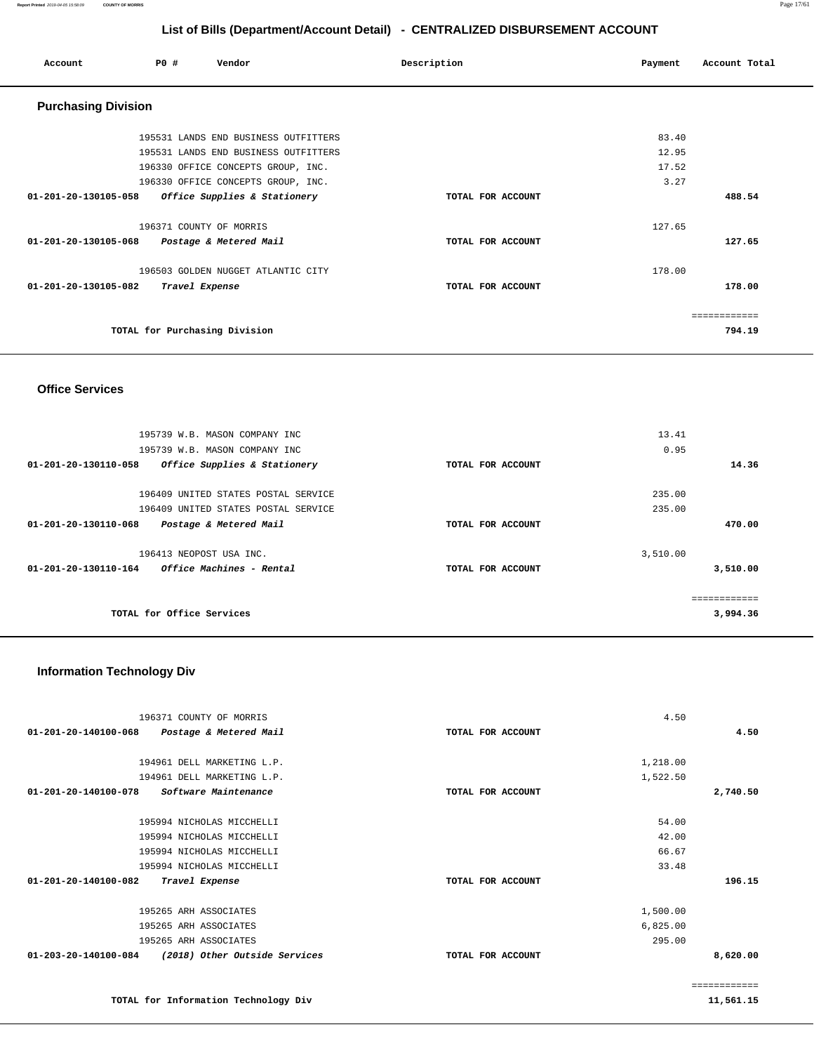**Report Printed** 2019-04-05 15:58:09 **COUNTY OF MORRIS** Page 17/61

## **List of Bills (Department/Account Detail) - CENTRALIZED DISBURSEMENT ACCOUNT**

| Account                    | PO#<br>Vendor                        | Description       | Account Total<br>Payment |
|----------------------------|--------------------------------------|-------------------|--------------------------|
| <b>Purchasing Division</b> |                                      |                   |                          |
|                            | 195531 LANDS END BUSINESS OUTFITTERS |                   | 83.40                    |
|                            | 195531 LANDS END BUSINESS OUTFITTERS |                   | 12.95                    |
|                            | 196330 OFFICE CONCEPTS GROUP, INC.   |                   | 17.52                    |
|                            | 196330 OFFICE CONCEPTS GROUP, INC.   |                   | 3.27                     |
| 01-201-20-130105-058       | Office Supplies & Stationery         | TOTAL FOR ACCOUNT | 488.54                   |
|                            | 196371 COUNTY OF MORRIS              |                   | 127.65                   |
| 01-201-20-130105-068       | Postage & Metered Mail               | TOTAL FOR ACCOUNT | 127.65                   |
|                            | 196503 GOLDEN NUGGET ATLANTIC CITY   |                   | 178.00                   |
| 01-201-20-130105-082       | Travel Expense                       | TOTAL FOR ACCOUNT | 178.00                   |
|                            |                                      |                   | ------------             |
|                            | TOTAL for Purchasing Division        |                   | 794.19                   |

#### **Office Services**

|              | 13.41<br>0.95 |                   | 195739 W.B. MASON COMPANY INC<br>195739 W.B. MASON COMPANY INC |                                |
|--------------|---------------|-------------------|----------------------------------------------------------------|--------------------------------|
| 14.36        |               | TOTAL FOR ACCOUNT | Office Supplies & Stationery                                   | 01-201-20-130110-058           |
|              | 235.00        |                   | 196409 UNITED STATES POSTAL SERVICE                            |                                |
|              | 235.00        |                   | 196409 UNITED STATES POSTAL SERVICE                            |                                |
| 470.00       |               | TOTAL FOR ACCOUNT | Postage & Metered Mail                                         | $01 - 201 - 20 - 130110 - 068$ |
|              | 3,510.00      |                   | 196413 NEOPOST USA INC.                                        |                                |
| 3,510.00     |               | TOTAL FOR ACCOUNT | <i>Office Machines - Rental</i>                                | 01-201-20-130110-164           |
| ------------ |               |                   |                                                                |                                |
| 3,994.36     |               |                   | TOTAL for Office Services                                      |                                |
|              |               |                   |                                                                |                                |

## **Information Technology Div**

| 196371 COUNTY OF MORRIS                                  |                   | 4.50     |              |
|----------------------------------------------------------|-------------------|----------|--------------|
| $01 - 201 - 20 - 140100 - 068$<br>Postage & Metered Mail | TOTAL FOR ACCOUNT |          | 4.50         |
|                                                          |                   |          |              |
| 194961 DELL MARKETING L.P.                               |                   | 1,218.00 |              |
| 194961 DELL MARKETING L.P.                               |                   | 1,522.50 |              |
| 01-201-20-140100-078<br><i>Software Maintenance</i>      | TOTAL FOR ACCOUNT |          | 2,740.50     |
| 195994 NICHOLAS MICCHELLI                                |                   | 54.00    |              |
| 195994 NICHOLAS MICCHELLI                                |                   | 42.00    |              |
| 195994 NICHOLAS MICCHELLI                                |                   | 66.67    |              |
| 195994 NICHOLAS MICCHELLI                                |                   | 33.48    |              |
| 01-201-20-140100-082<br>Travel Expense                   | TOTAL FOR ACCOUNT |          | 196.15       |
| 195265 ARH ASSOCIATES                                    |                   | 1,500.00 |              |
| 195265 ARH ASSOCIATES                                    |                   | 6,825.00 |              |
| 195265 ARH ASSOCIATES                                    |                   | 295.00   |              |
| 01-203-20-140100-084<br>(2018) Other Outside Services    | TOTAL FOR ACCOUNT |          | 8,620.00     |
|                                                          |                   |          | ============ |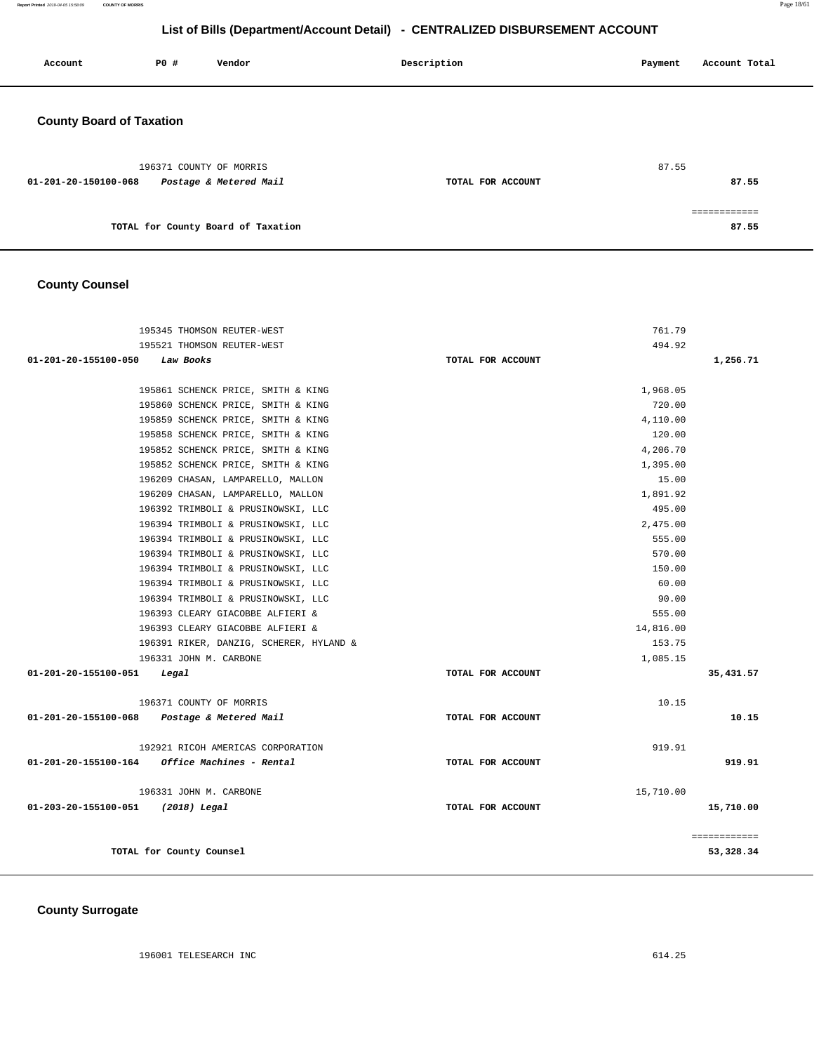**Report Printed** 2019-04-05 15:58:09 **COUNTY OF MORRIS** Page 18/61

### **List of Bills (Department/Account Detail) - CENTRALIZED DISBURSEMENT ACCOUNT**

| Account                         | P0 # | Vendor                                            | Description       | Account Total<br>Payment |
|---------------------------------|------|---------------------------------------------------|-------------------|--------------------------|
| <b>County Board of Taxation</b> |      |                                                   |                   |                          |
| 01-201-20-150100-068            |      | 196371 COUNTY OF MORRIS<br>Postage & Metered Mail | TOTAL FOR ACCOUNT | 87.55<br>87.55           |
|                                 |      | TOTAL for County Board of Taxation                |                   | ------------<br>87.55    |

#### **County Counsel**

| 195345 THOMSON REUTER-WEST                       |                   | 761.79    |              |
|--------------------------------------------------|-------------------|-----------|--------------|
| 195521 THOMSON REUTER-WEST                       |                   | 494.92    |              |
| 01-201-20-155100-050<br>Law Books                | TOTAL FOR ACCOUNT |           | 1,256.71     |
|                                                  |                   |           |              |
| 195861 SCHENCK PRICE, SMITH & KING               |                   | 1,968.05  |              |
| 195860 SCHENCK PRICE, SMITH & KING               |                   | 720.00    |              |
| 195859 SCHENCK PRICE, SMITH & KING               |                   | 4,110.00  |              |
| 195858 SCHENCK PRICE, SMITH & KING               |                   | 120.00    |              |
| 195852 SCHENCK PRICE, SMITH & KING               |                   | 4,206.70  |              |
| 195852 SCHENCK PRICE, SMITH & KING               |                   | 1,395.00  |              |
| 196209 CHASAN, LAMPARELLO, MALLON                |                   | 15.00     |              |
| 196209 CHASAN, LAMPARELLO, MALLON                |                   | 1,891.92  |              |
| 196392 TRIMBOLI & PRUSINOWSKI, LLC               |                   | 495.00    |              |
| 196394 TRIMBOLI & PRUSINOWSKI, LLC               |                   | 2,475.00  |              |
| 196394 TRIMBOLI & PRUSINOWSKI, LLC               |                   | 555.00    |              |
| 196394 TRIMBOLI & PRUSINOWSKI, LLC               |                   | 570.00    |              |
| 196394 TRIMBOLI & PRUSINOWSKI, LLC               |                   | 150.00    |              |
| 196394 TRIMBOLI & PRUSINOWSKI, LLC               |                   | 60.00     |              |
| 196394 TRIMBOLI & PRUSINOWSKI, LLC               |                   | 90.00     |              |
| 196393 CLEARY GIACOBBE ALFIERI &                 |                   | 555.00    |              |
| 196393 CLEARY GIACOBBE ALFIERI &                 |                   | 14,816.00 |              |
| 196391 RIKER, DANZIG, SCHERER, HYLAND &          |                   | 153.75    |              |
| 196331 JOHN M. CARBONE                           |                   | 1,085.15  |              |
| 01-201-20-155100-051<br>Legal                    | TOTAL FOR ACCOUNT |           | 35,431.57    |
|                                                  |                   |           |              |
| 196371 COUNTY OF MORRIS                          |                   | 10.15     |              |
| 01-201-20-155100-068<br>Postage & Metered Mail   | TOTAL FOR ACCOUNT |           | 10.15        |
| 192921 RICOH AMERICAS CORPORATION                |                   | 919.91    |              |
| Office Machines - Rental<br>01-201-20-155100-164 | TOTAL FOR ACCOUNT |           | 919.91       |
| 196331 JOHN M. CARBONE                           |                   | 15,710.00 |              |
| 01-203-20-155100-051<br>(2018) Legal             | TOTAL FOR ACCOUNT |           | 15,710.00    |
|                                                  |                   |           |              |
|                                                  |                   |           | ============ |
| TOTAL for County Counsel                         |                   |           | 53,328.34    |
|                                                  |                   |           |              |

 **County Surrogate** 

196001 TELESEARCH INC 614.25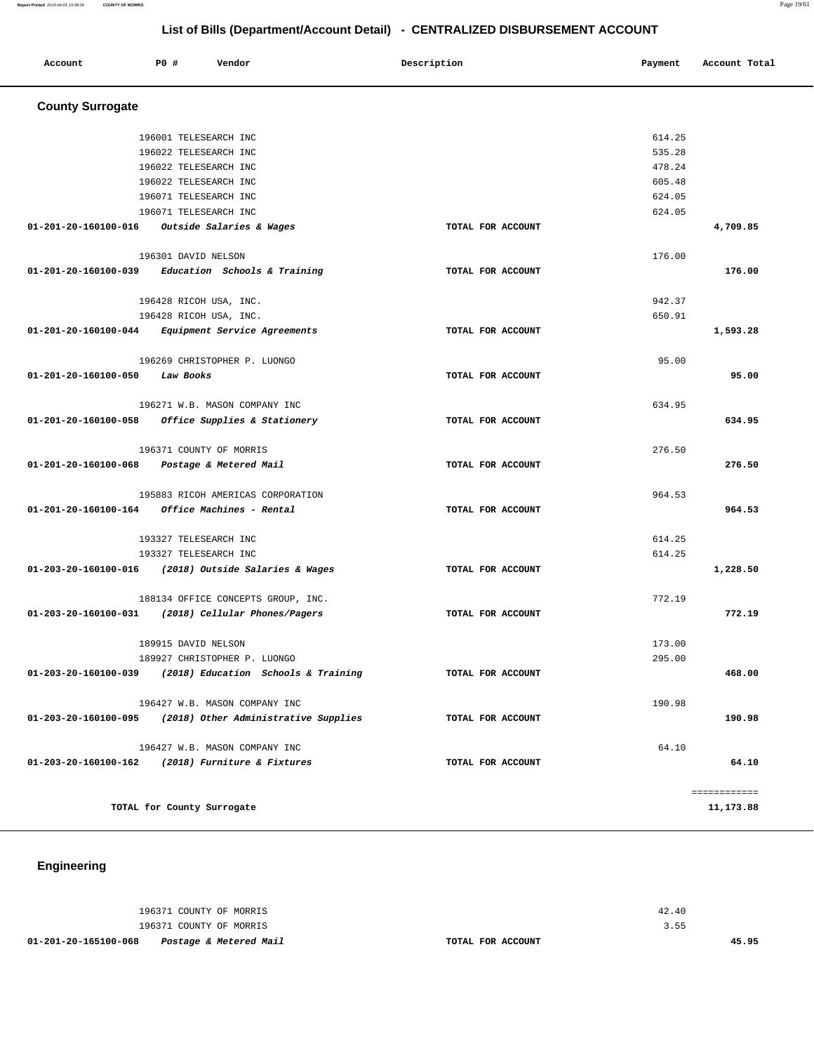| Account                 | PO# | Vendor                                                      | Description       | Payment | Account Total |
|-------------------------|-----|-------------------------------------------------------------|-------------------|---------|---------------|
| <b>County Surrogate</b> |     |                                                             |                   |         |               |
|                         |     | 196001 TELESEARCH INC                                       |                   | 614.25  |               |
|                         |     | 196022 TELESEARCH INC                                       |                   | 535.28  |               |
|                         |     | 196022 TELESEARCH INC                                       |                   | 478.24  |               |
|                         |     | 196022 TELESEARCH INC                                       |                   | 605.48  |               |
|                         |     | 196071 TELESEARCH INC                                       |                   | 624.05  |               |
|                         |     | 196071 TELESEARCH INC                                       |                   | 624.05  |               |
| 01-201-20-160100-016    |     | Outside Salaries & Wages                                    | TOTAL FOR ACCOUNT |         | 4,709.85      |
|                         |     | 196301 DAVID NELSON                                         |                   | 176.00  |               |
| 01-201-20-160100-039    |     | Education Schools & Training                                | TOTAL FOR ACCOUNT |         | 176.00        |
|                         |     | 196428 RICOH USA, INC.                                      |                   | 942.37  |               |
|                         |     | 196428 RICOH USA, INC.                                      |                   | 650.91  |               |
| 01-201-20-160100-044    |     | Equipment Service Agreements                                | TOTAL FOR ACCOUNT |         | 1,593.28      |
|                         |     | 196269 CHRISTOPHER P. LUONGO                                |                   | 95.00   |               |
| 01-201-20-160100-050    |     | Law Books                                                   | TOTAL FOR ACCOUNT |         | 95.00         |
|                         |     | 196271 W.B. MASON COMPANY INC.                              |                   | 634.95  |               |
|                         |     | 01-201-20-160100-058 Office Supplies & Stationery           | TOTAL FOR ACCOUNT |         | 634.95        |
|                         |     | 196371 COUNTY OF MORRIS                                     |                   | 276.50  |               |
| 01-201-20-160100-068    |     | Postage & Metered Mail                                      | TOTAL FOR ACCOUNT |         | 276.50        |
|                         |     | 195883 RICOH AMERICAS CORPORATION                           |                   | 964.53  |               |
| 01-201-20-160100-164    |     | Office Machines - Rental                                    | TOTAL FOR ACCOUNT |         | 964.53        |
|                         |     | 193327 TELESEARCH INC                                       |                   | 614.25  |               |
|                         |     | 193327 TELESEARCH INC                                       |                   | 614.25  |               |
| 01-203-20-160100-016    |     | (2018) Outside Salaries & Wages                             | TOTAL FOR ACCOUNT |         | 1,228.50      |
|                         |     | 188134 OFFICE CONCEPTS GROUP, INC.                          |                   | 772.19  |               |
| 01-203-20-160100-031    |     | (2018) Cellular Phones/Pagers                               | TOTAL FOR ACCOUNT |         | 772.19        |
|                         |     | 189915 DAVID NELSON                                         |                   | 173.00  |               |
|                         |     | 189927 CHRISTOPHER P. LUONGO                                |                   | 295.00  |               |
| 01-203-20-160100-039    |     | (2018) Education Schools & Training                         | TOTAL FOR ACCOUNT |         | 468.00        |
|                         |     | 196427 W.B. MASON COMPANY INC                               |                   | 190.98  |               |
|                         |     | $01-203-20-160100-095$ (2018) Other Administrative Supplies | TOTAL FOR ACCOUNT |         | 190.98        |
|                         |     | 196427 W.B. MASON COMPANY INC                               |                   | 64.10   |               |
|                         |     | 01-203-20-160100-162 (2018) Furniture & Fixtures            | TOTAL FOR ACCOUNT |         | 64.10         |
|                         |     |                                                             |                   |         | ============  |
|                         |     | TOTAL for County Surrogate                                  |                   |         | 11,173.88     |

 **Engineering** 

| 01-201-20-165100-068<br>Postage & Metered Mail | TOTAL FOR ACCOUNT |       | 45.95 |
|------------------------------------------------|-------------------|-------|-------|
| 196371 COUNTY OF MORRIS                        |                   | 3.55  |       |
| 196371 COUNTY OF MORRIS                        |                   | 42.40 |       |
|                                                |                   |       |       |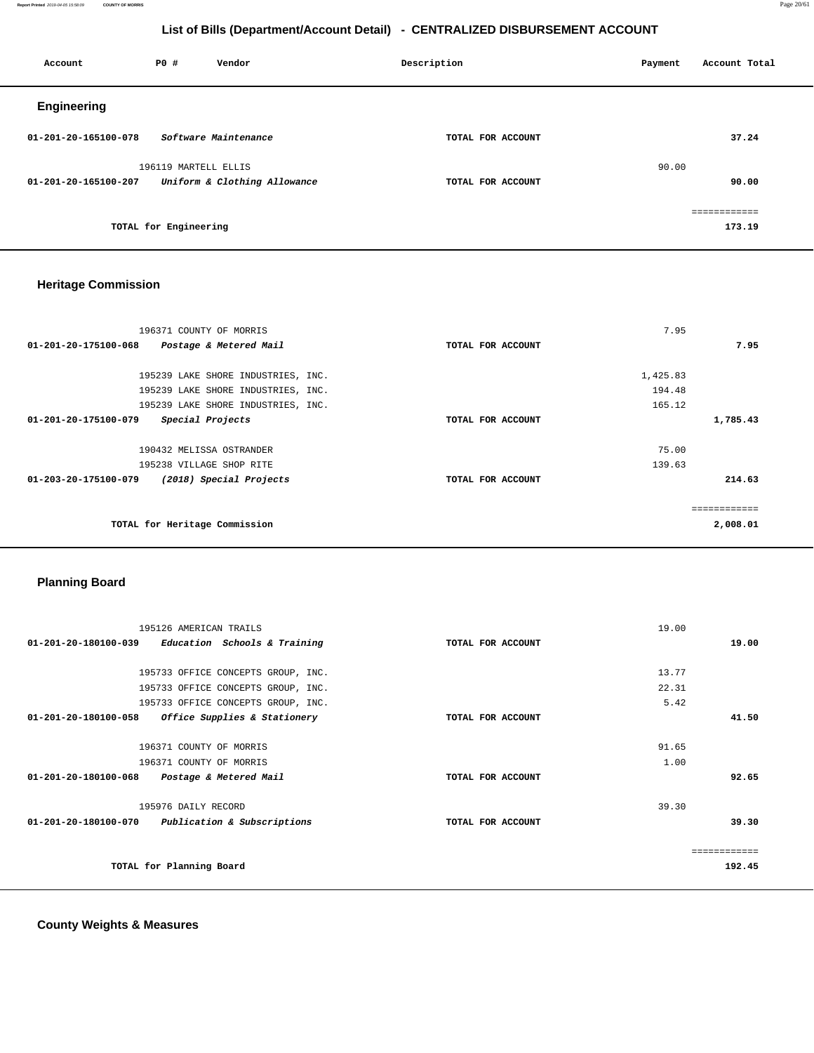**Report Printed** 2019-04-05 15:58:09 **COUNTY OF MORRIS** Page 20/61

### **List of Bills (Department/Account Detail) - CENTRALIZED DISBURSEMENT ACCOUNT**

| Account              | P0 #                  | Vendor                       | Description       | Account Total<br>Payment |
|----------------------|-----------------------|------------------------------|-------------------|--------------------------|
| <b>Engineering</b>   |                       |                              |                   |                          |
| 01-201-20-165100-078 |                       | Software Maintenance         | TOTAL FOR ACCOUNT | 37.24                    |
| 01-201-20-165100-207 | 196119 MARTELL ELLIS  | Uniform & Clothing Allowance | TOTAL FOR ACCOUNT | 90.00<br>90.00           |
|                      | TOTAL for Engineering |                              |                   | ============<br>173.19   |

#### **Heritage Commission**

| 196371 COUNTY OF MORRIS                         |                   | 7.95        |
|-------------------------------------------------|-------------------|-------------|
| 01-201-20-175100-068<br>Postage & Metered Mail  | TOTAL FOR ACCOUNT | 7.95        |
|                                                 |                   |             |
| 195239 LAKE SHORE INDUSTRIES, INC.              |                   | 1,425.83    |
| 195239 LAKE SHORE INDUSTRIES, INC.              |                   | 194.48      |
| 195239 LAKE SHORE INDUSTRIES, INC.              |                   | 165.12      |
| 01-201-20-175100-079<br>Special Projects        | TOTAL FOR ACCOUNT | 1,785.43    |
|                                                 |                   |             |
| 190432 MELISSA OSTRANDER                        |                   | 75.00       |
| 195238 VILLAGE SHOP RITE                        |                   | 139.63      |
| 01-203-20-175100-079<br>(2018) Special Projects | TOTAL FOR ACCOUNT | 214.63      |
|                                                 |                   |             |
|                                                 |                   | =========== |
| TOTAL for Heritage Commission                   |                   | 2,008.01    |
|                                                 |                   |             |

## **Planning Board**

| 195126 AMERICAN TRAILS                               | 19.00             |              |
|------------------------------------------------------|-------------------|--------------|
| $01-201-20-180100-039$ Education Schools & Training  | TOTAL FOR ACCOUNT | 19.00        |
|                                                      |                   |              |
| 195733 OFFICE CONCEPTS GROUP, INC.                   | 13.77             |              |
| 195733 OFFICE CONCEPTS GROUP, INC.                   | 22.31             |              |
| 195733 OFFICE CONCEPTS GROUP, INC.                   | 5.42              |              |
| Office Supplies & Stationery<br>01-201-20-180100-058 | TOTAL FOR ACCOUNT | 41.50        |
|                                                      |                   |              |
| 196371 COUNTY OF MORRIS                              | 91.65             |              |
| 196371 COUNTY OF MORRIS                              | 1.00              |              |
| 01-201-20-180100-068<br>Postage & Metered Mail       | TOTAL FOR ACCOUNT | 92.65        |
|                                                      |                   |              |
| 195976 DAILY RECORD                                  | 39.30             |              |
| 01-201-20-180100-070 Publication & Subscriptions     | TOTAL FOR ACCOUNT | 39.30        |
|                                                      |                   |              |
|                                                      |                   | ------------ |
| TOTAL for Planning Board                             |                   | 192.45       |
|                                                      |                   |              |

 **County Weights & Measures**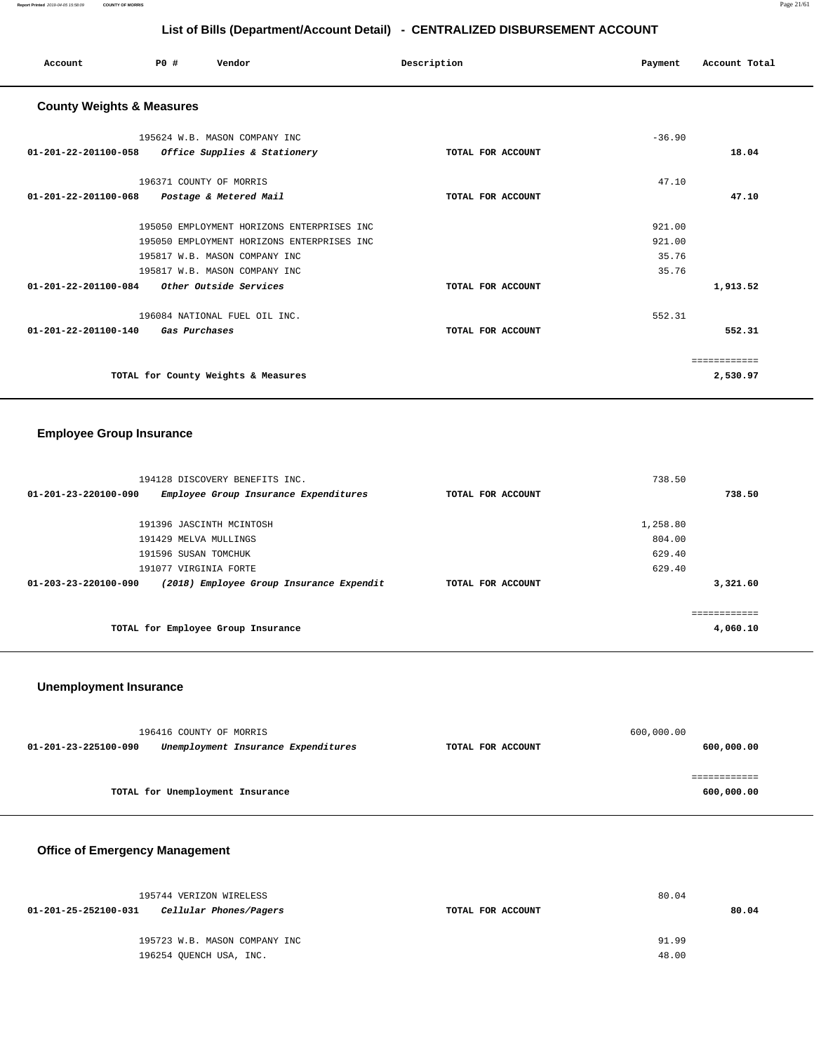| Account                              | PO#           | Vendor                                     | Description       | Payment  | Account Total |
|--------------------------------------|---------------|--------------------------------------------|-------------------|----------|---------------|
| <b>County Weights &amp; Measures</b> |               |                                            |                   |          |               |
|                                      |               | 195624 W.B. MASON COMPANY INC              |                   | $-36.90$ |               |
| 01-201-22-201100-058                 |               | Office Supplies & Stationery               | TOTAL FOR ACCOUNT |          | 18.04         |
|                                      |               | 196371 COUNTY OF MORRIS                    |                   | 47.10    |               |
| 01-201-22-201100-068                 |               | Postage & Metered Mail                     | TOTAL FOR ACCOUNT |          | 47.10         |
|                                      |               | 195050 EMPLOYMENT HORIZONS ENTERPRISES INC |                   | 921.00   |               |
|                                      |               | 195050 EMPLOYMENT HORIZONS ENTERPRISES INC |                   | 921.00   |               |
|                                      |               | 195817 W.B. MASON COMPANY INC              |                   | 35.76    |               |
|                                      |               | 195817 W.B. MASON COMPANY INC              |                   | 35.76    |               |
| 01-201-22-201100-084                 |               | Other Outside Services                     | TOTAL FOR ACCOUNT |          | 1,913.52      |
|                                      |               | 196084 NATIONAL FUEL OIL INC.              |                   | 552.31   |               |
| $01 - 201 - 22 - 201100 - 140$       | Gas Purchases |                                            | TOTAL FOR ACCOUNT |          | 552.31        |
|                                      |               |                                            |                   |          | ============  |
|                                      |               | TOTAL for County Weights & Measures        |                   |          | 2,530.97      |

## **Employee Group Insurance**

| 194128 DISCOVERY BENEFITS INC.                                             |                   | 738.50   |          |
|----------------------------------------------------------------------------|-------------------|----------|----------|
| 01-201-23-220100-090<br>Employee Group Insurance Expenditures              | TOTAL FOR ACCOUNT |          | 738.50   |
| 191396 JASCINTH MCINTOSH                                                   |                   |          |          |
|                                                                            |                   | 1,258.80 |          |
| 191429 MELVA MULLINGS                                                      |                   | 804.00   |          |
| 191596 SUSAN TOMCHUK                                                       |                   | 629.40   |          |
| 191077 VIRGINIA FORTE                                                      |                   | 629.40   |          |
| $01 - 203 - 23 - 220100 - 090$<br>(2018) Employee Group Insurance Expendit | TOTAL FOR ACCOUNT |          | 3,321.60 |
|                                                                            |                   |          |          |
|                                                                            |                   |          |          |
| TOTAL for Employee Group Insurance                                         |                   |          | 4,060.10 |

### **Unemployment Insurance**

| 196416 COUNTY OF MORRIS          |                                     |                   | 600,000.00 |
|----------------------------------|-------------------------------------|-------------------|------------|
| 01-201-23-225100-090             | Unemployment Insurance Expenditures | TOTAL FOR ACCOUNT | 600,000.00 |
|                                  |                                     |                   |            |
|                                  |                                     |                   |            |
| TOTAL for Unemployment Insurance |                                     |                   | 600,000.00 |

## **Office of Emergency Management**

| 195744 VERIZON WIRELESS                        |                   | 80.04 |
|------------------------------------------------|-------------------|-------|
| Cellular Phones/Pagers<br>01-201-25-252100-031 | TOTAL FOR ACCOUNT | 80.04 |
| 195723 W.B. MASON COMPANY INC                  |                   | 91.99 |
| 196254 OUENCH USA, INC.                        |                   | 48.00 |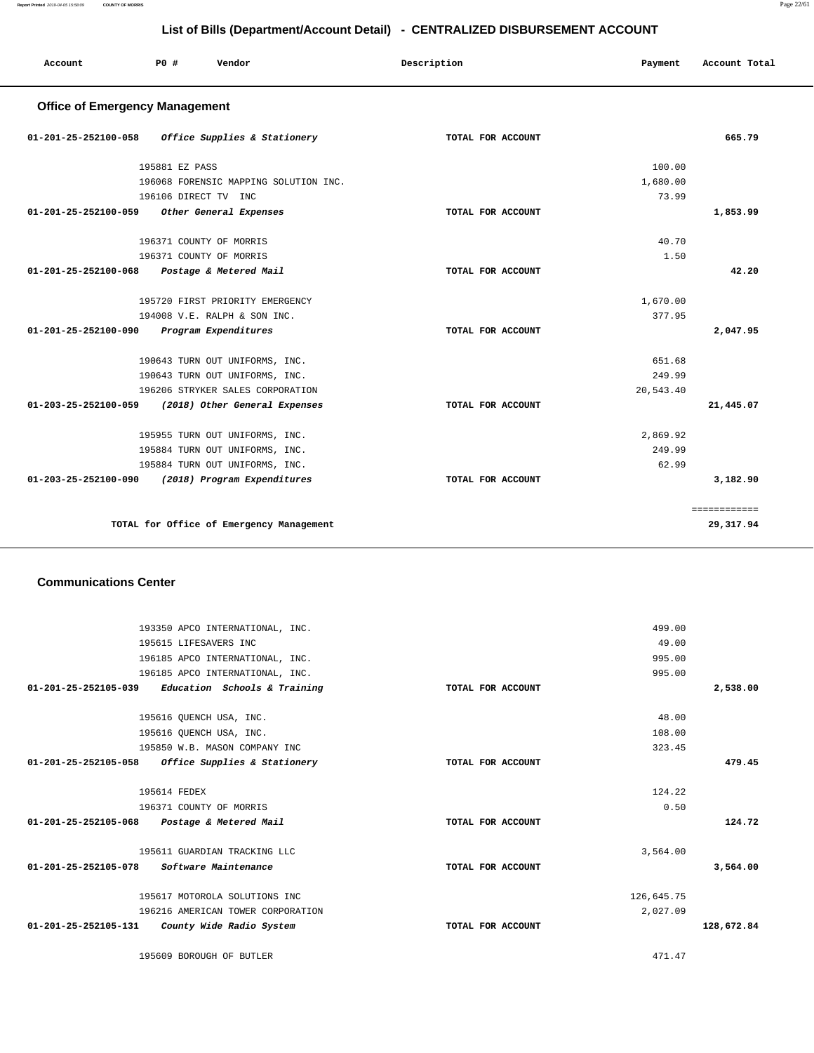| Account                               | P0#                     | Vendor                                   | Description       | Payment   | Account Total |
|---------------------------------------|-------------------------|------------------------------------------|-------------------|-----------|---------------|
| <b>Office of Emergency Management</b> |                         |                                          |                   |           |               |
| 01-201-25-252100-058                  |                         | Office Supplies & Stationery             | TOTAL FOR ACCOUNT |           | 665.79        |
|                                       | 195881 EZ PASS          |                                          |                   | 100.00    |               |
|                                       |                         | 196068 FORENSIC MAPPING SOLUTION INC.    |                   | 1,680.00  |               |
|                                       | 196106 DIRECT TV INC    |                                          |                   | 73.99     |               |
| $01 - 201 - 25 - 252100 - 059$        |                         | Other General Expenses                   | TOTAL FOR ACCOUNT |           | 1,853.99      |
|                                       | 196371 COUNTY OF MORRIS |                                          |                   | 40.70     |               |
|                                       | 196371 COUNTY OF MORRIS |                                          |                   | 1.50      |               |
| $01 - 201 - 25 - 252100 - 068$        |                         | Postage & Metered Mail                   | TOTAL FOR ACCOUNT |           | 42.20         |
|                                       |                         | 195720 FIRST PRIORITY EMERGENCY          |                   | 1,670.00  |               |
|                                       |                         | 194008 V.E. RALPH & SON INC.             |                   | 377.95    |               |
| 01-201-25-252100-090                  |                         | Program Expenditures                     | TOTAL FOR ACCOUNT |           | 2,047.95      |
|                                       |                         | 190643 TURN OUT UNIFORMS, INC.           |                   | 651.68    |               |
|                                       |                         | 190643 TURN OUT UNIFORMS, INC.           |                   | 249.99    |               |
|                                       |                         | 196206 STRYKER SALES CORPORATION         |                   | 20,543.40 |               |
| $01 - 203 - 25 - 252100 - 059$        |                         | (2018) Other General Expenses            | TOTAL FOR ACCOUNT |           | 21,445.07     |
|                                       |                         | 195955 TURN OUT UNIFORMS, INC.           |                   | 2,869.92  |               |
|                                       |                         | 195884 TURN OUT UNIFORMS, INC.           |                   | 249.99    |               |
|                                       |                         | 195884 TURN OUT UNIFORMS, INC.           |                   | 62.99     |               |
| 01-203-25-252100-090                  |                         | (2018) Program Expenditures              | TOTAL FOR ACCOUNT |           | 3,182.90      |
|                                       |                         |                                          |                   |           | ============  |
|                                       |                         | TOTAL for Office of Emergency Management |                   |           | 29,317.94     |

#### **Communications Center**

| 193350 APCO INTERNATIONAL, INC.                            |                   | 499.00     |            |
|------------------------------------------------------------|-------------------|------------|------------|
| 195615 LIFESAVERS INC                                      |                   | 49.00      |            |
| 196185 APCO INTERNATIONAL, INC.                            |                   | 995.00     |            |
| 196185 APCO INTERNATIONAL, INC.                            |                   | 995.00     |            |
| Education Schools & Training<br>01-201-25-252105-039       | TOTAL FOR ACCOUNT |            | 2,538.00   |
| 195616 OUENCH USA, INC.                                    |                   | 48.00      |            |
| 195616 QUENCH USA, INC.                                    |                   | 108.00     |            |
| 195850 W.B. MASON COMPANY INC                              |                   | 323.45     |            |
| Office Supplies & Stationery<br>01-201-25-252105-058       | TOTAL FOR ACCOUNT |            | 479.45     |
| 195614 FEDEX                                               |                   | 124.22     |            |
| 196371 COUNTY OF MORRIS                                    |                   | 0.50       |            |
| 01-201-25-252105-068<br>Postage & Metered Mail             | TOTAL FOR ACCOUNT |            | 124.72     |
| 195611 GUARDIAN TRACKING LLC                               |                   | 3,564.00   |            |
| 01-201-25-252105-078<br><i>Software Maintenance</i>        | TOTAL FOR ACCOUNT |            | 3,564.00   |
| 195617 MOTOROLA SOLUTIONS INC                              |                   | 126,645.75 |            |
| 196216 AMERICAN TOWER CORPORATION                          |                   | 2,027.09   |            |
| $01 - 201 - 25 - 252105 - 131$<br>County Wide Radio System | TOTAL FOR ACCOUNT |            | 128,672.84 |
| 195609 BOROUGH OF BUTLER                                   |                   | 471.47     |            |
|                                                            |                   |            |            |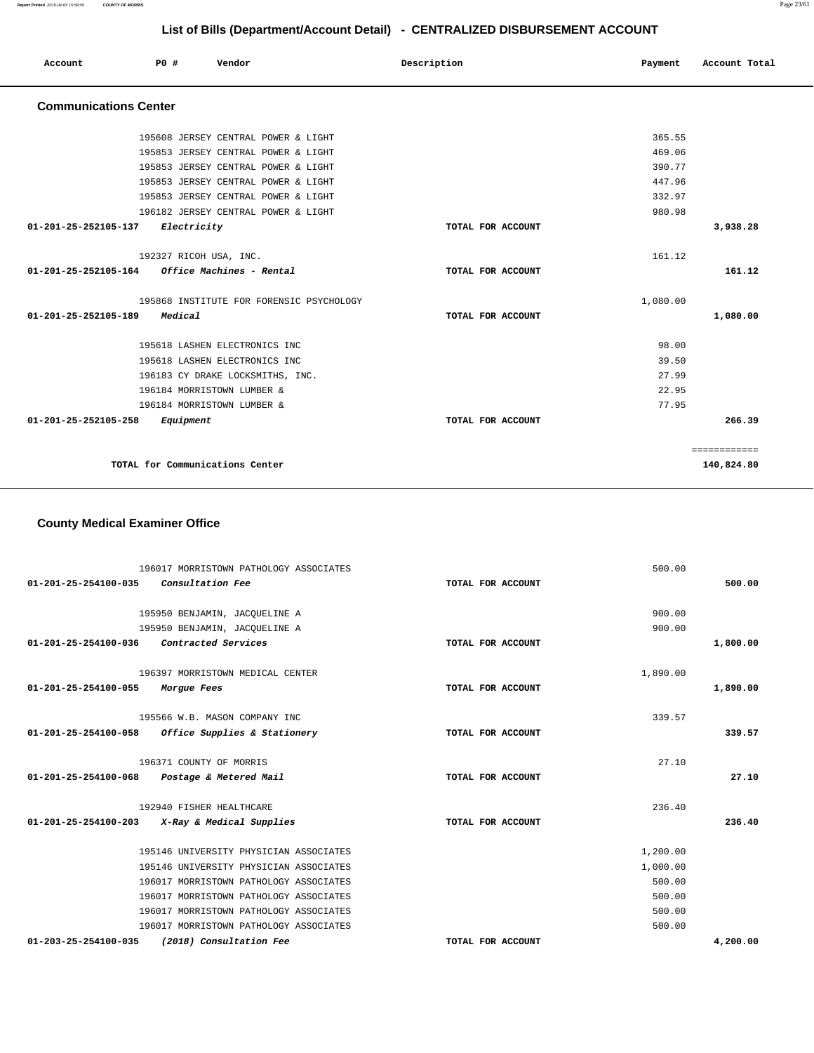**Report Printed** 2019-04-05 15:58:09 **COUNTY OF MORRIS** Page 23/61

## **List of Bills (Department/Account Detail) - CENTRALIZED DISBURSEMENT ACCOUNT**

| Account                      | P0 #                            | Vendor                                   | Description       | Payment  | Account Total |
|------------------------------|---------------------------------|------------------------------------------|-------------------|----------|---------------|
| <b>Communications Center</b> |                                 |                                          |                   |          |               |
|                              |                                 | 195608 JERSEY CENTRAL POWER & LIGHT      |                   | 365.55   |               |
|                              |                                 | 195853 JERSEY CENTRAL POWER & LIGHT      |                   | 469.06   |               |
|                              |                                 | 195853 JERSEY CENTRAL POWER & LIGHT      |                   | 390.77   |               |
|                              |                                 | 195853 JERSEY CENTRAL POWER & LIGHT      |                   | 447.96   |               |
|                              |                                 | 195853 JERSEY CENTRAL POWER & LIGHT      |                   | 332.97   |               |
|                              |                                 | 196182 JERSEY CENTRAL POWER & LIGHT      |                   | 980.98   |               |
| 01-201-25-252105-137         | Electricity                     |                                          | TOTAL FOR ACCOUNT |          | 3,938.28      |
|                              | 192327 RICOH USA, INC.          |                                          |                   | 161.12   |               |
| 01-201-25-252105-164         |                                 | Office Machines - Rental                 | TOTAL FOR ACCOUNT |          | 161.12        |
|                              |                                 | 195868 INSTITUTE FOR FORENSIC PSYCHOLOGY |                   | 1,080.00 |               |
| 01-201-25-252105-189         | Medical                         |                                          | TOTAL FOR ACCOUNT |          | 1,080.00      |
|                              |                                 | 195618 LASHEN ELECTRONICS INC            |                   | 98.00    |               |
|                              |                                 | 195618 LASHEN ELECTRONICS INC            |                   | 39.50    |               |
|                              |                                 | 196183 CY DRAKE LOCKSMITHS, INC.         |                   | 27.99    |               |
|                              |                                 | 196184 MORRISTOWN LUMBER &               |                   | 22.95    |               |
|                              |                                 | 196184 MORRISTOWN LUMBER &               |                   | 77.95    |               |
| 01-201-25-252105-258         | Equipment                       |                                          | TOTAL FOR ACCOUNT |          | 266.39        |
|                              |                                 |                                          |                   |          | ============  |
|                              | TOTAL for Communications Center |                                          |                   |          | 140,824.80    |

## **County Medical Examiner Office**

| 196017 MORRISTOWN PATHOLOGY ASSOCIATES                    |                   | 500.00   |          |
|-----------------------------------------------------------|-------------------|----------|----------|
| Consultation Fee<br>$01 - 201 - 25 - 254100 - 035$        | TOTAL FOR ACCOUNT |          | 500.00   |
|                                                           |                   |          |          |
| 195950 BENJAMIN, JACOUELINE A                             |                   | 900.00   |          |
| 195950 BENJAMIN, JACQUELINE A                             |                   | 900.00   |          |
| 01-201-25-254100-036<br>Contracted Services               | TOTAL FOR ACCOUNT |          | 1,800.00 |
|                                                           |                   |          |          |
| 196397 MORRISTOWN MEDICAL CENTER                          |                   | 1,890.00 |          |
| 01-201-25-254100-055<br>Morgue Fees                       | TOTAL FOR ACCOUNT |          | 1,890.00 |
|                                                           |                   |          |          |
| 195566 W.B. MASON COMPANY INC                             |                   | 339.57   |          |
| Office Supplies & Stationery<br>01-201-25-254100-058      | TOTAL FOR ACCOUNT |          | 339.57   |
| 196371 COUNTY OF MORRIS                                   |                   | 27.10    |          |
| 01-201-25-254100-068<br>Postage & Metered Mail            | TOTAL FOR ACCOUNT |          | 27.10    |
|                                                           |                   |          |          |
| 192940 FISHER HEALTHCARE                                  |                   | 236.40   |          |
| 01-201-25-254100-203<br>X-Ray & Medical Supplies          | TOTAL FOR ACCOUNT |          | 236.40   |
|                                                           |                   |          |          |
| 195146 UNIVERSITY PHYSICIAN ASSOCIATES                    |                   | 1,200.00 |          |
| 195146 UNIVERSITY PHYSICIAN ASSOCIATES                    |                   | 1,000.00 |          |
| 196017 MORRISTOWN PATHOLOGY ASSOCIATES                    |                   | 500.00   |          |
| 196017 MORRISTOWN PATHOLOGY ASSOCIATES                    |                   | 500.00   |          |
| 196017 MORRISTOWN PATHOLOGY ASSOCIATES                    |                   | 500.00   |          |
| 196017 MORRISTOWN PATHOLOGY ASSOCIATES                    |                   | 500.00   |          |
| $01 - 203 - 25 - 254100 - 035$<br>(2018) Consultation Fee | TOTAL FOR ACCOUNT |          | 4,200.00 |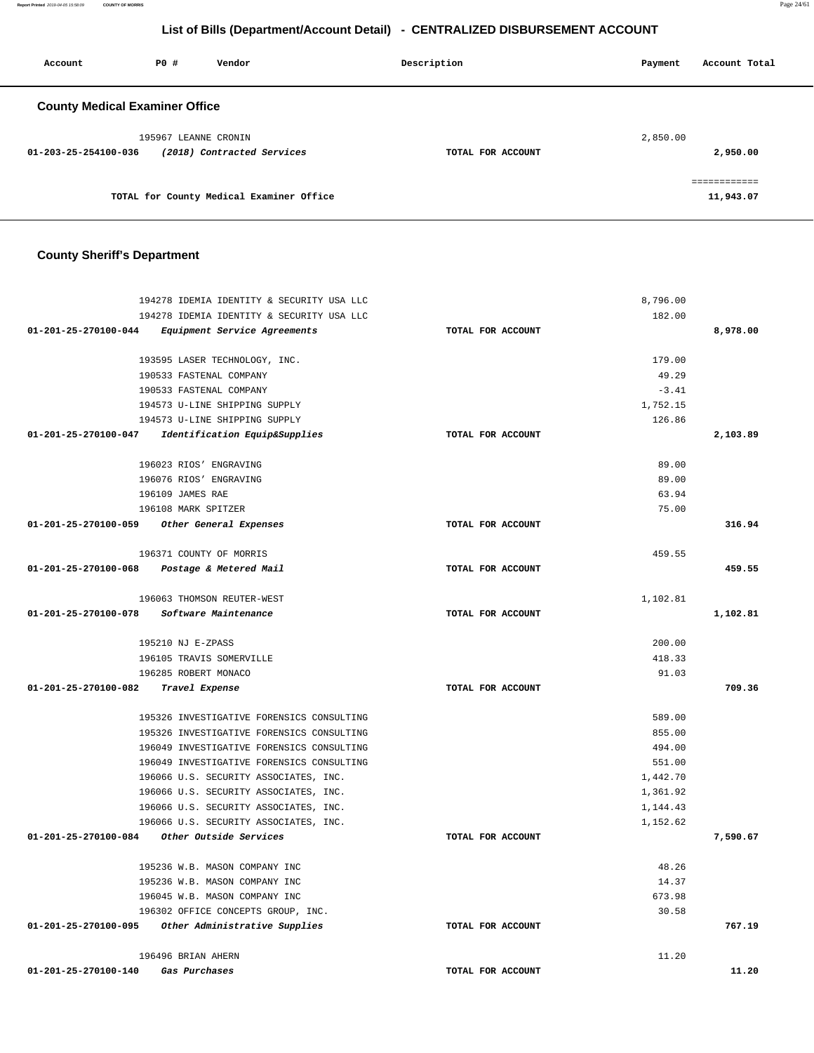**County Sheriff's Department** 194278 IDEMIA IDENTITY & SECURITY USA LLC 8,796.00 194278 IDEMIA IDENTITY & SECURITY USA LLC 182.00  **01-201-25-270100-044 Equipment Service Agreements TOTAL FOR ACCOUNT 8,978.00** 193595 LASER TECHNOLOGY, INC. 179.00 190533 FASTENAL COMPANY 49.29 190533 FASTENAL COMPANY -3.41 194573 U-LINE SHIPPING SUPPLY 1,752.15 194573 U-LINE SHIPPING SUPPLY 126.86  **01-201-25-270100-047 Identification Equip&Supplies TOTAL FOR ACCOUNT 2,103.89** 196023 RIOS' ENGRAVING 89.00 196076 RIOS' ENGRAVING 89.00 196109 JAMES RAE 63.94 196108 MARK SPITZER 75.00  **01-201-25-270100-059 Other General Expenses TOTAL FOR ACCOUNT 316.94** 196371 COUNTY OF MORRIS 459.55  **01-201-25-270100-068 Postage & Metered Mail TOTAL FOR ACCOUNT 459.55** 196063 THOMSON REUTER-WEST 1,102.81  **01-201-25-270100-078 Software Maintenance TOTAL FOR ACCOUNT 1,102.81** 195210 NJ E-ZPASS 200.00 196105 TRAVIS SOMERVILLE 418.33 196285 ROBERT MONACO 91.03  **01-201-25-270100-082 Travel Expense TOTAL FOR ACCOUNT 709.36** 195326 INVESTIGATIVE FORENSICS CONSULTING 589.00 195326 INVESTIGATIVE FORENSICS CONSULTING 855.00 196049 INVESTIGATIVE FORENSICS CONSULTING 494.00 196049 INVESTIGATIVE FORENSICS CONSULTING 551.00 196066 U.S. SECURITY ASSOCIATES, INC. 1,442.70 196066 U.S. SECURITY ASSOCIATES, INC. 1,361.92 196066 U.S. SECURITY ASSOCIATES, INC. 1,144.43 196066 U.S. SECURITY ASSOCIATES, INC. 1,152.62  **01-201-25-270100-084 Other Outside Services TOTAL FOR ACCOUNT 7,590.67** 195236 W.B. MASON COMPANY INC 48.26 195236 W.B. MASON COMPANY INC 14.37 196045 W.B. MASON COMPANY INC 673.98 196302 OFFICE CONCEPTS GROUP, INC. 30.58  **01-201-25-270100-095 Other Administrative Supplies TOTAL FOR ACCOUNT 767.19** 196496 BRIAN AHERN 11.20  **01-201-25-270100-140 Gas Purchases TOTAL FOR ACCOUNT 11.20**

# **County Medical Examiner Office** 195967 LEANNE CRONIN 2,850.00  **01-203-25-254100-036 (2018) Contracted Services TOTAL FOR ACCOUNT 2,950.00** ============ **TOTAL for County Medical Examiner Office 11,943.07**

 **List of Bills (Department/Account Detail) - CENTRALIZED DISBURSEMENT ACCOUNT**

 **Account P0 # Vendor Description Payment Account Total**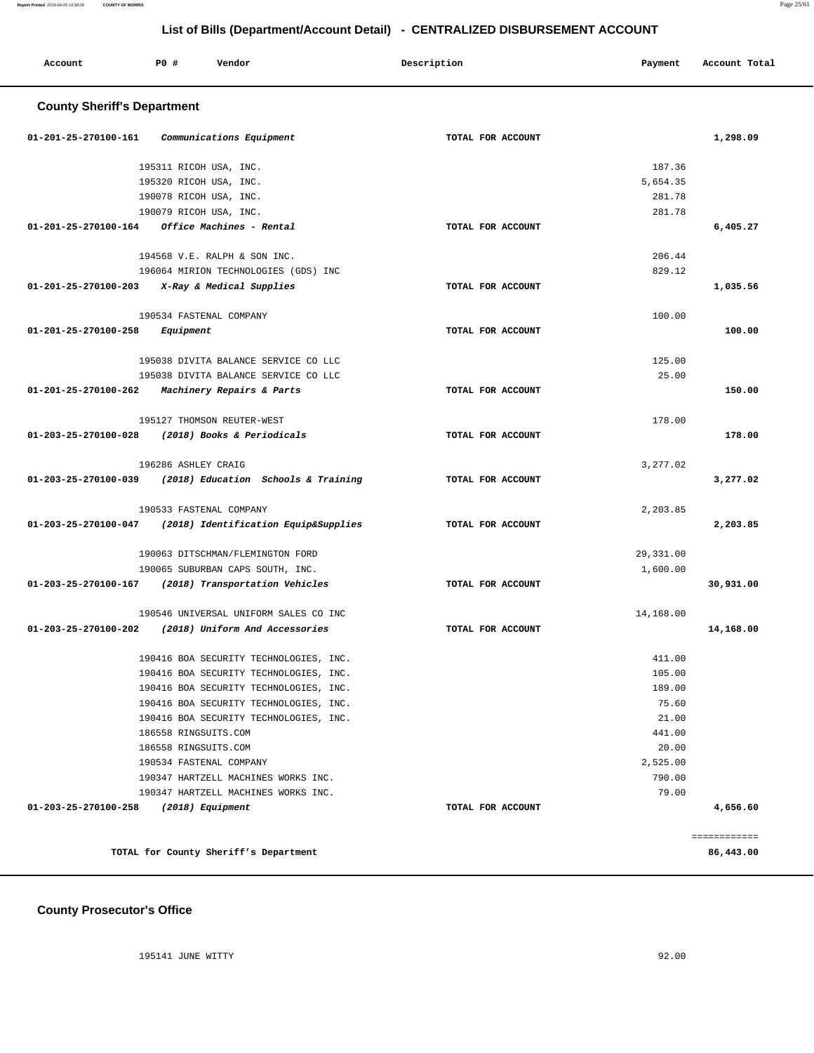| Account                            | P0 #<br>Vendor                                            | Description       | Payment   | Account Total             |
|------------------------------------|-----------------------------------------------------------|-------------------|-----------|---------------------------|
| <b>County Sheriff's Department</b> |                                                           |                   |           |                           |
| 01-201-25-270100-161               | Communications Equipment                                  | TOTAL FOR ACCOUNT |           | 1,298.09                  |
|                                    | 195311 RICOH USA, INC.                                    |                   | 187.36    |                           |
|                                    | 195320 RICOH USA, INC.                                    |                   | 5,654.35  |                           |
|                                    | 190078 RICOH USA, INC.                                    |                   | 281.78    |                           |
|                                    | 190079 RICOH USA, INC.                                    |                   | 281.78    |                           |
| 01-201-25-270100-164               | Office Machines - Rental                                  | TOTAL FOR ACCOUNT |           | 6,405.27                  |
|                                    | 194568 V.E. RALPH & SON INC.                              |                   | 206.44    |                           |
|                                    | 196064 MIRION TECHNOLOGIES (GDS) INC                      |                   | 829.12    |                           |
| 01-201-25-270100-203               | X-Ray & Medical Supplies                                  | TOTAL FOR ACCOUNT |           | 1,035.56                  |
|                                    | 190534 FASTENAL COMPANY                                   |                   | 100.00    |                           |
| 01-201-25-270100-258               | Equipment                                                 | TOTAL FOR ACCOUNT |           | 100.00                    |
|                                    | 195038 DIVITA BALANCE SERVICE CO LLC                      |                   | 125.00    |                           |
|                                    | 195038 DIVITA BALANCE SERVICE CO LLC                      |                   | 25.00     |                           |
| 01-201-25-270100-262               | Machinery Repairs & Parts                                 | TOTAL FOR ACCOUNT |           | 150.00                    |
|                                    | 195127 THOMSON REUTER-WEST                                |                   | 178.00    |                           |
| 01-203-25-270100-028               | (2018) Books & Periodicals                                | TOTAL FOR ACCOUNT |           | 178.00                    |
|                                    | 196286 ASHLEY CRAIG                                       |                   | 3,277.02  |                           |
|                                    | 01-203-25-270100-039 (2018) Education Schools & Training  | TOTAL FOR ACCOUNT |           | 3,277.02                  |
|                                    | 190533 FASTENAL COMPANY                                   |                   | 2,203.85  |                           |
|                                    | 01-203-25-270100-047 (2018) Identification Equip&Supplies | TOTAL FOR ACCOUNT |           | 2,203.85                  |
|                                    | 190063 DITSCHMAN/FLEMINGTON FORD                          |                   | 29,331.00 |                           |
|                                    | 190065 SUBURBAN CAPS SOUTH, INC.                          |                   | 1,600.00  |                           |
|                                    | 01-203-25-270100-167 (2018) Transportation Vehicles       | TOTAL FOR ACCOUNT |           | 30,931.00                 |
|                                    | 190546 UNIVERSAL UNIFORM SALES CO INC                     |                   | 14,168.00 |                           |
| 01-203-25-270100-202               | (2018) Uniform And Accessories                            | TOTAL FOR ACCOUNT |           | 14,168.00                 |
|                                    | 190416 BOA SECURITY TECHNOLOGIES, INC.                    |                   | 411.00    |                           |
|                                    | 190416 BOA SECURITY TECHNOLOGIES, INC.                    |                   | 105.00    |                           |
|                                    | 190416 BOA SECURITY TECHNOLOGIES, INC.                    |                   | 189.00    |                           |
|                                    | 190416 BOA SECURITY TECHNOLOGIES, INC.                    |                   | 75.60     |                           |
|                                    | 190416 BOA SECURITY TECHNOLOGIES, INC.                    |                   | 21.00     |                           |
|                                    | 186558 RINGSUITS.COM                                      |                   | 441.00    |                           |
|                                    | 186558 RINGSUITS.COM                                      |                   | 20.00     |                           |
|                                    | 190534 FASTENAL COMPANY                                   |                   | 2,525.00  |                           |
|                                    | 190347 HARTZELL MACHINES WORKS INC.                       |                   | 790.00    |                           |
| 01-203-25-270100-258               | 190347 HARTZELL MACHINES WORKS INC.<br>(2018) Equipment   | TOTAL FOR ACCOUNT | 79.00     | 4,656.60                  |
|                                    |                                                           |                   |           |                           |
|                                    | TOTAL for County Sheriff's Department                     |                   |           | ============<br>86,443.00 |

 **County Prosecutor's Office**

195141 JUNE WITTY 92.00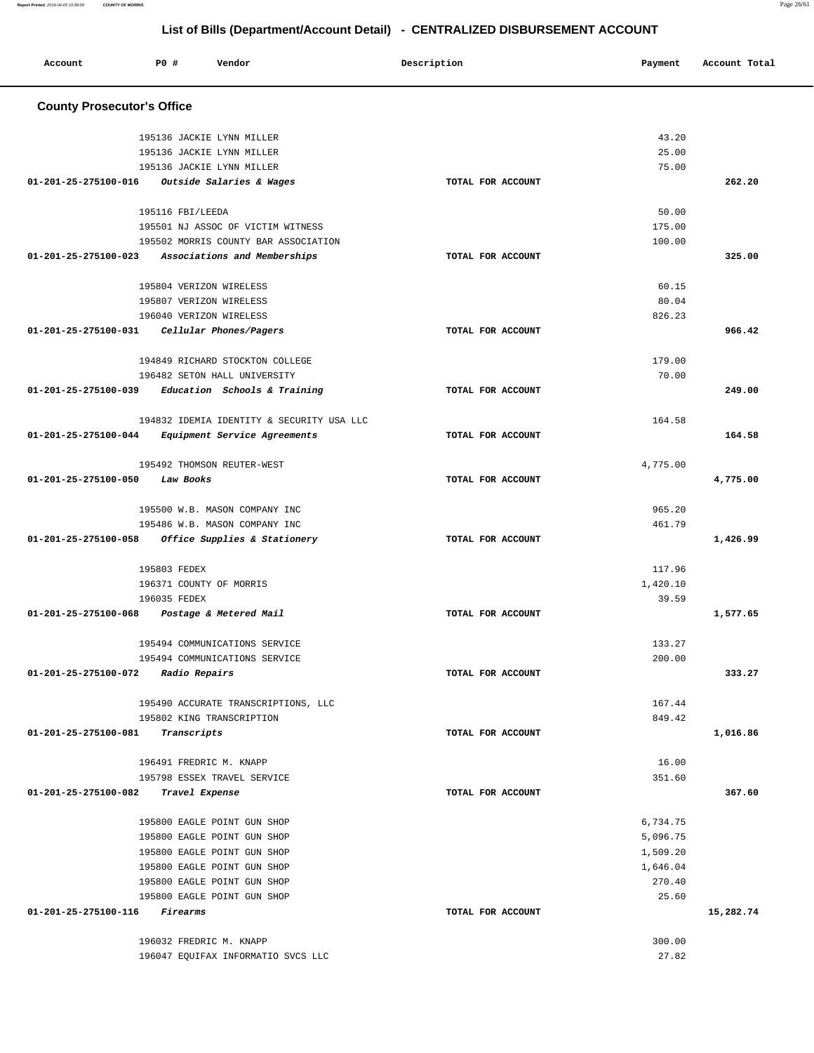**Account P0 # Vendor Description Payment Account Total County Prosecutor's Office** 195136 JACKIE LYNN MILLER 43.20 195136 JACKIE LYNN MILLER 25.00 195136 JACKIE LYNN MILLER 75.00  **01-201-25-275100-016 Outside Salaries & Wages TOTAL FOR ACCOUNT 262.20** 195116 FBI/LEEDA 50.00 195501 NJ ASSOC OF VICTIM WITNESS 175.00 195502 MORRIS COUNTY BAR ASSOCIATION 100.00  **01-201-25-275100-023 Associations and Memberships TOTAL FOR ACCOUNT 325.00** 195804 VERIZON WIRELESS 60.15 195807 VERIZON WIRELESS 80.04 196040 VERIZON WIRELESS 826.23  **01-201-25-275100-031 Cellular Phones/Pagers TOTAL FOR ACCOUNT 966.42** 194849 RICHARD STOCKTON COLLEGE 179.00 196482 SETON HALL UNIVERSITY 70.00  **01-201-25-275100-039 Education Schools & Training TOTAL FOR ACCOUNT 249.00** 194832 IDEMIA IDENTITY & SECURITY USA LLC 164.58  **01-201-25-275100-044 Equipment Service Agreements TOTAL FOR ACCOUNT 164.58** 195492 THOMSON REUTER-WEST 4,775.00  **01-201-25-275100-050 Law Books TOTAL FOR ACCOUNT 4,775.00** 195500 W.B. MASON COMPANY INC 965.20 195486 W.B. MASON COMPANY INC 461.79  **01-201-25-275100-058 Office Supplies & Stationery TOTAL FOR ACCOUNT 1,426.99** 195803 FEDEX 117.96 196371 COUNTY OF MORRIS 1,420.10 196035 FEDEX 39.59  **01-201-25-275100-068 Postage & Metered Mail TOTAL FOR ACCOUNT 1,577.65** 195494 COMMUNICATIONS SERVICE 133.27 195494 COMMUNICATIONS SERVICE 200.00  **01-201-25-275100-072 Radio Repairs TOTAL FOR ACCOUNT 333.27** 195490 ACCURATE TRANSCRIPTIONS, LLC 167.44 195802 KING TRANSCRIPTION 849.42  **01-201-25-275100-081 Transcripts TOTAL FOR ACCOUNT 1,016.86** 196491 FREDRIC M. KNAPP 16.00 195798 ESSEX TRAVEL SERVICE 351.60  **01-201-25-275100-082 Travel Expense TOTAL FOR ACCOUNT 367.60** 195800 EAGLE POINT GUN SHOP 6, 1998 (1999) 195800 EAGLE POINT GUN SHOP 195800 EAGLE POINT GUN SHOP 5,096.75 195800 EAGLE POINT GUN SHOP 1,509.20 195800 EAGLE POINT GUN SHOP 1,646.04 195800 EAGLE POINT GUN SHOP 270.40 195800 EAGLE POINT GUN SHOP 25.60  **01-201-25-275100-116 Firearms TOTAL FOR ACCOUNT 15,282.74** 196032 FREDRIC M. KNAPP 300.00 196047 EQUIFAX INFORMATIO SVCS LLC 27.82

#### **List of Bills (Department/Account Detail) - CENTRALIZED DISBURSEMENT ACCOUNT**

**Report Printed** 2019-04-05 15:58:09 **COUNTY OF MORRIS** Page 26/61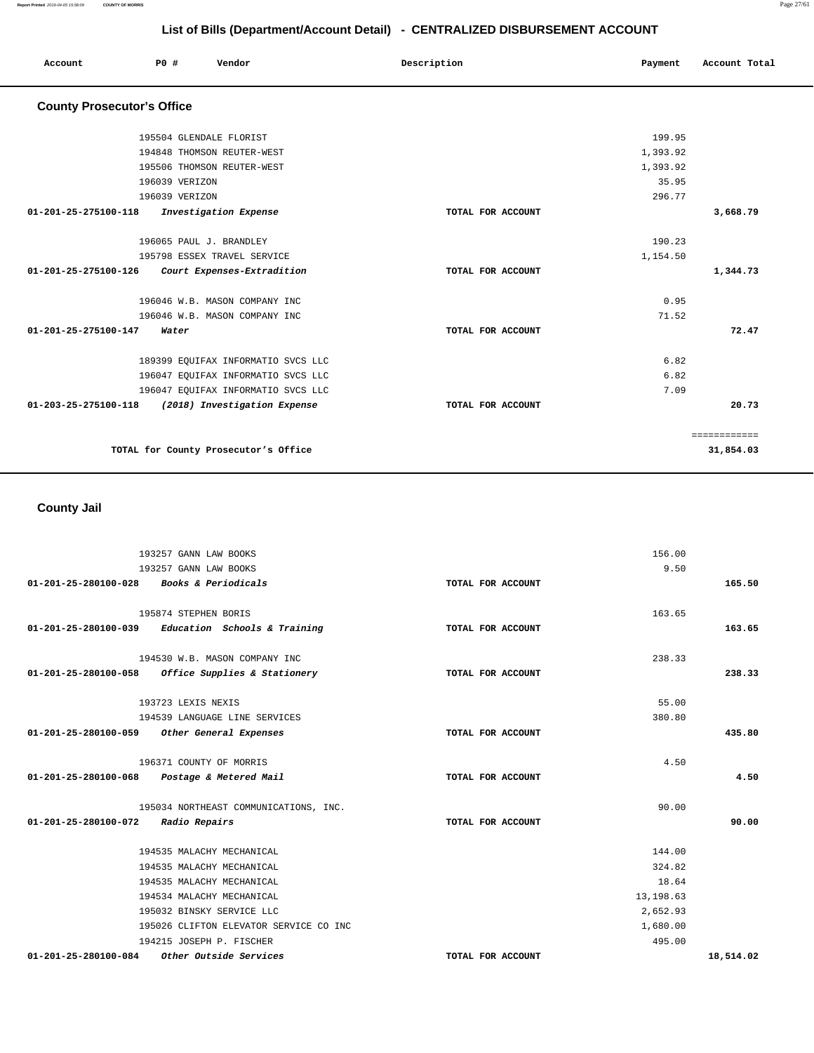**Report Printed** 2019-04-05 15:58:09 **COUNTY OF MORRIS** Page 27/61

## **List of Bills (Department/Account Detail) - CENTRALIZED DISBURSEMENT ACCOUNT**

| Account                           | P0 #           | Vendor                               | Description       | Payment  | Account Total |
|-----------------------------------|----------------|--------------------------------------|-------------------|----------|---------------|
| <b>County Prosecutor's Office</b> |                |                                      |                   |          |               |
|                                   |                | 195504 GLENDALE FLORIST              |                   | 199.95   |               |
|                                   |                | 194848 THOMSON REUTER-WEST           |                   | 1,393.92 |               |
|                                   |                | 195506 THOMSON REUTER-WEST           |                   | 1,393.92 |               |
|                                   | 196039 VERIZON |                                      |                   | 35.95    |               |
|                                   | 196039 VERIZON |                                      |                   | 296.77   |               |
| 01-201-25-275100-118              |                | Investigation Expense                | TOTAL FOR ACCOUNT |          | 3,668.79      |
|                                   |                | 196065 PAUL J. BRANDLEY              |                   | 190.23   |               |
|                                   |                | 195798 ESSEX TRAVEL SERVICE          |                   | 1,154.50 |               |
| $01 - 201 - 25 - 275100 - 126$    |                | Court Expenses-Extradition           | TOTAL FOR ACCOUNT |          | 1,344.73      |
|                                   |                | 196046 W.B. MASON COMPANY INC        |                   | 0.95     |               |
|                                   |                | 196046 W.B. MASON COMPANY INC        |                   | 71.52    |               |
| 01-201-25-275100-147              | Water          |                                      | TOTAL FOR ACCOUNT |          | 72.47         |
|                                   |                | 189399 EQUIFAX INFORMATIO SVCS LLC   |                   | 6.82     |               |
|                                   |                | 196047 EQUIFAX INFORMATIO SVCS LLC   |                   | 6.82     |               |
|                                   |                | 196047 EQUIFAX INFORMATIO SVCS LLC   |                   | 7.09     |               |
| 01-203-25-275100-118              |                | (2018) Investigation Expense         | TOTAL FOR ACCOUNT |          | 20.73         |
|                                   |                |                                      |                   |          | ============  |
|                                   |                | TOTAL for County Prosecutor's Office |                   |          | 31,854.03     |

 **County Jail** 

| 193257 GANN LAW BOOKS                                |                   | 156.00     |           |
|------------------------------------------------------|-------------------|------------|-----------|
| 193257 GANN LAW BOOKS                                |                   | 9.50       |           |
| 01-201-25-280100-028 Books & Periodicals             | TOTAL FOR ACCOUNT |            | 165.50    |
| 195874 STEPHEN BORIS                                 |                   | 163.65     |           |
| $01-201-25-280100-039$ Education Schools & Training  | TOTAL FOR ACCOUNT |            | 163.65    |
| 194530 W.B. MASON COMPANY INC                        |                   | 238.33     |           |
| Office Supplies & Stationery<br>01-201-25-280100-058 | TOTAL FOR ACCOUNT |            | 238.33    |
| 193723 LEXIS NEXIS                                   |                   | 55.00      |           |
| 194539 LANGUAGE LINE SERVICES                        |                   | 380.80     |           |
| 01-201-25-280100-059<br>Other General Expenses       | TOTAL FOR ACCOUNT |            | 435.80    |
| 196371 COUNTY OF MORRIS                              |                   | 4.50       |           |
| 01-201-25-280100-068<br>Postage & Metered Mail       | TOTAL FOR ACCOUNT |            | 4.50      |
| 195034 NORTHEAST COMMUNICATIONS, INC.                |                   | 90.00      |           |
| 01-201-25-280100-072<br><i>Radio Repairs</i>         | TOTAL FOR ACCOUNT |            | 90.00     |
| 194535 MALACHY MECHANICAL                            |                   | 144.00     |           |
| 194535 MALACHY MECHANICAL                            |                   | 324.82     |           |
| 194535 MALACHY MECHANICAL                            |                   | 18.64      |           |
| 194534 MALACHY MECHANICAL                            |                   | 13, 198.63 |           |
| 195032 BINSKY SERVICE LLC                            |                   | 2,652.93   |           |
| 195026 CLIFTON ELEVATOR SERVICE CO INC               |                   | 1,680.00   |           |
| 194215 JOSEPH P. FISCHER                             |                   | 495.00     |           |
| Other Outside Services<br>01-201-25-280100-084       | TOTAL FOR ACCOUNT |            | 18,514.02 |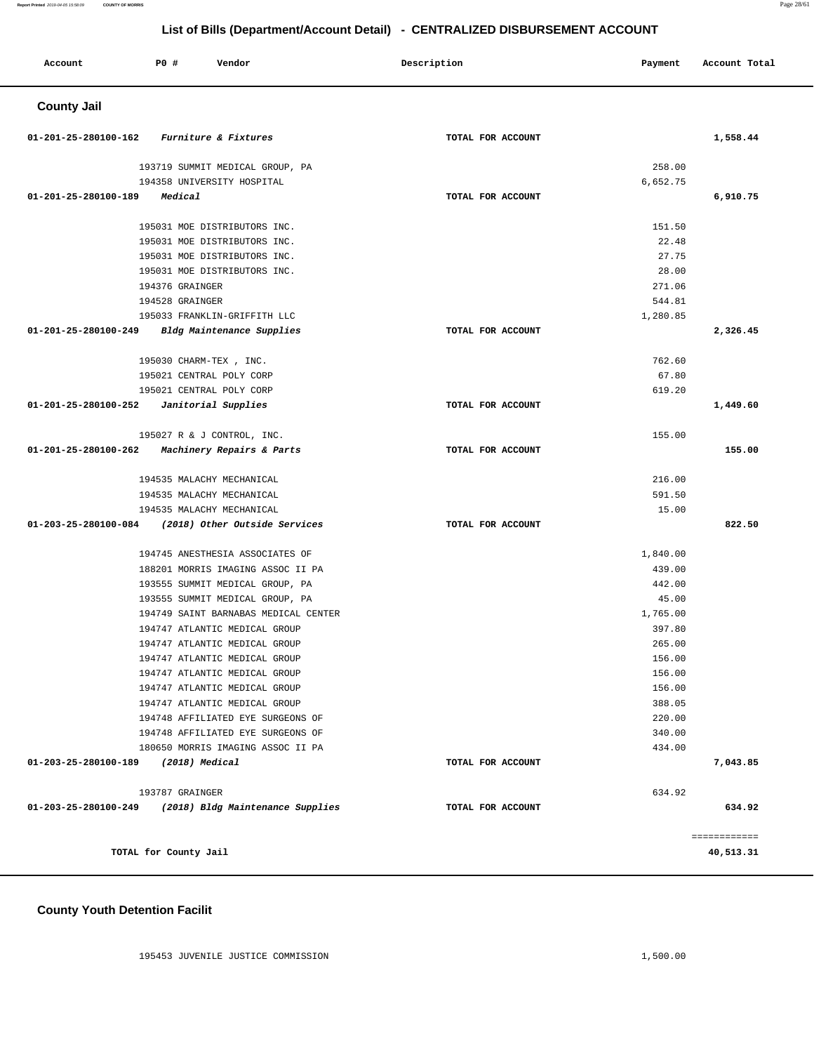#### **Report Printed** 2019-04-05 15:58:09 **COUNTY OF MORRIS** Page 28/61

### **List of Bills (Department/Account Detail) - CENTRALIZED DISBURSEMENT ACCOUNT**

| Account<br>. | P0 # | Vendor | Description | Payment | Account Total |
|--------------|------|--------|-------------|---------|---------------|
|              |      |        |             |         |               |

## **County Jail**

|                                            | 01-201-25-280100-162 Furniture & Fixtures          | TOTAL FOR ACCOUNT |          | 1,558.44     |
|--------------------------------------------|----------------------------------------------------|-------------------|----------|--------------|
|                                            | 193719 SUMMIT MEDICAL GROUP, PA                    |                   | 258.00   |              |
|                                            | 194358 UNIVERSITY HOSPITAL                         |                   | 6,652.75 |              |
| 01-201-25-280100-189 Medical               |                                                    | TOTAL FOR ACCOUNT |          | 6,910.75     |
|                                            | 195031 MOE DISTRIBUTORS INC.                       |                   | 151.50   |              |
|                                            | 195031 MOE DISTRIBUTORS INC.                       |                   | 22.48    |              |
|                                            | 195031 MOE DISTRIBUTORS INC.                       |                   | 27.75    |              |
|                                            | 195031 MOE DISTRIBUTORS INC.                       |                   | 28.00    |              |
|                                            | 194376 GRAINGER                                    |                   | 271.06   |              |
|                                            | 194528 GRAINGER                                    |                   | 544.81   |              |
|                                            | 195033 FRANKLIN-GRIFFITH LLC                       |                   | 1,280.85 |              |
|                                            | 01-201-25-280100-249 Bldg Maintenance Supplies     | TOTAL FOR ACCOUNT |          | 2,326.45     |
|                                            | 195030 CHARM-TEX, INC.                             |                   | 762.60   |              |
|                                            | 195021 CENTRAL POLY CORP                           |                   | 67.80    |              |
|                                            | 195021 CENTRAL POLY CORP                           |                   | 619.20   |              |
| $01-201-25-280100-252$ Janitorial Supplies |                                                    | TOTAL FOR ACCOUNT |          | 1,449.60     |
|                                            | 195027 R & J CONTROL, INC.                         |                   | 155.00   |              |
|                                            | 01-201-25-280100-262 Machinery Repairs & Parts     | TOTAL FOR ACCOUNT |          | 155.00       |
|                                            | 194535 MALACHY MECHANICAL                          |                   | 216.00   |              |
|                                            | 194535 MALACHY MECHANICAL                          |                   | 591.50   |              |
|                                            | 194535 MALACHY MECHANICAL                          |                   | 15.00    |              |
|                                            | 01-203-25-280100-084 (2018) Other Outside Services | TOTAL FOR ACCOUNT |          | 822.50       |
|                                            | 194745 ANESTHESIA ASSOCIATES OF                    |                   | 1,840.00 |              |
|                                            | 188201 MORRIS IMAGING ASSOC II PA                  |                   | 439.00   |              |
|                                            | 193555 SUMMIT MEDICAL GROUP, PA                    |                   | 442.00   |              |
|                                            | 193555 SUMMIT MEDICAL GROUP, PA                    |                   | 45.00    |              |
|                                            | 194749 SAINT BARNABAS MEDICAL CENTER               |                   | 1,765.00 |              |
|                                            | 194747 ATLANTIC MEDICAL GROUP                      |                   | 397.80   |              |
|                                            | 194747 ATLANTIC MEDICAL GROUP                      |                   | 265.00   |              |
|                                            | 194747 ATLANTIC MEDICAL GROUP                      |                   | 156.00   |              |
|                                            | 194747 ATLANTIC MEDICAL GROUP                      |                   | 156.00   |              |
|                                            | 194747 ATLANTIC MEDICAL GROUP                      |                   | 156.00   |              |
|                                            | 194747 ATLANTIC MEDICAL GROUP                      |                   | 388.05   |              |
|                                            | 194748 AFFILIATED EYE SURGEONS OF                  |                   | 220.00   |              |
|                                            | 194748 AFFILIATED EYE SURGEONS OF                  |                   | 340.00   |              |
|                                            | 180650 MORRIS IMAGING ASSOC II PA                  |                   | 434.00   |              |
| 01-203-25-280100-189                       | (2018) Medical                                     | TOTAL FOR ACCOUNT |          | 7,043.85     |
|                                            | 193787 GRAINGER                                    |                   | 634.92   |              |
| 01-203-25-280100-249                       | (2018) Bldg Maintenance Supplies                   | TOTAL FOR ACCOUNT |          | 634.92       |
|                                            |                                                    |                   |          | ============ |
|                                            | TOTAL for County Jail                              |                   |          | 40,513.31    |

#### **County Youth Detention Facilit**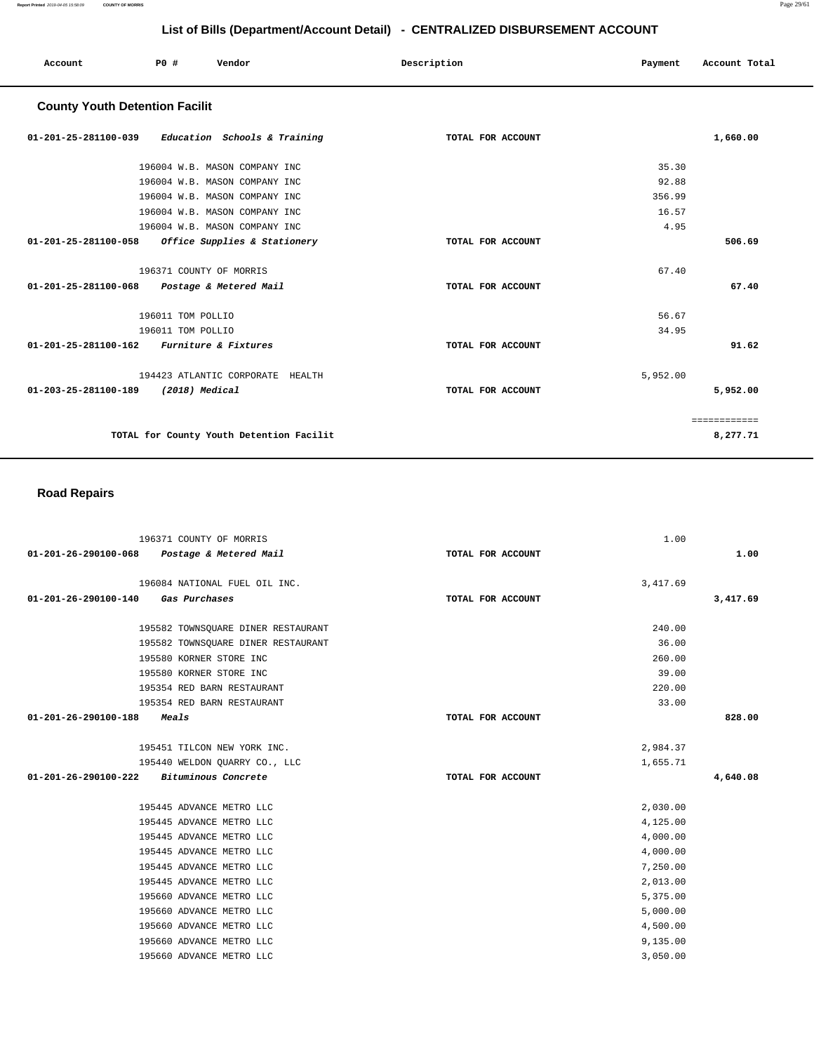| Account                                     | <b>PO #</b>       | Vendor                                              | Description       | Payment  | Account Total |
|---------------------------------------------|-------------------|-----------------------------------------------------|-------------------|----------|---------------|
| <b>County Youth Detention Facilit</b>       |                   |                                                     |                   |          |               |
|                                             |                   | $01-201-25-281100-039$ Education Schools & Training | TOTAL FOR ACCOUNT |          | 1,660.00      |
|                                             |                   | 196004 W.B. MASON COMPANY INC                       |                   | 35.30    |               |
|                                             |                   | 196004 W.B. MASON COMPANY INC                       |                   | 92.88    |               |
|                                             |                   | 196004 W.B. MASON COMPANY INC                       |                   | 356.99   |               |
|                                             |                   | 196004 W.B. MASON COMPANY INC                       |                   | 16.57    |               |
|                                             |                   | 196004 W.B. MASON COMPANY INC                       |                   | 4.95     |               |
| 01-201-25-281100-058                        |                   | Office Supplies & Stationery                        | TOTAL FOR ACCOUNT |          | 506.69        |
|                                             |                   | 196371 COUNTY OF MORRIS                             |                   | 67.40    |               |
| 01-201-25-281100-068 Postage & Metered Mail |                   |                                                     | TOTAL FOR ACCOUNT |          | 67.40         |
|                                             | 196011 TOM POLLIO |                                                     |                   | 56.67    |               |
|                                             | 196011 TOM POLLIO |                                                     |                   | 34.95    |               |
| 01-201-25-281100-162 Furniture & Fixtures   |                   |                                                     | TOTAL FOR ACCOUNT |          | 91.62         |
|                                             |                   | 194423 ATLANTIC CORPORATE HEALTH                    |                   | 5,952.00 |               |
| 01-203-25-281100-189                        |                   | (2018) Medical                                      | TOTAL FOR ACCOUNT |          | 5,952.00      |
|                                             |                   |                                                     |                   |          | ============  |
|                                             |                   | TOTAL for County Youth Detention Facilit            |                   |          | 8,277.71      |

## **Road Repairs**

|                      | 196371 COUNTY OF MORRIS            |                   | 1.00     |          |
|----------------------|------------------------------------|-------------------|----------|----------|
| 01-201-26-290100-068 | Postage & Metered Mail             | TOTAL FOR ACCOUNT |          | 1.00     |
|                      | 196084 NATIONAL FUEL OIL INC.      |                   | 3,417.69 |          |
| 01-201-26-290100-140 | Gas Purchases                      | TOTAL FOR ACCOUNT |          | 3,417.69 |
|                      | 195582 TOWNSOUARE DINER RESTAURANT |                   | 240.00   |          |
|                      | 195582 TOWNSOUARE DINER RESTAURANT |                   | 36.00    |          |
|                      | 195580 KORNER STORE INC            |                   | 260.00   |          |
|                      | 195580 KORNER STORE INC            |                   | 39.00    |          |
|                      | 195354 RED BARN RESTAURANT         |                   | 220.00   |          |
|                      | 195354 RED BARN RESTAURANT         |                   | 33.00    |          |
| 01-201-26-290100-188 | Meals                              | TOTAL FOR ACCOUNT |          | 828.00   |
|                      | 195451 TILCON NEW YORK INC.        |                   | 2,984.37 |          |
|                      | 195440 WELDON QUARRY CO., LLC      |                   | 1,655.71 |          |
| 01-201-26-290100-222 | <i>Bituminous Concrete</i>         | TOTAL FOR ACCOUNT |          | 4,640.08 |
|                      | 195445 ADVANCE METRO LLC           |                   | 2,030.00 |          |
|                      | 195445 ADVANCE METRO LLC           |                   | 4,125.00 |          |
|                      | 195445 ADVANCE METRO LLC           |                   | 4,000.00 |          |
|                      | 195445 ADVANCE METRO LLC           |                   | 4,000.00 |          |
|                      | 195445 ADVANCE METRO LLC           |                   | 7,250.00 |          |
|                      | 195445 ADVANCE METRO LLC           |                   | 2,013.00 |          |
|                      | 195660 ADVANCE METRO LLC           |                   | 5,375.00 |          |
|                      | 195660 ADVANCE METRO LLC           |                   | 5,000.00 |          |
|                      | 195660 ADVANCE METRO LLC           |                   | 4,500.00 |          |
|                      | 195660 ADVANCE METRO LLC           |                   | 9,135.00 |          |
|                      | 195660 ADVANCE METRO LLC           |                   | 3,050.00 |          |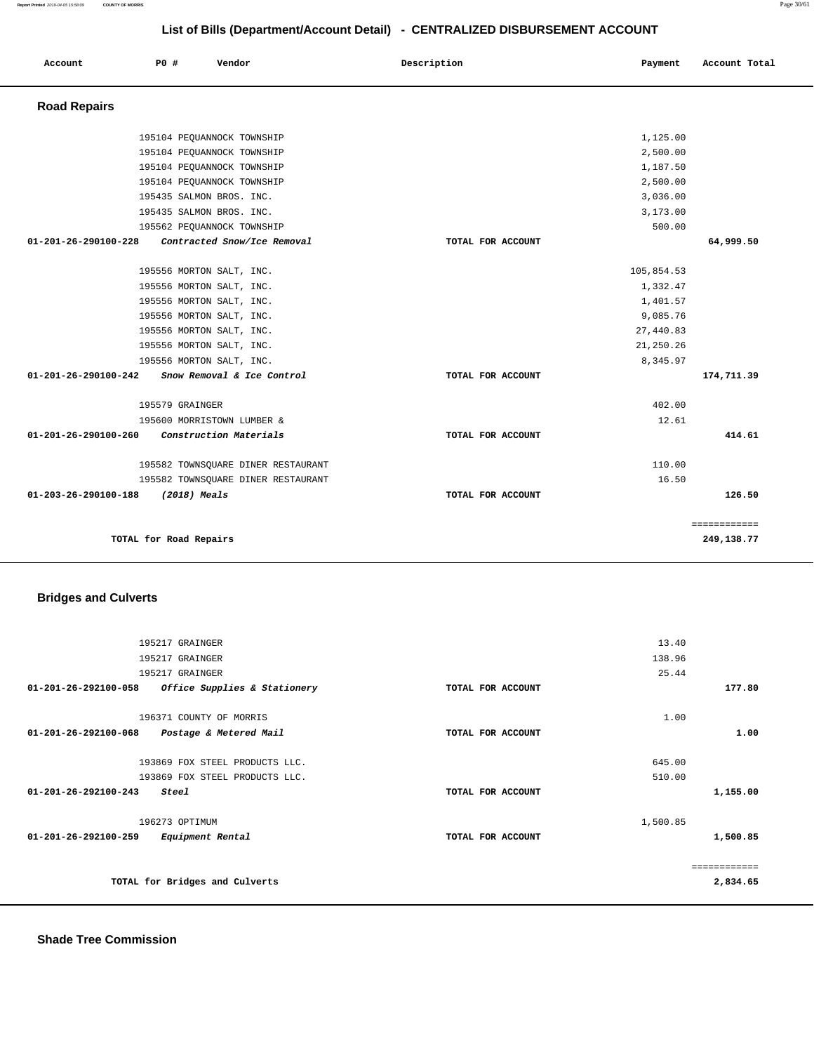| Account              | PO#                    | Vendor                             | Description       | Payment    | Account Total |
|----------------------|------------------------|------------------------------------|-------------------|------------|---------------|
| <b>Road Repairs</b>  |                        |                                    |                   |            |               |
|                      |                        | 195104 PEQUANNOCK TOWNSHIP         |                   | 1,125.00   |               |
|                      |                        | 195104 PEQUANNOCK TOWNSHIP         |                   | 2,500.00   |               |
|                      |                        | 195104 PEQUANNOCK TOWNSHIP         |                   | 1,187.50   |               |
|                      |                        | 195104 PEQUANNOCK TOWNSHIP         |                   | 2,500.00   |               |
|                      |                        | 195435 SALMON BROS. INC.           |                   | 3,036.00   |               |
|                      |                        | 195435 SALMON BROS. INC.           |                   | 3,173.00   |               |
|                      |                        | 195562 PEQUANNOCK TOWNSHIP         |                   | 500.00     |               |
| 01-201-26-290100-228 |                        | Contracted Snow/Ice Removal        | TOTAL FOR ACCOUNT |            | 64,999.50     |
|                      |                        | 195556 MORTON SALT, INC.           |                   | 105,854.53 |               |
|                      |                        | 195556 MORTON SALT, INC.           |                   | 1,332.47   |               |
|                      |                        | 195556 MORTON SALT, INC.           |                   | 1,401.57   |               |
|                      |                        | 195556 MORTON SALT, INC.           |                   | 9,085.76   |               |
|                      |                        | 195556 MORTON SALT, INC.           |                   | 27,440.83  |               |
|                      |                        | 195556 MORTON SALT, INC.           |                   | 21,250.26  |               |
|                      |                        | 195556 MORTON SALT, INC.           |                   | 8,345.97   |               |
| 01-201-26-290100-242 |                        | Snow Removal & Ice Control         | TOTAL FOR ACCOUNT |            | 174,711.39    |
|                      | 195579 GRAINGER        |                                    |                   | 402.00     |               |
|                      |                        | 195600 MORRISTOWN LUMBER &         |                   | 12.61      |               |
| 01-201-26-290100-260 |                        | Construction Materials             | TOTAL FOR ACCOUNT |            | 414.61        |
|                      |                        | 195582 TOWNSQUARE DINER RESTAURANT |                   | 110.00     |               |
|                      |                        | 195582 TOWNSQUARE DINER RESTAURANT |                   | 16.50      |               |
| 01-203-26-290100-188 | (2018) Meals           |                                    | TOTAL FOR ACCOUNT |            | 126.50        |
|                      |                        |                                    |                   |            |               |
|                      | TOTAL for Road Repairs |                                    |                   |            | 249,138.77    |

## **Bridges and Culverts**

| 195217 GRAINGER                                      | 13.40             |          |
|------------------------------------------------------|-------------------|----------|
| 195217 GRAINGER                                      | 138.96            |          |
| 195217 GRAINGER                                      | 25.44             |          |
| 01-201-26-292100-058<br>Office Supplies & Stationery | TOTAL FOR ACCOUNT | 177.80   |
|                                                      |                   |          |
| 196371 COUNTY OF MORRIS                              | 1.00              |          |
| 01-201-26-292100-068<br>Postage & Metered Mail       | TOTAL FOR ACCOUNT | 1.00     |
|                                                      |                   |          |
| 193869 FOX STEEL PRODUCTS LLC.                       | 645.00            |          |
| 193869 FOX STEEL PRODUCTS LLC.                       | 510.00            |          |
| $01 - 201 - 26 - 292100 - 243$<br>Steel              | TOTAL FOR ACCOUNT | 1,155.00 |
|                                                      |                   |          |
| 196273 OPTIMUM                                       | 1,500.85          |          |
| 01-201-26-292100-259<br>Equipment Rental             | TOTAL FOR ACCOUNT | 1,500.85 |
|                                                      |                   |          |
|                                                      |                   |          |
| TOTAL for Bridges and Culverts                       |                   | 2,834.65 |
|                                                      |                   |          |

 **Shade Tree Commission**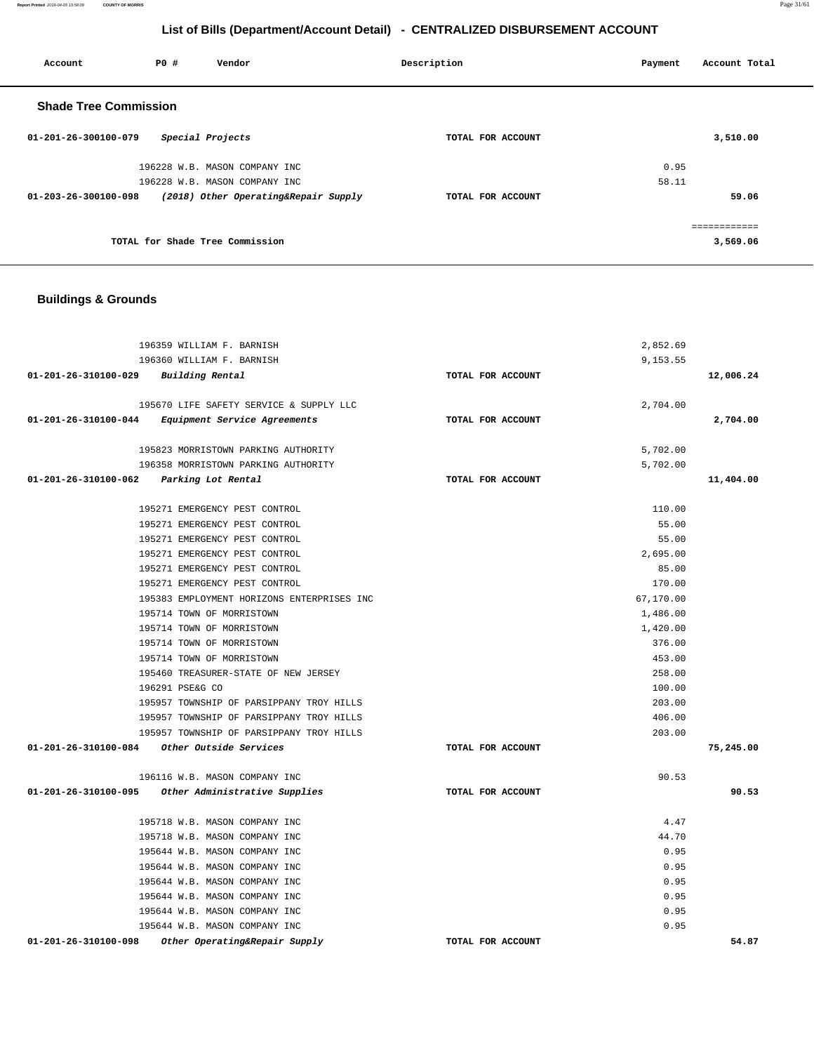**Report Printed** 2019-04-05 15:58:09 **COUNTY OF MORRIS** Page 31/61

## **List of Bills (Department/Account Detail) - CENTRALIZED DISBURSEMENT ACCOUNT**

| Account                      | <b>PO #</b> | Vendor                               | Description       | Payment | Account Total |
|------------------------------|-------------|--------------------------------------|-------------------|---------|---------------|
| <b>Shade Tree Commission</b> |             |                                      |                   |         |               |
| 01-201-26-300100-079         |             | Special Projects                     | TOTAL FOR ACCOUNT |         | 3,510.00      |
|                              |             | 196228 W.B. MASON COMPANY INC        |                   | 0.95    |               |
|                              |             | 196228 W.B. MASON COMPANY INC        |                   | 58.11   |               |
| 01-203-26-300100-098         |             | (2018) Other Operating&Repair Supply | TOTAL FOR ACCOUNT |         | 59.06         |
|                              |             |                                      |                   |         |               |
|                              |             | TOTAL for Shade Tree Commission      |                   |         | 3,569.06      |

### **Buildings & Grounds**

| 196359 WILLIAM F. BARNISH                                       | 2,852.69          |           |
|-----------------------------------------------------------------|-------------------|-----------|
| 196360 WILLIAM F. BARNISH                                       | 9,153.55          |           |
| 01-201-26-310100-029 Building Rental                            | TOTAL FOR ACCOUNT | 12,006.24 |
|                                                                 |                   |           |
| 195670 LIFE SAFETY SERVICE & SUPPLY LLC                         | 2,704.00          |           |
| 01-201-26-310100-044 Equipment Service Agreements               | TOTAL FOR ACCOUNT | 2,704.00  |
| 195823 MORRISTOWN PARKING AUTHORITY                             | 5,702.00          |           |
| 196358 MORRISTOWN PARKING AUTHORITY                             | 5,702.00          |           |
| 01-201-26-310100-062<br>Parking Lot Rental                      | TOTAL FOR ACCOUNT | 11,404.00 |
| 195271 EMERGENCY PEST CONTROL                                   | 110.00            |           |
| 195271 EMERGENCY PEST CONTROL                                   | 55.00             |           |
| 195271 EMERGENCY PEST CONTROL                                   | 55.00             |           |
| 195271 EMERGENCY PEST CONTROL                                   | 2,695.00          |           |
| 195271 EMERGENCY PEST CONTROL                                   | 85.00             |           |
| 195271 EMERGENCY PEST CONTROL                                   | 170.00            |           |
| 195383 EMPLOYMENT HORIZONS ENTERPRISES INC                      | 67,170.00         |           |
| 195714 TOWN OF MORRISTOWN                                       | 1,486.00          |           |
| 195714 TOWN OF MORRISTOWN                                       | 1,420.00          |           |
| 195714 TOWN OF MORRISTOWN                                       | 376.00            |           |
| 195714 TOWN OF MORRISTOWN                                       | 453.00            |           |
| 195460 TREASURER-STATE OF NEW JERSEY                            | 258.00            |           |
| 196291 PSE&G CO                                                 | 100.00            |           |
| 195957 TOWNSHIP OF PARSIPPANY TROY HILLS                        | 203.00            |           |
| 195957 TOWNSHIP OF PARSIPPANY TROY HILLS                        | 406.00            |           |
| 195957 TOWNSHIP OF PARSIPPANY TROY HILLS                        | 203.00            |           |
| 01-201-26-310100-084 Other Outside Services                     | TOTAL FOR ACCOUNT | 75,245.00 |
| 196116 W.B. MASON COMPANY INC                                   | 90.53             |           |
| 01-201-26-310100-095 Other Administrative Supplies              | TOTAL FOR ACCOUNT | 90.53     |
| 195718 W.B. MASON COMPANY INC                                   | 4.47              |           |
| 195718 W.B. MASON COMPANY INC                                   | 44.70             |           |
| 195644 W.B. MASON COMPANY INC                                   | 0.95              |           |
| 195644 W.B. MASON COMPANY INC                                   | 0.95              |           |
| 195644 W.B. MASON COMPANY INC                                   | 0.95              |           |
| 195644 W.B. MASON COMPANY INC                                   | 0.95              |           |
| 195644 W.B. MASON COMPANY INC                                   | 0.95              |           |
| 195644 W.B. MASON COMPANY INC                                   | 0.95              |           |
| $01 - 201 - 26 - 310100 - 098$<br>Other Operating&Repair Supply | TOTAL FOR ACCOUNT | 54.87     |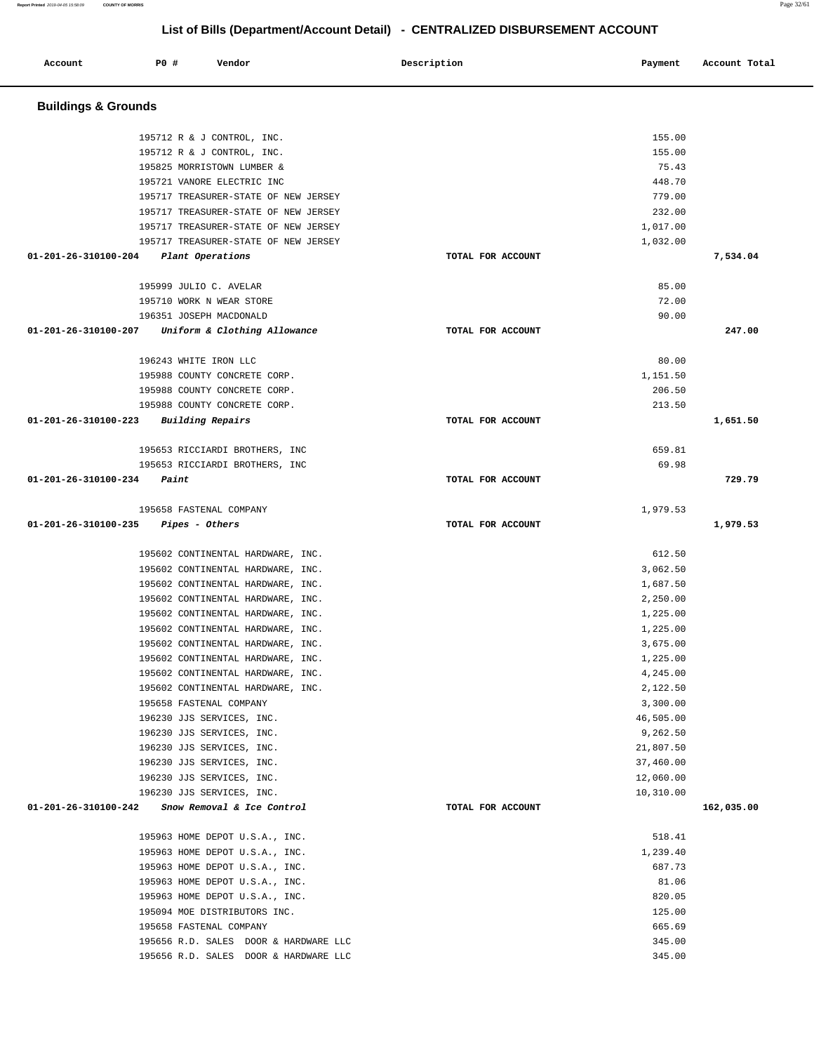| Account                        | PO#   | Vendor                                               | Description       | Payment               | Account Total |
|--------------------------------|-------|------------------------------------------------------|-------------------|-----------------------|---------------|
| <b>Buildings &amp; Grounds</b> |       |                                                      |                   |                       |               |
|                                |       | 195712 R & J CONTROL, INC.                           |                   | 155.00                |               |
|                                |       | 195712 R & J CONTROL, INC.                           |                   | 155.00                |               |
|                                |       | 195825 MORRISTOWN LUMBER &                           |                   | 75.43                 |               |
|                                |       | 195721 VANORE ELECTRIC INC                           |                   | 448.70                |               |
|                                |       | 195717 TREASURER-STATE OF NEW JERSEY                 |                   | 779.00                |               |
|                                |       | 195717 TREASURER-STATE OF NEW JERSEY                 |                   | 232.00                |               |
|                                |       | 195717 TREASURER-STATE OF NEW JERSEY                 |                   | 1,017.00              |               |
|                                |       | 195717 TREASURER-STATE OF NEW JERSEY                 |                   | 1,032.00              |               |
| 01-201-26-310100-204           |       | Plant Operations                                     | TOTAL FOR ACCOUNT |                       | 7,534.04      |
|                                |       | 195999 JULIO C. AVELAR                               |                   | 85.00                 |               |
|                                |       | 195710 WORK N WEAR STORE                             |                   | 72.00                 |               |
|                                |       | 196351 JOSEPH MACDONALD                              |                   | 90.00                 |               |
| 01-201-26-310100-207           |       | Uniform & Clothing Allowance                         | TOTAL FOR ACCOUNT |                       | 247.00        |
|                                |       |                                                      |                   |                       |               |
|                                |       | 196243 WHITE IRON LLC                                |                   | 80.00                 |               |
|                                |       | 195988 COUNTY CONCRETE CORP.                         |                   | 1,151.50              |               |
|                                |       | 195988 COUNTY CONCRETE CORP.                         |                   | 206.50                |               |
|                                |       | 195988 COUNTY CONCRETE CORP.                         |                   | 213.50                |               |
| 01-201-26-310100-223           |       | Building Repairs                                     | TOTAL FOR ACCOUNT |                       | 1,651.50      |
|                                |       | 195653 RICCIARDI BROTHERS, INC                       |                   | 659.81                |               |
|                                |       | 195653 RICCIARDI BROTHERS, INC                       |                   | 69.98                 |               |
| 01-201-26-310100-234           | Paint |                                                      | TOTAL FOR ACCOUNT |                       | 729.79        |
|                                |       | 195658 FASTENAL COMPANY                              |                   | 1,979.53              |               |
| 01-201-26-310100-235           |       | Pipes - Others                                       | TOTAL FOR ACCOUNT |                       | 1,979.53      |
|                                |       | 195602 CONTINENTAL HARDWARE, INC.                    |                   | 612.50                |               |
|                                |       | 195602 CONTINENTAL HARDWARE, INC.                    |                   | 3,062.50              |               |
|                                |       | 195602 CONTINENTAL HARDWARE, INC.                    |                   | 1,687.50              |               |
|                                |       | 195602 CONTINENTAL HARDWARE, INC.                    |                   | 2,250.00              |               |
|                                |       | 195602 CONTINENTAL HARDWARE, INC.                    |                   | 1,225.00              |               |
|                                |       | 195602 CONTINENTAL HARDWARE, INC.                    |                   | 1,225.00              |               |
|                                |       | 195602 CONTINENTAL HARDWARE, INC.                    |                   | 3,675.00              |               |
|                                |       | 195602 CONTINENTAL HARDWARE, INC.                    |                   | 1,225.00              |               |
|                                |       | 195602 CONTINENTAL HARDWARE, INC.                    |                   | 4,245.00              |               |
|                                |       | 195602 CONTINENTAL HARDWARE, INC.                    |                   | 2,122.50              |               |
|                                |       | 195658 FASTENAL COMPANY<br>196230 JJS SERVICES, INC. |                   | 3,300.00<br>46,505.00 |               |
|                                |       | 196230 JJS SERVICES, INC.                            |                   | 9,262.50              |               |
|                                |       | 196230 JJS SERVICES, INC.                            |                   | 21,807.50             |               |
|                                |       | 196230 JJS SERVICES, INC.                            |                   | 37,460.00             |               |
|                                |       | 196230 JJS SERVICES, INC.                            |                   | 12,060.00             |               |
|                                |       | 196230 JJS SERVICES, INC.                            |                   | 10,310.00             |               |
| 01-201-26-310100-242           |       | Snow Removal & Ice Control                           | TOTAL FOR ACCOUNT |                       | 162,035.00    |
|                                |       | 195963 HOME DEPOT U.S.A., INC.                       |                   | 518.41                |               |
|                                |       | 195963 HOME DEPOT U.S.A., INC.                       |                   | 1,239.40              |               |
|                                |       | 195963 HOME DEPOT U.S.A., INC.                       |                   | 687.73                |               |
|                                |       | 195963 HOME DEPOT U.S.A., INC.                       |                   | 81.06                 |               |
|                                |       | 195963 HOME DEPOT U.S.A., INC.                       |                   | 820.05                |               |
|                                |       | 195094 MOE DISTRIBUTORS INC.                         |                   | 125.00                |               |
|                                |       | 195658 FASTENAL COMPANY                              |                   | 665.69                |               |
|                                |       | 195656 R.D. SALES DOOR & HARDWARE LLC                |                   | 345.00                |               |
|                                |       | 195656 R.D. SALES DOOR & HARDWARE LLC                |                   | 345.00                |               |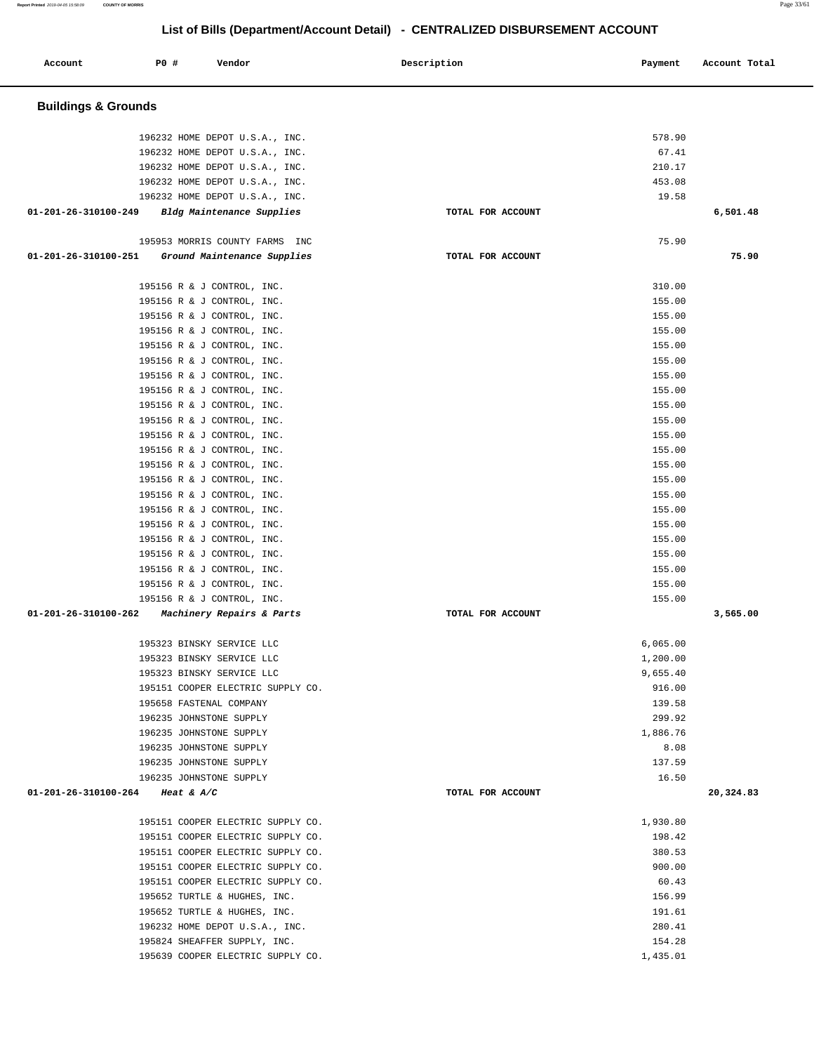**Report Printed** 2019-04-05 15:58:09 **COUNTY OF MORRIS** Page 33/61  **List of Bills (Department/Account Detail) - CENTRALIZED DISBURSEMENT ACCOUNT Account P0 # Vendor Description Payment Account Total Buildings & Grounds** 

| 196232 HOME DEPOT U.S.A., INC.                      |                   | 578.90           |           |
|-----------------------------------------------------|-------------------|------------------|-----------|
| 196232 HOME DEPOT U.S.A., INC.                      |                   | 67.41            |           |
| 196232 HOME DEPOT U.S.A., INC.                      |                   | 210.17           |           |
| 196232 HOME DEPOT U.S.A., INC.                      |                   | 453.08           |           |
| 196232 HOME DEPOT U.S.A., INC.                      |                   | 19.58            |           |
| 01-201-26-310100-249<br>Bldg Maintenance Supplies   | TOTAL FOR ACCOUNT |                  | 6,501.48  |
|                                                     |                   |                  |           |
| 195953 MORRIS COUNTY FARMS INC                      |                   | 75.90            |           |
| 01-201-26-310100-251<br>Ground Maintenance Supplies | TOTAL FOR ACCOUNT |                  | 75.90     |
| 195156 R & J CONTROL, INC.                          |                   | 310.00           |           |
| 195156 R & J CONTROL, INC.                          |                   | 155.00           |           |
| 195156 R & J CONTROL, INC.                          |                   | 155.00           |           |
| 195156 R & J CONTROL, INC.                          |                   | 155.00           |           |
| 195156 R & J CONTROL, INC.                          |                   | 155.00           |           |
| 195156 R & J CONTROL, INC.                          |                   | 155.00           |           |
| 195156 R & J CONTROL, INC.                          |                   | 155.00           |           |
| 195156 R & J CONTROL, INC.                          |                   | 155.00           |           |
| 195156 R & J CONTROL, INC.                          |                   | 155.00           |           |
| 195156 R & J CONTROL, INC.                          |                   | 155.00           |           |
| 195156 R & J CONTROL, INC.                          |                   | 155.00           |           |
| 195156 R & J CONTROL, INC.                          |                   | 155.00           |           |
| 195156 R & J CONTROL, INC.                          |                   | 155.00           |           |
| 195156 R & J CONTROL, INC.                          |                   | 155.00           |           |
| 195156 R & J CONTROL, INC.                          |                   | 155.00           |           |
| 195156 R & J CONTROL, INC.                          |                   | 155.00           |           |
| 195156 R & J CONTROL, INC.                          |                   | 155.00           |           |
| 195156 R & J CONTROL, INC.                          |                   | 155.00           |           |
| 195156 R & J CONTROL, INC.                          |                   | 155.00           |           |
| 195156 R & J CONTROL, INC.                          |                   | 155.00           |           |
| 195156 R & J CONTROL, INC.                          |                   | 155.00           |           |
| 195156 R & J CONTROL, INC.                          |                   | 155.00           |           |
| 01-201-26-310100-262<br>Machinery Repairs & Parts   | TOTAL FOR ACCOUNT |                  | 3,565.00  |
|                                                     |                   |                  |           |
| 195323 BINSKY SERVICE LLC                           |                   | 6,065.00         |           |
| 195323 BINSKY SERVICE LLC                           |                   | 1,200.00         |           |
| 195323 BINSKY SERVICE LLC                           |                   | 9,655.40         |           |
| 195151 COOPER ELECTRIC SUPPLY CO.                   |                   | 916.00           |           |
| 195658 FASTENAL COMPANY                             |                   | 139.58           |           |
| 196235 JOHNSTONE SUPPLY                             |                   | 299.92           |           |
| 196235 JOHNSTONE SUPPLY                             |                   | 1,886.76         |           |
| 196235 JOHNSTONE SUPPLY                             |                   | 8.08             |           |
| 196235 JOHNSTONE SUPPLY                             |                   | 137.59           |           |
| 196235 JOHNSTONE SUPPLY                             |                   | 16.50            |           |
| 01-201-26-310100-264<br>Heat & $A/C$                | TOTAL FOR ACCOUNT |                  | 20,324.83 |
|                                                     |                   |                  |           |
| 195151 COOPER ELECTRIC SUPPLY CO.                   |                   | 1,930.80         |           |
| 195151 COOPER ELECTRIC SUPPLY CO.                   |                   | 198.42           |           |
| 195151 COOPER ELECTRIC SUPPLY CO.                   |                   | 380.53<br>900.00 |           |
| 195151 COOPER ELECTRIC SUPPLY CO.                   |                   | 60.43            |           |
| 195151 COOPER ELECTRIC SUPPLY CO.                   |                   | 156.99           |           |
| 195652 TURTLE & HUGHES, INC.                        |                   | 191.61           |           |
| 195652 TURTLE & HUGHES, INC.                        |                   |                  |           |

 196232 HOME DEPOT U.S.A., INC. 280.41 195824 SHEAFFER SUPPLY, INC. 154.28 195639 COOPER ELECTRIC SUPPLY CO. 1,435.01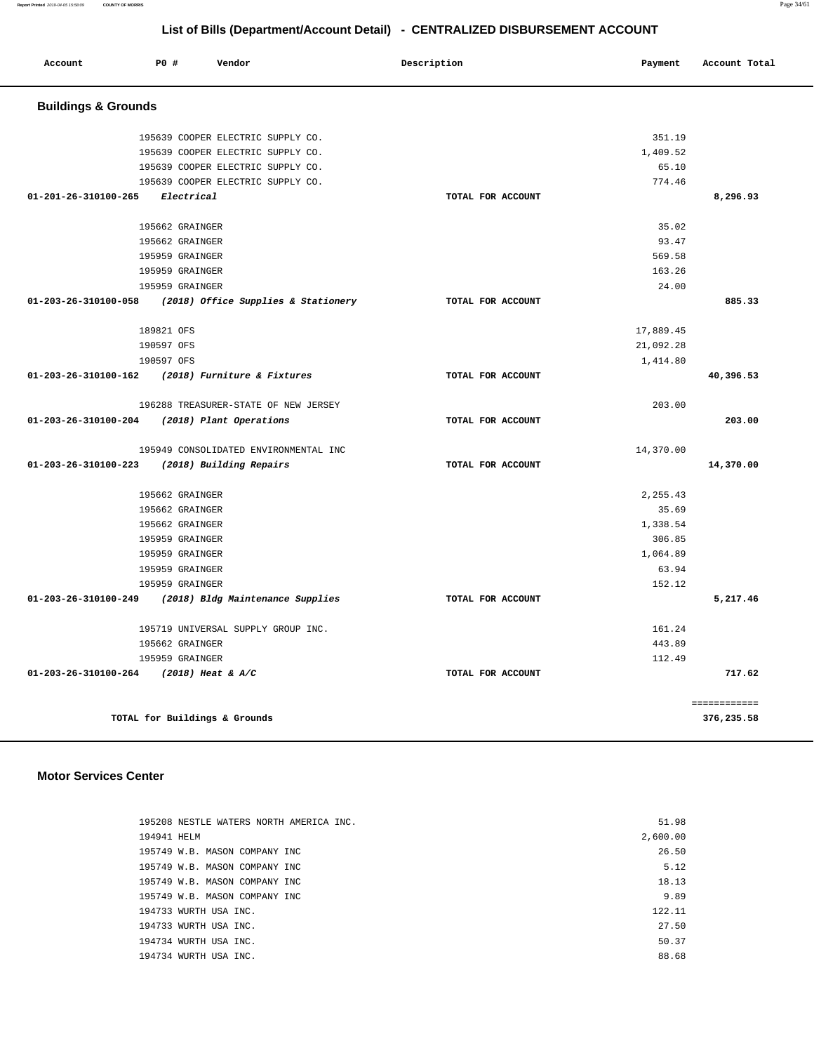**Report Printed** 2019-04-05 15:58:09 **COUNTY OF MORRIS** Page 34/61

## **List of Bills (Department/Account Detail) - CENTRALIZED DISBURSEMENT ACCOUNT**

| Account                                | PO#                           | Vendor                                                   | Description       | Payment   | Account Total |
|----------------------------------------|-------------------------------|----------------------------------------------------------|-------------------|-----------|---------------|
| <b>Buildings &amp; Grounds</b>         |                               |                                                          |                   |           |               |
|                                        |                               | 195639 COOPER ELECTRIC SUPPLY CO.                        |                   | 351.19    |               |
|                                        |                               | 195639 COOPER ELECTRIC SUPPLY CO.                        |                   | 1,409.52  |               |
|                                        |                               | 195639 COOPER ELECTRIC SUPPLY CO.                        |                   | 65.10     |               |
|                                        |                               | 195639 COOPER ELECTRIC SUPPLY CO.                        |                   | 774.46    |               |
| 01-201-26-310100-265                   | Electrical                    |                                                          | TOTAL FOR ACCOUNT |           | 8,296.93      |
|                                        | 195662 GRAINGER               |                                                          |                   | 35.02     |               |
|                                        | 195662 GRAINGER               |                                                          |                   | 93.47     |               |
|                                        | 195959 GRAINGER               |                                                          |                   | 569.58    |               |
|                                        | 195959 GRAINGER               |                                                          |                   | 163.26    |               |
|                                        | 195959 GRAINGER               |                                                          |                   | 24.00     |               |
|                                        |                               | 01-203-26-310100-058 (2018) Office Supplies & Stationery | TOTAL FOR ACCOUNT |           | 885.33        |
|                                        | 189821 OFS                    |                                                          |                   | 17,889.45 |               |
|                                        | 190597 OFS                    |                                                          |                   | 21,092.28 |               |
|                                        | 190597 OFS                    |                                                          |                   | 1,414.80  |               |
|                                        |                               | 01-203-26-310100-162 (2018) Furniture & Fixtures         | TOTAL FOR ACCOUNT |           | 40,396.53     |
|                                        |                               | 196288 TREASURER-STATE OF NEW JERSEY                     |                   | 203.00    |               |
| 01-203-26-310100-204                   |                               | (2018) Plant Operations                                  | TOTAL FOR ACCOUNT |           | 203.00        |
|                                        |                               | 195949 CONSOLIDATED ENVIRONMENTAL INC                    |                   | 14,370.00 |               |
| 01-203-26-310100-223                   |                               | (2018) Building Repairs                                  | TOTAL FOR ACCOUNT |           | 14,370.00     |
|                                        | 195662 GRAINGER               |                                                          |                   | 2,255.43  |               |
|                                        | 195662 GRAINGER               |                                                          |                   | 35.69     |               |
|                                        | 195662 GRAINGER               |                                                          |                   | 1,338.54  |               |
|                                        | 195959 GRAINGER               |                                                          |                   | 306.85    |               |
|                                        | 195959 GRAINGER               |                                                          |                   | 1,064.89  |               |
|                                        | 195959 GRAINGER               |                                                          |                   | 63.94     |               |
|                                        | 195959 GRAINGER               |                                                          |                   | 152.12    |               |
|                                        |                               | 01-203-26-310100-249 (2018) Bldg Maintenance Supplies    | TOTAL FOR ACCOUNT |           | 5,217.46      |
|                                        |                               | 195719 UNIVERSAL SUPPLY GROUP INC.                       |                   | 161.24    |               |
|                                        | 195662 GRAINGER               |                                                          |                   | 443.89    |               |
|                                        | 195959 GRAINGER               |                                                          |                   | 112.49    |               |
| 01-203-26-310100-264 (2018) Heat & A/C |                               |                                                          | TOTAL FOR ACCOUNT |           | 717.62        |
|                                        |                               |                                                          |                   |           | ============  |
|                                        | TOTAL for Buildings & Grounds |                                                          |                   |           | 376,235.58    |

#### **Motor Services Center**

| 195208 NESTLE WATERS NORTH AMERICA INC. | 51.98    |
|-----------------------------------------|----------|
| 194941 HELM                             | 2,600.00 |
| 195749 W.B. MASON COMPANY INC           | 26.50    |
| 195749 W.B. MASON COMPANY INC           | 5.12     |
| 195749 W.B. MASON COMPANY INC           | 18.13    |
| 195749 W.B. MASON COMPANY INC           | 9.89     |
| 194733 WURTH USA INC.                   | 122.11   |
| 194733 WURTH USA INC.                   | 27.50    |
| 194734 WURTH USA INC.                   | 50.37    |
| 194734 WURTH USA INC.                   | 88.68    |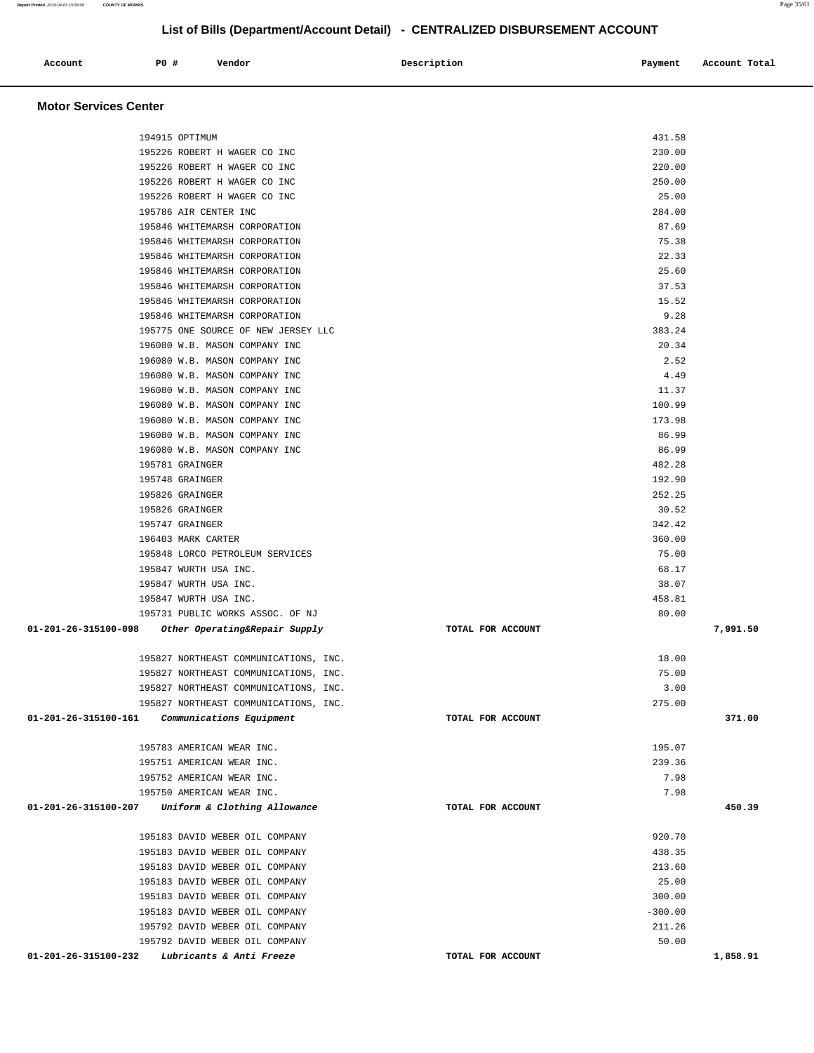#### **Account P0 # Vendor Description Payment Account Total Motor Services Center**  194915 OPTIMUM 431.58 195226 ROBERT H WAGER CO INC 230.00 195226 ROBERT H WAGER CO INC 220.00 195226 ROBERT H WAGER CO INC 250.00 195226 ROBERT H WAGER CO INC 25.00 195786 AIR CENTER INC 284.00 195846 WHITEMARSH CORPORATION 87.69 195846 WHITEMARSH CORPORATION 75.38 195846 WHITEMARSH CORPORATION 22.33 195846 WHITEMARSH CORPORATION 25.60 195846 WHITEMARSH CORPORATION 37.53 195846 WHITEMARSH CORPORATION 15.52 195846 WHITEMARSH CORPORATION 9.28 195775 ONE SOURCE OF NEW JERSEY LLC 383.24 196080 W.B. MASON COMPANY INC 20.34 196080 W.B. MASON COMPANY INC 2.52 196080 W.B. MASON COMPANY INC 4.49 196080 W.B. MASON COMPANY INC 11.37 196080 W.B. MASON COMPANY INC 100.99 196080 W.B. MASON COMPANY INC 173.98 196080 W.B. MASON COMPANY INC 86.99 196080 W.B. MASON COMPANY INC 86.99 195781 GRAINGER 482.28 195748 GRAINGER 192.90 195826 GRAINGER 252.25 195826 GRAINGER 30.52 195747 GRAINGER 342.42 196403 MARK CARTER 360.00 195848 LORCO PETROLEUM SERVICES 75.00 195847 WURTH USA INC. 68.17 195847 WURTH USA INC. 38.07 195847 WURTH USA INC. 458.81 195731 PUBLIC WORKS ASSOC. OF NJ 80.00  **01-201-26-315100-098 Other Operating&Repair Supply TOTAL FOR ACCOUNT 7,991.50** 195827 NORTHEAST COMMUNICATIONS, INC. 18.00 195827 NORTHEAST COMMUNICATIONS, INC. 75.00 195827 NORTHEAST COMMUNICATIONS, INC. 3.00 195827 NORTHEAST COMMUNICATIONS, INC. 275.00  **01-201-26-315100-161 Communications Equipment TOTAL FOR ACCOUNT 371.00** 195783 AMERICAN WEAR INC. 195.07 195751 AMERICAN WEAR INC. 239.36 195752 AMERICAN WEAR INC. 7.98 195750 AMERICAN WEAR INC. 7.98  **01-201-26-315100-207 Uniform & Clothing Allowance TOTAL FOR ACCOUNT 450.39** 195183 DAVID WEBER OIL COMPANY 920.70 195183 DAVID WEBER OIL COMPANY 438.35 195183 DAVID WEBER OIL COMPANY 213.60 195183 DAVID WEBER OIL COMPANY 25.00 195183 DAVID WEBER OIL COMPANY 300.00 195183 DAVID WEBER OIL COMPANY -300.00 195792 DAVID WEBER OIL COMPANY 211.26 195792 DAVID WEBER OIL COMPANY 50.00  **01-201-26-315100-232 Lubricants & Anti Freeze TOTAL FOR ACCOUNT 1,858.91**

#### **List of Bills (Department/Account Detail) - CENTRALIZED DISBURSEMENT ACCOUNT**

**Report Printed** 2019-04-05 15:58:09 **COUNTY OF MORRIS** Page 35/61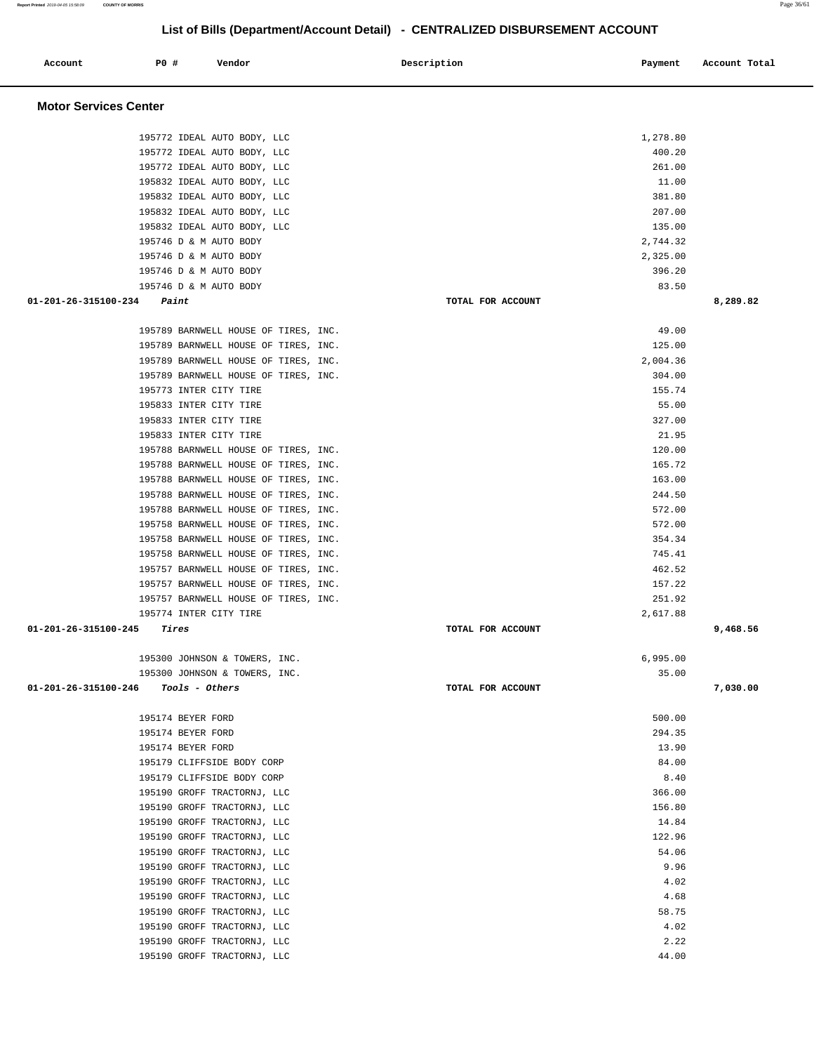| Account                                       | P0 #                   | Vendor                                                                       | Description       | Payment            | Account Total |
|-----------------------------------------------|------------------------|------------------------------------------------------------------------------|-------------------|--------------------|---------------|
| <b>Motor Services Center</b>                  |                        |                                                                              |                   |                    |               |
|                                               |                        |                                                                              |                   |                    |               |
|                                               |                        | 195772 IDEAL AUTO BODY, LLC<br>195772 IDEAL AUTO BODY, LLC                   |                   | 1,278.80<br>400.20 |               |
|                                               |                        | 195772 IDEAL AUTO BODY, LLC                                                  |                   | 261.00             |               |
|                                               |                        | 195832 IDEAL AUTO BODY, LLC                                                  |                   | 11.00              |               |
|                                               |                        | 195832 IDEAL AUTO BODY, LLC                                                  |                   | 381.80             |               |
|                                               |                        | 195832 IDEAL AUTO BODY, LLC                                                  |                   | 207.00             |               |
|                                               |                        | 195832 IDEAL AUTO BODY, LLC                                                  |                   | 135.00             |               |
|                                               |                        | 195746 D & M AUTO BODY                                                       |                   | 2,744.32           |               |
|                                               |                        | 195746 D & M AUTO BODY                                                       |                   | 2,325.00           |               |
|                                               |                        | 195746 D & M AUTO BODY                                                       |                   | 396.20             |               |
|                                               |                        | 195746 D & M AUTO BODY                                                       |                   | 83.50              |               |
| 01-201-26-315100-234                          | Paint                  |                                                                              | TOTAL FOR ACCOUNT |                    | 8,289.82      |
|                                               |                        |                                                                              |                   |                    |               |
|                                               |                        | 195789 BARNWELL HOUSE OF TIRES, INC.                                         |                   | 49.00              |               |
|                                               |                        | 195789 BARNWELL HOUSE OF TIRES, INC.                                         |                   | 125.00             |               |
|                                               |                        | 195789 BARNWELL HOUSE OF TIRES, INC.<br>195789 BARNWELL HOUSE OF TIRES, INC. |                   | 2,004.36<br>304.00 |               |
|                                               | 195773 INTER CITY TIRE |                                                                              |                   | 155.74             |               |
|                                               | 195833 INTER CITY TIRE |                                                                              |                   | 55.00              |               |
|                                               | 195833 INTER CITY TIRE |                                                                              |                   | 327.00             |               |
|                                               | 195833 INTER CITY TIRE |                                                                              |                   | 21.95              |               |
|                                               |                        | 195788 BARNWELL HOUSE OF TIRES, INC.                                         |                   | 120.00             |               |
|                                               |                        | 195788 BARNWELL HOUSE OF TIRES, INC.                                         |                   | 165.72             |               |
|                                               |                        | 195788 BARNWELL HOUSE OF TIRES, INC.                                         |                   | 163.00             |               |
|                                               |                        | 195788 BARNWELL HOUSE OF TIRES, INC.                                         |                   | 244.50             |               |
|                                               |                        | 195788 BARNWELL HOUSE OF TIRES, INC.                                         |                   | 572.00             |               |
|                                               |                        | 195758 BARNWELL HOUSE OF TIRES, INC.                                         |                   | 572.00             |               |
|                                               |                        | 195758 BARNWELL HOUSE OF TIRES, INC.                                         |                   | 354.34             |               |
|                                               |                        | 195758 BARNWELL HOUSE OF TIRES, INC.                                         |                   | 745.41             |               |
|                                               |                        | 195757 BARNWELL HOUSE OF TIRES, INC.                                         |                   | 462.52             |               |
|                                               |                        | 195757 BARNWELL HOUSE OF TIRES, INC.                                         |                   | 157.22             |               |
|                                               |                        | 195757 BARNWELL HOUSE OF TIRES, INC.                                         |                   | 251.92             |               |
|                                               | 195774 INTER CITY TIRE |                                                                              |                   | 2,617.88           |               |
| 01-201-26-315100-245                          | Tires                  |                                                                              | TOTAL FOR ACCOUNT |                    | 9,468.56      |
|                                               |                        | 195300 JOHNSON & TOWERS, INC.                                                |                   | 6,995.00           |               |
|                                               |                        | 195300 JOHNSON & TOWERS, INC.                                                |                   | 35.00              |               |
| $01 - 201 - 26 - 315100 - 246$ Tools - Others |                        |                                                                              | TOTAL FOR ACCOUNT |                    | 7,030.00      |
|                                               | 195174 BEYER FORD      |                                                                              |                   | 500.00             |               |
|                                               | 195174 BEYER FORD      |                                                                              |                   | 294.35             |               |
|                                               | 195174 BEYER FORD      |                                                                              |                   | 13.90              |               |
|                                               |                        | 195179 CLIFFSIDE BODY CORP                                                   |                   | 84.00              |               |
|                                               |                        | 195179 CLIFFSIDE BODY CORP                                                   |                   | 8.40               |               |
|                                               |                        | 195190 GROFF TRACTORNJ, LLC                                                  |                   | 366.00             |               |
|                                               |                        | 195190 GROFF TRACTORNJ, LLC                                                  |                   | 156.80             |               |
|                                               |                        | 195190 GROFF TRACTORNJ, LLC                                                  |                   | 14.84              |               |
|                                               |                        | 195190 GROFF TRACTORNJ, LLC                                                  |                   | 122.96             |               |
|                                               |                        | 195190 GROFF TRACTORNJ, LLC                                                  |                   | 54.06              |               |
|                                               |                        | 195190 GROFF TRACTORNJ, LLC                                                  |                   | 9.96               |               |
|                                               |                        | 195190 GROFF TRACTORNJ, LLC                                                  |                   | 4.02               |               |
|                                               |                        | 195190 GROFF TRACTORNJ, LLC                                                  |                   | 4.68               |               |
|                                               |                        | 195190 GROFF TRACTORNJ, LLC                                                  |                   | 58.75              |               |
|                                               |                        | 195190 GROFF TRACTORNJ, LLC                                                  |                   | 4.02               |               |
|                                               |                        | 195190 GROFF TRACTORNJ, LLC                                                  |                   | 2.22               |               |
|                                               |                        | 195190 GROFF TRACTORNJ, LLC                                                  |                   | 44.00              |               |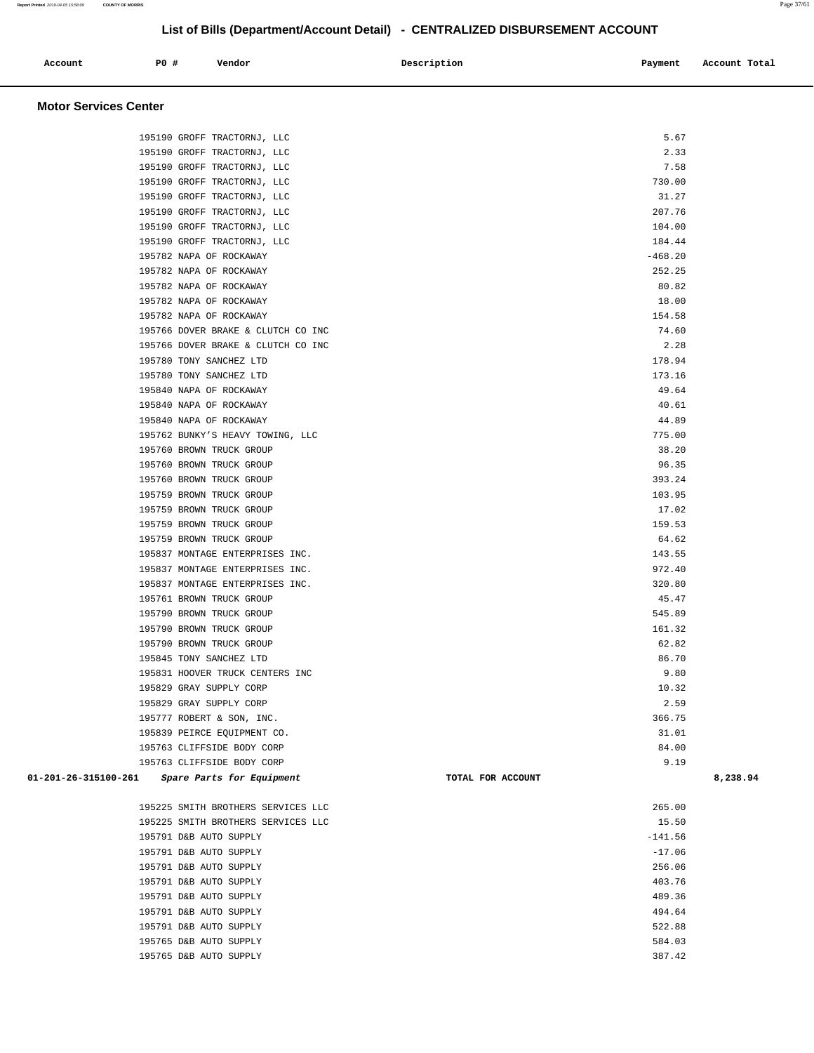| <b>PO#</b><br>Description<br>Vendor<br>Account<br>Payment<br>Account Total |  |  |  |  |  |  |  |
|----------------------------------------------------------------------------|--|--|--|--|--|--|--|
|----------------------------------------------------------------------------|--|--|--|--|--|--|--|

195190 GROFF TRACTORNJ, LLC 5.67 195190 GROFF TRACTORNJ, LLC 2.33

#### **Motor Services Center**

|                      | 195190 GROFF TRACTORNJ, LLC        |                   | 7.58      |          |
|----------------------|------------------------------------|-------------------|-----------|----------|
|                      | 195190 GROFF TRACTORNJ, LLC        |                   | 730.00    |          |
|                      | 195190 GROFF TRACTORNJ, LLC        |                   | 31.27     |          |
|                      | 195190 GROFF TRACTORNJ, LLC        |                   | 207.76    |          |
|                      | 195190 GROFF TRACTORNJ, LLC        |                   | 104.00    |          |
|                      | 195190 GROFF TRACTORNJ, LLC        |                   | 184.44    |          |
|                      | 195782 NAPA OF ROCKAWAY            |                   | $-468.20$ |          |
|                      | 195782 NAPA OF ROCKAWAY            |                   | 252.25    |          |
|                      | 195782 NAPA OF ROCKAWAY            |                   | 80.82     |          |
|                      | 195782 NAPA OF ROCKAWAY            |                   | 18.00     |          |
|                      | 195782 NAPA OF ROCKAWAY            |                   | 154.58    |          |
|                      | 195766 DOVER BRAKE & CLUTCH CO INC |                   | 74.60     |          |
|                      | 195766 DOVER BRAKE & CLUTCH CO INC |                   | 2.28      |          |
|                      | 195780 TONY SANCHEZ LTD            |                   | 178.94    |          |
|                      | 195780 TONY SANCHEZ LTD            |                   | 173.16    |          |
|                      | 195840 NAPA OF ROCKAWAY            |                   | 49.64     |          |
|                      | 195840 NAPA OF ROCKAWAY            |                   | 40.61     |          |
|                      | 195840 NAPA OF ROCKAWAY            |                   | 44.89     |          |
|                      | 195762 BUNKY'S HEAVY TOWING, LLC   |                   | 775.00    |          |
|                      | 195760 BROWN TRUCK GROUP           |                   | 38.20     |          |
|                      | 195760 BROWN TRUCK GROUP           |                   | 96.35     |          |
|                      | 195760 BROWN TRUCK GROUP           |                   | 393.24    |          |
|                      | 195759 BROWN TRUCK GROUP           |                   | 103.95    |          |
|                      | 195759 BROWN TRUCK GROUP           |                   | 17.02     |          |
|                      | 195759 BROWN TRUCK GROUP           |                   | 159.53    |          |
|                      | 195759 BROWN TRUCK GROUP           |                   | 64.62     |          |
|                      | 195837 MONTAGE ENTERPRISES INC.    |                   | 143.55    |          |
|                      | 195837 MONTAGE ENTERPRISES INC.    |                   | 972.40    |          |
|                      | 195837 MONTAGE ENTERPRISES INC.    |                   | 320.80    |          |
|                      | 195761 BROWN TRUCK GROUP           |                   | 45.47     |          |
|                      | 195790 BROWN TRUCK GROUP           |                   | 545.89    |          |
|                      | 195790 BROWN TRUCK GROUP           |                   | 161.32    |          |
|                      | 195790 BROWN TRUCK GROUP           |                   | 62.82     |          |
|                      | 195845 TONY SANCHEZ LTD            |                   | 86.70     |          |
|                      | 195831 HOOVER TRUCK CENTERS INC    |                   | 9.80      |          |
|                      | 195829 GRAY SUPPLY CORP            |                   | 10.32     |          |
|                      | 195829 GRAY SUPPLY CORP            |                   | 2.59      |          |
|                      | 195777 ROBERT & SON, INC.          |                   | 366.75    |          |
|                      | 195839 PEIRCE EQUIPMENT CO.        |                   | 31.01     |          |
|                      | 195763 CLIFFSIDE BODY CORP         |                   | 84.00     |          |
|                      | 195763 CLIFFSIDE BODY CORP         |                   | 9.19      |          |
| 01-201-26-315100-261 | Spare Parts for Equipment          | TOTAL FOR ACCOUNT |           | 8,238.94 |
|                      |                                    |                   |           |          |
|                      | 195225 SMITH BROTHERS SERVICES LLC |                   | 265.00    |          |
|                      | 195225 SMITH BROTHERS SERVICES LLC |                   | 15.50     |          |
|                      | 195791 D&B AUTO SUPPLY             |                   | $-141.56$ |          |
|                      | 195791 D&B AUTO SUPPLY             |                   | $-17.06$  |          |
|                      | 195791 D&B AUTO SUPPLY             |                   | 256.06    |          |
|                      | 195791 D&B AUTO SUPPLY             |                   | 403.76    |          |
|                      | 195791 D&B AUTO SUPPLY             |                   | 489.36    |          |
|                      | 195791 D&B AUTO SUPPLY             |                   | 494.64    |          |
|                      | 195791 D&B AUTO SUPPLY             |                   | 522.88    |          |
|                      | 195765 D&B AUTO SUPPLY             |                   | 584.03    |          |
|                      | 195765 D&B AUTO SUPPLY             |                   | 387.42    |          |
|                      |                                    |                   |           |          |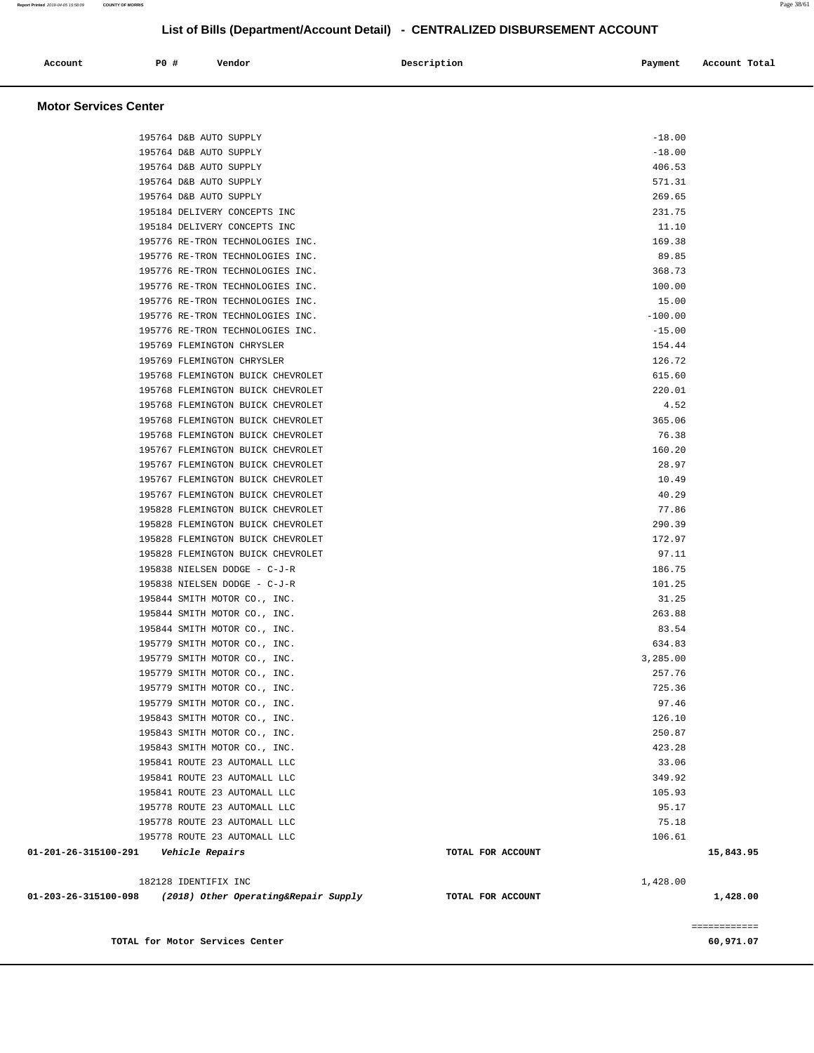| Account<br>. | P0 | Vendor<br>. | Description | Payment | Account Total<br>. |
|--------------|----|-------------|-------------|---------|--------------------|
|              |    |             |             |         |                    |

#### **Motor Services Center**

|                                                              |                   |           | ============ |
|--------------------------------------------------------------|-------------------|-----------|--------------|
| 01-203-26-315100-098<br>(2018) Other Operating&Repair Supply | TOTAL FOR ACCOUNT |           | 1,428.00     |
| 182128 IDENTIFIX INC                                         |                   | 1,428.00  |              |
| 01-201-26-315100-291<br><i><b>Vehicle Repairs</b></i>        | TOTAL FOR ACCOUNT |           | 15,843.95    |
| 195778 ROUTE 23 AUTOMALL LLC                                 |                   | 106.61    |              |
| 195778 ROUTE 23 AUTOMALL LLC                                 |                   | 75.18     |              |
| 195778 ROUTE 23 AUTOMALL LLC                                 |                   | 95.17     |              |
| 195841 ROUTE 23 AUTOMALL LLC                                 |                   | 105.93    |              |
| 195841 ROUTE 23 AUTOMALL LLC                                 |                   | 349.92    |              |
| 195841 ROUTE 23 AUTOMALL LLC                                 |                   | 33.06     |              |
| 195843 SMITH MOTOR CO., INC.                                 |                   | 423.28    |              |
| 195843 SMITH MOTOR CO., INC.                                 |                   | 250.87    |              |
| 195843 SMITH MOTOR CO., INC.                                 |                   | 126.10    |              |
| 195779 SMITH MOTOR CO., INC.                                 |                   | 97.46     |              |
| 195779 SMITH MOTOR CO., INC.                                 |                   | 725.36    |              |
| 195779 SMITH MOTOR CO., INC.                                 |                   | 257.76    |              |
| 195779 SMITH MOTOR CO., INC.                                 |                   | 3,285.00  |              |
| 195779 SMITH MOTOR CO., INC.                                 |                   | 634.83    |              |
| 195844 SMITH MOTOR CO., INC.                                 |                   | 83.54     |              |
| 195844 SMITH MOTOR CO., INC.                                 |                   | 263.88    |              |
| 195844 SMITH MOTOR CO., INC.                                 |                   | 31.25     |              |
| 195838 NIELSEN DODGE - C-J-R                                 |                   | 101.25    |              |
| 195838 NIELSEN DODGE - C-J-R                                 |                   | 186.75    |              |
| 195828 FLEMINGTON BUICK CHEVROLET                            |                   | 97.11     |              |
| 195828 FLEMINGTON BUICK CHEVROLET                            |                   | 172.97    |              |
| 195828 FLEMINGTON BUICK CHEVROLET                            |                   | 290.39    |              |
| 195828 FLEMINGTON BUICK CHEVROLET                            |                   | 77.86     |              |
| 195767 FLEMINGTON BUICK CHEVROLET                            |                   | 40.29     |              |
| 195767 FLEMINGTON BUICK CHEVROLET                            |                   | 10.49     |              |
| 195767 FLEMINGTON BUICK CHEVROLET                            |                   | 28.97     |              |
| 195767 FLEMINGTON BUICK CHEVROLET                            |                   | 160.20    |              |
| 195768 FLEMINGTON BUICK CHEVROLET                            |                   | 76.38     |              |
| 195768 FLEMINGTON BUICK CHEVROLET                            |                   | 365.06    |              |
| 195768 FLEMINGTON BUICK CHEVROLET                            |                   | 4.52      |              |
| 195768 FLEMINGTON BUICK CHEVROLET                            |                   | 220.01    |              |
| 195768 FLEMINGTON BUICK CHEVROLET                            |                   | 615.60    |              |
| 195769 FLEMINGTON CHRYSLER                                   |                   | 126.72    |              |
| 195769 FLEMINGTON CHRYSLER                                   |                   | 154.44    |              |
| 195776 RE-TRON TECHNOLOGIES INC.                             |                   | $-15.00$  |              |
| 195776 RE-TRON TECHNOLOGIES INC.                             |                   | $-100.00$ |              |
| 195776 RE-TRON TECHNOLOGIES INC.                             |                   | 15.00     |              |
| 195776 RE-TRON TECHNOLOGIES INC.                             |                   | 100.00    |              |
| 195776 RE-TRON TECHNOLOGIES INC.                             |                   | 368.73    |              |
| 195776 RE-TRON TECHNOLOGIES INC.                             |                   | 89.85     |              |
| 195776 RE-TRON TECHNOLOGIES INC.                             |                   | 169.38    |              |
| 195184 DELIVERY CONCEPTS INC                                 |                   | 11.10     |              |
| 195184 DELIVERY CONCEPTS INC                                 |                   | 231.75    |              |
| 195764 D&B AUTO SUPPLY                                       |                   | 269.65    |              |
| 195764 D&B AUTO SUPPLY                                       |                   | 571.31    |              |
| 195764 D&B AUTO SUPPLY                                       |                   | 406.53    |              |
| 195764 D&B AUTO SUPPLY                                       |                   | $-18.00$  |              |
| 195764 D&B AUTO SUPPLY                                       |                   | $-18.00$  |              |
|                                                              |                   |           |              |

**TOTAL for Motor Services Center 60,971.07**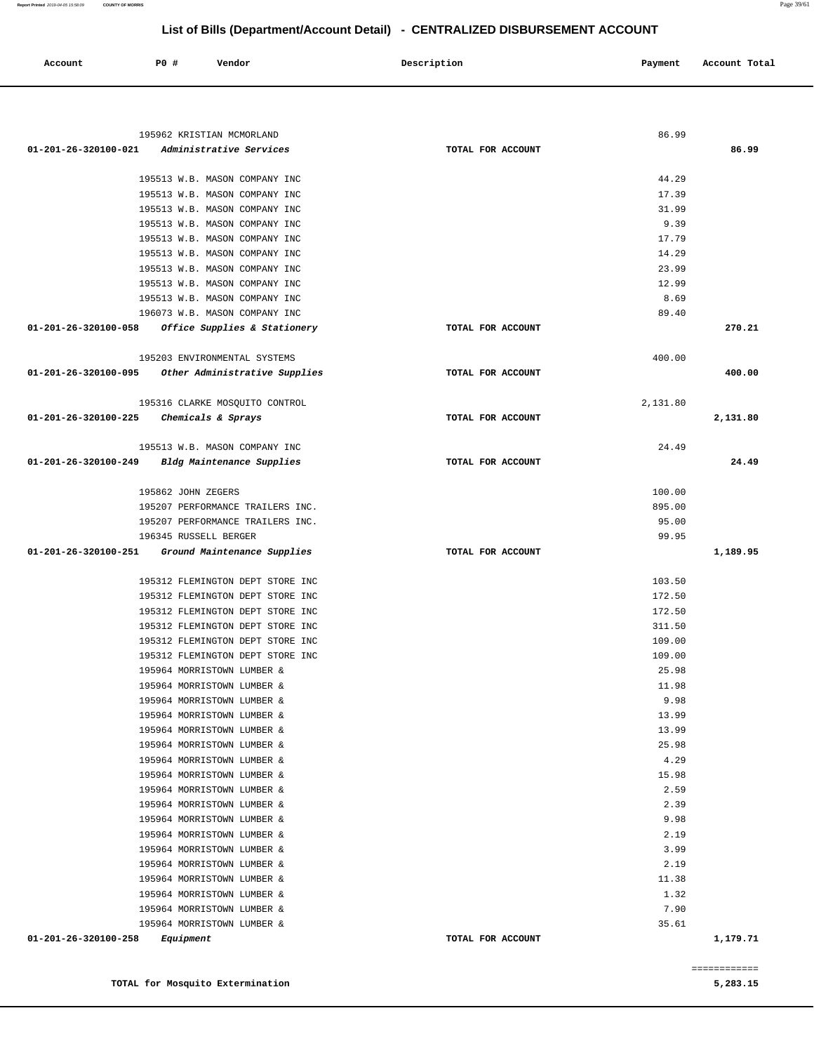|                      | 195962 KRISTIAN MCMORLAND                                      |                   | 86.99        |          |
|----------------------|----------------------------------------------------------------|-------------------|--------------|----------|
| 01-201-26-320100-021 | Administrative Services                                        | TOTAL FOR ACCOUNT |              | 86.99    |
|                      |                                                                |                   |              |          |
|                      | 195513 W.B. MASON COMPANY INC                                  |                   | 44.29        |          |
|                      | 195513 W.B. MASON COMPANY INC                                  |                   | 17.39        |          |
|                      | 195513 W.B. MASON COMPANY INC                                  |                   | 31.99        |          |
|                      | 195513 W.B. MASON COMPANY INC                                  |                   | 9.39         |          |
|                      | 195513 W.B. MASON COMPANY INC                                  |                   | 17.79        |          |
|                      | 195513 W.B. MASON COMPANY INC                                  |                   | 14.29        |          |
|                      | 195513 W.B. MASON COMPANY INC                                  |                   | 23.99        |          |
|                      | 195513 W.B. MASON COMPANY INC                                  |                   | 12.99        |          |
|                      | 195513 W.B. MASON COMPANY INC<br>196073 W.B. MASON COMPANY INC |                   | 8.69         |          |
|                      |                                                                |                   | 89.40        | 270.21   |
| 01-201-26-320100-058 | Office Supplies & Stationery                                   | TOTAL FOR ACCOUNT |              |          |
|                      | 195203 ENVIRONMENTAL SYSTEMS                                   |                   | 400.00       |          |
| 01-201-26-320100-095 | Other Administrative Supplies                                  | TOTAL FOR ACCOUNT |              | 400.00   |
|                      |                                                                |                   |              |          |
|                      | 195316 CLARKE MOSQUITO CONTROL                                 |                   | 2,131.80     |          |
| 01-201-26-320100-225 | Chemicals & Sprays                                             | TOTAL FOR ACCOUNT |              | 2,131.80 |
|                      |                                                                |                   |              |          |
|                      | 195513 W.B. MASON COMPANY INC                                  |                   | 24.49        |          |
| 01-201-26-320100-249 | Bldg Maintenance Supplies                                      | TOTAL FOR ACCOUNT |              | 24.49    |
|                      |                                                                |                   |              |          |
|                      | 195862 JOHN ZEGERS                                             |                   | 100.00       |          |
|                      | 195207 PERFORMANCE TRAILERS INC.                               |                   | 895.00       |          |
|                      | 195207 PERFORMANCE TRAILERS INC.                               |                   | 95.00        |          |
|                      | 196345 RUSSELL BERGER                                          |                   | 99.95        |          |
| 01-201-26-320100-251 | Ground Maintenance Supplies                                    | TOTAL FOR ACCOUNT |              | 1,189.95 |
|                      | 195312 FLEMINGTON DEPT STORE INC                               |                   | 103.50       |          |
|                      | 195312 FLEMINGTON DEPT STORE INC                               |                   | 172.50       |          |
|                      | 195312 FLEMINGTON DEPT STORE INC                               |                   | 172.50       |          |
|                      | 195312 FLEMINGTON DEPT STORE INC                               |                   | 311.50       |          |
|                      | 195312 FLEMINGTON DEPT STORE INC                               |                   | 109.00       |          |
|                      | 195312 FLEMINGTON DEPT STORE INC                               |                   | 109.00       |          |
|                      | 195964 MORRISTOWN LUMBER &                                     |                   | 25.98        |          |
|                      | 195964 MORRISTOWN LUMBER &                                     |                   | 11.98        |          |
|                      | 195964 MORRISTOWN LUMBER &                                     |                   | 9.98         |          |
|                      | 195964 MORRISTOWN LUMBER &                                     |                   | 13.99        |          |
|                      | 195964 MORRISTOWN LUMBER &                                     |                   | 13.99        |          |
|                      | 195964 MORRISTOWN LUMBER &                                     |                   | 25.98        |          |
|                      | 195964 MORRISTOWN LUMBER &                                     |                   | 4.29         |          |
|                      | 195964 MORRISTOWN LUMBER &                                     |                   | 15.98        |          |
|                      | 195964 MORRISTOWN LUMBER &                                     |                   | 2.59         |          |
|                      | 195964 MORRISTOWN LUMBER &<br>195964 MORRISTOWN LUMBER &       |                   | 2.39<br>9.98 |          |
|                      | 195964 MORRISTOWN LUMBER &                                     |                   | 2.19         |          |
|                      | 195964 MORRISTOWN LUMBER &                                     |                   | 3.99         |          |
|                      | 195964 MORRISTOWN LUMBER &                                     |                   | 2.19         |          |
|                      | 195964 MORRISTOWN LUMBER &                                     |                   | 11.38        |          |
|                      | 195964 MORRISTOWN LUMBER &                                     |                   | 1.32         |          |
|                      | 195964 MORRISTOWN LUMBER &                                     |                   | 7.90         |          |
|                      | 195964 MORRISTOWN LUMBER &                                     |                   | 35.61        |          |
|                      |                                                                |                   |              |          |

 **Account P0 # Vendor Description Payment Account Total**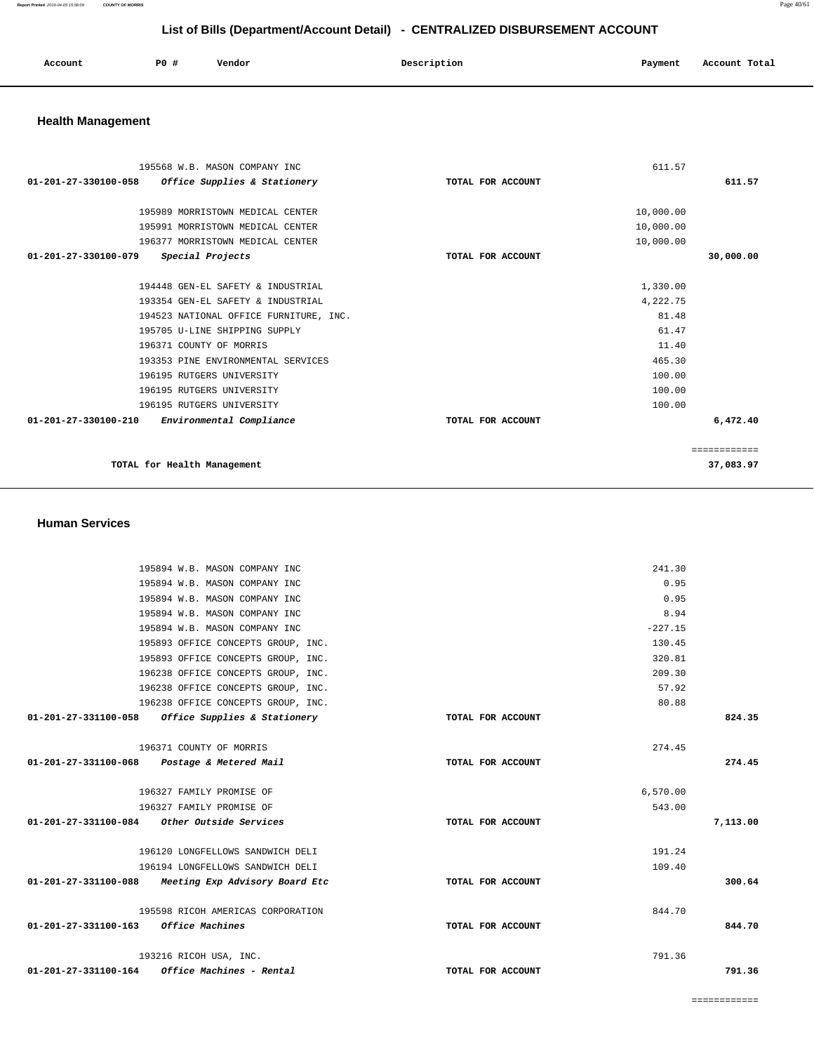**Report Printed** 2019-04-05 15:58:09 **COUNTY OF MORRIS** Page 40/61

## **List of Bills (Department/Account Detail) - CENTRALIZED DISBURSEMENT ACCOUNT**

| Account | PO # | Vendor | Description | Payment<br>. . | Account Total<br>. |
|---------|------|--------|-------------|----------------|--------------------|
|         |      |        |             |                |                    |

## **Health Management**

| 195568 W.B. MASON COMPANY INC                        |                   | 611.57    |              |
|------------------------------------------------------|-------------------|-----------|--------------|
| 01-201-27-330100-058<br>Office Supplies & Stationery | TOTAL FOR ACCOUNT |           | 611.57       |
|                                                      |                   |           |              |
| 195989 MORRISTOWN MEDICAL CENTER                     |                   | 10,000.00 |              |
| 195991 MORRISTOWN MEDICAL CENTER                     |                   | 10,000.00 |              |
| 196377 MORRISTOWN MEDICAL CENTER                     |                   | 10,000.00 |              |
| 01-201-27-330100-079<br>Special Projects             | TOTAL FOR ACCOUNT |           | 30,000.00    |
|                                                      |                   |           |              |
| 194448 GEN-EL SAFETY & INDUSTRIAL                    |                   | 1,330.00  |              |
| 193354 GEN-EL SAFETY & INDUSTRIAL                    |                   | 4,222.75  |              |
| 194523 NATIONAL OFFICE FURNITURE, INC.               |                   | 81.48     |              |
| 195705 U-LINE SHIPPING SUPPLY                        |                   | 61.47     |              |
| 196371 COUNTY OF MORRIS                              |                   | 11.40     |              |
| 193353 PINE ENVIRONMENTAL SERVICES                   |                   | 465.30    |              |
| 196195 RUTGERS UNIVERSITY                            |                   | 100.00    |              |
| 196195 RUTGERS UNIVERSITY                            |                   | 100.00    |              |
| 196195 RUTGERS UNIVERSITY                            |                   | 100.00    |              |
| 01-201-27-330100-210<br>Environmental Compliance     | TOTAL FOR ACCOUNT |           | 6,472.40     |
|                                                      |                   |           |              |
|                                                      |                   |           | ============ |
| TOTAL for Health Management                          |                   |           | 37,083.97    |
|                                                      |                   |           |              |

#### **Human Services**

|                      | 195894 W.B. MASON COMPANY INC               |                   | 241.30    |          |
|----------------------|---------------------------------------------|-------------------|-----------|----------|
|                      | 195894 W.B. MASON COMPANY INC               |                   | 0.95      |          |
|                      | 195894 W.B. MASON COMPANY INC               |                   | 0.95      |          |
|                      | 195894 W.B. MASON COMPANY INC               |                   | 8.94      |          |
|                      | 195894 W.B. MASON COMPANY INC               |                   | $-227.15$ |          |
|                      | 195893 OFFICE CONCEPTS GROUP, INC.          |                   | 130.45    |          |
|                      | 195893 OFFICE CONCEPTS GROUP, INC.          |                   | 320.81    |          |
|                      | 196238 OFFICE CONCEPTS GROUP, INC.          |                   | 209.30    |          |
|                      | 196238 OFFICE CONCEPTS GROUP, INC.          |                   | 57.92     |          |
|                      | 196238 OFFICE CONCEPTS GROUP, INC.          |                   | 80.88     |          |
| 01-201-27-331100-058 | Office Supplies & Stationery                | TOTAL FOR ACCOUNT |           | 824.35   |
|                      | 196371 COUNTY OF MORRIS                     |                   | 274.45    |          |
|                      | 01-201-27-331100-068 Postage & Metered Mail | TOTAL FOR ACCOUNT |           | 274.45   |
|                      | 196327 FAMILY PROMISE OF                    |                   | 6,570.00  |          |
|                      | 196327 FAMILY PROMISE OF                    |                   | 543.00    |          |
|                      | 01-201-27-331100-084 Other Outside Services | TOTAL FOR ACCOUNT |           | 7,113.00 |
|                      | 196120 LONGFELLOWS SANDWICH DELI            |                   | 191.24    |          |
|                      | 196194 LONGFELLOWS SANDWICH DELI            |                   | 109.40    |          |
| 01-201-27-331100-088 | Meeting Exp Advisory Board Etc              | TOTAL FOR ACCOUNT |           | 300.64   |
|                      | 195598 RICOH AMERICAS CORPORATION           |                   | 844.70    |          |
| 01-201-27-331100-163 | <i>Office Machines</i>                      | TOTAL FOR ACCOUNT |           | 844.70   |
|                      | 193216 RICOH USA, INC.                      |                   | 791.36    |          |
| 01-201-27-331100-164 | Office Machines - Rental                    | TOTAL FOR ACCOUNT |           | 791.36   |
|                      |                                             |                   |           |          |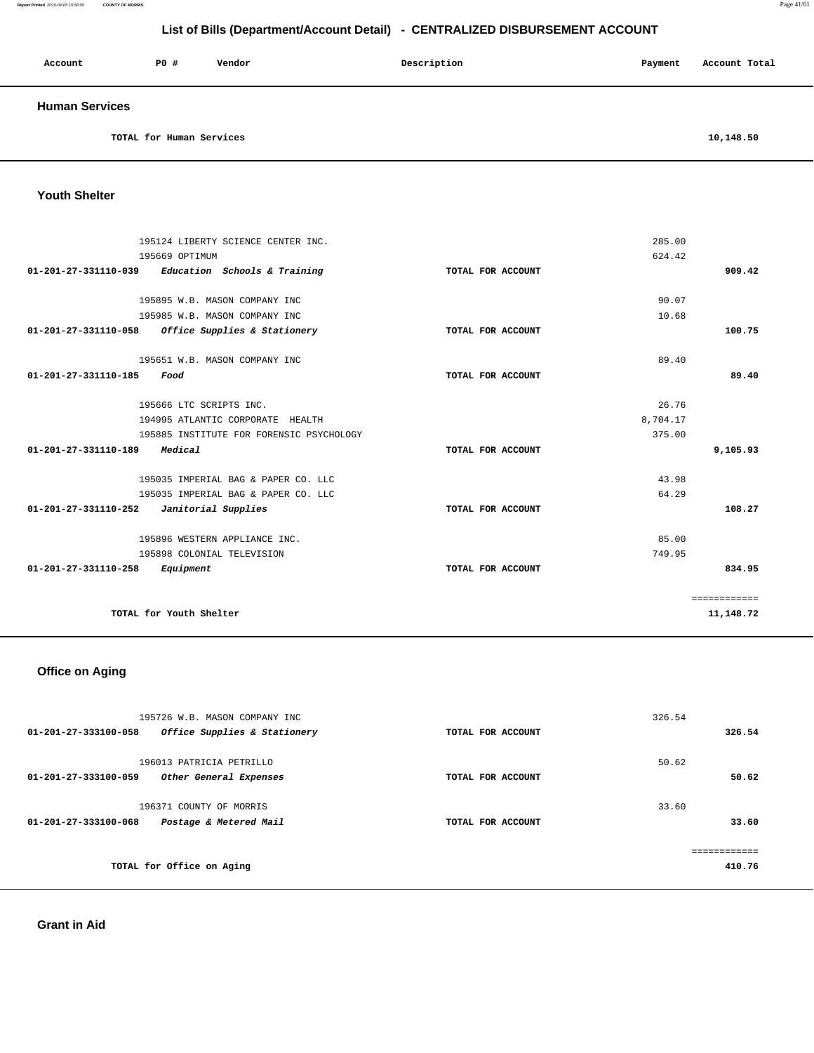| Account               | PO#                      | Vendor | Description | Payment | Account Total |
|-----------------------|--------------------------|--------|-------------|---------|---------------|
| <b>Human Services</b> |                          |        |             |         |               |
|                       | TOTAL for Human Services |        |             |         | 10,148.50     |

 **Youth Shelter** 

| 195124 LIBERTY SCIENCE CENTER INC.                  |                   | 285.00       |
|-----------------------------------------------------|-------------------|--------------|
| 195669 OPTIMUM                                      |                   | 624.42       |
| $01-201-27-331110-039$ Education Schools & Training | TOTAL FOR ACCOUNT | 909.42       |
|                                                     |                   |              |
| 195895 W.B. MASON COMPANY INC.                      |                   | 90.07        |
| 195985 W.B. MASON COMPANY INC                       |                   | 10.68        |
| 01-201-27-331110-058 Office Supplies & Stationery   | TOTAL FOR ACCOUNT | 100.75       |
| 195651 W.B. MASON COMPANY INC                       |                   | 89.40        |
| 01-201-27-331110-185<br>Food                        | TOTAL FOR ACCOUNT | 89.40        |
| 195666 LTC SCRIPTS INC.                             |                   | 26.76        |
| 194995 ATLANTIC CORPORATE HEALTH                    |                   | 8,704.17     |
| 195885 INSTITUTE FOR FORENSIC PSYCHOLOGY            |                   | 375.00       |
| Medical<br>01-201-27-331110-189                     | TOTAL FOR ACCOUNT | 9,105.93     |
| 195035 IMPERIAL BAG & PAPER CO. LLC                 |                   | 43.98        |
| 195035 IMPERIAL BAG & PAPER CO. LLC                 |                   | 64.29        |
| $01-201-27-331110-252$ Janitorial Supplies          | TOTAL FOR ACCOUNT | 108.27       |
| 195896 WESTERN APPLIANCE INC.                       |                   | 85.00        |
| 195898 COLONIAL TELEVISION                          |                   | 749.95       |
| 01-201-27-331110-258<br>Equipment                   | TOTAL FOR ACCOUNT | 834.95       |
|                                                     |                   | ============ |
| TOTAL for Youth Shelter                             |                   | 11,148.72    |

### **Office on Aging**

| 195726 W.B. MASON COMPANY INC                                                                   | 326.54         |
|-------------------------------------------------------------------------------------------------|----------------|
| Office Supplies & Stationery<br>01-201-27-333100-058<br>TOTAL FOR ACCOUNT                       | 326.54         |
| 196013 PATRICIA PETRILLO<br>01-201-27-333100-059<br>Other General Expenses<br>TOTAL FOR ACCOUNT | 50.62<br>50.62 |
| 196371 COUNTY OF MORRIS<br>01-201-27-333100-068<br>Postage & Metered Mail<br>TOTAL FOR ACCOUNT  | 33.60<br>33.60 |
|                                                                                                 |                |
| TOTAL for Office on Aging                                                                       | 410.76         |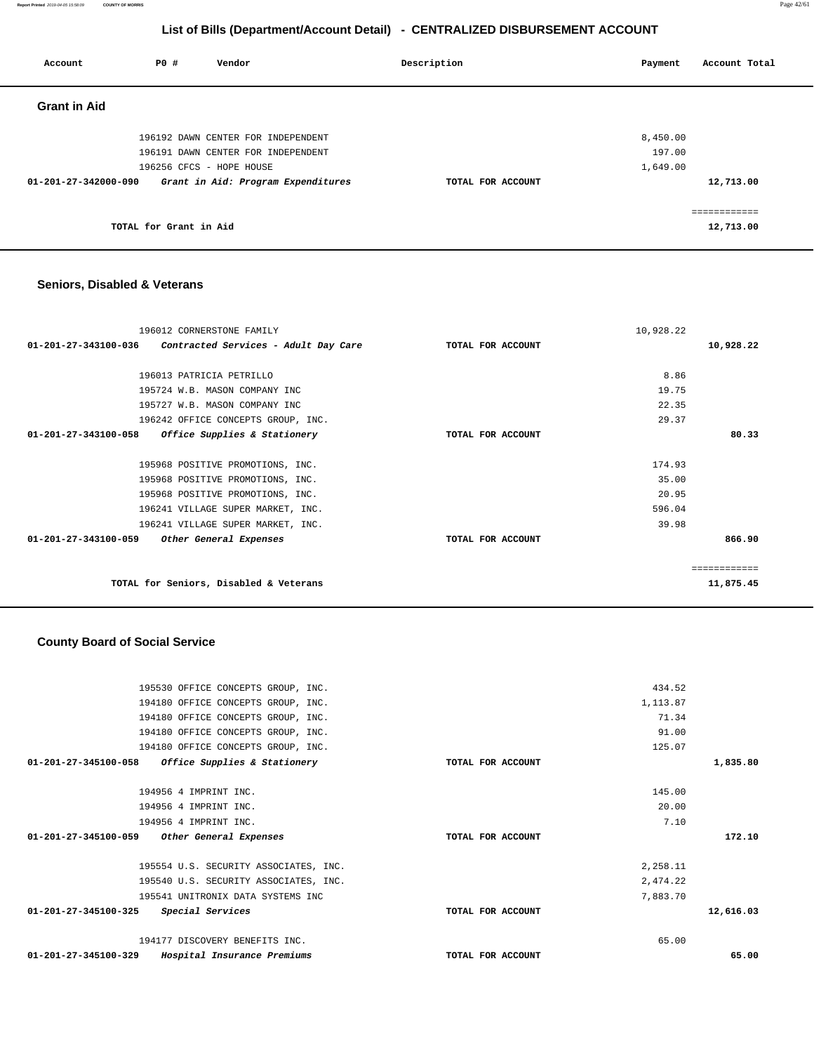**Report Printed** 2019-04-05 15:58:09 **COUNTY OF MORRIS** Page 42/61

### **List of Bills (Department/Account Detail) - CENTRALIZED DISBURSEMENT ACCOUNT**

| Account              | PO#                    | Vendor                             | Description       | Payment  | Account Total |
|----------------------|------------------------|------------------------------------|-------------------|----------|---------------|
| <b>Grant in Aid</b>  |                        |                                    |                   |          |               |
|                      |                        | 196192 DAWN CENTER FOR INDEPENDENT |                   | 8,450.00 |               |
|                      |                        | 196191 DAWN CENTER FOR INDEPENDENT |                   | 197.00   |               |
|                      |                        | 196256 CFCS - HOPE HOUSE           |                   | 1,649.00 |               |
| 01-201-27-342000-090 |                        | Grant in Aid: Program Expenditures | TOTAL FOR ACCOUNT |          | 12,713.00     |
|                      |                        |                                    |                   |          | ============  |
|                      | TOTAL for Grant in Aid |                                    |                   |          | 12,713.00     |
|                      |                        |                                    |                   |          |               |

#### **Seniors, Disabled & Veterans**

| 196012 CORNERSTONE FAMILY                                    |                   | 10,928.22 |              |
|--------------------------------------------------------------|-------------------|-----------|--------------|
| 01-201-27-343100-036<br>Contracted Services - Adult Day Care | TOTAL FOR ACCOUNT |           | 10,928.22    |
|                                                              |                   |           |              |
| 196013 PATRICIA PETRILLO                                     |                   | 8.86      |              |
| 195724 W.B. MASON COMPANY INC                                |                   | 19.75     |              |
| 195727 W.B. MASON COMPANY INC                                |                   | 22.35     |              |
| 196242 OFFICE CONCEPTS GROUP, INC.                           |                   | 29.37     |              |
| 01-201-27-343100-058<br>Office Supplies & Stationery         | TOTAL FOR ACCOUNT |           | 80.33        |
|                                                              |                   |           |              |
| 195968 POSITIVE PROMOTIONS, INC.                             |                   | 174.93    |              |
| 195968 POSITIVE PROMOTIONS, INC.                             |                   | 35.00     |              |
| 195968 POSITIVE PROMOTIONS, INC.                             |                   | 20.95     |              |
| 196241 VILLAGE SUPER MARKET, INC.                            |                   | 596.04    |              |
| 196241 VILLAGE SUPER MARKET, INC.                            |                   | 39.98     |              |
| 01-201-27-343100-059<br>Other General Expenses               | TOTAL FOR ACCOUNT |           | 866.90       |
|                                                              |                   |           |              |
|                                                              |                   |           | ============ |
| TOTAL for Seniors, Disabled & Veterans                       |                   |           | 11,875.45    |

## **County Board of Social Service**

| 434.52   |                   | 195530 OFFICE CONCEPTS GROUP, INC.                   |
|----------|-------------------|------------------------------------------------------|
| 1,113.87 |                   | 194180 OFFICE CONCEPTS GROUP, INC.                   |
| 71.34    |                   | 194180 OFFICE CONCEPTS GROUP, INC.                   |
| 91.00    |                   | 194180 OFFICE CONCEPTS GROUP, INC.                   |
| 125.07   |                   | 194180 OFFICE CONCEPTS GROUP, INC.                   |
|          | TOTAL FOR ACCOUNT | 01-201-27-345100-058<br>Office Supplies & Stationery |
|          |                   |                                                      |
| 145.00   |                   | 194956 4 IMPRINT INC.                                |
| 20.00    |                   | 194956 4 IMPRINT INC.                                |
| 7.10     |                   | 194956 4 IMPRINT INC.                                |
|          | TOTAL FOR ACCOUNT | 01-201-27-345100-059<br>Other General Expenses       |
|          |                   |                                                      |
| 2,258.11 |                   | 195554 U.S. SECURITY ASSOCIATES, INC.                |
| 2,474.22 |                   | 195540 U.S. SECURITY ASSOCIATES, INC.                |
| 7,883.70 |                   | 195541 UNITRONIX DATA SYSTEMS INC.                   |
|          | TOTAL FOR ACCOUNT | 01-201-27-345100-325<br><i>Special Services</i>      |
|          |                   |                                                      |
| 65.00    |                   | 194177 DISCOVERY BENEFITS INC.                       |
|          | TOTAL FOR ACCOUNT | 01-201-27-345100-329<br>Hospital Insurance Premiums  |
|          |                   |                                                      |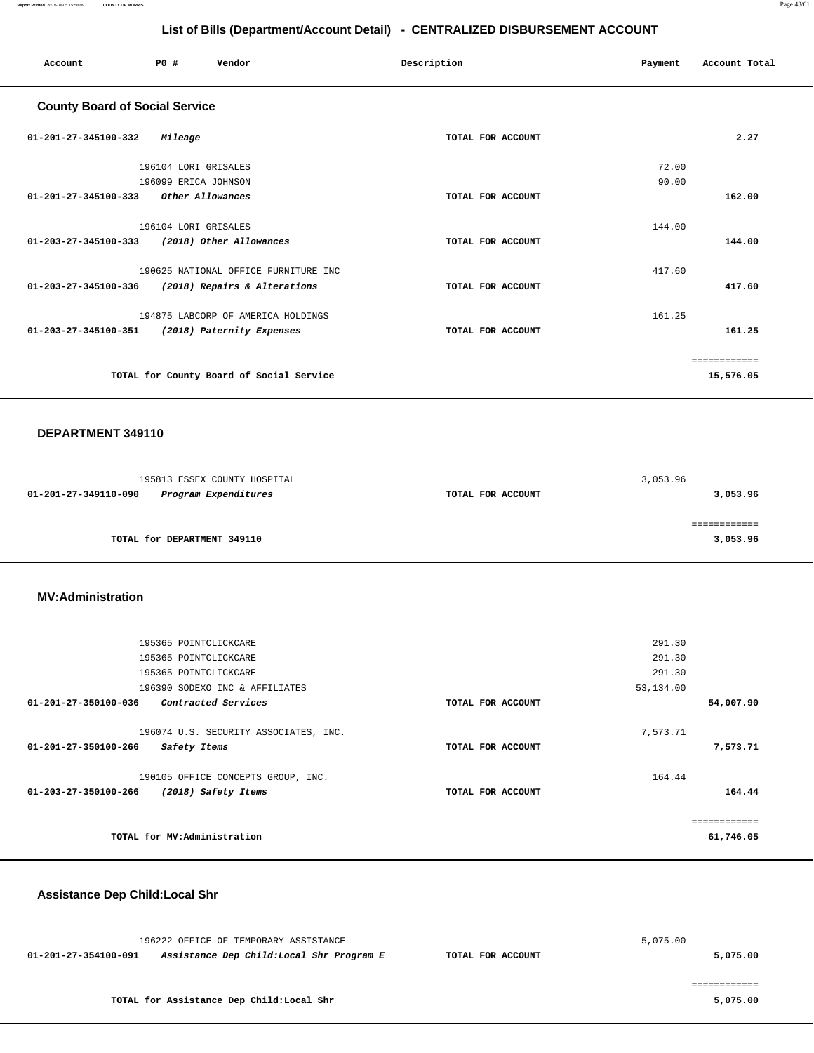| Account                               | P0#                                      | Vendor                                   | Description       | Payment | Account Total             |
|---------------------------------------|------------------------------------------|------------------------------------------|-------------------|---------|---------------------------|
| <b>County Board of Social Service</b> |                                          |                                          |                   |         |                           |
| 01-201-27-345100-332                  | Mileage                                  |                                          | TOTAL FOR ACCOUNT |         | 2.27                      |
|                                       | 196104 LORI GRISALES                     |                                          |                   | 72.00   |                           |
| 01-201-27-345100-333                  | 196099 ERICA JOHNSON<br>Other Allowances |                                          | TOTAL FOR ACCOUNT | 90.00   | 162.00                    |
|                                       | 196104 LORI GRISALES                     |                                          |                   | 144.00  |                           |
| 01-203-27-345100-333                  |                                          | (2018) Other Allowances                  | TOTAL FOR ACCOUNT |         | 144.00                    |
|                                       |                                          | 190625 NATIONAL OFFICE FURNITURE INC     |                   | 417.60  |                           |
| $01 - 203 - 27 - 345100 - 336$        |                                          | (2018) Repairs & Alterations             | TOTAL FOR ACCOUNT |         | 417.60                    |
|                                       |                                          | 194875 LABCORP OF AMERICA HOLDINGS       |                   | 161.25  |                           |
| $01 - 203 - 27 - 345100 - 351$        |                                          | (2018) Paternity Expenses                | TOTAL FOR ACCOUNT |         | 161.25                    |
|                                       |                                          | TOTAL for County Board of Social Service |                   |         | ============<br>15,576.05 |

#### **DEPARTMENT 349110**

| 195813 ESSEX COUNTY HOSPITAL                 |                   | 3,053.96 |
|----------------------------------------------|-------------------|----------|
| Program Expenditures<br>01-201-27-349110-090 | TOTAL FOR ACCOUNT | 3,053.96 |
|                                              |                   |          |
|                                              |                   |          |
| TOTAL for DEPARTMENT 349110                  |                   | 3,053.96 |

#### **MV:Administration**

|              | 291.30    |                   | 195365 POINTCLICKCARE                 |                      |
|--------------|-----------|-------------------|---------------------------------------|----------------------|
|              | 291.30    |                   | 195365 POINTCLICKCARE                 |                      |
|              | 291.30    |                   | 195365 POINTCLICKCARE                 |                      |
|              | 53,134.00 |                   | 196390 SODEXO INC & AFFILIATES        |                      |
| 54,007.90    |           | TOTAL FOR ACCOUNT | Contracted Services                   | 01-201-27-350100-036 |
|              |           |                   |                                       |                      |
|              | 7,573.71  |                   | 196074 U.S. SECURITY ASSOCIATES, INC. |                      |
| 7,573.71     |           | TOTAL FOR ACCOUNT | Safety Items                          | 01-201-27-350100-266 |
|              | 164.44    |                   | 190105 OFFICE CONCEPTS GROUP, INC.    |                      |
| 164.44       |           | TOTAL FOR ACCOUNT | (2018) Safety Items                   | 01-203-27-350100-266 |
|              |           |                   |                                       |                      |
| eessessesses |           |                   |                                       |                      |
| 61,746.05    |           |                   | TOTAL for MV:Administration           |                      |
|              |           |                   |                                       |                      |

## **Assistance Dep Child:Local Shr**

| 5,075.00 |                   | 196222 OFFICE OF TEMPORARY ASSISTANCE     |                      |
|----------|-------------------|-------------------------------------------|----------------------|
| 5,075.00 | TOTAL FOR ACCOUNT | Assistance Dep Child:Local Shr Program E  | 01-201-27-354100-091 |
|          |                   |                                           |                      |
| 5,075.00 |                   | TOTAL for Assistance Dep Child: Local Shr |                      |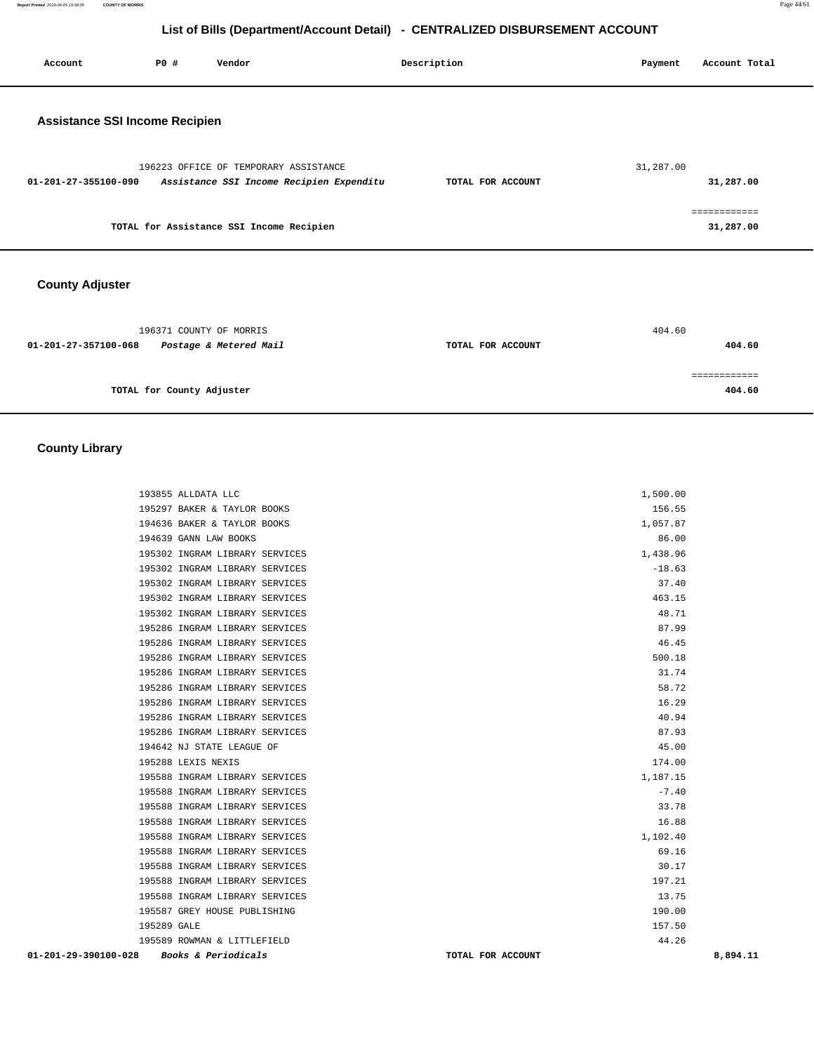**Report Printed** 2019-04-05 15:58:09 **COUNTY OF MORRIS** Page 44/61

### **List of Bills (Department/Account Detail) - CENTRALIZED DISBURSEMENT ACCOUNT**

| Account                               | P0 # | Vendor                                                                            | Description       | Payment   | Account Total             |
|---------------------------------------|------|-----------------------------------------------------------------------------------|-------------------|-----------|---------------------------|
| <b>Assistance SSI Income Recipien</b> |      |                                                                                   |                   |           |                           |
| 01-201-27-355100-090                  |      | 196223 OFFICE OF TEMPORARY ASSISTANCE<br>Assistance SSI Income Recipien Expenditu | TOTAL FOR ACCOUNT | 31,287.00 | 31,287.00                 |
|                                       |      | TOTAL for Assistance SSI Income Recipien                                          |                   |           | ============<br>31,287.00 |
| <b>County Adjuster</b>                |      |                                                                                   |                   |           |                           |
|                                       |      |                                                                                   |                   |           |                           |

============

**TOTAL for County Adjuster 404.60**

#### **County Library**

| 01-201-29-390100-028<br><i>Books &amp; Periodicals</i> | TOTAL FOR ACCOUNT | 8,894.11 |
|--------------------------------------------------------|-------------------|----------|
| 195589 ROWMAN & LITTLEFIELD                            | 44.26             |          |
| 195289 GALE                                            | 157.50            |          |
| 195587 GREY HOUSE PUBLISHING                           | 190.00            |          |
| 195588 INGRAM LIBRARY SERVICES                         | 13.75             |          |
| 195588 INGRAM LIBRARY SERVICES                         | 197.21            |          |
| 195588 INGRAM LIBRARY SERVICES                         | 30.17             |          |
| 195588 INGRAM LIBRARY SERVICES                         | 69.16             |          |
| 195588 INGRAM LIBRARY SERVICES                         | 1,102.40          |          |
| 195588 INGRAM LIBRARY SERVICES                         | 16.88             |          |
| 195588 INGRAM LIBRARY SERVICES                         | 33.78             |          |
| 195588 INGRAM LIBRARY SERVICES                         | $-7.40$           |          |
| 195588 INGRAM LIBRARY SERVICES                         | 1,187.15          |          |
| 195288 LEXIS NEXIS                                     | 174.00            |          |
| 194642 NJ STATE LEAGUE OF                              | 45.00             |          |
| 195286 INGRAM LIBRARY SERVICES                         | 87.93             |          |
| 195286 INGRAM LIBRARY SERVICES                         | 40.94             |          |
| 195286 INGRAM LIBRARY SERVICES                         | 16.29             |          |
| 195286 INGRAM LIBRARY SERVICES                         | 58.72             |          |
| 195286 INGRAM LIBRARY SERVICES                         | 31.74             |          |
| 195286 INGRAM LIBRARY SERVICES                         | 500.18            |          |
| 195286 INGRAM LIBRARY SERVICES                         | 46.45             |          |
| 195286 INGRAM LIBRARY SERVICES                         | 87.99             |          |
| 195302 INGRAM LIBRARY SERVICES                         | 48.71             |          |
| 195302 INGRAM LIBRARY SERVICES                         | 463.15            |          |
| 195302 INGRAM LIBRARY SERVICES                         | 37.40             |          |
| 195302 INGRAM LIBRARY SERVICES                         | $-18.63$          |          |
| 195302 INGRAM LIBRARY SERVICES                         | 1,438.96          |          |
| 194639 GANN LAW BOOKS                                  | 86.00             |          |
| 194636 BAKER & TAYLOR BOOKS                            | 1,057.87          |          |
| 195297 BAKER & TAYLOR BOOKS                            | 156.55            |          |
| 193855 ALLDATA LLC                                     | 1,500.00          |          |
|                                                        |                   |          |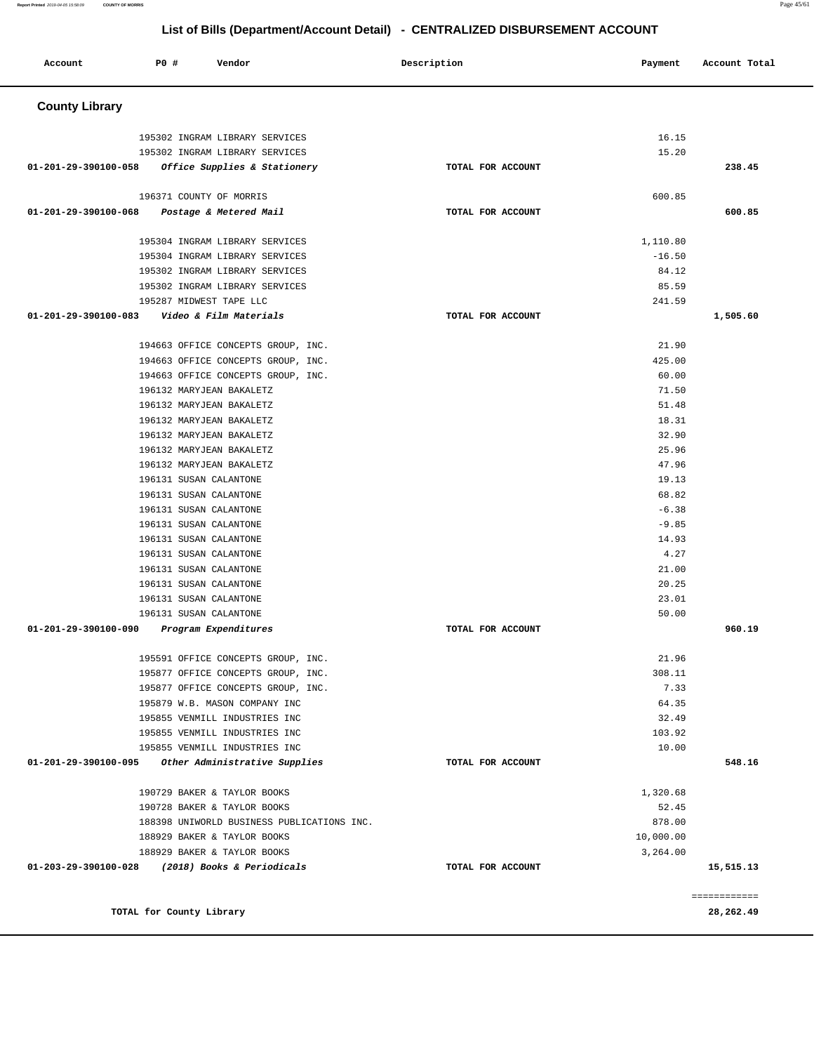**Report Printed** 2019-04-05 15:58:09 **COUNTY OF MORRIS** Page 45/61

## **List of Bills (Department/Account Detail) - CENTRALIZED DISBURSEMENT ACCOUNT**

| Account                        | <b>PO #</b>                                      | Vendor                                                                   | Description       | Payment              | Account Total |
|--------------------------------|--------------------------------------------------|--------------------------------------------------------------------------|-------------------|----------------------|---------------|
| <b>County Library</b>          |                                                  |                                                                          |                   |                      |               |
|                                |                                                  | 195302 INGRAM LIBRARY SERVICES                                           |                   | 16.15                |               |
|                                |                                                  | 195302 INGRAM LIBRARY SERVICES                                           |                   | 15.20                |               |
| 01-201-29-390100-058           |                                                  | Office Supplies & Stationery                                             | TOTAL FOR ACCOUNT |                      | 238.45        |
|                                |                                                  |                                                                          |                   |                      |               |
|                                | 196371 COUNTY OF MORRIS                          |                                                                          |                   | 600.85               |               |
| $01 - 201 - 29 - 390100 - 068$ |                                                  | Postage & Metered Mail                                                   | TOTAL FOR ACCOUNT |                      | 600.85        |
|                                |                                                  | 195304 INGRAM LIBRARY SERVICES                                           |                   |                      |               |
|                                |                                                  | 195304 INGRAM LIBRARY SERVICES                                           |                   | 1,110.80<br>$-16.50$ |               |
|                                |                                                  | 195302 INGRAM LIBRARY SERVICES                                           |                   | 84.12                |               |
|                                |                                                  | 195302 INGRAM LIBRARY SERVICES                                           |                   | 85.59                |               |
|                                | 195287 MIDWEST TAPE LLC                          |                                                                          |                   | 241.59               |               |
| 01-201-29-390100-083           |                                                  | Video & Film Materials                                                   | TOTAL FOR ACCOUNT |                      | 1,505.60      |
|                                |                                                  |                                                                          |                   |                      |               |
|                                |                                                  | 194663 OFFICE CONCEPTS GROUP, INC.                                       |                   | 21.90<br>425.00      |               |
|                                |                                                  | 194663 OFFICE CONCEPTS GROUP, INC.<br>194663 OFFICE CONCEPTS GROUP, INC. |                   | 60.00                |               |
|                                |                                                  | 196132 MARYJEAN BAKALETZ                                                 |                   | 71.50                |               |
|                                |                                                  | 196132 MARYJEAN BAKALETZ                                                 |                   | 51.48                |               |
|                                |                                                  | 196132 MARYJEAN BAKALETZ                                                 |                   | 18.31                |               |
|                                |                                                  | 196132 MARYJEAN BAKALETZ                                                 |                   | 32.90                |               |
|                                |                                                  | 196132 MARYJEAN BAKALETZ                                                 |                   | 25.96                |               |
|                                |                                                  | 196132 MARYJEAN BAKALETZ                                                 |                   | 47.96                |               |
|                                | 196131 SUSAN CALANTONE                           |                                                                          |                   | 19.13                |               |
|                                | 196131 SUSAN CALANTONE                           |                                                                          |                   | 68.82                |               |
|                                | 196131 SUSAN CALANTONE                           |                                                                          |                   | $-6.38$              |               |
|                                | 196131 SUSAN CALANTONE                           |                                                                          |                   | $-9.85$              |               |
|                                | 196131 SUSAN CALANTONE                           |                                                                          |                   | 14.93                |               |
|                                | 196131 SUSAN CALANTONE<br>196131 SUSAN CALANTONE |                                                                          |                   | 4.27<br>21.00        |               |
|                                | 196131 SUSAN CALANTONE                           |                                                                          |                   | 20.25                |               |
|                                | 196131 SUSAN CALANTONE                           |                                                                          |                   | 23.01                |               |
|                                | 196131 SUSAN CALANTONE                           |                                                                          |                   | 50.00                |               |
| 01-201-29-390100-090           |                                                  | Program Expenditures                                                     | TOTAL FOR ACCOUNT |                      | 960.19        |
|                                |                                                  |                                                                          |                   |                      |               |
|                                |                                                  | 195591 OFFICE CONCEPTS GROUP, INC.<br>195877 OFFICE CONCEPTS GROUP, INC. |                   | 21.96<br>308.11      |               |
|                                |                                                  | 195877 OFFICE CONCEPTS GROUP, INC.                                       |                   | 7.33                 |               |
|                                |                                                  | 195879 W.B. MASON COMPANY INC                                            |                   | 64.35                |               |
|                                |                                                  | 195855 VENMILL INDUSTRIES INC                                            |                   | 32.49                |               |
|                                |                                                  | 195855 VENMILL INDUSTRIES INC                                            |                   | 103.92               |               |
|                                |                                                  | 195855 VENMILL INDUSTRIES INC                                            |                   | 10.00                |               |
|                                |                                                  | 01-201-29-390100-095 Other Administrative Supplies                       | TOTAL FOR ACCOUNT |                      | 548.16        |
|                                |                                                  | 190729 BAKER & TAYLOR BOOKS                                              |                   | 1,320.68             |               |
|                                |                                                  | 190728 BAKER & TAYLOR BOOKS                                              |                   | 52.45                |               |
|                                |                                                  | 188398 UNIWORLD BUSINESS PUBLICATIONS INC.                               |                   | 878.00               |               |
|                                |                                                  | 188929 BAKER & TAYLOR BOOKS                                              |                   | 10,000.00            |               |
|                                |                                                  | 188929 BAKER & TAYLOR BOOKS                                              |                   | 3,264.00             |               |
|                                |                                                  | 01-203-29-390100-028 (2018) Books & Periodicals                          | TOTAL FOR ACCOUNT |                      | 15,515.13     |
|                                |                                                  |                                                                          |                   |                      | ============  |
|                                | TOTAL for County Library                         |                                                                          |                   |                      | 28,262.49     |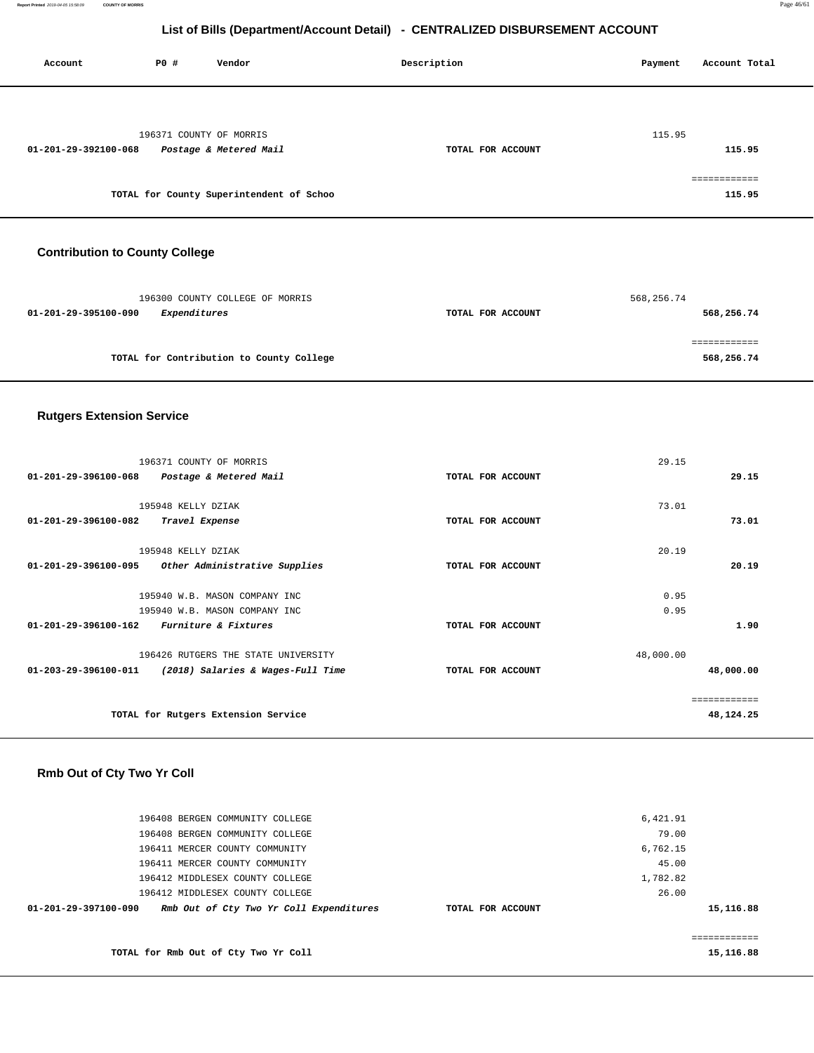| Account              | P0 # | Vendor                                   | Description       | Account Total<br>Payment |
|----------------------|------|------------------------------------------|-------------------|--------------------------|
|                      |      | 196371 COUNTY OF MORRIS                  |                   | 115.95                   |
| 01-201-29-392100-068 |      | Postage & Metered Mail                   | TOTAL FOR ACCOUNT | 115.95                   |
|                      |      | TOTAL for County Superintendent of Schoo |                   | 115.95                   |

## **Contribution to County College**

| 196300 COUNTY COLLEGE OF MORRIS             |                   | 568,256.74 |
|---------------------------------------------|-------------------|------------|
| <i>Expenditures</i><br>01-201-29-395100-090 | TOTAL FOR ACCOUNT | 568,256.74 |
|                                             |                   |            |
|                                             |                   |            |
| TOTAL for Contribution to County College    |                   | 568,256.74 |

#### **Rutgers Extension Service**

| 196371 COUNTY OF MORRIS                                           |                   | 29.15        |       |
|-------------------------------------------------------------------|-------------------|--------------|-------|
| $01 - 201 - 29 - 396100 - 068$<br>Postage & Metered Mail          | TOTAL FOR ACCOUNT |              | 29.15 |
| 195948 KELLY DZIAK                                                |                   | 73.01        |       |
| $01 - 201 - 29 - 396100 - 082$<br>Travel Expense                  | TOTAL FOR ACCOUNT |              | 73.01 |
|                                                                   |                   |              |       |
| 195948 KELLY DZIAK                                                |                   | 20.19        |       |
| 01-201-29-396100-095<br>Other Administrative Supplies             | TOTAL FOR ACCOUNT |              | 20.19 |
|                                                                   |                   |              |       |
| 195940 W.B. MASON COMPANY INC                                     |                   | 0.95         |       |
| 195940 W.B. MASON COMPANY INC                                     |                   | 0.95         |       |
| <i>Furniture &amp; Fixtures</i><br>$01 - 201 - 29 - 396100 - 162$ | TOTAL FOR ACCOUNT |              | 1.90  |
| 196426 RUTGERS THE STATE UNIVERSITY                               |                   | 48,000.00    |       |
| 01-203-29-396100-011<br>(2018) Salaries & Wages-Full Time         | TOTAL FOR ACCOUNT | 48,000.00    |       |
|                                                                   |                   | ============ |       |
|                                                                   |                   | 48,124.25    |       |
| TOTAL for Rutgers Extension Service                               |                   |              |       |

## **Rmb Out of Cty Two Yr Coll**

|                      | 196408 BERGEN COMMUNITY COLLEGE         |                   | 6,421.91 |             |
|----------------------|-----------------------------------------|-------------------|----------|-------------|
|                      | 196408 BERGEN COMMUNITY COLLEGE         |                   | 79.00    |             |
|                      | 196411 MERCER COUNTY COMMUNITY          |                   | 6,762.15 |             |
|                      | 196411 MERCER COUNTY COMMUNITY          |                   | 45.00    |             |
|                      | 196412 MIDDLESEX COUNTY COLLEGE         |                   | 1,782.82 |             |
|                      | 196412 MIDDLESEX COUNTY COLLEGE         |                   | 26.00    |             |
| 01-201-29-397100-090 | Rmb Out of Cty Two Yr Coll Expenditures | TOTAL FOR ACCOUNT |          | 15, 116, 88 |
|                      |                                         |                   |          |             |
|                      |                                         |                   |          |             |
|                      | TOTAL for Rmb Out of Cty Two Yr Coll    |                   |          | 15,116.88   |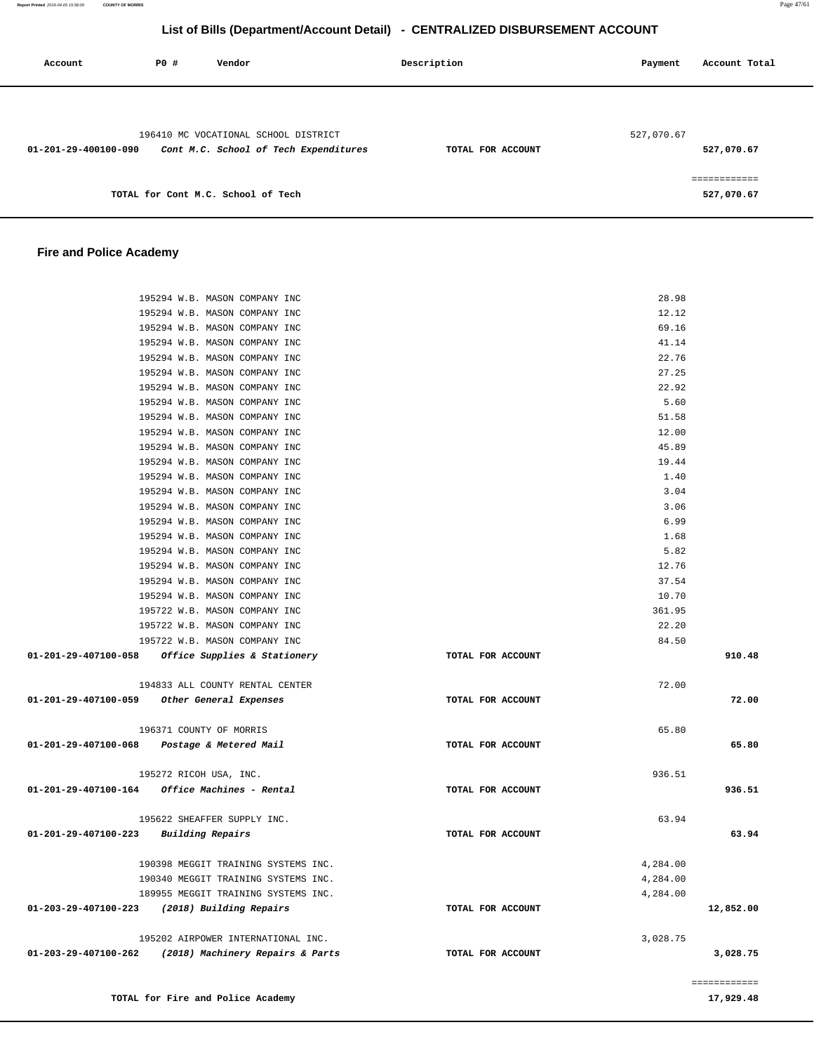| Report Printed 2019-04-05 15:58:09 | <b>COUNTY OF MORRIS</b> |     |                                       |                                                                              |            |               | Page 47/61 |
|------------------------------------|-------------------------|-----|---------------------------------------|------------------------------------------------------------------------------|------------|---------------|------------|
|                                    |                         |     |                                       | List of Bills (Department/Account Detail) - CENTRALIZED DISBURSEMENT ACCOUNT |            |               |            |
| Account                            |                         | PO# | Vendor                                | Description                                                                  | Payment    | Account Total |            |
|                                    |                         |     |                                       |                                                                              |            |               |            |
|                                    |                         |     | 196410 MC VOCATIONAL SCHOOL DISTRICT  |                                                                              | 527,070.67 |               |            |
| $01 - 201 - 29 - 400100 - 090$     |                         |     | Cont M.C. School of Tech Expenditures | TOTAL FOR ACCOUNT                                                            |            | 527,070.67    |            |
|                                    |                         |     |                                       |                                                                              |            | ===========   |            |

**TOTAL for Cont M.C. School of Tech 527,070.67**

## **Fire and Police Academy**

|                      | 195294 W.B. MASON COMPANY INC                           |                   | 28.98    |              |
|----------------------|---------------------------------------------------------|-------------------|----------|--------------|
|                      | 195294 W.B. MASON COMPANY INC                           |                   | 12.12    |              |
|                      | 195294 W.B. MASON COMPANY INC                           |                   | 69.16    |              |
|                      | 195294 W.B. MASON COMPANY INC                           |                   | 41.14    |              |
|                      | 195294 W.B. MASON COMPANY INC                           |                   | 22.76    |              |
|                      | 195294 W.B. MASON COMPANY INC                           |                   | 27.25    |              |
|                      | 195294 W.B. MASON COMPANY INC                           |                   | 22.92    |              |
|                      | 195294 W.B. MASON COMPANY INC                           |                   | 5.60     |              |
|                      | 195294 W.B. MASON COMPANY INC                           |                   | 51.58    |              |
|                      | 195294 W.B. MASON COMPANY INC                           |                   | 12.00    |              |
|                      | 195294 W.B. MASON COMPANY INC                           |                   | 45.89    |              |
|                      | 195294 W.B. MASON COMPANY INC                           |                   | 19.44    |              |
|                      | 195294 W.B. MASON COMPANY INC                           |                   | 1.40     |              |
|                      | 195294 W.B. MASON COMPANY INC                           |                   | 3.04     |              |
|                      | 195294 W.B. MASON COMPANY INC                           |                   | 3.06     |              |
|                      | 195294 W.B. MASON COMPANY INC                           |                   | 6.99     |              |
|                      | 195294 W.B. MASON COMPANY INC                           |                   | 1.68     |              |
|                      | 195294 W.B. MASON COMPANY INC                           |                   | 5.82     |              |
|                      | 195294 W.B. MASON COMPANY INC                           |                   | 12.76    |              |
|                      | 195294 W.B. MASON COMPANY INC                           |                   | 37.54    |              |
|                      | 195294 W.B. MASON COMPANY INC                           |                   | 10.70    |              |
|                      | 195722 W.B. MASON COMPANY INC                           |                   | 361.95   |              |
|                      | 195722 W.B. MASON COMPANY INC                           |                   | 22.20    |              |
|                      | 195722 W.B. MASON COMPANY INC                           | TOTAL FOR ACCOUNT | 84.50    | 910.48       |
|                      | $01-201-29-407100-058$ Office Supplies & Stationery     |                   |          |              |
|                      | 194833 ALL COUNTY RENTAL CENTER                         |                   | 72.00    |              |
|                      | 01-201-29-407100-059 Other General Expenses             | TOTAL FOR ACCOUNT |          | 72.00        |
|                      |                                                         |                   |          |              |
|                      | 196371 COUNTY OF MORRIS                                 |                   | 65.80    |              |
| 01-201-29-407100-068 | Postage & Metered Mail                                  | TOTAL FOR ACCOUNT |          | 65.80        |
|                      |                                                         |                   |          |              |
|                      | 195272 RICOH USA, INC.                                  |                   | 936.51   |              |
|                      | $01 - 201 - 29 - 407100 - 164$ Office Machines - Rental | TOTAL FOR ACCOUNT |          | 936.51       |
|                      |                                                         |                   |          |              |
|                      | 195622 SHEAFFER SUPPLY INC.                             |                   | 63.94    |              |
| 01-201-29-407100-223 | Building Repairs                                        | TOTAL FOR ACCOUNT |          | 63.94        |
|                      |                                                         |                   |          |              |
|                      | 190398 MEGGIT TRAINING SYSTEMS INC.                     |                   | 4,284.00 |              |
|                      | 190340 MEGGIT TRAINING SYSTEMS INC.                     |                   | 4,284.00 |              |
|                      | 189955 MEGGIT TRAINING SYSTEMS INC.                     |                   | 4,284.00 |              |
| 01-203-29-407100-223 | (2018) Building Repairs                                 | TOTAL FOR ACCOUNT |          | 12,852.00    |
|                      | 195202 AIRPOWER INTERNATIONAL INC.                      |                   |          |              |
| 01-203-29-407100-262 |                                                         | TOTAL FOR ACCOUNT | 3,028.75 | 3,028.75     |
|                      | (2018) Machinery Repairs & Parts                        |                   |          |              |
|                      |                                                         |                   |          | ============ |
|                      |                                                         |                   |          |              |

**TOTAL for Fire and Police Academy 17,929.48**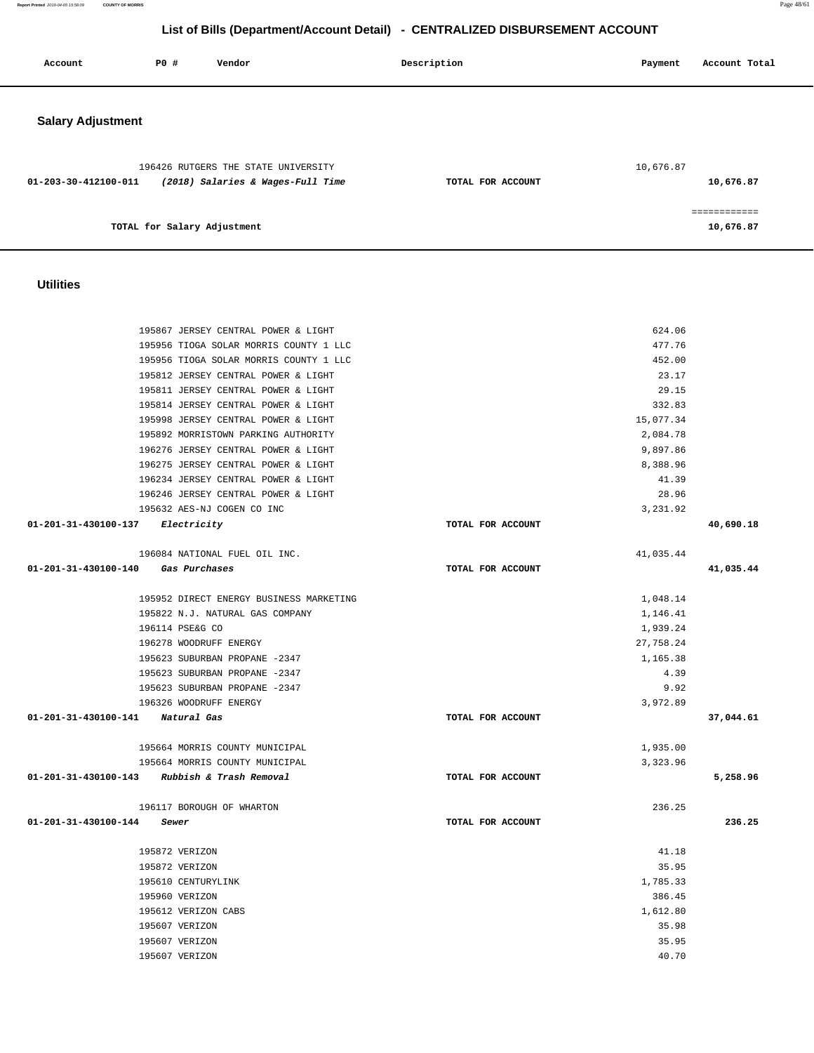**Report Printed** 2019-04-05 15:58:09 **COUNTY OF MORRIS** Page 48/61

## **List of Bills (Department/Account Detail) - CENTRALIZED DISBURSEMENT ACCOUNT**

| Account                    | P0 #<br>Vendor                                                                                | Description       | Payment   | Account Total             |
|----------------------------|-----------------------------------------------------------------------------------------------|-------------------|-----------|---------------------------|
|                            |                                                                                               |                   |           |                           |
| <b>Salary Adjustment</b>   |                                                                                               |                   |           |                           |
|                            |                                                                                               |                   |           |                           |
|                            | 196426 RUTGERS THE STATE UNIVERSITY<br>01-203-30-412100-011 (2018) Salaries & Wages-Full Time | TOTAL FOR ACCOUNT | 10,676.87 | 10,676.87                 |
|                            | TOTAL for Salary Adjustment                                                                   |                   |           | ============<br>10,676.87 |
| <b>Utilities</b>           |                                                                                               |                   |           |                           |
|                            |                                                                                               |                   |           |                           |
|                            | 195867 JERSEY CENTRAL POWER & LIGHT                                                           |                   | 624.06    |                           |
|                            | 195956 TIOGA SOLAR MORRIS COUNTY 1 LLC                                                        |                   | 477.76    |                           |
|                            | 195956 TIOGA SOLAR MORRIS COUNTY 1 LLC                                                        |                   | 452.00    |                           |
|                            | 195812 JERSEY CENTRAL POWER & LIGHT                                                           |                   | 23.17     |                           |
|                            | 195811 JERSEY CENTRAL POWER & LIGHT                                                           |                   | 29.15     |                           |
|                            | 195814 JERSEY CENTRAL POWER & LIGHT                                                           |                   | 332.83    |                           |
|                            | 195998 JERSEY CENTRAL POWER & LIGHT                                                           |                   | 15,077.34 |                           |
|                            | 195892 MORRISTOWN PARKING AUTHORITY                                                           |                   | 2,084.78  |                           |
|                            | 196276 JERSEY CENTRAL POWER & LIGHT                                                           |                   | 9,897.86  |                           |
|                            | 196275 JERSEY CENTRAL POWER & LIGHT                                                           |                   | 8,388.96  |                           |
|                            | 196234 JERSEY CENTRAL POWER & LIGHT                                                           |                   | 41.39     |                           |
|                            | 196246 JERSEY CENTRAL POWER & LIGHT                                                           |                   | 28.96     |                           |
|                            | 195632 AES-NJ COGEN CO INC                                                                    | TOTAL FOR ACCOUNT | 3,231.92  | 40,690.18                 |
| 01-201-31-430100-137       | <i>Electricity</i>                                                                            |                   |           |                           |
|                            | 196084 NATIONAL FUEL OIL INC.                                                                 |                   | 41,035.44 |                           |
| 01-201-31-430100-140       | Gas Purchases                                                                                 | TOTAL FOR ACCOUNT |           | 41,035.44                 |
|                            | 195952 DIRECT ENERGY BUSINESS MARKETING                                                       |                   | 1,048.14  |                           |
|                            | 195822 N.J. NATURAL GAS COMPANY                                                               |                   | 1,146.41  |                           |
|                            | 196114 PSE&G CO                                                                               |                   | 1,939.24  |                           |
|                            | 196278 WOODRUFF ENERGY                                                                        |                   | 27,758.24 |                           |
|                            | 195623 SUBURBAN PROPANE -2347                                                                 |                   | 1,165.38  |                           |
|                            | 195623 SUBURBAN PROPANE -2347                                                                 |                   | 4.39      |                           |
|                            | 195623 SUBURBAN PROPANE -2347                                                                 |                   | 9.92      |                           |
|                            | 196326 WOODRUFF ENERGY                                                                        |                   | 3,972.89  |                           |
|                            | 01-201-31-430100-141 Natural Gas                                                              | TOTAL FOR ACCOUNT |           | 37,044.61                 |
|                            |                                                                                               |                   |           |                           |
|                            | 195664 MORRIS COUNTY MUNICIPAL                                                                |                   | 1,935.00  |                           |
|                            | 195664 MORRIS COUNTY MUNICIPAL                                                                |                   | 3,323.96  |                           |
|                            | 01-201-31-430100-143 Rubbish & Trash Removal                                                  | TOTAL FOR ACCOUNT |           | 5,258.96                  |
|                            | 196117 BOROUGH OF WHARTON                                                                     |                   | 236.25    |                           |
| 01-201-31-430100-144 Sewer |                                                                                               | TOTAL FOR ACCOUNT |           | 236.25                    |
|                            | 195872 VERIZON                                                                                |                   | 41.18     |                           |
|                            | 195872 VERIZON                                                                                |                   | 35.95     |                           |
|                            | 195610 CENTURYLINK                                                                            |                   | 1,785.33  |                           |
|                            | 195960 VERIZON                                                                                |                   | 386.45    |                           |
|                            | 195612 VERIZON CABS                                                                           |                   | 1,612.80  |                           |
|                            | 195607 VERIZON                                                                                |                   | 35.98     |                           |
|                            | 195607 VERIZON                                                                                |                   | 35.95     |                           |
|                            | 195607 VERIZON                                                                                |                   | 40.70     |                           |
|                            |                                                                                               |                   |           |                           |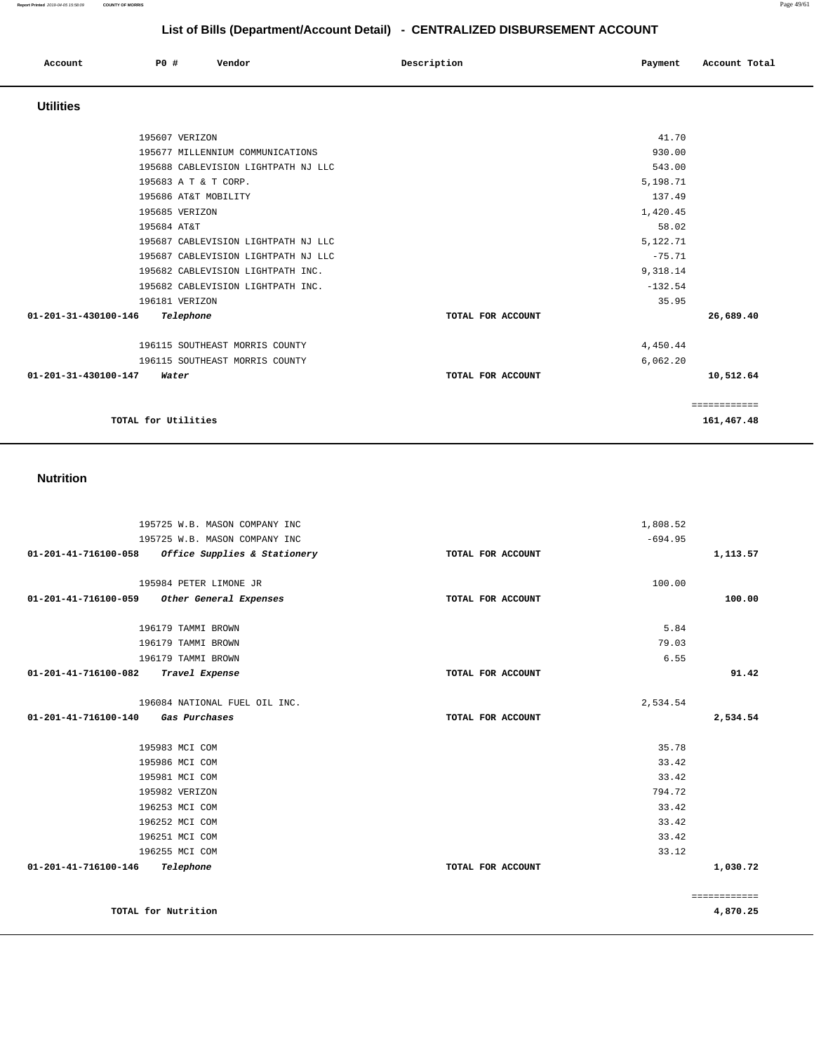| Account          | PO#                                          | Vendor                              | Description | Payment            | Account Total |
|------------------|----------------------------------------------|-------------------------------------|-------------|--------------------|---------------|
| <b>Utilities</b> |                                              |                                     |             |                    |               |
|                  | 195607 VERIZON                               | 195677 MILLENNIUM COMMUNICATIONS    |             | 41.70<br>930.00    |               |
|                  |                                              | 195688 CABLEVISION LIGHTPATH NJ LLC |             | 543.00             |               |
|                  | 195683 A T & T CORP.<br>195686 AT&T MOBILITY |                                     |             | 5,198.71<br>137.49 |               |

| 195685 VERIZON                          |                   | 1,420.45  |              |
|-----------------------------------------|-------------------|-----------|--------------|
| 195684 AT&T                             |                   | 58.02     |              |
| 195687 CABLEVISION LIGHTPATH NJ LLC     |                   | 5,122.71  |              |
| 195687 CABLEVISION LIGHTPATH NJ LLC     |                   | $-75.71$  |              |
| 195682 CABLEVISION LIGHTPATH INC.       |                   | 9,318.14  |              |
| 195682 CABLEVISION LIGHTPATH INC.       |                   | $-132.54$ |              |
| 196181 VERIZON                          |                   | 35.95     |              |
| Telephone<br>01-201-31-430100-146       | TOTAL FOR ACCOUNT |           | 26,689.40    |
| 196115 SOUTHEAST MORRIS COUNTY          |                   | 4,450.44  |              |
| 196115 SOUTHEAST MORRIS COUNTY          |                   | 6,062,20  |              |
| $01 - 201 - 31 - 430100 - 147$<br>Water | TOTAL FOR ACCOUNT |           | 10,512.64    |
|                                         |                   |           | ------------ |
| TOTAL for Utilities                     |                   |           | 161,467.48   |

#### **Nutrition**

| 195725 W.B. MASON COMPANY INC                        |                   | 1,808.52     |
|------------------------------------------------------|-------------------|--------------|
| 195725 W.B. MASON COMPANY INC                        |                   | $-694.95$    |
| 01-201-41-716100-058<br>Office Supplies & Stationery | TOTAL FOR ACCOUNT | 1,113.57     |
|                                                      |                   |              |
| 195984 PETER LIMONE JR                               |                   | 100.00       |
| 01-201-41-716100-059<br>Other General Expenses       | TOTAL FOR ACCOUNT | 100.00       |
|                                                      |                   |              |
| 196179 TAMMI BROWN                                   |                   | 5.84         |
| 196179 TAMMI BROWN                                   |                   | 79.03        |
| 196179 TAMMI BROWN                                   |                   | 6.55         |
| 01-201-41-716100-082<br>Travel Expense               | TOTAL FOR ACCOUNT | 91.42        |
|                                                      |                   |              |
| 196084 NATIONAL FUEL OIL INC.                        |                   | 2,534.54     |
| 01-201-41-716100-140<br>Gas Purchases                | TOTAL FOR ACCOUNT | 2,534.54     |
|                                                      |                   |              |
| 195983 MCI COM                                       |                   | 35.78        |
| 195986 MCI COM                                       |                   | 33.42        |
| 195981 MCI COM                                       |                   | 33.42        |
| 195982 VERIZON                                       |                   | 794.72       |
| 196253 MCI COM                                       |                   | 33.42        |
| 196252 MCI COM                                       |                   | 33.42        |
| 196251 MCI COM                                       |                   | 33.42        |
| 196255 MCI COM                                       |                   | 33.12        |
| 01-201-41-716100-146<br>Telephone                    | TOTAL FOR ACCOUNT | 1,030.72     |
|                                                      |                   |              |
|                                                      |                   | ============ |
| TOTAL for Nutrition                                  |                   | 4,870.25     |
|                                                      |                   |              |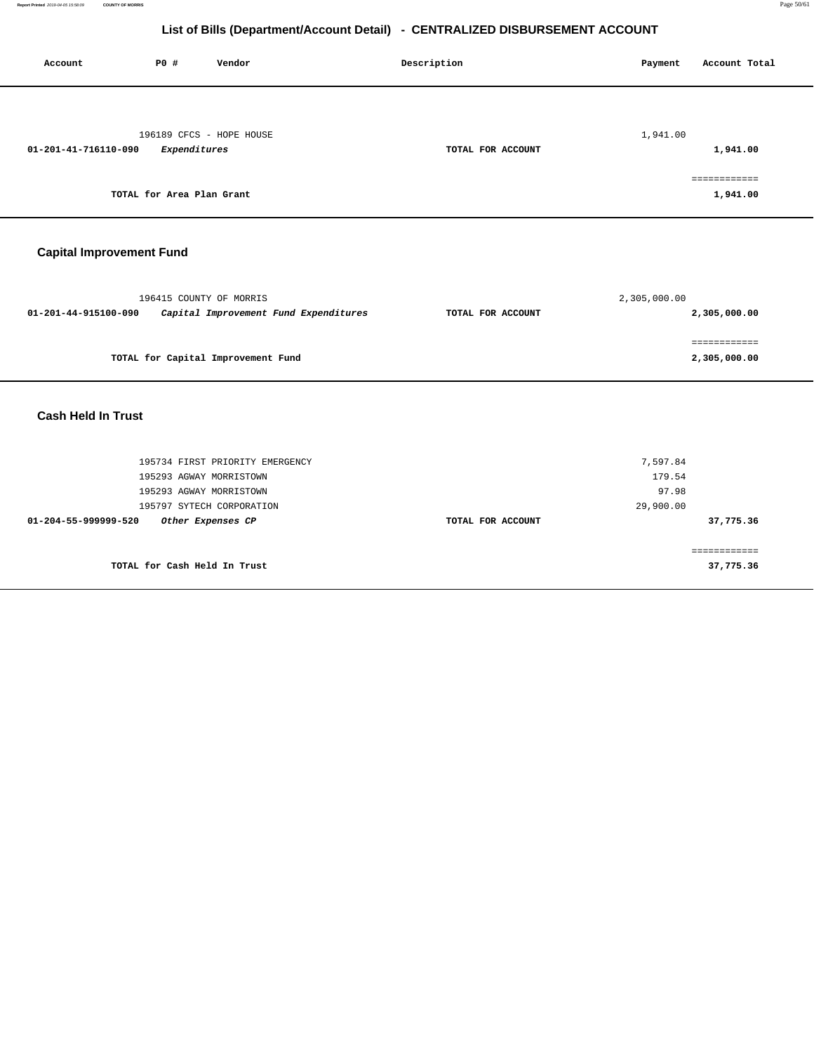**Report Printed** 2019-04-05 15:58:09 **COUNTY OF MORRIS** Page 50/61

## **List of Bills (Department/Account Detail) - CENTRALIZED DISBURSEMENT ACCOUNT**

| Vendor<br>Account<br>P0 #                                     | Description       | Account Total<br>Payment |
|---------------------------------------------------------------|-------------------|--------------------------|
| 196189 CFCS - HOPE HOUSE                                      |                   | 1,941.00                 |
| 01-201-41-716110-090<br>Expenditures                          | TOTAL FOR ACCOUNT | 1,941.00                 |
|                                                               |                   |                          |
| TOTAL for Area Plan Grant                                     |                   | ============             |
|                                                               |                   | 1,941.00                 |
|                                                               |                   |                          |
| <b>Capital Improvement Fund</b>                               |                   |                          |
|                                                               |                   |                          |
|                                                               |                   |                          |
| 196415 COUNTY OF MORRIS                                       |                   | 2,305,000.00             |
| 01-201-44-915100-090<br>Capital Improvement Fund Expenditures | TOTAL FOR ACCOUNT | 2,305,000.00             |
|                                                               |                   | ============             |
| TOTAL for Capital Improvement Fund                            |                   | 2,305,000.00             |
|                                                               |                   |                          |
|                                                               |                   |                          |
| <b>Cash Held In Trust</b>                                     |                   |                          |
|                                                               |                   |                          |
| 195734 FIRST PRIORITY EMERGENCY                               |                   | 7,597.84                 |
| 195293 AGWAY MORRISTOWN                                       |                   | 179.54                   |
| 195293 AGWAY MORRISTOWN                                       |                   | 97.98                    |
| 195797 SYTECH CORPORATION                                     |                   | 29,900.00                |
| 01-204-55-999999-520<br>Other Expenses CP                     | TOTAL FOR ACCOUNT | 37,775.36                |
|                                                               |                   | ============             |

**TOTAL for Cash Held In Trust 37,775.36**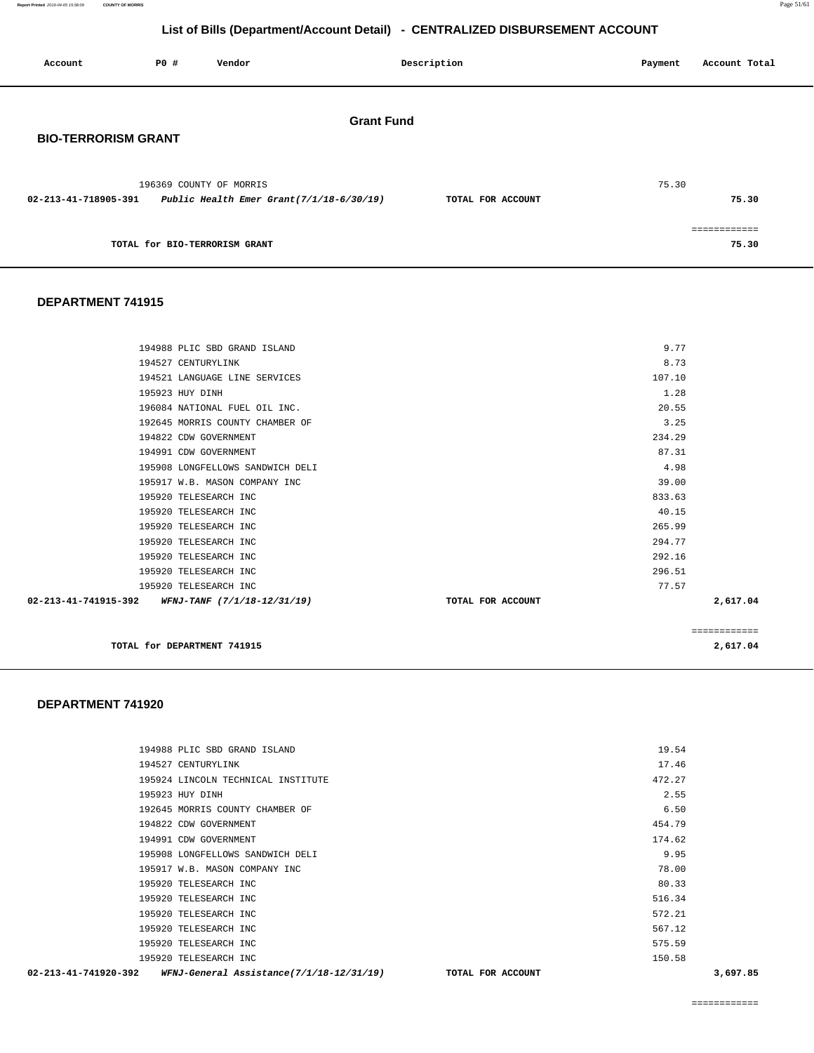**Report Printed** 2019-04-05 15:58:09 **COUNTY OF MORRIS** Page 51/61

## **List of Bills (Department/Account Detail) - CENTRALIZED DISBURSEMENT ACCOUNT**

| Account                    | P0 # | Vendor                                                                 |                   | Description       | Payment | Account Total |
|----------------------------|------|------------------------------------------------------------------------|-------------------|-------------------|---------|---------------|
| <b>BIO-TERRORISM GRANT</b> |      |                                                                        | <b>Grant Fund</b> |                   |         |               |
| 02-213-41-718905-391       |      | 196369 COUNTY OF MORRIS<br>Public Health Emer Grant $(7/1/18-6/30/19)$ |                   | TOTAL FOR ACCOUNT | 75.30   | 75.30         |
|                            |      |                                                                        |                   |                   |         | ------------  |
|                            |      | TOTAL for BIO-TERRORISM GRANT                                          |                   |                   |         | 75.30         |

#### **DEPARTMENT 741915**

|                                                            | TOTAL for DEPARTMENT 741915      |                   |        | 2,617.04     |
|------------------------------------------------------------|----------------------------------|-------------------|--------|--------------|
|                                                            |                                  |                   |        | ============ |
| $02 - 213 - 41 - 741915 - 392$ WFNJ-TANF (7/1/18-12/31/19) |                                  | TOTAL FOR ACCOUNT |        | 2,617.04     |
|                                                            | 195920 TELESEARCH INC            |                   | 77.57  |              |
|                                                            | 195920 TELESEARCH INC            |                   | 296.51 |              |
|                                                            | 195920 TELESEARCH INC            |                   | 292.16 |              |
|                                                            | 195920 TELESEARCH INC            |                   | 294.77 |              |
|                                                            | 195920 TELESEARCH INC            |                   | 265.99 |              |
|                                                            | 195920 TELESEARCH INC            |                   | 40.15  |              |
|                                                            | 195920 TELESEARCH INC            |                   | 833.63 |              |
|                                                            | 195917 W.B. MASON COMPANY INC    |                   | 39.00  |              |
|                                                            | 195908 LONGFELLOWS SANDWICH DELI |                   | 4.98   |              |
|                                                            | 194991 CDW GOVERNMENT            |                   | 87.31  |              |
|                                                            | 194822 CDW GOVERNMENT            |                   | 234.29 |              |
|                                                            | 192645 MORRIS COUNTY CHAMBER OF  |                   | 3.25   |              |
|                                                            | 196084 NATIONAL FUEL OIL INC.    |                   | 20.55  |              |
|                                                            | 195923 HUY DINH                  |                   | 1.28   |              |
|                                                            | 194521 LANGUAGE LINE SERVICES    |                   | 107.10 |              |
|                                                            | 194527 CENTURYLINK               |                   | 8.73   |              |
|                                                            | 194988 PLIC SBD GRAND ISLAND     |                   | 9.77   |              |
|                                                            |                                  |                   |        |              |

#### **DEPARTMENT 741920**

| $02-213-41-741920-392$ WFNJ-General Assistance(7/1/18-12/31/19) | TOTAL FOR ACCOUNT |        | 3,697.85 |
|-----------------------------------------------------------------|-------------------|--------|----------|
| 195920 TELESEARCH INC                                           |                   | 150.58 |          |
| 195920 TELESEARCH INC                                           |                   | 575.59 |          |
| 195920 TELESEARCH INC                                           |                   | 567.12 |          |
| 195920 TELESEARCH INC                                           |                   | 572.21 |          |
| 195920 TELESEARCH INC                                           |                   | 516.34 |          |
| 195920 TELESEARCH INC                                           |                   | 80.33  |          |
| 195917 W.B. MASON COMPANY INC                                   |                   | 78.00  |          |
| 195908 LONGFELLOWS SANDWICH DELI                                |                   | 9.95   |          |
| 194991 CDW GOVERNMENT                                           |                   | 174.62 |          |
| 194822 CDW GOVERNMENT                                           |                   | 454.79 |          |
| 192645 MORRIS COUNTY CHAMBER OF                                 |                   | 6.50   |          |
| 195923 HUY DINH                                                 |                   | 2.55   |          |
| 195924 LINCOLN TECHNICAL INSTITUTE                              |                   | 472.27 |          |
| 194527 CENTURYLINK                                              |                   | 17.46  |          |
| 194988 PLIC SBD GRAND ISLAND                                    |                   | 19.54  |          |
|                                                                 |                   |        |          |

============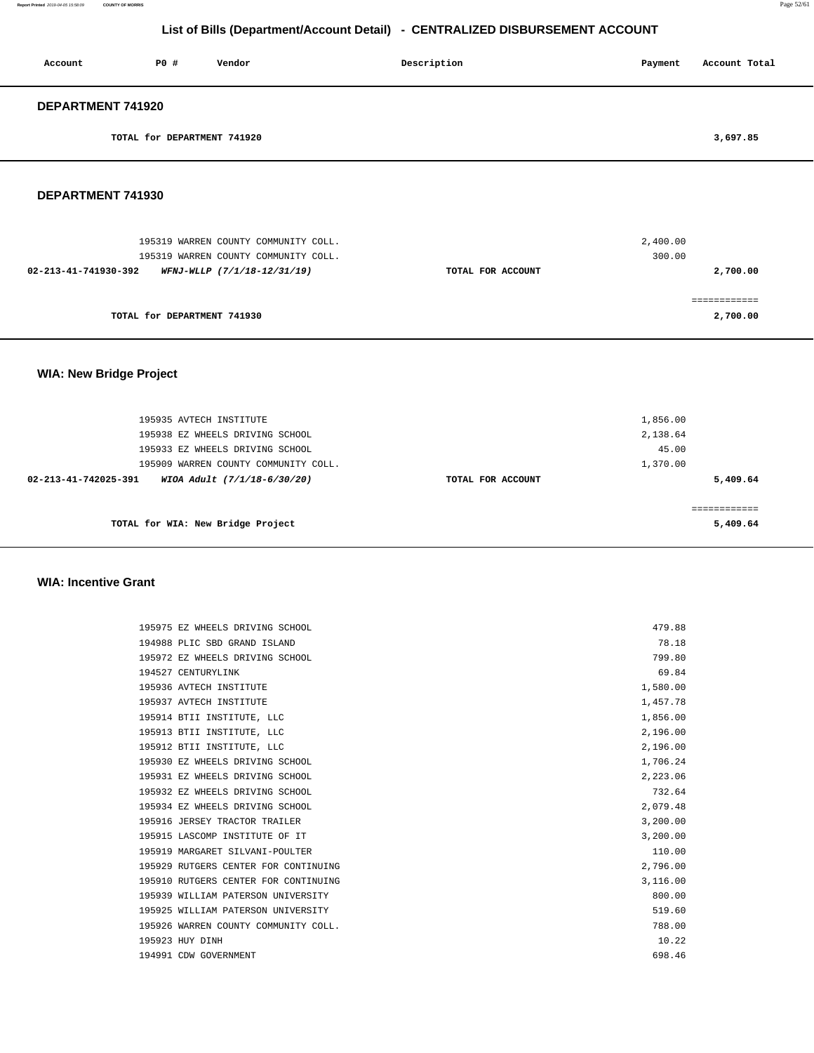| Account           | PO#                         | Vendor | Description | Payment | Account Total |
|-------------------|-----------------------------|--------|-------------|---------|---------------|
| DEPARTMENT 741920 |                             |        |             |         |               |
|                   | TOTAL for DEPARTMENT 741920 |        |             |         | 3,697.85      |
|                   |                             |        |             |         |               |

#### **DEPARTMENT 741930**

| 195319 WARREN COUNTY COMMUNITY COLL.<br>195319 WARREN COUNTY COMMUNITY COLL. |                   | 2,400.00<br>300.00 |
|------------------------------------------------------------------------------|-------------------|--------------------|
| 02-213-41-741930-392<br>WFNJ-WLLP (7/1/18-12/31/19)                          | TOTAL FOR ACCOUNT | 2,700.00           |
| TOTAL for DEPARTMENT 741930                                                  |                   | 2,700.00           |

### **WIA: New Bridge Project**

| 195935 AVTECH INSTITUTE<br>195938 EZ WHEELS DRIVING SCHOOL<br>195933 EZ WHEELS DRIVING SCHOOL |                   | 1,856.00<br>2,138.64<br>45.00 |
|-----------------------------------------------------------------------------------------------|-------------------|-------------------------------|
| 195909 WARREN COUNTY COMMUNITY COLL.<br>WIOA Adult (7/1/18-6/30/20)<br>02-213-41-742025-391   | TOTAL FOR ACCOUNT | 1,370.00<br>5,409.64          |
| TOTAL for WIA: New Bridge Project                                                             |                   | 5,409.64                      |

#### **WIA: Incentive Grant**

| 195975 EZ WHEELS DRIVING SCHOOL      | 479.88   |
|--------------------------------------|----------|
| 194988 PLIC SBD GRAND ISLAND         | 78.18    |
| 195972 EZ WHEELS DRIVING SCHOOL      | 799.80   |
| 194527 CENTURYLINK                   | 69.84    |
| 195936 AVTECH INSTITUTE              | 1,580.00 |
| 195937 AVTECH INSTITUTE              | 1,457.78 |
| 195914 BTII INSTITUTE, LLC           | 1,856.00 |
| 195913 BTII INSTITUTE, LLC           | 2,196.00 |
| 195912 BTII INSTITUTE, LLC           | 2,196.00 |
| 195930 EZ WHEELS DRIVING SCHOOL      | 1,706.24 |
| 195931 EZ WHEELS DRIVING SCHOOL      | 2,223.06 |
| 195932 EZ WHEELS DRIVING SCHOOL      | 732.64   |
| 195934 EZ WHEELS DRIVING SCHOOL      | 2,079.48 |
| 195916 JERSEY TRACTOR TRAILER        | 3,200.00 |
| 195915 LASCOMP INSTITUTE OF IT       | 3,200.00 |
| 195919 MARGARET SILVANI-POULTER      | 110.00   |
| 195929 RUTGERS CENTER FOR CONTINUING | 2,796.00 |
| 195910 RUTGERS CENTER FOR CONTINUING | 3,116.00 |
| 195939 WILLIAM PATERSON UNIVERSITY   | 800.00   |
| 195925 WILLIAM PATERSON UNIVERSITY   | 519.60   |
| 195926 WARREN COUNTY COMMUNITY COLL. | 788.00   |
| 195923 HUY DINH                      | 10.22    |
| 194991 CDW GOVERNMENT                | 698.46   |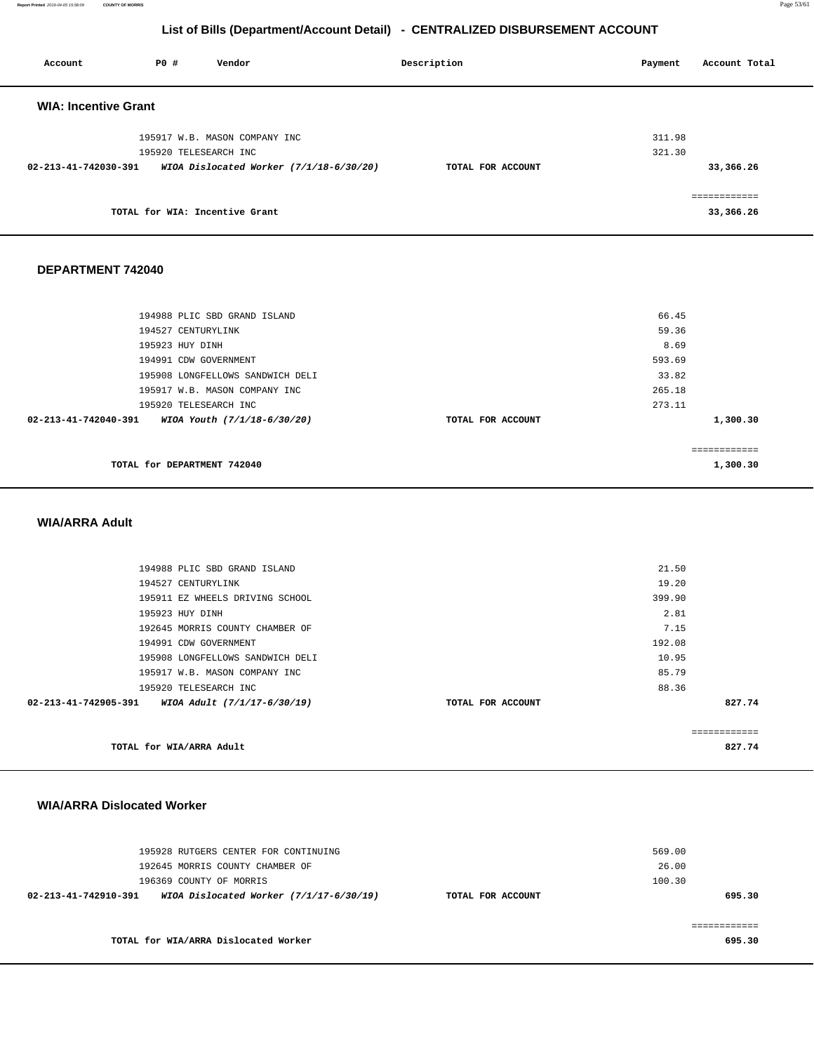**Report Printed** 2019-04-05 15:58:09 **COUNTY OF MORRIS** Page 53/61

### **List of Bills (Department/Account Detail) - CENTRALIZED DISBURSEMENT ACCOUNT**

| Account                     | P0 #                  | Vendor                                  | Description       | Payment          | Account Total             |
|-----------------------------|-----------------------|-----------------------------------------|-------------------|------------------|---------------------------|
| <b>WIA: Incentive Grant</b> |                       |                                         |                   |                  |                           |
|                             | 195920 TELESEARCH INC | 195917 W.B. MASON COMPANY INC           |                   | 311.98<br>321.30 |                           |
| 02-213-41-742030-391        |                       | WIOA Dislocated Worker (7/1/18-6/30/20) | TOTAL FOR ACCOUNT |                  | 33,366.26                 |
|                             |                       | TOTAL for WIA: Incentive Grant          |                   |                  | eessessesses<br>33,366.26 |

#### **DEPARTMENT 742040**

|                      | TOTAL for DEPARTMENT 742040      |                   |        | ============<br>1,300.30 |
|----------------------|----------------------------------|-------------------|--------|--------------------------|
| 02-213-41-742040-391 | WIOA Youth (7/1/18-6/30/20)      | TOTAL FOR ACCOUNT |        | 1,300.30                 |
|                      | 195920 TELESEARCH INC            |                   | 273.11 |                          |
|                      | 195917 W.B. MASON COMPANY INC    |                   | 265.18 |                          |
|                      | 195908 LONGFELLOWS SANDWICH DELI |                   | 33.82  |                          |
|                      | 194991 CDW GOVERNMENT            |                   | 593.69 |                          |
|                      | 195923 HUY DINH                  |                   | 8.69   |                          |
|                      | 194527 CENTURYLINK               |                   | 59.36  |                          |
|                      | 194988 PLIC SBD GRAND ISLAND     |                   | 66.45  |                          |
|                      |                                  |                   |        |                          |

#### **WIA/ARRA Adult**

| 194988 PLIC SBD GRAND ISLAND                                   |                   | 21.50        |  |
|----------------------------------------------------------------|-------------------|--------------|--|
| 194527 CENTURYLINK                                             |                   | 19.20        |  |
| 195911 EZ WHEELS DRIVING SCHOOL                                |                   | 399.90       |  |
| 195923 HUY DINH                                                |                   | 2.81         |  |
| 192645 MORRIS COUNTY CHAMBER OF                                |                   | 7.15         |  |
| 194991 CDW GOVERNMENT                                          |                   | 192.08       |  |
| 195908 LONGFELLOWS SANDWICH DELI                               |                   | 10.95        |  |
| 195917 W.B. MASON COMPANY INC                                  |                   | 85.79        |  |
| 195920 TELESEARCH INC                                          |                   | 88.36        |  |
| $02 - 213 - 41 - 742905 - 391$ WIOA Adult $(7/1/17 - 6/30/19)$ | TOTAL FOR ACCOUNT | 827.74       |  |
|                                                                |                   |              |  |
|                                                                |                   | ============ |  |
| TOTAL for WIA/ARRA Adult                                       |                   | 827.74       |  |
|                                                                |                   |              |  |

#### **WIA/ARRA Dislocated Worker**

|                      | 195928 RUTGERS CENTER FOR CONTINUING    |                   | 569.00 |
|----------------------|-----------------------------------------|-------------------|--------|
|                      | 192645 MORRIS COUNTY CHAMBER OF         |                   | 26.00  |
|                      | 196369 COUNTY OF MORRIS                 |                   | 100.30 |
| 02-213-41-742910-391 | WIOA Dislocated Worker (7/1/17-6/30/19) | TOTAL FOR ACCOUNT | 695.30 |
|                      |                                         |                   |        |
|                      |                                         |                   |        |
|                      | TOTAL for WIA/ARRA Dislocated Worker    |                   | 695.30 |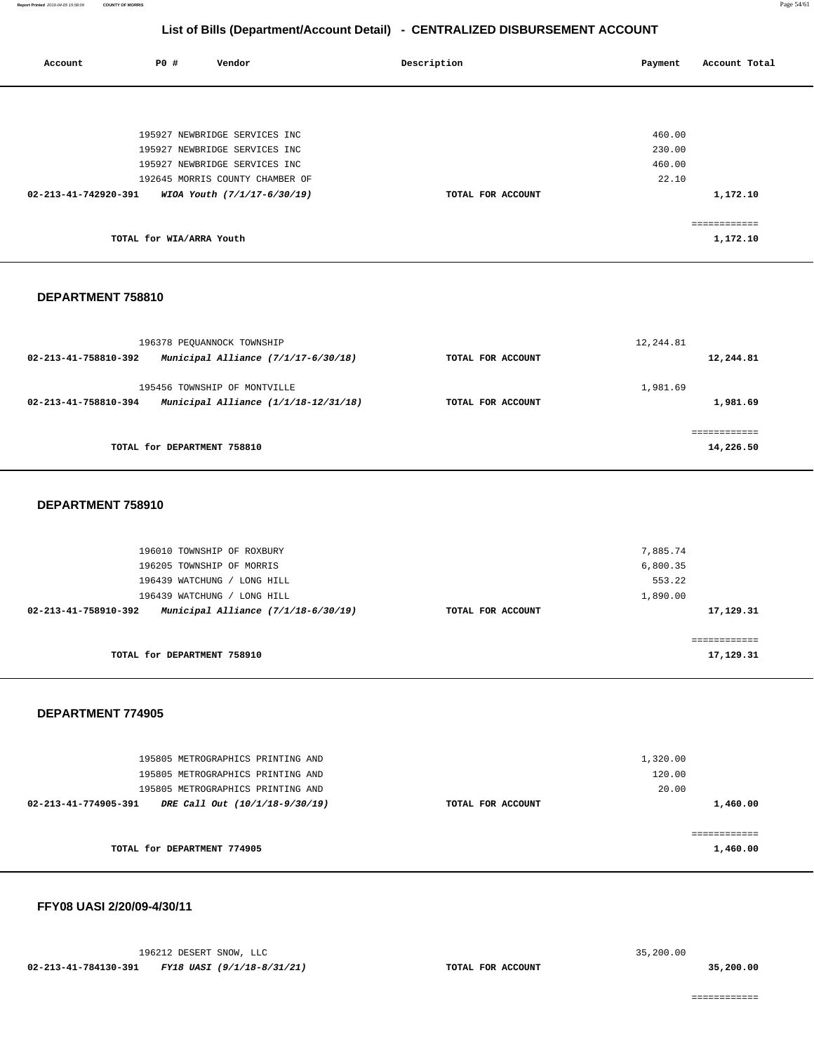**Report Printed** 2019-04-05 15:58:09 **COUNTY OF MORRIS** Page 54/61

## **List of Bills (Department/Account Detail) - CENTRALIZED DISBURSEMENT ACCOUNT**

| Account              | PO#                      | Vendor                          | Description       | Payment | Account Total |
|----------------------|--------------------------|---------------------------------|-------------------|---------|---------------|
|                      |                          |                                 |                   |         |               |
|                      |                          | 195927 NEWBRIDGE SERVICES INC   |                   | 460.00  |               |
|                      |                          | 195927 NEWBRIDGE SERVICES INC   |                   | 230.00  |               |
|                      |                          | 195927 NEWBRIDGE SERVICES INC   |                   | 460.00  |               |
|                      |                          | 192645 MORRIS COUNTY CHAMBER OF |                   | 22.10   |               |
| 02-213-41-742920-391 |                          | WIOA Youth (7/1/17-6/30/19)     | TOTAL FOR ACCOUNT |         | 1,172.10      |
|                      |                          |                                 |                   |         | ------------  |
|                      | TOTAL for WIA/ARRA Youth |                                 |                   |         | 1,172.10      |

#### **DEPARTMENT 758810**

| 196378 PEOUANNOCK TOWNSHIP                                   | 12,244.81                      |
|--------------------------------------------------------------|--------------------------------|
| Municipal Alliance (7/1/17-6/30/18)<br>02-213-41-758810-392  | 12,244.81<br>TOTAL FOR ACCOUNT |
| 195456 TOWNSHIP OF MONTVILLE                                 | 1,981.69                       |
| Municipal Alliance (1/1/18-12/31/18)<br>02-213-41-758810-394 | 1,981.69<br>TOTAL FOR ACCOUNT  |
|                                                              | ===========                    |
| TOTAL for DEPARTMENT 758810                                  | 14,226.50                      |

#### **DEPARTMENT 758910**

| 196010 TOWNSHIP OF ROXBURY<br>196205 TOWNSHIP OF MORRIS<br>196439 WATCHUNG / LONG HILL        |                   | 7,885.74<br>6,800.35<br>553.22 |
|-----------------------------------------------------------------------------------------------|-------------------|--------------------------------|
| 196439 WATCHUNG<br>' LONG HILL<br>Municipal Alliance (7/1/18-6/30/19)<br>02-213-41-758910-392 | TOTAL FOR ACCOUNT | 1,890.00<br>17,129.31          |
| TOTAL for DEPARTMENT 758910                                                                   |                   | 17,129.31                      |

#### **DEPARTMENT 774905**

| 195805 METROGRAPHICS PRINTING AND<br>195805 METROGRAPHICS PRINTING AND |                   | 1,320.00<br>120.00 |
|------------------------------------------------------------------------|-------------------|--------------------|
| 195805 METROGRAPHICS PRINTING AND                                      |                   | 20.00              |
| 02-213-41-774905-391<br>DRE Call Out (10/1/18-9/30/19)                 | TOTAL FOR ACCOUNT | 1,460.00           |
|                                                                        |                   |                    |
|                                                                        |                   |                    |
| TOTAL for DEPARTMENT 774905                                            |                   | 1,460.00           |

 **FFY08 UASI 2/20/09-4/30/11**

| 196212 DESERT SNOW, LLC |                            |                   | 35,200.00 |
|-------------------------|----------------------------|-------------------|-----------|
| 02-213-41-784130-391    | FY18 UASI (9/1/18-8/31/21) | TOTAL FOR ACCOUNT |           |

 **02-213-41-784130-391 FY18 UASI (9/1/18-8/31/21) TOTAL FOR ACCOUNT 35,200.00**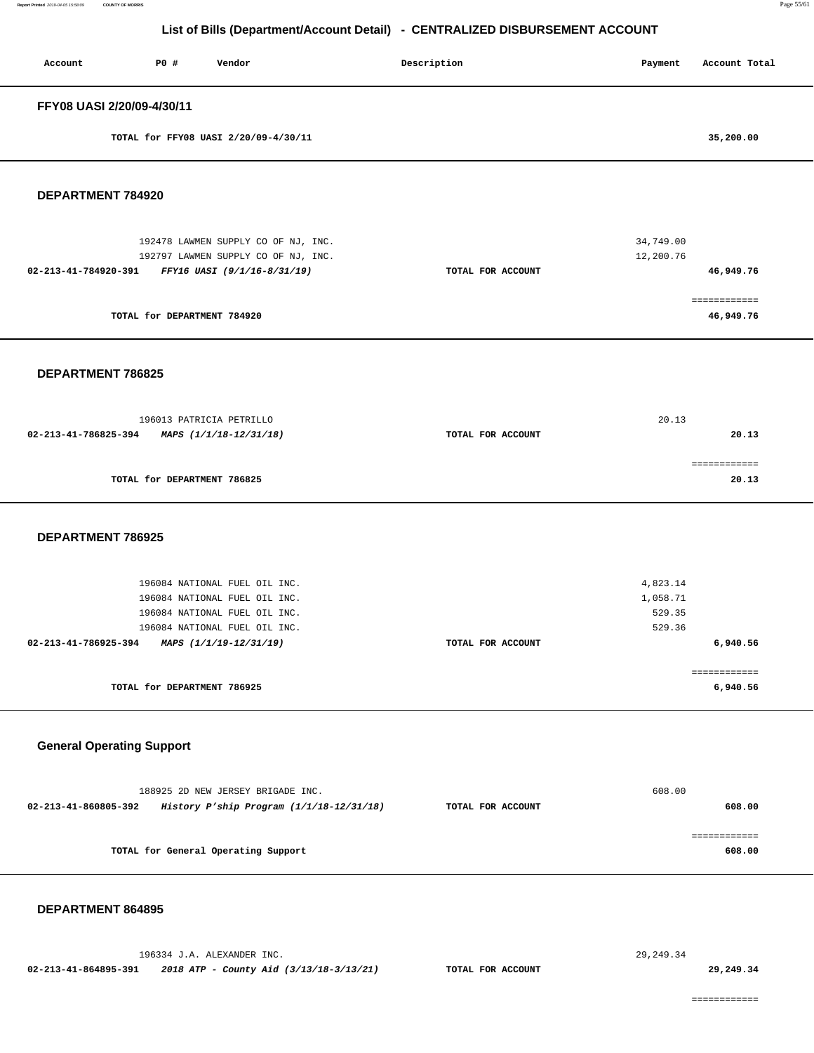| Account                              | P0 # | Vendor | Description | Payment | Account Total |
|--------------------------------------|------|--------|-------------|---------|---------------|
| FFY08 UASI 2/20/09-4/30/11           |      |        |             |         |               |
| TOTAL for FFY08 UASI 2/20/09-4/30/11 |      |        | 35,200.00   |         |               |
|                                      |      |        |             |         |               |

#### **DEPARTMENT 784920**

| 192478 LAWMEN SUPPLY CO OF NJ, INC.<br>192797 LAWMEN SUPPLY CO OF NJ, INC. |                   | 34,749.00<br>12,200.76 |
|----------------------------------------------------------------------------|-------------------|------------------------|
| FFY16 UASI (9/1/16-8/31/19)<br>02-213-41-784920-391                        | TOTAL FOR ACCOUNT | 46,949.76              |
| TOTAL for DEPARTMENT 784920                                                |                   | 46,949.76              |

#### **DEPARTMENT 786825**

| 196013 PATRICIA PETRILLO                       |                   | 20.13 |
|------------------------------------------------|-------------------|-------|
| 02-213-41-786825-394<br>MAPS (1/1/18-12/31/18) | TOTAL FOR ACCOUNT | 20.13 |
|                                                |                   |       |
|                                                |                   |       |
| TOTAL for DEPARTMENT 786825                    |                   | 20.13 |

#### **DEPARTMENT 786925**

| 196084 NATIONAL FUEL OIL INC.<br>196084 NATIONAL FUEL OIL INC.<br>196084 NATIONAL FUEL OIL INC. |                   | 4,823.14<br>1,058.71<br>529.35 |
|-------------------------------------------------------------------------------------------------|-------------------|--------------------------------|
| 196084 NATIONAL FUEL OIL INC.<br>MAPS (1/1/19-12/31/19)<br>02-213-41-786925-394                 | TOTAL FOR ACCOUNT | 529.36<br>6,940.56             |
| TOTAL for DEPARTMENT 786925                                                                     |                   | 6,940.56                       |

### **General Operating Support**

| 188925 2D NEW JERSEY BRIGADE INC.                                  |                   | 608.00 |
|--------------------------------------------------------------------|-------------------|--------|
| History P'ship Program $(1/1/18-12/31/18)$<br>02-213-41-860805-392 | TOTAL FOR ACCOUNT | 608.00 |
|                                                                    |                   |        |
|                                                                    |                   |        |
| TOTAL for General Operating Support                                |                   | 608.00 |

#### **DEPARTMENT 864895**

|                      | 196334 J.A. ALEXANDER INC.              |                   | 29, 249, 34 |           |
|----------------------|-----------------------------------------|-------------------|-------------|-----------|
| 02-213-41-864895-391 | 2018 ATP - County Aid (3/13/18-3/13/21) | TOTAL FOR ACCOUNT |             | 29,249.34 |

============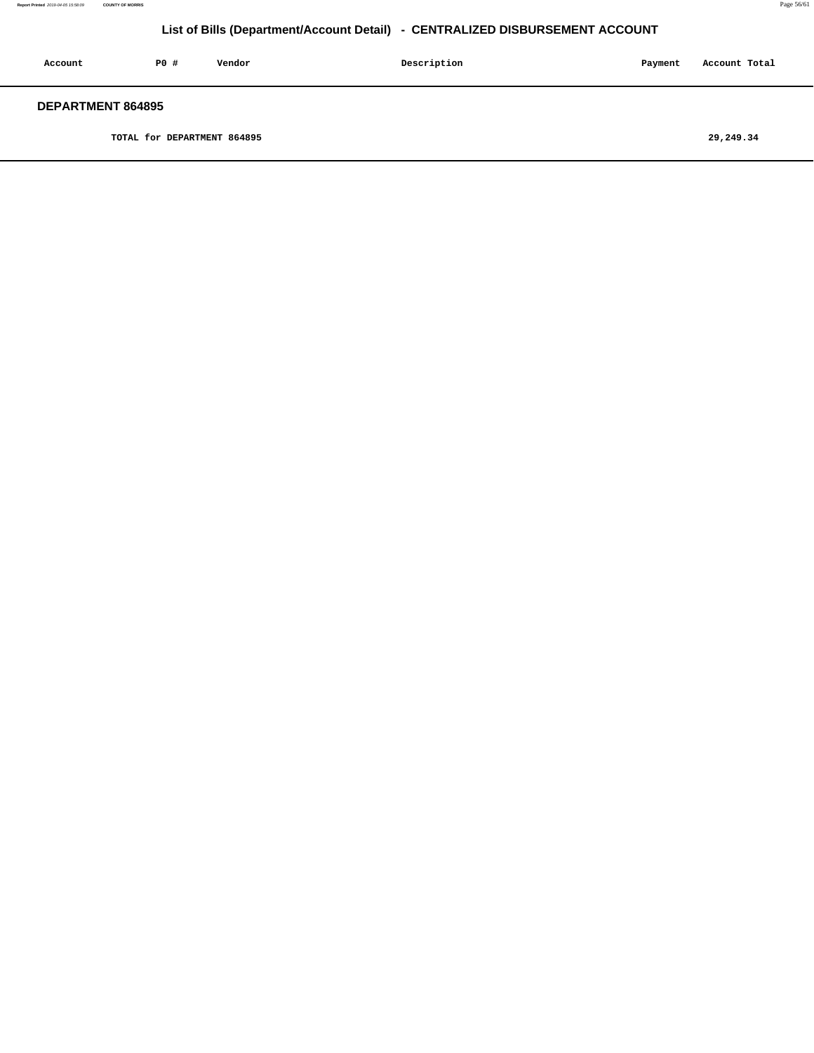| Account                  | PO# | Vendor | Description | Payment | Account Total |
|--------------------------|-----|--------|-------------|---------|---------------|
| <b>DEPARTMENT 864895</b> |     |        |             |         |               |

**TOTAL for DEPARTMENT 864895 29,249.34**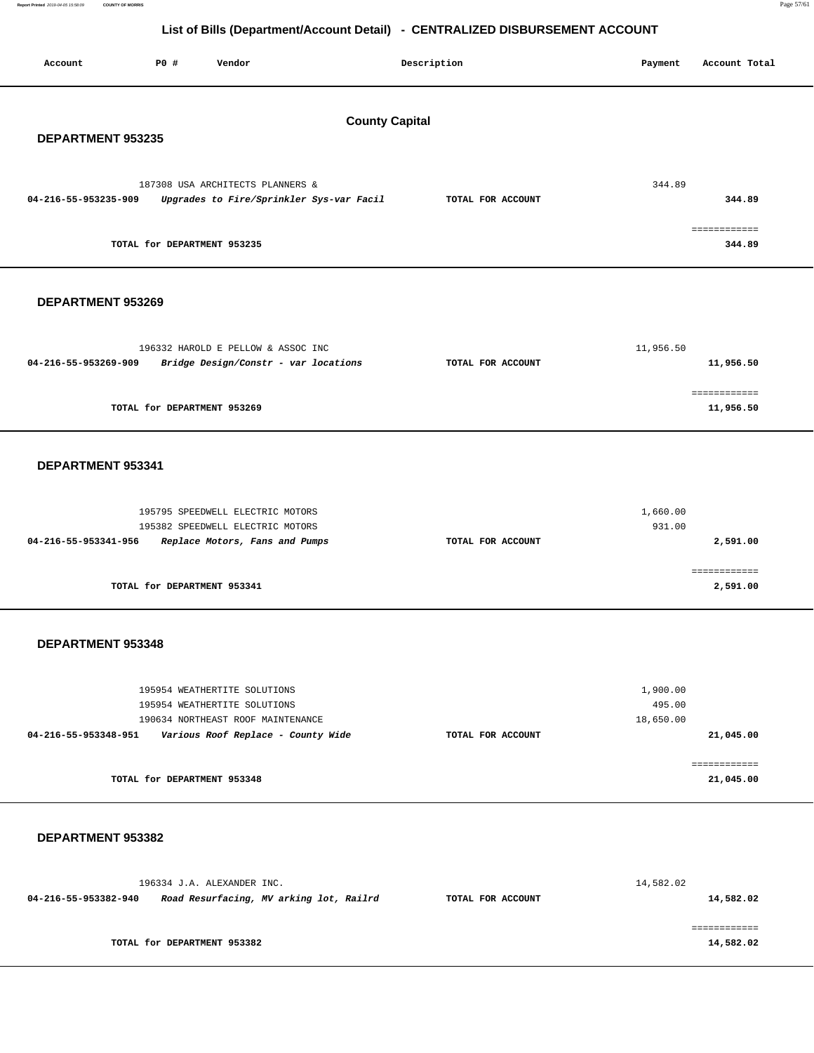| Report Printed 2019-04-05 15:58:09 | <b>COUNTY OF MORRIS</b> | Page 57/61 |
|------------------------------------|-------------------------|------------|
|                                    |                         |            |

| P0 #<br>Vendor<br>Account                                                                                                      | Description       |                                 |                           |  |  |  |
|--------------------------------------------------------------------------------------------------------------------------------|-------------------|---------------------------------|---------------------------|--|--|--|
| <b>County Capital</b><br>DEPARTMENT 953235                                                                                     |                   |                                 |                           |  |  |  |
| 187308 USA ARCHITECTS PLANNERS &<br>04-216-55-953235-909<br>Upgrades to Fire/Sprinkler Sys-var Facil                           | TOTAL FOR ACCOUNT | 344.89                          | 344.89                    |  |  |  |
| TOTAL for DEPARTMENT 953235                                                                                                    |                   |                                 | ============<br>344.89    |  |  |  |
| DEPARTMENT 953269                                                                                                              |                   |                                 |                           |  |  |  |
| 196332 HAROLD E PELLOW & ASSOC INC<br>04-216-55-953269-909<br>Bridge Design/Constr - var locations                             | TOTAL FOR ACCOUNT | 11,956.50                       | 11,956.50                 |  |  |  |
| TOTAL for DEPARTMENT 953269                                                                                                    |                   |                                 | ============<br>11,956.50 |  |  |  |
| DEPARTMENT 953341                                                                                                              |                   |                                 |                           |  |  |  |
| 195795 SPEEDWELL ELECTRIC MOTORS<br>195382 SPEEDWELL ELECTRIC MOTORS<br>04-216-55-953341-956<br>Replace Motors, Fans and Pumps | TOTAL FOR ACCOUNT | 1,660.00<br>931.00              | 2,591.00                  |  |  |  |
| TOTAL for DEPARTMENT 953341                                                                                                    |                   |                                 | 2,591.00                  |  |  |  |
| DEPARTMENT 953348                                                                                                              |                   |                                 |                           |  |  |  |
| 195954 WEATHERTITE SOLUTIONS<br>195954 WEATHERTITE SOLUTIONS<br>190634 NORTHEAST ROOF MAINTENANCE                              |                   | 1,900.00<br>495.00<br>18,650.00 |                           |  |  |  |
| 04-216-55-953348-951<br>Various Roof Replace - County Wide                                                                     | TOTAL FOR ACCOUNT |                                 | 21,045.00<br>============ |  |  |  |
| TOTAL for DEPARTMENT 953348                                                                                                    |                   |                                 | 21,045.00                 |  |  |  |
| DEPARTMENT 953382                                                                                                              |                   |                                 |                           |  |  |  |

|                      | 196334 J.A. ALEXANDER INC.              |                   | 14,582.02 |
|----------------------|-----------------------------------------|-------------------|-----------|
| 04-216-55-953382-940 | Road Resurfacing, MV arking lot, Railrd | TOTAL FOR ACCOUNT | 14,582.02 |
|                      |                                         |                   |           |
|                      |                                         |                   |           |
|                      |                                         |                   |           |
|                      | TOTAL for DEPARTMENT 953382             |                   | 14,582.02 |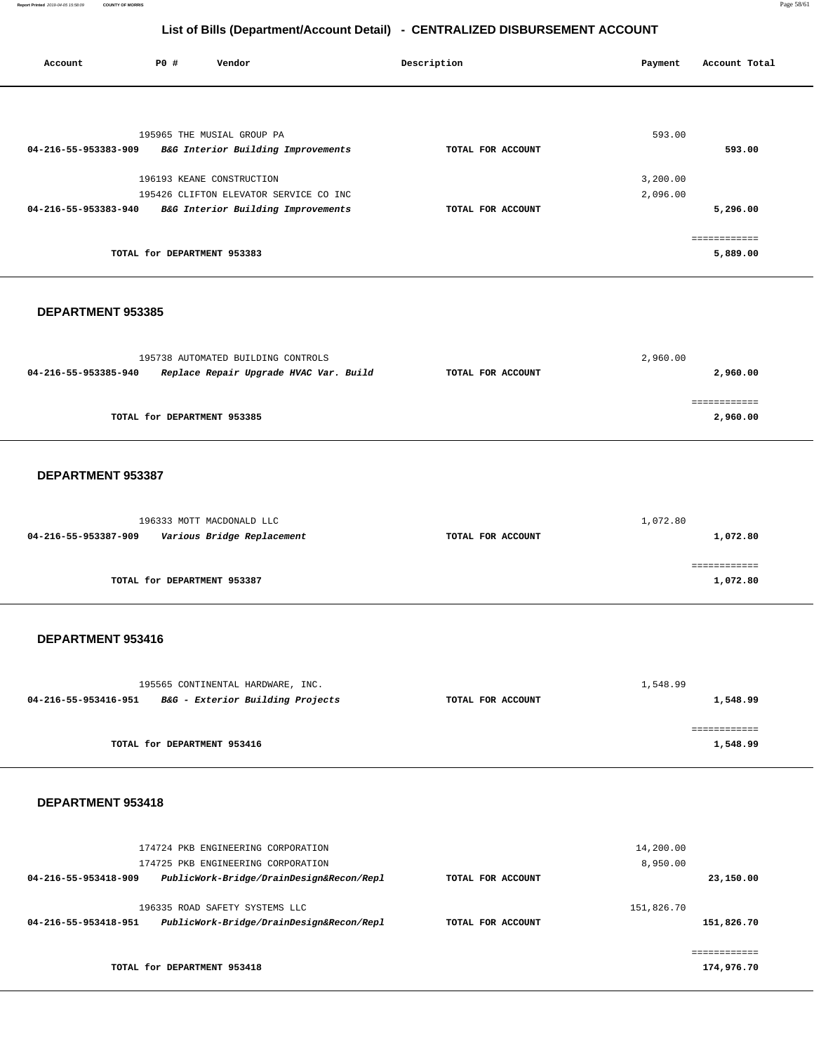| Account              | PO# | Vendor                                 | Description       | Payment  | Account Total |
|----------------------|-----|----------------------------------------|-------------------|----------|---------------|
|                      |     |                                        |                   |          |               |
|                      |     | 195965 THE MUSIAL GROUP PA             |                   | 593.00   |               |
| 04-216-55-953383-909 |     | B&G Interior Building Improvements     | TOTAL FOR ACCOUNT |          | 593.00        |
|                      |     | 196193 KEANE CONSTRUCTION              |                   | 3,200.00 |               |
|                      |     | 195426 CLIFTON ELEVATOR SERVICE CO INC |                   | 2,096.00 |               |
| 04-216-55-953383-940 |     | B&G Interior Building Improvements     | TOTAL FOR ACCOUNT |          | 5,296.00      |
|                      |     |                                        |                   |          | ============  |
|                      |     | TOTAL for DEPARTMENT 953383            |                   |          | 5,889.00      |

#### **DEPARTMENT 953385**

|                      | 195738 AUTOMATED BUILDING CONTROLS     |                   | 2,960.00 |
|----------------------|----------------------------------------|-------------------|----------|
| 04-216-55-953385-940 | Replace Repair Upgrade HVAC Var. Build | TOTAL FOR ACCOUNT | 2,960.00 |
|                      |                                        |                   |          |
|                      |                                        |                   |          |
|                      | TOTAL for DEPARTMENT 953385            |                   | 2,960.00 |

#### **DEPARTMENT 953387**

|                      | 196333 MOTT MACDONALD LLC   |                   | 1,072.80 |
|----------------------|-----------------------------|-------------------|----------|
| 04-216-55-953387-909 | Various Bridge Replacement  | TOTAL FOR ACCOUNT | 1,072.80 |
|                      |                             |                   |          |
|                      |                             |                   |          |
|                      | TOTAL for DEPARTMENT 953387 |                   | 1,072.80 |
|                      |                             |                   |          |

#### **DEPARTMENT 953416**

| 195565 CONTINENTAL HARDWARE, INC.                        |                   | 1,548.99 |
|----------------------------------------------------------|-------------------|----------|
| B&G - Exterior Building Projects<br>04-216-55-953416-951 | TOTAL FOR ACCOUNT | 1,548.99 |
|                                                          |                   |          |
|                                                          |                   |          |
| TOTAL for DEPARTMENT 953416                              |                   | 1,548.99 |
|                                                          |                   |          |

#### **DEPARTMENT 953418**

|                             | 174724 PKB ENGINEERING CORPORATION<br>174725 PKB ENGINEERING CORPORATION   |                   | 14,200.00<br>8,950.00    |
|-----------------------------|----------------------------------------------------------------------------|-------------------|--------------------------|
| 04-216-55-953418-909        | PublicWork-Bridge/DrainDesign&Recon/Repl                                   | TOTAL FOR ACCOUNT | 23,150.00                |
| 04-216-55-953418-951        | 196335 ROAD SAFETY SYSTEMS LLC<br>PublicWork-Bridge/DrainDesign&Recon/Repl | TOTAL FOR ACCOUNT | 151,826.70<br>151,826.70 |
|                             |                                                                            |                   | ============             |
| TOTAL for DEPARTMENT 953418 |                                                                            |                   | 174,976.70               |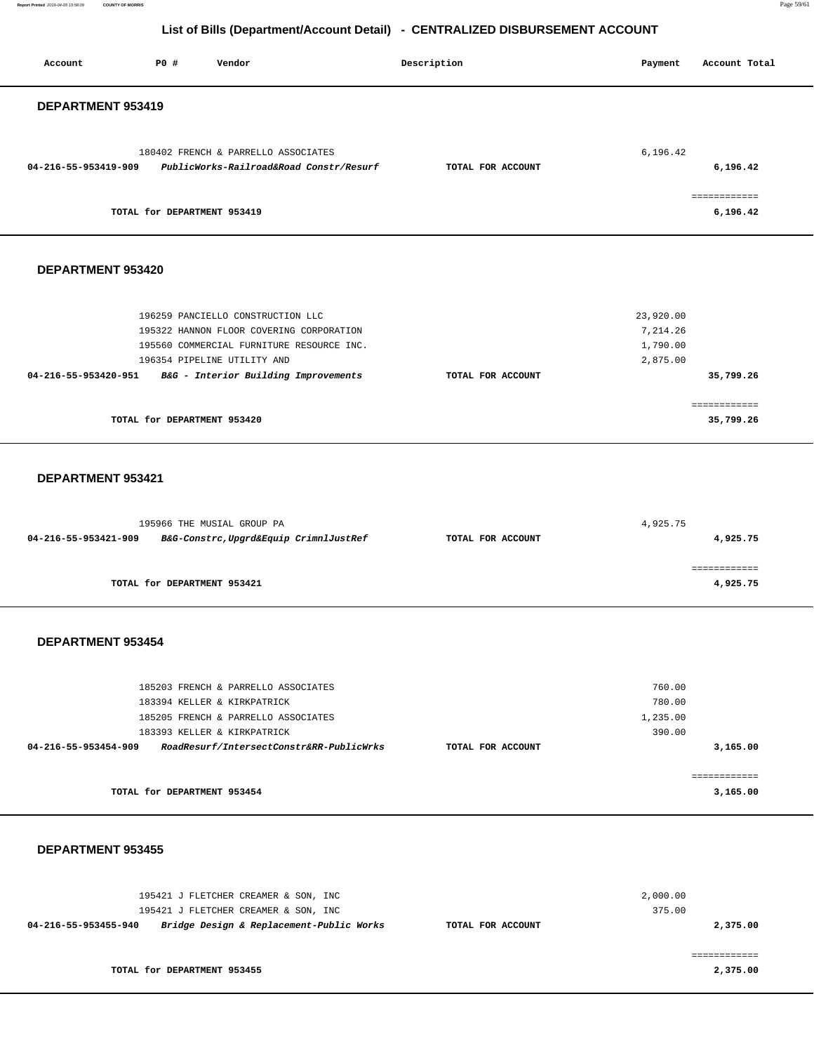**Report Printed** 2019-04-05 15:58:09 **COUNTY OF MORRIS** Page 59/61

## **List of Bills (Department/Account Detail) - CENTRALIZED DISBURSEMENT ACCOUNT**

| Account                                   | P0 # | Vendor                                                                                                                                                                                            |                                          | Description |                   | Payment                                       | Account Total             |
|-------------------------------------------|------|---------------------------------------------------------------------------------------------------------------------------------------------------------------------------------------------------|------------------------------------------|-------------|-------------------|-----------------------------------------------|---------------------------|
| DEPARTMENT 953419                         |      |                                                                                                                                                                                                   |                                          |             |                   |                                               |                           |
| 04-216-55-953419-909                      |      | 180402 FRENCH & PARRELLO ASSOCIATES                                                                                                                                                               | PublicWorks-Railroad&Road Constr/Resurf  |             | TOTAL FOR ACCOUNT | 6, 196.42                                     | 6, 196.42                 |
|                                           |      | TOTAL for DEPARTMENT 953419                                                                                                                                                                       |                                          |             |                   |                                               | ============<br>6,196.42  |
| DEPARTMENT 953420                         |      |                                                                                                                                                                                                   |                                          |             |                   |                                               |                           |
| 04-216-55-953420-951                      |      | 196259 PANCIELLO CONSTRUCTION LLC<br>195322 HANNON FLOOR COVERING CORPORATION<br>195560 COMMERCIAL FURNITURE RESOURCE INC.<br>196354 PIPELINE UTILITY AND<br>B&G - Interior Building Improvements |                                          |             | TOTAL FOR ACCOUNT | 23,920.00<br>7,214.26<br>1,790.00<br>2,875.00 | 35,799.26                 |
|                                           |      | TOTAL for DEPARTMENT 953420                                                                                                                                                                       |                                          |             |                   |                                               | ============<br>35,799.26 |
| DEPARTMENT 953421<br>04-216-55-953421-909 |      | 195966 THE MUSIAL GROUP PA<br>B&G-Constrc, Upgrd&Equip CrimnlJustRef                                                                                                                              |                                          |             | TOTAL FOR ACCOUNT | 4,925.75                                      | 4,925.75                  |
|                                           |      | TOTAL for DEPARTMENT 953421                                                                                                                                                                       |                                          |             |                   |                                               | ============<br>4,925.75  |
| DEPARTMENT 953454                         |      |                                                                                                                                                                                                   |                                          |             |                   |                                               |                           |
| 04-216-55-953454-909                      |      | 185203 FRENCH & PARRELLO ASSOCIATES<br>183394 KELLER & KIRKPATRICK<br>185205 FRENCH & PARRELLO ASSOCIATES<br>183393 KELLER & KIRKPATRICK                                                          | RoadResurf/IntersectConstr&RR-PublicWrks |             | TOTAL FOR ACCOUNT | 760.00<br>780.00<br>1,235.00<br>390.00        | 3,165.00                  |
|                                           |      | TOTAL for DEPARTMENT 953454                                                                                                                                                                       |                                          |             |                   |                                               | ============<br>3,165.00  |
| DEPARTMENT 953455                         |      |                                                                                                                                                                                                   |                                          |             |                   |                                               |                           |
|                                           |      | <b>DE DRAIDE</b>                                                                                                                                                                                  |                                          |             |                   |                                               |                           |

|                      | 195421 J FLETCHER CREAMER & SON, INC |                                          |                   | 2,000.00 |          |
|----------------------|--------------------------------------|------------------------------------------|-------------------|----------|----------|
|                      | 195421 J FLETCHER CREAMER & SON, INC |                                          |                   | 375.00   |          |
| 04-216-55-953455-940 |                                      | Bridge Design & Replacement-Public Works | TOTAL FOR ACCOUNT |          | 2,375.00 |
|                      |                                      |                                          |                   |          |          |
|                      |                                      |                                          |                   |          |          |
|                      | TOTAL for DEPARTMENT 953455          |                                          |                   |          | 2,375.00 |
|                      |                                      |                                          |                   |          |          |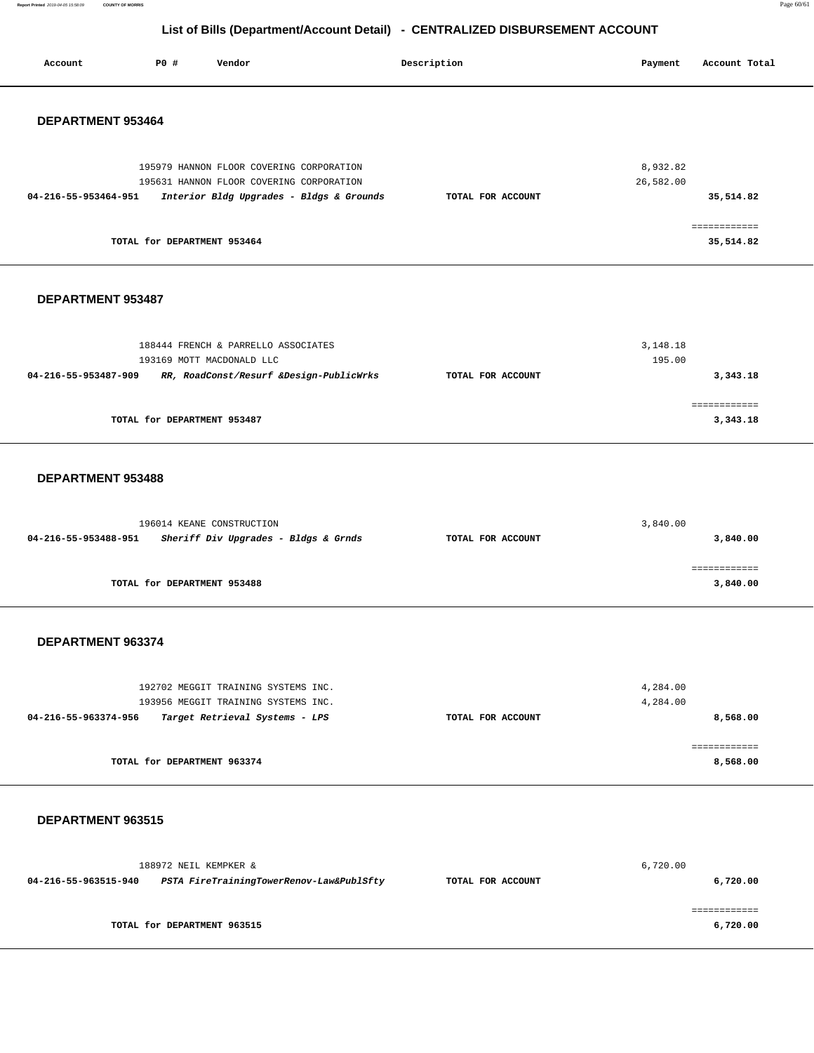**Report Printed** 2019-04-05 15:58:09 **COUNTY OF MORRIS** Page 60/61

## **List of Bills (Department/Account Detail) - CENTRALIZED DISBURSEMENT ACCOUNT**

| Account              | PO#                         | Vendor                                                                                                                           | Description       | Payment               | Account Total             |
|----------------------|-----------------------------|----------------------------------------------------------------------------------------------------------------------------------|-------------------|-----------------------|---------------------------|
| DEPARTMENT 953464    |                             |                                                                                                                                  |                   |                       |                           |
| 04-216-55-953464-951 |                             | 195979 HANNON FLOOR COVERING CORPORATION<br>195631 HANNON FLOOR COVERING CORPORATION<br>Interior Bldg Upgrades - Bldgs & Grounds | TOTAL FOR ACCOUNT | 8,932.82<br>26,582.00 | 35,514.82<br>============ |
|                      | TOTAL for DEPARTMENT 953464 |                                                                                                                                  |                   |                       | 35,514.82                 |
| DEPARTMENT 953487    |                             |                                                                                                                                  |                   |                       |                           |
| 04-216-55-953487-909 |                             | 188444 FRENCH & PARRELLO ASSOCIATES<br>193169 MOTT MACDONALD LLC<br>RR, RoadConst/Resurf &Design-PublicWrks                      | TOTAL FOR ACCOUNT | 3,148.18<br>195.00    | 3,343.18                  |
|                      | TOTAL for DEPARTMENT 953487 |                                                                                                                                  |                   |                       | ============<br>3,343.18  |
| DEPARTMENT 953488    |                             |                                                                                                                                  |                   |                       |                           |
| 04-216-55-953488-951 |                             | 196014 KEANE CONSTRUCTION<br>Sheriff Div Upgrades - Bldgs & Grnds                                                                | TOTAL FOR ACCOUNT | 3,840.00              | 3,840.00                  |
|                      | TOTAL for DEPARTMENT 953488 |                                                                                                                                  |                   |                       | ============<br>3,840.00  |
| DEPARTMENT 963374    |                             |                                                                                                                                  |                   |                       |                           |
| 04-216-55-963374-956 |                             | 192702 MEGGIT TRAINING SYSTEMS INC.<br>193956 MEGGIT TRAINING SYSTEMS INC.<br>Target Retrieval Systems - LPS                     | TOTAL FOR ACCOUNT | 4,284.00<br>4,284.00  | 8,568.00                  |
|                      | TOTAL for DEPARTMENT 963374 |                                                                                                                                  |                   |                       | ============<br>8,568.00  |
| DEPARTMENT 963515    |                             |                                                                                                                                  |                   |                       |                           |
| 04-216-55-963515-940 | 188972 NEIL KEMPKER &       | PSTA FireTrainingTowerRenov-Law&PublSfty                                                                                         | TOTAL FOR ACCOUNT | 6,720.00              | 6,720.00                  |

============

**TOTAL for DEPARTMENT 963515 6,720.00**